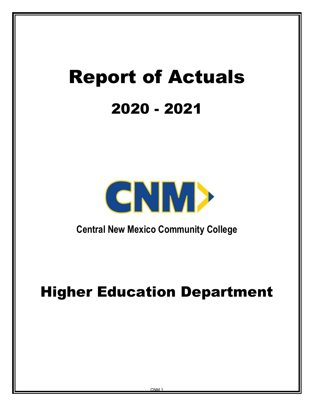# Report of Actuals 2020 - 2021



**Central New Mexico Community College**

# Higher Education Department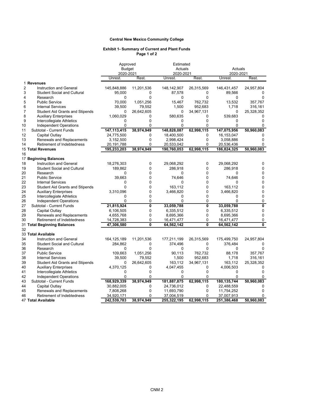# **Central New Mexico Community College**

#### **Exhibit 1- Summary of Current and Plant Funds Page 1 of 2**

|                |                                        | Approved<br><b>Budget</b> |                         | Estimated     |                         |             |                         |
|----------------|----------------------------------------|---------------------------|-------------------------|---------------|-------------------------|-------------|-------------------------|
|                |                                        |                           |                         | Actuals       |                         | Actuals     |                         |
|                |                                        | 2020-2021                 |                         | 2020-2021     |                         | 2020-2021   |                         |
|                |                                        | Unrest.                   | Rest.                   | Unrest.       | Rest.                   | Unrest.     | Rest.                   |
|                | 1 Revenues                             |                           |                         |               |                         |             |                         |
| $\overline{2}$ | <b>Instruction and General</b>         | 145,848,886               | 11,201,536              | 148, 142, 907 | 26,315,569              | 146,431,457 | 24,957,804              |
| 3              | <b>Student Social and Cultural</b>     | 95,000                    | 0                       | 87,578        | 0                       | 89,566      |                         |
| 4              | Research                               | $\mathbf 0$               | $\mathbf 0$             | $\mathbf 0$   | 0                       | 0           | $\Omega$                |
| 5              | <b>Public Service</b>                  | 70,000                    | 1,051,256               | 15,467        | 762,732                 | 13,532      | 357,767                 |
| 6              | <b>Internal Services</b>               | 39,500                    | 79,552                  | 1,500         | 952,683                 | 1,718       | 316,161                 |
| $\overline{7}$ | <b>Student Aid Grants and Stipends</b> | 0                         | 26,642,605              | 0             | 34,967,131              | 0           | 25,328,352              |
| 8              | <b>Auxiliary Enterprises</b>           | 1,060,029                 | 0                       | 580,635       | 0                       | 539,683     | 0                       |
| 9              | Intercollegiate Athletics              | 0                         | $\Omega$                | $\Omega$      | $\Omega$                | $\Omega$    | $\Omega$                |
| 10             | Independent Operations                 | 0                         | $\Omega$                | 0             | 0                       | $\Omega$    | $\Omega$                |
| 11             | Subtotal - Current Funds               | 147, 113, 415             | 38,974,949              | 148,828,087   | 62,998,115              | 147,075,956 | 50,960,083              |
| 12             | Capital Outlay                         | 24,775,500                | 0                       | 18,400,500    | $\Omega$                | 16,153,047  | 0                       |
| 13             | Renewals and Replacements              | 3,152,500                 | 0                       | 2,998,424     | 0                       | 3,058,886   | $\Omega$                |
| 14             | <b>Retirement of Indebtedness</b>      | 20,191,788                | 0                       | 20,533,042    | 0                       | 20,536,436  | $\Omega$                |
|                | 15 Total Revenues                      | 195,233,203               | 38,974,949              | 190,760,053   | 62,998,115              | 186,824,325 | 50,960,083              |
| 16             |                                        |                           |                         |               |                         |             |                         |
|                | 17 Beginning Balances                  |                           |                         |               |                         |             |                         |
| 18             | <b>Instruction and General</b>         | 18,276,303                | 0                       | 29,068,292    | 0                       | 29,068,292  | 0                       |
| 19             | <b>Student Social and Cultural</b>     | 189,862                   | $\mathbf 0$             | 286,918       | 0                       | 286,918     | 0                       |
| 20             | Research                               | 0                         | $\mathbf 0$             | $\Omega$      | 0                       | 0           | 0                       |
| 21             | <b>Public Service</b>                  | 39,663                    | $\mathbf 0$             | 74,646        | 0                       | 74,646      | 0                       |
| 22             | <b>Internal Services</b>               | 0                         | $\mathbf 0$             | 0             | 0                       | $\Omega$    | $\mathbf 0$             |
| 23             | <b>Student Aid Grants and Stipends</b> | 0                         | $\mathbf{0}$            | 163,112       | 0                       | 163,112     | $\mathbf 0$             |
| 24             | <b>Auxiliary Enterprises</b>           | 3,310,096                 | $\mathbf{0}$            | 3,466,820     | 0                       | 3,466,820   | 0                       |
| 25             | Intercollegiate Athletics              | 0                         | 0                       | 0             | 0                       | 0           | 0                       |
| 26             | Independent Operations                 | $\Omega$                  | 0                       | 0             | 0                       | $\Omega$    | 0                       |
| 27             | Subtotal - Current Funds               | 21,815,924                | $\overline{\mathbf{0}}$ | 33,059,788    | $\overline{\mathbf{0}}$ | 33,059,788  | $\overline{\mathbf{0}}$ |
| 28             | Capital Outlay                         | 6,106,505                 | $\mathbf{0}$            | 6,335,512     | $\mathbf 0$             | 6,335,512   | 0                       |
| 29             | Renewals and Replacements              | 4,655,768                 | $\mathbf{0}$            | 8,695,366     | $\mathbf 0$             | 8,695,366   | 0                       |
| 30             | <b>Retirement of Indebtedness</b>      | 14,728,383                | $\mathbf{0}$            | 16,471,477    | 0                       | 16,471,477  | 0                       |
|                | 31 Total Beginning Balances            | 47,306,580                | $\mathbf{0}$            | 64,562,142    | 0                       | 64,562,142  | 0                       |
| 32             |                                        |                           |                         |               |                         |             |                         |
|                | 33 Total Available                     |                           |                         |               |                         |             |                         |
| 34             | Instruction and General                | 164, 125, 189             | 11,201,536              | 177,211,199   | 26,315,569              | 175,499,750 | 24,957,804              |
| 35             | <b>Student Social and Cultural</b>     | 284,862                   | 0                       | 374,496       | 0                       | 376,484     | 0                       |
| 36             | Research                               | $\Omega$                  | $\Omega$                | $\Omega$      | $\mathbf{0}$            | $\Omega$    | $\Omega$                |
| 37             | <b>Public Service</b>                  | 109,663                   | 1,051,256               | 90,113        | 762,732                 | 88,178      | 357,767                 |
| 38             | <b>Internal Services</b>               | 39,500                    | 79,552                  | 1,500         | 952,683                 | 1,718       | 316,161                 |
| 39             | <b>Student Aid Grants and Stipends</b> | 0                         | 26,642,605              | 163,112       | 34,967,131              | 163,112     | 25,328,352              |
| 40             | <b>Auxiliary Enterprises</b>           | 4,370,125                 | 0                       | 4,047,455     | 0                       | 4,006,503   | 0                       |
| 41             | Intercollegiate Athletics              | 0                         | $\mathbf{0}$            | 0             | $\mathbf 0$             | 0           | $\Omega$                |
| 42             | Independent Operations                 | 0                         | $\mathbf{0}$            | 0             | $\mathbf 0$             | $\mathbf 0$ | 0                       |
| 43             | Subtotal - Current Funds               | 168,929,339               | 38,974,949              | 181,887,875   | 62,998,115              | 180,135,744 | 50,960,083              |
| 44             | Capital Outlay                         | 30,882,005                | 0                       | 24,736,012    | $\mathbf 0$             | 22,488,559  | 0                       |
| 45             | Renewals and Replacements              | 7,808,268                 | 0                       | 11,693,790    | 0                       | 11,754,252  | $\Omega$                |
| 46             | <b>Retirement of Indebtedness</b>      | 34,920,171                | $\Omega$                | 37,004,519    | $\Omega$                | 37,007,913  | $\Omega$                |
|                | 47 Total Available                     | 242,539,783               | 38.974.949              | 255,322,195   | 62.998.115              | 251,386,468 | 50,960,083              |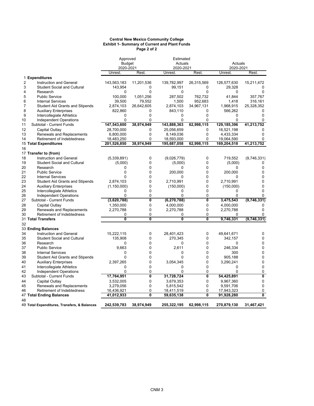#### **Central New Mexico Community College Exhibit 1- Summary of Current and Plant Funds Page 2 of 2**

|                |                                              | Approved      |              | Estimated     |            |             |                           |  |
|----------------|----------------------------------------------|---------------|--------------|---------------|------------|-------------|---------------------------|--|
|                |                                              | <b>Budget</b> |              |               | Actuals    |             | Actuals                   |  |
|                |                                              | 2020-2021     |              | 2020-2021     |            | 2020-2021   |                           |  |
|                |                                              | Unrest.       | Rest.        | Unrest.       | Rest.      | Unrest.     | Rest.                     |  |
|                | 1 Expenditures                               |               |              |               |            |             |                           |  |
| $\overline{2}$ | <b>Instruction and General</b>               | 143,563,183   | 11,201,536   | 139,782,997   | 26,315,569 | 126,577,630 | 15,211,472                |  |
| 3              | <b>Student Social and Cultural</b>           | 143,954       | 0            | 99,151        | 0          | 29,328      | 0                         |  |
| 4              | Research                                     | 0             | $\Omega$     | 0             | 0          | 0           | $\Omega$                  |  |
| 5              | <b>Public Service</b>                        | 100,000       | 1,051,256    | 287,502       | 762,732    | 41,844      | 357,767                   |  |
| 6              | <b>Internal Services</b>                     | 39,500        | 79,552       | 1,500         | 952,683    | 1,418       | 316,161                   |  |
| 7              | <b>Student Aid Grants and Stipends</b>       | 2,874,103     | 26,642,605   | 2,874,103     | 34,967,131 | 1,968,915   | 25,328,352                |  |
| 8              | <b>Auxiliary Enterprises</b>                 | 822,860       | 0            | 843,110       | 0          | 566,262     | 0                         |  |
| 9              | Intercollegiate Athletics                    | 0             | $\Omega$     | 0             | 0          | 0           | $\Omega$                  |  |
| 10             | <b>Independent Operations</b>                | $\Omega$      | $\Omega$     | $\Omega$      | 0          | $\Omega$    | $\Omega$                  |  |
| 11             | Subtotal - Current Funds                     | 147,543,600   | 38,974,949   | 143,888,363   | 62,998,115 | 129,185,396 | 41,213,752                |  |
| 12             | Capital Outlay                               | 28,700,000    | $\Omega$     | 25,056,659    | 0          | 16,521,198  | $\Omega$                  |  |
| 13             | Renewals and Replacements                    | 6,800,000     | 0            | 8,149,036     | 0          | 4,433,334   | 0                         |  |
| 14             | Retirement of Indebtedness                   | 18,483,250    | 0            | 18,593,000    | 0          | 19,064,590  | $\Omega$                  |  |
|                | 15 Total Expenditures                        | 201,526,850   | 38,974,949   | 195,687,058   | 62,998,115 | 169,204,518 | 41,213,752                |  |
| 16             |                                              |               |              |               |            |             |                           |  |
|                | 17 Transfer to (from)                        |               |              |               |            |             |                           |  |
| 18             | <b>Instruction and General</b>               | (5,339,891)   | 0            | (9,026,779)   | 0          | 719,552     | (9,746,331)               |  |
| 19             | <b>Student Social and Cultural</b>           | (5,000)       | 0            | (5,000)       | 0          | (5,000)     | 0                         |  |
| 20             | Research                                     | $\Omega$      | $\Omega$     | 0             | 0          | $\Omega$    | 0                         |  |
| 21             | <b>Public Service</b>                        | $\Omega$      | $\Omega$     | 200,000       | 0          | 200,000     | $\Omega$                  |  |
| 22             | <b>Internal Services</b>                     | $\Omega$      | $\Omega$     | 0             | 0          | $\Omega$    | $\Omega$                  |  |
| 23             | <b>Student Aid Grants and Stipends</b>       | 2,874,103     | $\mathbf{0}$ | 2,710,991     | 0          | 2,710,991   | $\Omega$                  |  |
| 24             | <b>Auxiliary Enterprises</b>                 | (1, 150, 000) | 0            | (150,000)     | 0          | (150,000)   | 0                         |  |
| 25             | Intercollegiate Athletics                    | 0             | $\Omega$     | 0             | 0          | 0           | 0                         |  |
| 26             | Independent Operations                       | 0             | 0            | 0             | 0          | 0           | 0                         |  |
| 27             | Subtotal - Current Funds                     | (3,620,788)   | 0            | (6, 270, 788) | 0          | 3,475,543   | (9,746,331)               |  |
| 28             | Capital Outlay                               | 1,350,000     | 0            | 4,000,000     | 0          | 4,000,000   | 0                         |  |
| 29             | Renewals and Replacements                    | 2,270,788     | 0            | 2,270,788     | 0          | 2,270,788   | $\Omega$                  |  |
| 30             | Retirement of Indebtedness                   | 0             | 0            | 0             | 0          | 0           | 0                         |  |
|                | 31 Total Transfers                           | $\mathbf{0}$  | 0            | $\mathbf{0}$  | 0          | 9,746,331   | (9,746,331)               |  |
| 32             |                                              |               |              |               |            |             |                           |  |
|                | 33 Ending Balances                           |               |              |               |            |             |                           |  |
| 34             | <b>Instruction and General</b>               | 15,222,115    | 0            | 28,401,423    | 0          | 49,641,671  | 0                         |  |
| 35             | <b>Student Social and Cultural</b>           | 135,908       | 0            | 270,345       | 0          | 342,157     | 0                         |  |
| 36             | Research                                     | 0             | 0            | 0             | 0          | 0           | 0                         |  |
| 37             | <b>Public Service</b>                        | 9,663         | $\Omega$     | 2,611         | 0          | 246,334     | 0                         |  |
| 38             | <b>Internal Services</b>                     | 0             | $\Omega$     | $\Omega$      | 0          | 300         | 0                         |  |
| 39             | <b>Student Aid Grants and Stipends</b>       | 0             | 0            | 0             | 0          | 905,188     | 0                         |  |
| 40             | <b>Auxiliary Enterprises</b>                 | 2,397,265     | 0            | 3,054,345     | 0          | 3,290,241   | 0                         |  |
| 41             | Intercollegiate Athletics                    | 0             | 0            | 0             | 0          | 0           | 0                         |  |
| 42             | Independent Operations                       | 0             | 0            | 0             | 0          | $\Omega$    | 0                         |  |
| 43             | Subtotal - Current Funds                     | 17,764,951    | 0            | 31,728,724    | 0          | 54,425,891  | $\overline{\mathfrak{o}}$ |  |
| 44             | Capital Outlay                               | 3,532,005     | 0            | 3,679,353     | 0          | 9,967,360   | 0                         |  |
| 45             | Renewals and Replacements                    | 3,279,056     | 0            | 5,815,542     | 0          | 9,591,706   | 0                         |  |
| 46             | Retirement of Indebtedness                   | 16,436,921    | 0            | 18,411,519    | 0          | 17,943,323  | 0                         |  |
|                | 47 Total Ending Balances                     | 41,012,933    | 0            | 59,635,138    | 0          | 91,928,280  | $\overline{\mathbf{0}}$   |  |
| 48             |                                              |               |              |               |            |             |                           |  |
|                | 49 Total Expenditures, Transfers, & Balances | 242,539,783   | 38,974,949   | 255,322,195   | 62,998,115 | 270,879,130 | 31,467,421                |  |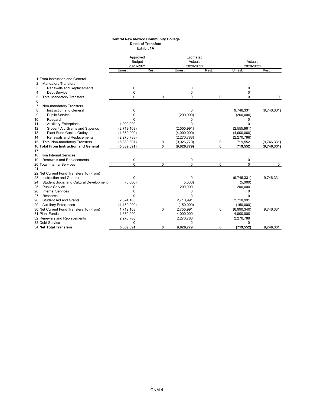#### **Central New Mexico Community College Detail of Transfers Exhibit 1A**

|                                               | Approved<br><b>Budget</b> |              | Estimated<br>Actuals |              | Actuals       |             |  |
|-----------------------------------------------|---------------------------|--------------|----------------------|--------------|---------------|-------------|--|
|                                               | 2020-2021                 |              | 2020-2021            |              | 2020-2021     |             |  |
|                                               | Unrest.                   | Rest.        | Unrest.              | Rest.        | Unrest.       | <b>Rest</b> |  |
| 1 From Instruction and General                |                           |              |                      |              |               |             |  |
| <b>Mandatory Transfers</b><br>2               |                           |              |                      |              |               |             |  |
| 3<br>Renewals and Replacements                | 0                         |              | 0                    |              | 0             |             |  |
| Debt Service<br>4                             | 0                         |              | 0                    |              | $\Omega$      |             |  |
| <b>Total Mandatory Transfers</b><br>5         | $\Omega$                  | $\Omega$     | $\Omega$             | $\mathbf 0$  | $\Omega$      | $\Omega$    |  |
| 6                                             |                           |              |                      |              |               |             |  |
| Non-mandatory Transfers<br>7                  |                           |              |                      |              |               |             |  |
| 8<br>Instruction and General                  | 0                         |              | $\Omega$             |              | 9,746,331     | (9,746,331) |  |
| 9<br><b>Public Service</b>                    | O                         |              | (200,000)            |              | (200,000)     |             |  |
| Research<br>10                                | O                         |              | ი                    |              | 0             |             |  |
| <b>Auxiliary Enterprises</b><br>11            | 1,000,000                 |              | $\Omega$             |              | <sup>0</sup>  |             |  |
| 12<br>Student Aid Grants and Stipends         | (2,719,103)               |              | (2,555,991)          |              | (2,555,991)   |             |  |
| 13<br>Plant Fund Capital Outlay               | (1,350,000)               |              | (4,000,000)          |              | (4,000,000)   |             |  |
| Renewals and Replacements<br>14               | (2, 270, 788)             |              | (2, 270, 788)        |              | (2, 270, 788) |             |  |
| <b>Total Non-mandatory Transfers</b><br>15    | (5,339,891)               | $\mathbf 0$  | (9,026,779)          | 0            | 719,552       | (9,746,331) |  |
| 16 Total From Instruction and General         | (5, 339, 891)             | $\mathbf{0}$ | (9,026,779)          | $\mathbf{0}$ | 719,552       | (9,746,331) |  |
| 17                                            |                           |              |                      |              |               |             |  |
| 18 From Internal Services                     |                           |              |                      |              |               |             |  |
| Renewals and Replacements<br>19               | 0                         |              | 0                    |              | 0             |             |  |
| 20 Total Internal Services                    | 0                         | $\Omega$     | $\Omega$             | $\mathbf 0$  | $\Omega$      | $\Omega$    |  |
| 21                                            |                           |              |                      |              |               |             |  |
| 22 Net Current Fund Transfers To (From)       |                           |              |                      |              |               |             |  |
| Instruction and General<br>23                 | 0                         |              | 0                    |              | (9,746,331)   | 9,746,331   |  |
| Student Social and Cultural Development<br>24 | (5,000)                   |              | (5,000)              |              | (5,000)       |             |  |
| <b>Public Service</b><br>25                   | 0                         |              | 200,000              |              | 200,000       |             |  |
| <b>Internal Services</b><br>26                |                           |              | 0                    |              | n             |             |  |
| 27<br>Research                                | n                         |              | N                    |              | U             |             |  |
| <b>Student Aid and Grants</b><br>28           | 2,874,103                 |              | 2,710,991            |              | 2,710,991     |             |  |
| <b>Auxiliary Enterprises</b><br>29            | (1, 150, 000)             |              | (150,000)            |              | (150,000)     |             |  |
| 30 Net Current Fund Transfers To (From)       | 1,719,103                 | $\Omega$     | 2,755,991            | $\mathbf 0$  | (6,990,340)   | 9,746,331   |  |
| 31 Plant Funds                                | 1,350,000                 |              | 4,000,000            |              | 4,000,000     |             |  |
| 32 Renewals and Replacements                  | 2,270,788                 |              | 2,270,788            |              | 2,270,788     |             |  |
| 33 Debt Service                               | 0                         |              | 0                    |              |               |             |  |
| <b>34 Net Total Transfers</b>                 | 5,339,891                 | 0            | 9,026,779            | 0            | (719, 552)    | 9,746,331   |  |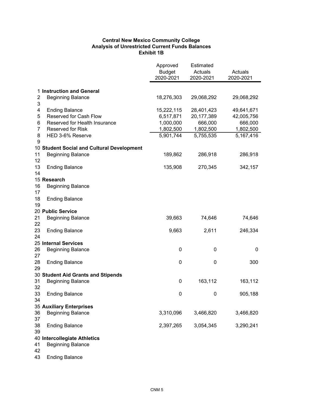# **Central New Mexico Community College Analysis of Unrestricted Current Funds Balances Exhibit 1B**

|                |                                            | Approved<br><b>Budget</b><br>2020-2021 | Estimated<br>Actuals<br>2020-2021 | Actuals<br>2020-2021 |
|----------------|--------------------------------------------|----------------------------------------|-----------------------------------|----------------------|
|                |                                            |                                        |                                   |                      |
|                | 1 Instruction and General                  |                                        |                                   |                      |
| 2              | <b>Beginning Balance</b>                   | 18,276,303                             | 29,068,292                        | 29,068,292           |
| 3              |                                            |                                        |                                   |                      |
| 4              | <b>Ending Balance</b>                      | 15,222,115                             | 28,401,423                        | 49,641,671           |
| 5              | Reserved for Cash Flow                     | 6,517,871                              | 20,177,389                        | 42,005,756           |
| 6              | Reserved for Health Insurance              | 1,000,000                              | 666,000                           | 666,000              |
| $\overline{7}$ | <b>Reserved for Risk</b>                   | 1,802,500                              | 1,802,500                         | 1,802,500            |
| 8<br>9         | HED 3-6% Reserve                           | 5,901,744                              | 5,755,535                         | 5,167,416            |
|                | 10 Student Social and Cultural Development |                                        |                                   |                      |
| 11             | <b>Beginning Balance</b>                   | 189,862                                | 286,918                           | 286,918              |
| 12             |                                            |                                        |                                   |                      |
| 13             | <b>Ending Balance</b>                      | 135,908                                | 270,345                           | 342,157              |
| 14             |                                            |                                        |                                   |                      |
|                | 15 Research                                |                                        |                                   |                      |
| 16<br>17       | <b>Beginning Balance</b>                   |                                        |                                   |                      |
| 18             | <b>Ending Balance</b>                      |                                        |                                   |                      |
| 19             |                                            |                                        |                                   |                      |
|                | 20 Public Service                          |                                        |                                   |                      |
| 21             | <b>Beginning Balance</b>                   | 39,663                                 | 74,646                            | 74,646               |
| 22             |                                            |                                        |                                   |                      |
| 23             | <b>Ending Balance</b>                      | 9,663                                  | 2,611                             | 246,334              |
| 24             |                                            |                                        |                                   |                      |
|                | 25 Internal Services                       |                                        |                                   |                      |
| 26<br>27       | <b>Beginning Balance</b>                   | 0                                      | 0                                 | 0                    |
| 28<br>29       | <b>Ending Balance</b>                      | 0                                      | 0                                 | 300                  |
|                | 30 Student Aid Grants and Stipends         |                                        |                                   |                      |
| 31             | <b>Beginning Balance</b>                   | $\pmb{0}$                              | 163,112                           | 163,112              |
| 32             |                                            |                                        |                                   |                      |
| 33             | <b>Ending Balance</b>                      | 0                                      | 0                                 | 905,188              |
| 34             |                                            |                                        |                                   |                      |
|                | 35 Auxiliary Enterprises                   |                                        |                                   |                      |
| 36<br>37       | <b>Beginning Balance</b>                   | 3,310,096                              | 3,466,820                         | 3,466,820            |
| 38             | <b>Ending Balance</b>                      | 2,397,265                              | 3,054,345                         | 3,290,241            |
| 39             |                                            |                                        |                                   |                      |
|                | 40 Intercollegiate Athletics               |                                        |                                   |                      |
| 41             | <b>Beginning Balance</b>                   |                                        |                                   |                      |
| 42             |                                            |                                        |                                   |                      |

43 Ending Balance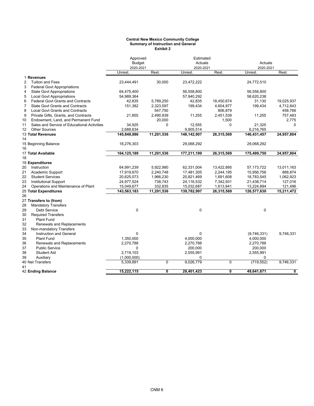#### **Central New Mexico Community College Summary of Instruction and General Exhibit 2**

|                |                                             | Approved<br><b>Budget</b> |            | Estimated<br>Actuals |            | Actuals      |            |  |
|----------------|---------------------------------------------|---------------------------|------------|----------------------|------------|--------------|------------|--|
|                |                                             | 2020-2021                 |            | 2020-2021            |            | 2020-2021    |            |  |
|                |                                             | Unrest.                   | Rest.      | Unrest.              | Rest.      | Unrest.      | Rest.      |  |
|                | 1 Revenues                                  |                           |            |                      |            |              |            |  |
| 2              | <b>Tuition and Fees</b>                     | 23,444,491                | 30,000     | 23,472,222           |            | 24,772,510   |            |  |
| 3              | <b>Federal Govt Appropriations</b>          |                           |            |                      |            |              |            |  |
| 4              | <b>State Govt Appropriations</b>            | 64,475,400                |            | 56,558,800           |            | 56,558,800   |            |  |
| 5              | <b>Local Govt Appropriations</b>            | 54,989,364                |            | 57,940,292           |            | 58,620,238   |            |  |
| 6              | <b>Federal Govt Grants and Contracts</b>    | 42,835                    | 5,789,250  | 42,835               | 18,450,674 | 31,130       | 19,025,937 |  |
| $\overline{7}$ | <b>State Govt Grants and Contracts</b>      | 151,382                   | 2,323,597  | 199,434              | 4,604,977  | 199,434      | 4,712,843  |  |
| 8              | <b>Local Govt Grants and Contracts</b>      |                           | 547,750    |                      | 806,879    |              | 458,766    |  |
| 9              | Private Gifts, Grants, and Contracts        | 21,855                    | 2,490,939  | 11,255               | 2,451,539  | 11,255       | 757,483    |  |
| 10             | Endowment, Land, and Permanent Fund         |                           | 20,000     |                      | 1,500      |              | 2,775      |  |
| 11             | Sales and Service of Educational Activities | 34,925                    | 0          | 12,555               | 0          | 21,325       | 0          |  |
| 12             | <b>Other Sources</b>                        | 2,688,634                 |            | 9,905,514            |            | 6,216,765    |            |  |
|                | 13 Total Revenues                           | 145,848,886               | 11,201,536 | 148, 142, 907        | 26,315,569 | 146,431,457  | 24,957,804 |  |
| 14             |                                             |                           |            |                      |            |              |            |  |
|                | 15 Beginning Balance                        | 18,276,303                |            | 29,068,292           |            | 29,068,292   |            |  |
| 16             |                                             |                           |            |                      |            |              |            |  |
|                | 17 Total Available                          | 164,125,189               | 11,201,536 | 177,211,199          | 26,315,569 | 175,499,750  | 24,957,804 |  |
| 18             |                                             |                           |            |                      |            |              |            |  |
|                | 19 Expenditures                             |                           |            |                      |            |              |            |  |
| 20             | Instruction                                 | 64,991,239                | 5,922,980  | 62,331,004           | 13,422,895 | 57, 173, 722 | 13,011,163 |  |
| 21             | Academic Support                            | 17,919,670                | 2,240,748  | 17,481,305           | 2,244,195  | 15,956,756   | 888,874    |  |
| 22             | <b>Student Services</b>                     | 20,625,073                | 1,966,230  | 20,821,469           | 1,691,608  | 18,783,545   | 1,062,923  |  |
| 23             | <b>Institutional Support</b>                | 24,977,524                | 738,743    | 24,116,532           | 7,342,931  | 21,438,714   | 127,016    |  |
| 24             | Operations and Maintenance of Plant         | 15,049,677                | 332,835    | 15,032,687           | 1,613,941  | 13,224,894   | 121,496    |  |
|                | 25 Total Expenditures                       | 143,563,183               | 11,201,536 | 139,782,997          | 26,315,569 | 126,577,630  | 15,211,472 |  |
| 26             |                                             |                           |            |                      |            |              |            |  |
|                | 27 Transfers to (from)                      |                           |            |                      |            |              |            |  |
| 28             | <b>Mandatory Transfers</b>                  |                           |            |                      |            |              |            |  |
| 29             | <b>Debt Service</b>                         | $\mathbf 0$               |            | $\pmb{0}$            |            | $\mathbf 0$  |            |  |
| 30             | <b>Required Transfers</b>                   |                           |            |                      |            |              |            |  |
| 31             | <b>Plant Fund</b>                           |                           |            |                      |            |              |            |  |
| 32             | Renewals and Replacements                   |                           |            |                      |            |              |            |  |
| 33             | Non-mandatory Transfers                     |                           |            |                      |            |              |            |  |
| 34             | <b>Instruction and General</b>              | 0                         |            | 0                    |            | (9,746,331)  | 9,746,331  |  |
| 35             | <b>Plant Fund</b>                           | 1,350,000                 |            | 4,000,000            |            | 4,000,000    |            |  |
| 36             | Renewals and Replacements                   | 2,270,788                 |            | 2,270,788            |            | 2,270,788    |            |  |
| 37             | <b>Public Service</b>                       | 0                         |            | 200,000              |            | 200,000      |            |  |
| 38             | <b>Student Aid</b>                          | 2,719,103                 |            | 2,555,991            |            | 2,555,991    |            |  |
| 39             | Auxiliary                                   | (1,000,000)               |            | 0                    |            | $\Omega$     |            |  |
|                | 40 Net Transfers                            | 5,339,891                 | $\Omega$   | 9,026,779            | 0          | (719, 552)   | 9,746,331  |  |
| 41             |                                             |                           |            |                      |            |              |            |  |
|                | 42 Ending Balance                           | 15,222,115                | 0          | 28,401,423           | 0          | 49,641,671   | 0          |  |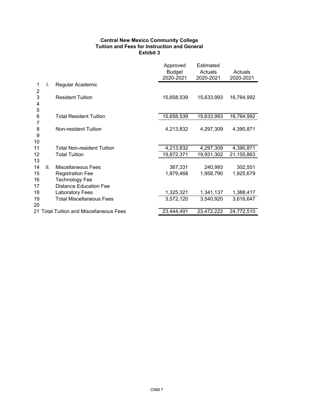# **Central New Mexico Community College Tuition and Fees for Instruction and General Exhibit 3**

|              |    |                                         | Approved<br><b>Budget</b><br>2020-2021 | <b>Estimated</b><br>Actuals<br>2020-2021 | Actuals<br>2020-2021 |
|--------------|----|-----------------------------------------|----------------------------------------|------------------------------------------|----------------------|
| 1<br>2       | I. | Regular Academic                        |                                        |                                          |                      |
| 3<br>4<br>5  |    | <b>Resident Tuition</b>                 | 15,658,539                             | 15,633,993                               | 16,764,992           |
| 6<br>7       |    | <b>Total Resident Tuition</b>           | 15,658,539                             | 15,633,993                               | 16,764,992           |
| 8<br>9<br>10 |    | Non-resident Tuition                    | 4,213,832                              | 4,297,309                                | 4,390,871            |
| 11           |    | <b>Total Non-resident Tuition</b>       | 4,213,832                              | 4,297,309                                | 4,390,871            |
| 12<br>13     |    | <b>Total Tuition</b>                    | 19,872,371                             | 19,931,302                               | 21,155,863           |
| 14           | Ш. | <b>Miscellaneous Fees</b>               | 367,331                                | 240,993                                  | 302,551              |
| 15           |    | <b>Registration Fee</b>                 | 1,879,468                              | 1,958,790                                | 1,925,679            |
| 16           |    | <b>Technology Fee</b>                   |                                        |                                          |                      |
| 17           |    | <b>Distance Education Fee</b>           |                                        |                                          |                      |
| 18           |    | <b>Laboratory Fees</b>                  | 1,325,321                              | 1,341,137                                | 1,388,417            |
| 19<br>20     |    | <b>Total Miscellaneous Fees</b>         | 3,572,120                              | 3,540,920                                | 3,616,647            |
|              |    | 21 Total Tuition and Miscellaneous Fees | 23,444,491                             | 23,472,222                               | 24,772,510           |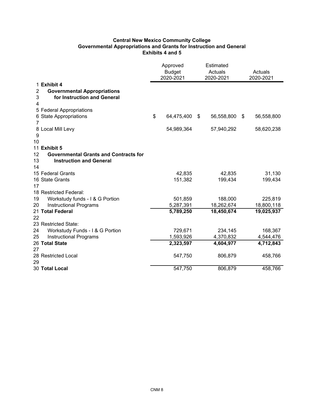# **Central New Mexico Community College Governmental Appropriations and Grants for Instruction and General Exhibits 4 and 5**

|    |                                                   | Approved<br><b>Budget</b> | Estimated<br>Actuals |            | Actuals          |  |
|----|---------------------------------------------------|---------------------------|----------------------|------------|------------------|--|
|    |                                                   | 2020-2021<br>2020-2021    |                      |            | 2020-2021        |  |
|    | 1 Exhibit 4                                       |                           |                      |            |                  |  |
| 2  | <b>Governmental Appropriations</b>                |                           |                      |            |                  |  |
| 3  | for Instruction and General                       |                           |                      |            |                  |  |
| 4  |                                                   |                           |                      |            |                  |  |
|    | 5 Federal Appropriations                          |                           |                      |            |                  |  |
|    | 6 State Appropriations                            | \$<br>64,475,400 \$       |                      | 56,558,800 | \$<br>56,558,800 |  |
| 7  |                                                   |                           |                      |            |                  |  |
|    | 8 Local Mill Levy                                 | 54,989,364                |                      | 57,940,292 | 58,620,238       |  |
| 9  |                                                   |                           |                      |            |                  |  |
| 10 |                                                   |                           |                      |            |                  |  |
|    | 11 Exhibit 5                                      |                           |                      |            |                  |  |
| 12 | <b>Governmental Grants and Contracts for</b>      |                           |                      |            |                  |  |
| 13 | <b>Instruction and General</b>                    |                           |                      |            |                  |  |
| 14 |                                                   |                           |                      |            |                  |  |
|    | 15 Federal Grants                                 | 42,835                    |                      | 42,835     | 31,130           |  |
|    | 16 State Grants                                   | 151,382                   |                      | 199,434    | 199,434          |  |
| 17 |                                                   |                           |                      |            |                  |  |
|    | 18 Restricted Federal:                            |                           |                      |            |                  |  |
| 19 | Workstudy funds - I & G Portion                   | 501,859                   |                      | 188,000    | 225,819          |  |
| 20 | <b>Instructional Programs</b><br>21 Total Federal | 5,287,391                 |                      | 18,262,674 | 18,800,118       |  |
| 22 |                                                   | 5,789,250                 |                      | 18,450,674 | 19,025,937       |  |
|    | 23 Restricted State:                              |                           |                      |            |                  |  |
| 24 | Workstudy Funds - I & G Portion                   | 729,671                   |                      | 234,145    | 168,367          |  |
| 25 | <b>Instructional Programs</b>                     | 1,593,926                 |                      | 4,370,832  | 4,544,476        |  |
|    | 26 Total State                                    | 2,323,597                 |                      | 4,604,977  | 4,712,843        |  |
| 27 |                                                   |                           |                      |            |                  |  |
|    | 28 Restricted Local                               | 547,750                   |                      | 806,879    | 458,766          |  |
| 29 |                                                   |                           |                      |            |                  |  |
|    | 30 Total Local                                    | 547,750                   |                      | 806,879    | 458,766          |  |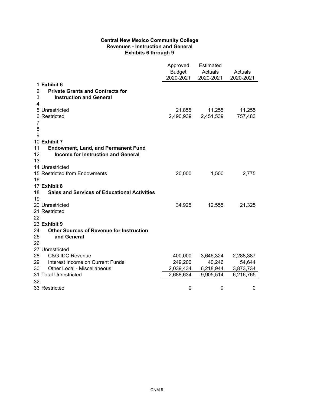# **Central New Mexico Community College Revenues - Instruction and General Exhibits 6 through 9**

|                                                           | Approved<br><b>Budget</b><br>2020-2021 | Estimated<br>Actuals<br>2020-2021 | Actuals<br>2020-2021 |
|-----------------------------------------------------------|----------------------------------------|-----------------------------------|----------------------|
| 1 Exhibit 6                                               |                                        |                                   |                      |
| <b>Private Grants and Contracts for</b><br>2              |                                        |                                   |                      |
| 3<br><b>Instruction and General</b>                       |                                        |                                   |                      |
| 4                                                         |                                        |                                   |                      |
| 5 Unrestricted                                            | 21,855                                 | 11,255                            | 11,255               |
| 6 Restricted                                              | 2,490,939                              | 2,451,539                         | 757,483              |
| 7                                                         |                                        |                                   |                      |
| 8                                                         |                                        |                                   |                      |
| 9                                                         |                                        |                                   |                      |
| 10 Exhibit 7                                              |                                        |                                   |                      |
| <b>Endowment, Land, and Permanent Fund</b><br>11          |                                        |                                   |                      |
| <b>Income for Instruction and General</b><br>12           |                                        |                                   |                      |
| 13                                                        |                                        |                                   |                      |
| 14 Unrestricted                                           |                                        |                                   |                      |
| 15 Restricted from Endowments                             | 20,000                                 | 1,500                             | 2,775                |
| 16                                                        |                                        |                                   |                      |
| 17 Exhibit 8                                              |                                        |                                   |                      |
| 18<br><b>Sales and Services of Educational Activities</b> |                                        |                                   |                      |
| 19                                                        |                                        |                                   |                      |
| 20 Unrestricted<br>21 Restricted                          | 34,925                                 | 12,555                            | 21,325               |
| 22                                                        |                                        |                                   |                      |
| 23 Exhibit 9                                              |                                        |                                   |                      |
| 24<br><b>Other Sources of Revenue for Instruction</b>     |                                        |                                   |                      |
| and General<br>25                                         |                                        |                                   |                      |
| 26                                                        |                                        |                                   |                      |
| 27 Unrestricted                                           |                                        |                                   |                      |
| 28<br><b>C&amp;G IDC Revenue</b>                          | 400,000                                | 3,646,324                         | 2,288,387            |
| 29<br>Interest Income on Current Funds                    | 249,200                                | 40,246                            | 54,644               |
| 30<br>Other Local - Miscellaneous                         | 2,039,434                              | 6,218,944                         | 3,873,734            |
| 31 Total Unrestricted                                     | 2,688,634                              | 9,905,514                         | 6,216,765            |
| 32                                                        |                                        |                                   |                      |
| 33 Restricted                                             | 0                                      | 0                                 | 0                    |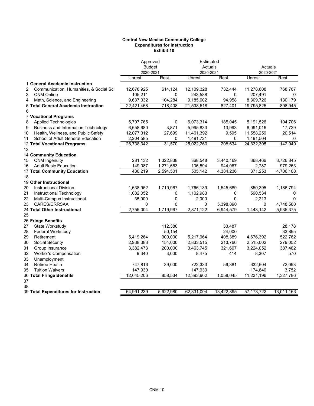#### **Central New Mexico Community College Expenditures for Instruction Exhibit 10**

|                                                 |            | Approved      |            | Estimated   |              |            |  |
|-------------------------------------------------|------------|---------------|------------|-------------|--------------|------------|--|
|                                                 |            | <b>Budget</b> |            | Actuals     | Actuals      |            |  |
|                                                 | 2020-2021  |               | 2020-2021  |             | 2020-2021    |            |  |
|                                                 | Unrest.    | Rest.         | Unrest.    | Rest.       | Unrest.      | Rest.      |  |
| 1 General Academic Instruction                  |            |               |            |             |              |            |  |
| 2<br>Communication, Humanities, & Social Sci    | 12,678,925 | 614,124       | 12,109,328 | 732,444     | 11,278,608   | 768,767    |  |
| 3<br><b>CNM Online</b>                          | 105,211    | 0             | 243,588    | 0           | 207,491      | 0          |  |
| Math, Science, and Engineering<br>4             | 9,637,332  | 104,284       | 9,185,602  | 94,958      | 8,309,726    | 130,179    |  |
| 5 Total General Academic Instruction            | 22,421,468 | 718,408       | 21,538,518 | 827,401     | 19,795,825   | 898,945    |  |
| 6                                               |            |               |            |             |              |            |  |
| <b>7 Vocational Programs</b>                    |            |               |            |             |              |            |  |
| <b>Applied Technologies</b><br>8                | 5,797,765  | 0             | 6,073,314  | 185,045     | 5,191,526    | 104,706    |  |
| <b>Business and Information Technology</b><br>9 | 6,658,680  | 3,871         | 5,995,833  | 13,993      | 6,091,016    | 17,729     |  |
| 10<br>Health, Wellness, and Public Safety       | 12,077,312 | 27,699        | 11,461,392 | 9,595       | 11,558,259   | 20,514     |  |
| School of Adult General Education<br>11         | 2,204,585  | 0             | 1,491,721  | 0           | 1,491,504    | 0          |  |
| 12 Total Vocational Programs                    | 26,738,342 | 31,570        | 25,022,260 | 208,634     | 24,332,305   | 142,949    |  |
| 13                                              |            |               |            |             |              |            |  |
| 14 Community Education                          |            |               |            |             |              |            |  |
| <b>CNM Ingenuity</b><br>15                      | 281,132    | 1,322,838     | 368,548    | 3,440,169   | 368,466      | 3,726,845  |  |
| <b>Adult Basic Education</b><br>16              | 149,087    | 1,271,663     | 136,594    | 944,067     | 2,787        | 979,263    |  |
| 17 Total Community Education                    | 430,219    | 2,594,501     | 505,142    | 4,384,236   | 371,253      | 4,706,108  |  |
| 18                                              |            |               |            |             |              |            |  |
| 19 Other Instructional                          |            |               |            |             |              |            |  |
| <b>Instructional Division</b><br>20             | 1,638,952  | 1,719,967     | 1,766,139  | 1,545,689   | 850,395      | 1,186,794  |  |
| 21<br>Instructional Technology                  | 1,082,052  | 0             | 1,102,983  | 0           | 590,534      | 0          |  |
| 22<br>Multi-Campus Instructional                | 35,000     | 0             | 2,000      | $\mathbf 0$ | 2,213        | $\Omega$   |  |
| 23<br>CARES/CRRSAA                              | 0          | 0             | 0          | 5,398,890   | 0            | 4,748,580  |  |
| 24 Total Other Instructional                    | 2,756,004  | 1,719,967     | 2,871,122  | 6,944,579   | 1,443,142    | 5,935,375  |  |
| 25                                              |            |               |            |             |              |            |  |
| 26 Fringe Benefits                              |            |               |            |             |              |            |  |
| State Workstudy<br>27                           |            | 112,380       |            | 33,487      |              | 28,178     |  |
| 28<br>Federal Workstudy                         |            | 50,154        |            | 24,000      |              | 33,895     |  |
| Retirement<br>29                                | 5,419,264  | 300,000       | 5,217,964  | 408,389     | 4,676,392    | 522,762    |  |
| 30<br>Social Security                           | 2,938,383  | 154,000       | 2,833,515  | 213,766     | 2,515,002    | 279,052    |  |
| 31<br>Group Insurance                           | 3,382,473  | 200,000       | 3,463,745  | 321,607     | 3,224,052    | 387,482    |  |
| 32<br><b>Worker's Compensation</b>              | 9,340      | 3,000         | 8,475      | 414         | 8,307        | 570        |  |
| 33<br>Unemployment                              |            |               |            |             |              |            |  |
| 34<br><b>Retiree Health</b>                     | 747,816    | 39,000        | 722,333    | 56,381      | 632,604      | 72,093     |  |
| 35<br><b>Tuition Waivers</b>                    | 147,930    |               | 147,930    |             | 174,840      | 3,752      |  |
| 36 Total Fringe Benefits                        | 12,645,206 | 858,534       | 12,393,962 | 1,058,045   | 11,231,196   | 1,327,786  |  |
| 37                                              |            |               |            |             |              |            |  |
| 38                                              |            |               |            |             |              |            |  |
| 39 Total Expenditures for Instruction           | 64,991,239 | 5,922,980     | 62,331,004 | 13,422,895  | 57, 173, 722 | 13,011,163 |  |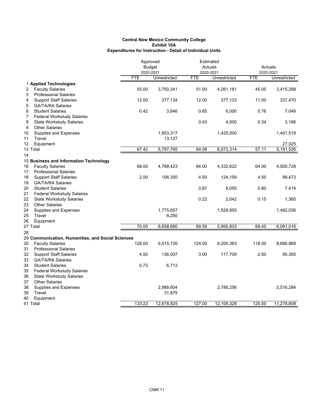|                                                                       |            | Approved<br><b>Budget</b><br>2020-2021 |            | Estimated<br>Actuals<br>2020-2021 |            | Actuals<br>2020-2021 |
|-----------------------------------------------------------------------|------------|----------------------------------------|------------|-----------------------------------|------------|----------------------|
|                                                                       | <b>FTE</b> | Unrestricted                           | <b>FTE</b> | Unrestricted                      | <b>FTE</b> | Unrestricted         |
| 1 Applied Technologies                                                |            |                                        |            |                                   |            |                      |
| <b>Faculty Salaries</b><br>2                                          | 55.00      | 3,750,341                              | 51.00      | 4,261,181                         | 45.00      | 3,415,298            |
| <b>Professional Salaries</b><br>3                                     |            |                                        |            |                                   |            |                      |
| <b>Support Staff Salaries</b><br>4                                    | 12.00      | 377,134                                | 12.00      | 377,133                           | 11.00      | 337,470              |
| 5<br><b>GA/TA/RA Salaries</b><br>6<br><b>Student Salaries</b>         | 0.42       | 3,846                                  | 0.65       | 6,000                             | 0.76       | 7,049                |
| 7<br><b>Federal Workstudy Salaries</b>                                |            |                                        |            |                                   |            |                      |
| 8<br><b>State Workstudy Salaries</b>                                  |            |                                        | 0.43       | 4,000                             | 0.34       | 3,166                |
| <b>Other Salaries</b><br>9                                            |            |                                        |            |                                   |            |                      |
| Supplies and Expenses<br>10                                           |            | 1,653,317                              |            | 1,425,000                         |            | 1,401,519            |
| 11<br>Travel                                                          |            | 13,127                                 |            |                                   |            |                      |
| 12<br>Equipment                                                       |            |                                        |            |                                   |            | 27,025               |
| 13 Total                                                              | 67.42      | 5,797,765                              | 64.08      | 6,073,314                         | 57.11      | 5,191,526            |
| 14                                                                    |            |                                        |            |                                   |            |                      |
| 15 Business and Information Technology                                |            |                                        |            |                                   |            |                      |
| <b>Faculty Salaries</b><br>16                                         | 68.00      | 4,768,423                              | 64.00      | 4,332,622                         | 64.00      | 4,500,728            |
| 17<br><b>Professional Salaries</b>                                    | 2.00       |                                        |            |                                   |            |                      |
| 18<br><b>Support Staff Salaries</b><br><b>GA/TA/RA Salaries</b><br>19 |            | 106,350                                | 4.50       | 124,159                           | 4.50       | 99,473               |
| 20<br><b>Student Salaries</b>                                         |            |                                        | 0.87       | 8,055                             | 0.80       | 7,419                |
| 21<br><b>Federal Workstudy Salaries</b>                               |            |                                        |            |                                   |            |                      |
| 22<br><b>State Workstudy Salaries</b>                                 |            |                                        | 0.22       | 2,042                             | 0.15       | 1,360                |
| 23<br><b>Other Salaries</b>                                           |            |                                        |            |                                   |            |                      |
| 24<br>Supplies and Expenses                                           |            | 1,775,657                              |            | 1,528,955                         |            | 1,482,036            |
| 25<br>Travel                                                          |            | 8,250                                  |            |                                   |            |                      |
| 26<br>Equipment                                                       |            |                                        |            |                                   |            |                      |
| 27 Total                                                              | 70.00      | 6,658,680                              | 69.59      | 5,995,833                         | 69.45      | 6,091,016            |
| 28                                                                    |            |                                        |            |                                   |            |                      |
| 29 Communication, Humanities, and Social Sciences                     |            |                                        |            |                                   |            |                      |
| 30<br><b>Faculty Salaries</b><br>31                                   | 128.00     | 9,515,726                              | 124.00     | 9,205,363                         | 118.00     | 8,666,969            |
| <b>Professional Salaries</b><br>32<br><b>Support Staff Salaries</b>   | 4.50       | 136,007                                | 3.00       | 117,709                           | 2.50       | 95,355               |
| 33<br><b>GA/TA/RA Salaries</b>                                        |            |                                        |            |                                   |            |                      |
| 34<br><b>Student Salaries</b>                                         | 0.73       | 6,713                                  |            |                                   |            |                      |
| 35<br><b>Federal Workstudy Salaries</b>                               |            |                                        |            |                                   |            |                      |
| 36<br><b>State Workstudy Salaries</b>                                 |            |                                        |            |                                   |            |                      |
| <b>Other Salaries</b><br>37                                           |            |                                        |            |                                   |            |                      |
| Supplies and Expenses<br>38                                           |            | 2,988,604                              |            | 2,786,256                         |            | 2,516,284            |
| 39<br>Travel                                                          |            | 31,875                                 |            |                                   |            |                      |
| 40<br>Equipment                                                       |            |                                        |            |                                   |            |                      |
| 41 Total                                                              | 133.23     | 12,678,925                             | 127.00     | 12,109,328                        | 120.50     | 11,278,608           |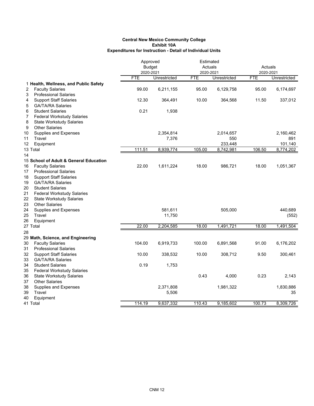|                                                                | Approved<br><b>Budget</b><br>2020-2021 |              | Estimated<br>Actuals<br>2020-2021 |                | Actuals<br>2020-2021 |                |
|----------------------------------------------------------------|----------------------------------------|--------------|-----------------------------------|----------------|----------------------|----------------|
|                                                                | <b>FTE</b>                             | Unrestricted | <b>FTE</b>                        | Unrestricted   | <b>FTE</b>           | Unrestricted   |
| 1 Health, Wellness, and Public Safety                          |                                        |              |                                   |                |                      |                |
| <b>Faculty Salaries</b><br>2                                   | 99.00                                  | 6,211,155    | 95.00                             | 6,129,758      | 95.00                | 6,174,697      |
| <b>Professional Salaries</b><br>3                              |                                        |              |                                   |                |                      |                |
| <b>Support Staff Salaries</b><br>4                             | 12.30                                  | 364,491      | 10.00                             | 364,568        | 11.50                | 337,012        |
| 5<br><b>GA/TA/RA Salaries</b>                                  |                                        |              |                                   |                |                      |                |
| <b>Student Salaries</b><br>6                                   | 0.21                                   | 1,938        |                                   |                |                      |                |
| 7<br><b>Federal Workstudy Salaries</b>                         |                                        |              |                                   |                |                      |                |
| 8<br><b>State Workstudy Salaries</b>                           |                                        |              |                                   |                |                      |                |
| <b>Other Salaries</b><br>9                                     |                                        |              |                                   |                |                      |                |
| Supplies and Expenses<br>10                                    |                                        | 2,354,814    |                                   | 2,014,657      |                      | 2,160,462      |
| 11<br>Travel<br>12<br>Equipment                                |                                        | 7,376        |                                   | 550<br>233,448 |                      | 891<br>101,140 |
| 13 Total                                                       | 111.51                                 | 8,939,774    | 105.00                            | 8,742,981      | 106.50               | 8,774,202      |
| 14                                                             |                                        |              |                                   |                |                      |                |
| 15 School of Adult & General Education                         |                                        |              |                                   |                |                      |                |
| <b>Faculty Salaries</b><br>16                                  | 22.00                                  | 1,611,224    | 18.00                             | 986,721        | 18.00                | 1,051,367      |
| 17<br><b>Professional Salaries</b>                             |                                        |              |                                   |                |                      |                |
| 18<br><b>Support Staff Salaries</b>                            |                                        |              |                                   |                |                      |                |
| 19<br><b>GA/TA/RA Salaries</b>                                 |                                        |              |                                   |                |                      |                |
| 20<br><b>Student Salaries</b>                                  |                                        |              |                                   |                |                      |                |
| 21<br><b>Federal Workstudy Salaries</b>                        |                                        |              |                                   |                |                      |                |
| 22<br><b>State Workstudy Salaries</b>                          |                                        |              |                                   |                |                      |                |
| 23<br><b>Other Salaries</b>                                    |                                        |              |                                   |                |                      |                |
| 24<br>Supplies and Expenses                                    |                                        | 581,611      |                                   | 505,000        |                      | 440,689        |
| 25<br>Travel                                                   |                                        | 11,750       |                                   |                |                      | (552)          |
| 26<br>Equipment                                                |                                        |              |                                   |                |                      |                |
| 27 Total                                                       | 22.00                                  | 2,204,585    | 18.00                             | 1,491,721      | 18.00                | 1,491,504      |
| 28                                                             |                                        |              |                                   |                |                      |                |
| 29 Math, Science, and Engineering                              |                                        |              |                                   |                |                      |                |
| <b>Faculty Salaries</b><br>30                                  | 104.00                                 | 6,919,733    | 100.00                            | 6,891,568      | 91.00                | 6,176,202      |
| 31<br><b>Professional Salaries</b>                             |                                        |              |                                   |                |                      |                |
| 32<br><b>Support Staff Salaries</b>                            | 10.00                                  | 338,532      | 10.00                             | 308,712        | 9.50                 | 300,461        |
| 33<br><b>GA/TA/RA Salaries</b>                                 |                                        |              |                                   |                |                      |                |
| 34<br><b>Student Salaries</b>                                  | 0.19                                   | 1,753        |                                   |                |                      |                |
| 35<br><b>Federal Workstudy Salaries</b><br>36                  |                                        |              | 0.43                              | 4,000          | 0.23                 | 2,143          |
| <b>State Workstudy Salaries</b><br>37<br><b>Other Salaries</b> |                                        |              |                                   |                |                      |                |
| 38<br>Supplies and Expenses                                    |                                        | 2,371,808    |                                   | 1,981,322      |                      | 1,830,886      |
| 39<br>Travel                                                   |                                        | 5,506        |                                   |                |                      | 35             |
| 40<br>Equipment                                                |                                        |              |                                   |                |                      |                |
| 41 Total                                                       | 114.19                                 | 9,637,332    | 110.43                            | 9,185,602      | 100.73               | 8,309,726      |
|                                                                |                                        |              |                                   |                |                      |                |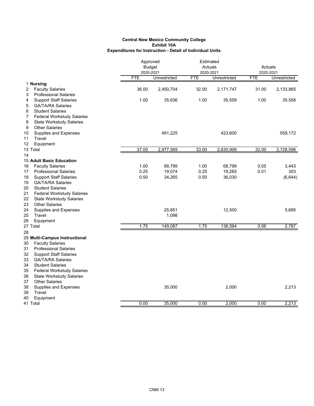|          |                                                            |            | Approved<br><b>Budget</b><br>2020-2021 |            | Estimated<br>Actuals<br>2020-2021 |            | Actuals<br>2020-2021 |  |
|----------|------------------------------------------------------------|------------|----------------------------------------|------------|-----------------------------------|------------|----------------------|--|
|          |                                                            | <b>FTE</b> | Unrestricted                           | <b>FTE</b> | Unrestricted                      | <b>FTE</b> | Unrestricted         |  |
|          | 1 Nursing                                                  |            |                                        |            |                                   |            |                      |  |
| 2        | <b>Faculty Salaries</b>                                    | 36.00      | 2,450,704                              | 32.00      | 2,171,747                         | 31.00      | 2,133,865            |  |
| 3        | <b>Professional Salaries</b>                               |            |                                        |            |                                   |            |                      |  |
| 4        | <b>Support Staff Salaries</b>                              | 1.00       | 35,636                                 | 1.00       | 35,559                            | 1.00       | 35,558               |  |
| 5        | <b>GA/TA/RA Salaries</b>                                   |            |                                        |            |                                   |            |                      |  |
| 6        | <b>Student Salaries</b>                                    |            |                                        |            |                                   |            |                      |  |
| 7        | <b>Federal Workstudy Salaries</b>                          |            |                                        |            |                                   |            |                      |  |
| 8        | <b>State Workstudy Salaries</b>                            |            |                                        |            |                                   |            |                      |  |
| 9        | <b>Other Salaries</b>                                      |            |                                        |            |                                   |            |                      |  |
| 10       | Supplies and Expenses                                      |            | 491,225                                |            | 423,600                           |            | 559,172              |  |
| 11       | Travel                                                     |            |                                        |            |                                   |            |                      |  |
| 12       | Equipment                                                  |            |                                        |            |                                   |            |                      |  |
| 13 Total |                                                            | 37.00      | 2,977,565                              | 33.00      | 2,630,906                         | 32.00      | 2,728,596            |  |
| 14       |                                                            |            |                                        |            |                                   |            |                      |  |
| 16       | <b>15 Adult Basic Education</b><br><b>Faculty Salaries</b> | 1.00       | 68,799                                 | 1.00       | 68,799                            | 0.05       | 3,443                |  |
| 17       | <b>Professional Salaries</b>                               | 0.25       | 19,074                                 | 0.25       | 19,265                            | 0.01       | 303                  |  |
| 18       | <b>Support Staff Salaries</b>                              | 0.50       | 34,265                                 | 0.50       | 36,030                            |            | (6, 644)             |  |
| 19       | <b>GA/TA/RA Salaries</b>                                   |            |                                        |            |                                   |            |                      |  |
| 20       | <b>Student Salaries</b>                                    |            |                                        |            |                                   |            |                      |  |
| 21       | <b>Federal Workstudy Salaries</b>                          |            |                                        |            |                                   |            |                      |  |
| 22       | <b>State Workstudy Salaries</b>                            |            |                                        |            |                                   |            |                      |  |
| 23       | <b>Other Salaries</b>                                      |            |                                        |            |                                   |            |                      |  |
| 24       | <b>Supplies and Expenses</b>                               |            | 25,851                                 |            | 12,500                            |            | 5,685                |  |
| 25       | Travel                                                     |            | 1,098                                  |            |                                   |            |                      |  |
| 26       | Equipment                                                  |            |                                        |            |                                   |            |                      |  |
| 27 Total |                                                            | 1.75       | 149,087                                | 1.75       | 136,594                           | 0.06       | 2,787                |  |
| 28       |                                                            |            |                                        |            |                                   |            |                      |  |
|          | 29 Multi-Campus Instructional                              |            |                                        |            |                                   |            |                      |  |
| 30       | <b>Faculty Salaries</b>                                    |            |                                        |            |                                   |            |                      |  |
| 31       | <b>Professional Salaries</b>                               |            |                                        |            |                                   |            |                      |  |
| 32       | <b>Support Staff Salaries</b>                              |            |                                        |            |                                   |            |                      |  |
| 33       | <b>GA/TA/RA Salaries</b>                                   |            |                                        |            |                                   |            |                      |  |
| 34       | <b>Student Salaries</b>                                    |            |                                        |            |                                   |            |                      |  |
| 35       | <b>Federal Workstudy Salaries</b>                          |            |                                        |            |                                   |            |                      |  |
| 36       | <b>State Workstudy Salaries</b>                            |            |                                        |            |                                   |            |                      |  |
| 37       | <b>Other Salaries</b>                                      |            |                                        |            |                                   |            |                      |  |
| 38       | Supplies and Expenses                                      |            | 35,000                                 |            | 2,000                             |            | 2,213                |  |
| 39       | Travel                                                     |            |                                        |            |                                   |            |                      |  |
| 40       | Equipment                                                  |            |                                        |            |                                   |            |                      |  |
| 41 Total |                                                            | 0.00       | 35,000                                 | 0.00       | 2,000                             | 0.00       | 2,213                |  |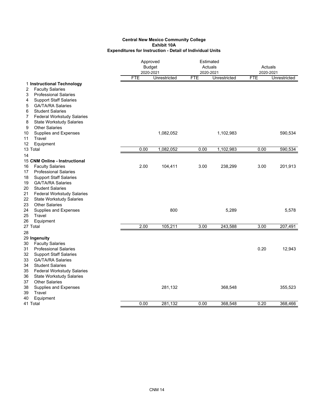|                                                                     |            | Approved<br><b>Budget</b><br>2020-2021 |            | Estimated<br>Actuals<br>2020-2021 |            | Actuals<br>2020-2021 |
|---------------------------------------------------------------------|------------|----------------------------------------|------------|-----------------------------------|------------|----------------------|
| 1 Instructional Technology                                          | <b>FTE</b> | Unrestricted                           | <b>FTE</b> | Unrestricted                      | <b>FTE</b> | Unrestricted         |
| <b>Faculty Salaries</b><br>2                                        |            |                                        |            |                                   |            |                      |
| <b>Professional Salaries</b><br>3                                   |            |                                        |            |                                   |            |                      |
| <b>Support Staff Salaries</b><br>4                                  |            |                                        |            |                                   |            |                      |
| <b>GA/TA/RA Salaries</b><br>5                                       |            |                                        |            |                                   |            |                      |
| 6<br><b>Student Salaries</b>                                        |            |                                        |            |                                   |            |                      |
| 7<br><b>Federal Workstudy Salaries</b>                              |            |                                        |            |                                   |            |                      |
| 8<br><b>State Workstudy Salaries</b>                                |            |                                        |            |                                   |            |                      |
| <b>Other Salaries</b><br>9                                          |            |                                        |            |                                   |            |                      |
| 10<br><b>Supplies and Expenses</b>                                  |            | 1,082,052                              |            | 1,102,983                         |            | 590,534              |
| Travel<br>11                                                        |            |                                        |            |                                   |            |                      |
| 12<br>Equipment                                                     |            |                                        |            |                                   |            |                      |
| 13 Total                                                            | 0.00       | 1,082,052                              | 0.00       | 1,102,983                         | 0.00       | 590,534              |
| 14                                                                  |            |                                        |            |                                   |            |                      |
| 15 CNM Online - Instructional<br><b>Faculty Salaries</b>            | 2.00       | 104,411                                | 3.00       | 238,299                           | 3.00       | 201,913              |
| 16<br><b>Professional Salaries</b><br>17                            |            |                                        |            |                                   |            |                      |
| <b>Support Staff Salaries</b><br>18                                 |            |                                        |            |                                   |            |                      |
| <b>GA/TA/RA Salaries</b><br>19                                      |            |                                        |            |                                   |            |                      |
| <b>Student Salaries</b><br>20                                       |            |                                        |            |                                   |            |                      |
| 21<br><b>Federal Workstudy Salaries</b>                             |            |                                        |            |                                   |            |                      |
| 22<br><b>State Workstudy Salaries</b>                               |            |                                        |            |                                   |            |                      |
| <b>Other Salaries</b><br>23                                         |            |                                        |            |                                   |            |                      |
| 24<br>Supplies and Expenses                                         |            | 800                                    |            | 5,289                             |            | 5,578                |
| 25<br>Travel                                                        |            |                                        |            |                                   |            |                      |
| Equipment<br>26                                                     |            |                                        |            |                                   |            |                      |
| 27 Total                                                            | 2.00       | 105,211                                | 3.00       | 243,588                           | 3.00       | 207,491              |
| 28                                                                  |            |                                        |            |                                   |            |                      |
| 29 Ingenuity                                                        |            |                                        |            |                                   |            |                      |
| <b>Faculty Salaries</b><br>30<br>31<br><b>Professional Salaries</b> |            |                                        |            |                                   | 0.20       | 12,943               |
| 32<br><b>Support Staff Salaries</b>                                 |            |                                        |            |                                   |            |                      |
| GA/TA/RA Salaries<br>33                                             |            |                                        |            |                                   |            |                      |
| <b>Student Salaries</b><br>34                                       |            |                                        |            |                                   |            |                      |
| 35<br><b>Federal Workstudy Salaries</b>                             |            |                                        |            |                                   |            |                      |
| 36<br><b>State Workstudy Salaries</b>                               |            |                                        |            |                                   |            |                      |
| 37<br><b>Other Salaries</b>                                         |            |                                        |            |                                   |            |                      |
| 38<br><b>Supplies and Expenses</b>                                  |            | 281,132                                |            | 368,548                           |            | 355,523              |
| 39<br>Travel                                                        |            |                                        |            |                                   |            |                      |
| 40<br>Equipment                                                     |            |                                        |            |                                   |            |                      |
| 41 Total                                                            | 0.00       | 281,132                                | 0.00       | 368,548                           | 0.20       | 368,466              |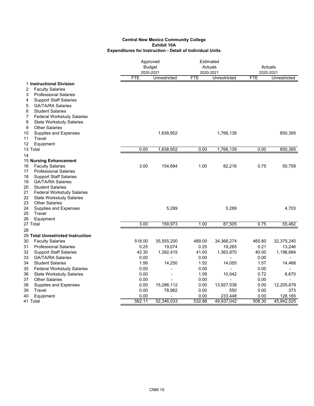|          |                                                          |            | Approved<br><b>Budget</b><br>2020-2021 |            | Estimated<br>Actuals<br>2020-2021 |            | Actuals<br>2020-2021 |  |
|----------|----------------------------------------------------------|------------|----------------------------------------|------------|-----------------------------------|------------|----------------------|--|
|          | 1 Instructional Division                                 | <b>FTE</b> | Unrestricted                           | <b>FTE</b> | Unrestricted                      | <b>FTE</b> | Unrestricted         |  |
| 2        | <b>Faculty Salaries</b>                                  |            |                                        |            |                                   |            |                      |  |
| 3        | <b>Professional Salaries</b>                             |            |                                        |            |                                   |            |                      |  |
| 4        | <b>Support Staff Salaries</b>                            |            |                                        |            |                                   |            |                      |  |
| 5        | <b>GA/TA/RA Salaries</b>                                 |            |                                        |            |                                   |            |                      |  |
| 6        | <b>Student Salaries</b>                                  |            |                                        |            |                                   |            |                      |  |
| 7        | <b>Federal Workstudy Salaries</b>                        |            |                                        |            |                                   |            |                      |  |
| 8        | <b>State Workstudy Salaries</b>                          |            |                                        |            |                                   |            |                      |  |
| 9        | <b>Other Salaries</b>                                    |            |                                        |            |                                   |            |                      |  |
| 10       | Supplies and Expenses                                    |            | 1,638,952                              |            | 1,766,139                         |            | 850,395              |  |
| 11       | Travel                                                   |            |                                        |            |                                   |            |                      |  |
| 12       | Equipment                                                |            |                                        |            |                                   |            |                      |  |
|          | 13 Total                                                 | 0.00       | 1,638,952                              | 0.00       | 1,766,139                         | 0.00       | 850,395              |  |
| 14       |                                                          |            |                                        |            |                                   |            |                      |  |
|          | 15 Nursing Enhancement                                   |            |                                        |            |                                   |            |                      |  |
| 16       | <b>Faculty Salaries</b>                                  | 3.00       | 154,684                                | 1.00       | 82,216                            | 0.75       | 50,759               |  |
| 17       | <b>Professional Salaries</b>                             |            |                                        |            |                                   |            |                      |  |
| 18       | <b>Support Staff Salaries</b>                            |            |                                        |            |                                   |            |                      |  |
| 19       | <b>GA/TA/RA Salaries</b>                                 |            |                                        |            |                                   |            |                      |  |
| 20       | <b>Student Salaries</b>                                  |            |                                        |            |                                   |            |                      |  |
| 21       | <b>Federal Workstudy Salaries</b>                        |            |                                        |            |                                   |            |                      |  |
| 22<br>23 | <b>State Workstudy Salaries</b><br><b>Other Salaries</b> |            |                                        |            |                                   |            |                      |  |
| 24       | Supplies and Expenses                                    |            | 5,289                                  |            | 5,289                             |            | 4,703                |  |
| 25       | Travel                                                   |            |                                        |            |                                   |            |                      |  |
| 26       | Equipment                                                |            |                                        |            |                                   |            |                      |  |
|          | 27 Total                                                 | 3.00       | 159,973                                | 1.00       | 87,505                            | 0.75       | 55,462               |  |
| 28       |                                                          |            |                                        |            |                                   |            |                      |  |
|          | 29 Total Unrestricted Instruction                        |            |                                        |            |                                   |            |                      |  |
| 30       | <b>Faculty Salaries</b>                                  | 518.00     | 35,555,200                             | 489.00     | 34,368,274                        | 465.80     | 32,375,240           |  |
| 31       | <b>Professional Salaries</b>                             | 0.25       | 19,074                                 | 0.25       | 19,265                            | 0.21       | 13,246               |  |
| 32       | <b>Support Staff Salaries</b>                            | 42.30      | 1,392,415                              | 41.00      | 1,363,870                         | 40.00      | 1,198,684            |  |
| 33       | <b>GA/TA/RA Salaries</b>                                 | 0.00       | ÷,                                     | 0.00       | ÷                                 | 0.00       |                      |  |
| 34       | <b>Student Salaries</b>                                  | 1.56       | 14,250                                 | 1.52       | 14,055                            | 1.57       | 14,468               |  |
| 35       | <b>Federal Workstudy Salaries</b>                        | 0.00       |                                        | 0.00       |                                   | 0.00       |                      |  |
| 36       | <b>State Workstudy Salaries</b>                          | 0.00       | ٠                                      | 1.09       | 10,042                            | 0.72       | 6,670                |  |
| 37       | <b>Other Salaries</b>                                    | 0.00       |                                        | 0.00       |                                   | 0.00       |                      |  |
| 38       | Supplies and Expenses                                    | 0.00       | 15,286,112                             | 0.00       | 13,927,538                        | 0.00       | 12,205,679           |  |
| 39       | Travel                                                   | 0.00       | 78,982                                 | 0.00       | 550                               | 0.00       | 373                  |  |
| 40       | Equipment                                                | 0.00       |                                        | 0.00       | 233,448                           | 0.00       | 128,165              |  |
|          | 41 Total                                                 | 562.11     | 52,346,033                             | 532.86     | 49,937,042                        | 508.30     | 45,942,525           |  |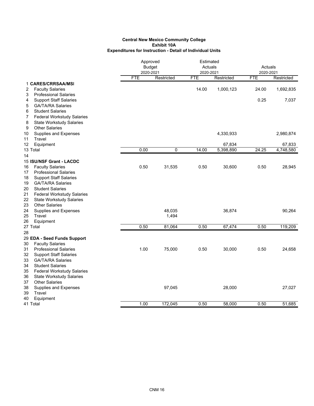|    |                                   |            | Approved      |            | Estimated  |            |            |
|----|-----------------------------------|------------|---------------|------------|------------|------------|------------|
|    |                                   |            | <b>Budget</b> | Actuals    |            | Actuals    |            |
|    |                                   |            | 2020-2021     | 2020-2021  |            | 2020-2021  |            |
|    |                                   | <b>FTE</b> | Restricted    | <b>FTE</b> | Restricted | <b>FTE</b> | Restricted |
|    | 1 CARES/CRRSAA/MSI                |            |               |            |            |            |            |
| 2  | <b>Faculty Salaries</b>           |            |               | 14.00      | 1,000,123  | 24.00      | 1,692,835  |
| 3  | <b>Professional Salaries</b>      |            |               |            |            |            |            |
| 4  | <b>Support Staff Salaries</b>     |            |               |            |            | 0.25       | 7,037      |
| 5  | <b>GA/TA/RA Salaries</b>          |            |               |            |            |            |            |
| 6  | <b>Student Salaries</b>           |            |               |            |            |            |            |
| 7  | Federal Workstudy Salaries        |            |               |            |            |            |            |
| 8  | <b>State Workstudy Salaries</b>   |            |               |            |            |            |            |
| 9  | <b>Other Salaries</b>             |            |               |            |            |            |            |
| 10 | Supplies and Expenses             |            |               |            | 4,330,933  |            | 2,980,874  |
| 11 | Travel                            |            |               |            |            |            |            |
| 12 | Equipment                         |            |               |            | 67,834     |            | 67,833     |
|    | 13 Total                          | 0.00       | 0             | 14.00      | 5,398,890  | 24.25      | 4,748,580  |
| 14 |                                   |            |               |            |            |            |            |
|    | 15 ISU/NSF Grant - LACDC          |            |               |            |            |            |            |
| 16 | <b>Faculty Salaries</b>           | 0.50       | 31,535        | 0.50       | 30,600     | 0.50       | 28,945     |
| 17 | <b>Professional Salaries</b>      |            |               |            |            |            |            |
| 18 | <b>Support Staff Salaries</b>     |            |               |            |            |            |            |
| 19 | <b>GA/TA/RA Salaries</b>          |            |               |            |            |            |            |
| 20 | <b>Student Salaries</b>           |            |               |            |            |            |            |
| 21 | <b>Federal Workstudy Salaries</b> |            |               |            |            |            |            |
| 22 | <b>State Workstudy Salaries</b>   |            |               |            |            |            |            |
| 23 | <b>Other Salaries</b>             |            |               |            |            |            |            |
| 24 | Supplies and Expenses             |            | 48,035        |            | 36,874     |            | 90,264     |
| 25 | Travel                            |            | 1,494         |            |            |            |            |
| 26 | Equipment                         |            |               |            |            |            |            |
|    | 27 Total                          | 0.50       | 81,064        | 0.50       | 67,474     | 0.50       | 119,209    |
| 28 |                                   |            |               |            |            |            |            |
|    | 29 EDA - Seed Funds Support       |            |               |            |            |            |            |
| 30 | <b>Faculty Salaries</b>           |            |               |            |            |            |            |
| 31 | <b>Professional Salaries</b>      | 1.00       | 75,000        | 0.50       | 30,000     | 0.50       | 24,658     |
| 32 | <b>Support Staff Salaries</b>     |            |               |            |            |            |            |
| 33 | <b>GA/TA/RA Salaries</b>          |            |               |            |            |            |            |
| 34 | <b>Student Salaries</b>           |            |               |            |            |            |            |
| 35 | <b>Federal Workstudy Salaries</b> |            |               |            |            |            |            |
| 36 | <b>State Workstudy Salaries</b>   |            |               |            |            |            |            |
| 37 | <b>Other Salaries</b>             |            |               |            |            |            |            |
| 38 | Supplies and Expenses             |            | 97,045        |            | 28,000     |            | 27,027     |
| 39 | Travel                            |            |               |            |            |            |            |
| 40 | Equipment                         |            |               |            |            |            |            |
|    | 41 Total                          | 1.00       | 172,045       | 0.50       | 58,000     | 0.50       | 51,685     |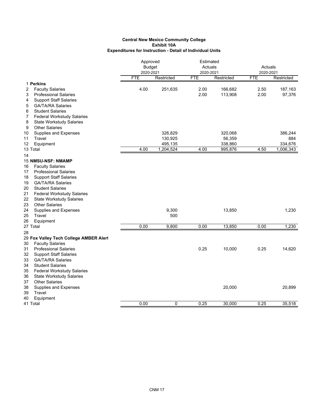|        |                                                          | Approved<br><b>Budget</b><br>2020-2021 |                | Estimated<br>Actuals<br>2020-2021 |            | Actuals<br>2020-2021 |            |
|--------|----------------------------------------------------------|----------------------------------------|----------------|-----------------------------------|------------|----------------------|------------|
|        |                                                          | <b>FTE</b>                             | Restricted     | <b>FTE</b>                        | Restricted | <b>FTE</b>           | Restricted |
|        | 1 Perkins                                                |                                        |                |                                   |            |                      |            |
| 2      | <b>Faculty Salaries</b>                                  | 4.00                                   | 251,635        | 2.00                              | 166,682    | 2.50                 | 187,163    |
| 3      | <b>Professional Salaries</b>                             |                                        |                | 2.00                              | 113,908    | 2.00                 | 97,376     |
| 4      | <b>Support Staff Salaries</b>                            |                                        |                |                                   |            |                      |            |
| 5      | <b>GA/TA/RA Salaries</b>                                 |                                        |                |                                   |            |                      |            |
| 6      | <b>Student Salaries</b>                                  |                                        |                |                                   |            |                      |            |
| 7      | <b>Federal Workstudy Salaries</b>                        |                                        |                |                                   |            |                      |            |
| 8<br>9 | <b>State Workstudy Salaries</b><br><b>Other Salaries</b> |                                        |                |                                   |            |                      |            |
| 10     | Supplies and Expenses                                    |                                        | 326,829        |                                   | 320,068    |                      | 386,244    |
| 11     | Travel                                                   |                                        | 130,925        |                                   | 56,359     |                      | 884        |
| 12     | Equipment                                                |                                        | 495,135        |                                   | 338,860    |                      | 334,676    |
|        | 13 Total                                                 | 4.00                                   | 1,204,524      | 4.00                              | 995,876    | 4.50                 | 1,006,343  |
| 14     |                                                          |                                        |                |                                   |            |                      |            |
|        | 15 NMSU-NSF: NMAMP                                       |                                        |                |                                   |            |                      |            |
| 16     | <b>Faculty Salaries</b>                                  |                                        |                |                                   |            |                      |            |
| 17     | <b>Professional Salaries</b>                             |                                        |                |                                   |            |                      |            |
| 18     | <b>Support Staff Salaries</b>                            |                                        |                |                                   |            |                      |            |
| 19     | <b>GA/TA/RA Salaries</b>                                 |                                        |                |                                   |            |                      |            |
| 20     | <b>Student Salaries</b>                                  |                                        |                |                                   |            |                      |            |
| 21     | <b>Federal Workstudy Salaries</b>                        |                                        |                |                                   |            |                      |            |
| 22     | <b>State Workstudy Salaries</b>                          |                                        |                |                                   |            |                      |            |
| 23     | <b>Other Salaries</b>                                    |                                        |                |                                   |            |                      |            |
| 24     | Supplies and Expenses                                    |                                        | 9,300          |                                   | 13,850     |                      | 1,230      |
| 25     | Travel                                                   |                                        | 500            |                                   |            |                      |            |
| 26     | Equipment<br>27 Total                                    | 0.00                                   | 9,800          | 0.00                              | 13,850     | 0.00                 | 1,230      |
| 28     |                                                          |                                        |                |                                   |            |                      |            |
|        | 29 Fox Valley Tech College AMBER Alerl                   |                                        |                |                                   |            |                      |            |
| 30     | <b>Faculty Salaries</b>                                  |                                        |                |                                   |            |                      |            |
| 31     | <b>Professional Salaries</b>                             |                                        |                | 0.25                              | 10,000     | 0.25                 | 14,620     |
| 32     | <b>Support Staff Salaries</b>                            |                                        |                |                                   |            |                      |            |
| 33     | <b>GA/TA/RA Salaries</b>                                 |                                        |                |                                   |            |                      |            |
| 34     | <b>Student Salaries</b>                                  |                                        |                |                                   |            |                      |            |
| 35     | <b>Federal Workstudy Salaries</b>                        |                                        |                |                                   |            |                      |            |
| 36     | <b>State Workstudy Salaries</b>                          |                                        |                |                                   |            |                      |            |
| 37     | <b>Other Salaries</b>                                    |                                        |                |                                   |            |                      |            |
| 38     | Supplies and Expenses                                    |                                        |                |                                   | 20,000     |                      | 20,899     |
| 39     | Travel                                                   |                                        |                |                                   |            |                      |            |
| 40     | Equipment                                                |                                        |                |                                   |            |                      |            |
|        | 41 Total                                                 | 0.00                                   | $\overline{0}$ | 0.25                              | 30,000     | 0.25                 | 35,518     |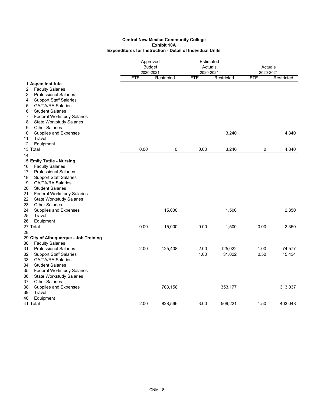|                                                                     |            | Approved<br><b>Budget</b><br>2020-2021 |            | Estimated<br>Actuals<br>2020-2021 |            | Actuals<br>2020-2021 |  |
|---------------------------------------------------------------------|------------|----------------------------------------|------------|-----------------------------------|------------|----------------------|--|
|                                                                     | <b>FTE</b> | Restricted                             | <b>FTE</b> | Restricted                        | <b>FTE</b> | Restricted           |  |
| 1 Aspen Institute                                                   |            |                                        |            |                                   |            |                      |  |
| <b>Faculty Salaries</b><br>2                                        |            |                                        |            |                                   |            |                      |  |
| 3<br><b>Professional Salaries</b>                                   |            |                                        |            |                                   |            |                      |  |
| <b>Support Staff Salaries</b><br>4<br><b>GA/TA/RA Salaries</b>      |            |                                        |            |                                   |            |                      |  |
| 5<br>6<br><b>Student Salaries</b>                                   |            |                                        |            |                                   |            |                      |  |
| 7<br><b>Federal Workstudy Salaries</b>                              |            |                                        |            |                                   |            |                      |  |
| <b>State Workstudy Salaries</b><br>8                                |            |                                        |            |                                   |            |                      |  |
| <b>Other Salaries</b><br>9                                          |            |                                        |            |                                   |            |                      |  |
| <b>Supplies and Expenses</b><br>10                                  |            |                                        |            | 3,240                             |            | 4,840                |  |
| Travel<br>11                                                        |            |                                        |            |                                   |            |                      |  |
| 12<br>Equipment                                                     |            |                                        |            |                                   |            |                      |  |
| 13 Total                                                            | 0.00       | 0                                      | 0.00       | 3,240                             | 0          | 4,840                |  |
| 14                                                                  |            |                                        |            |                                   |            |                      |  |
| 15 Emily Tuttle - Nursing                                           |            |                                        |            |                                   |            |                      |  |
| <b>Faculty Salaries</b><br>16                                       |            |                                        |            |                                   |            |                      |  |
| <b>Professional Salaries</b><br>17                                  |            |                                        |            |                                   |            |                      |  |
| <b>Support Staff Salaries</b><br>18                                 |            |                                        |            |                                   |            |                      |  |
| <b>GA/TA/RA Salaries</b><br>19                                      |            |                                        |            |                                   |            |                      |  |
| <b>Student Salaries</b><br>20                                       |            |                                        |            |                                   |            |                      |  |
| 21<br><b>Federal Workstudy Salaries</b>                             |            |                                        |            |                                   |            |                      |  |
| 22<br><b>State Workstudy Salaries</b>                               |            |                                        |            |                                   |            |                      |  |
| 23<br><b>Other Salaries</b>                                         |            |                                        |            |                                   |            |                      |  |
| <b>Supplies and Expenses</b><br>24                                  |            | 15,000                                 |            | 1,500                             |            | 2,350                |  |
| 25<br>Travel                                                        |            |                                        |            |                                   |            |                      |  |
| 26<br>Equipment                                                     |            |                                        |            |                                   |            |                      |  |
| 27 Total                                                            | 0.00       | 15,000                                 | 0.00       | 1,500                             | 0.00       | 2,350                |  |
| 28                                                                  |            |                                        |            |                                   |            |                      |  |
| 29 City of Albuquerque - Job Training                               |            |                                        |            |                                   |            |                      |  |
| <b>Faculty Salaries</b><br>30<br><b>Professional Salaries</b><br>31 | 2.00       | 125,408                                | 2.00       | 125,022                           | 1.00       | 74,577               |  |
| <b>Support Staff Salaries</b><br>32                                 |            |                                        | 1.00       | 31,022                            | 0.50       | 15,434               |  |
| <b>GA/TA/RA Salaries</b><br>33                                      |            |                                        |            |                                   |            |                      |  |
| 34<br><b>Student Salaries</b>                                       |            |                                        |            |                                   |            |                      |  |
| 35<br><b>Federal Workstudy Salaries</b>                             |            |                                        |            |                                   |            |                      |  |
| <b>State Workstudy Salaries</b><br>36                               |            |                                        |            |                                   |            |                      |  |
| <b>Other Salaries</b><br>37                                         |            |                                        |            |                                   |            |                      |  |
| 38<br><b>Supplies and Expenses</b>                                  |            | 703,158                                |            | 353,177                           |            | 313,037              |  |
| Travel<br>39                                                        |            |                                        |            |                                   |            |                      |  |
| 40<br>Equipment                                                     |            |                                        |            |                                   |            |                      |  |
| 41 Total                                                            | 2.00       | 828,566                                | 3.00       | 509,221                           | 1.50       | 403,048              |  |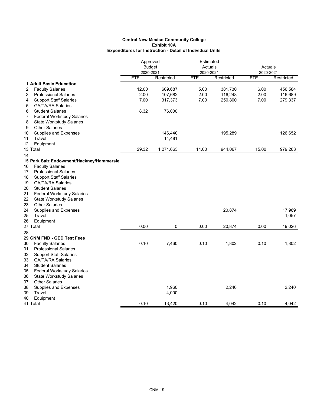|    |                                          | Approved      |                | Estimated  |            |            |            |
|----|------------------------------------------|---------------|----------------|------------|------------|------------|------------|
|    |                                          | <b>Budget</b> |                | Actuals    |            | Actuals    |            |
|    |                                          | 2020-2021     |                | 2020-2021  |            | 2020-2021  |            |
|    |                                          | <b>FTE</b>    | Restricted     | <b>FTE</b> | Restricted | <b>FTE</b> | Restricted |
|    | 1 Adult Basic Education                  |               |                |            |            |            |            |
| 2  | <b>Faculty Salaries</b>                  | 12.00         | 609,687        | 5.00       | 381,730    | 6.00       | 456,584    |
| 3  | <b>Professional Salaries</b>             | 2.00          | 107,682        | 2.00       | 116,248    | 2.00       | 116,689    |
| 4  | <b>Support Staff Salaries</b>            | 7.00          | 317,373        | 7.00       | 250,800    | 7.00       | 279,337    |
| 5  | <b>GA/TA/RA Salaries</b>                 |               |                |            |            |            |            |
| 6  | <b>Student Salaries</b>                  | 8.32          | 76,000         |            |            |            |            |
| 7  | <b>Federal Workstudy Salaries</b>        |               |                |            |            |            |            |
| 8  | <b>State Workstudy Salaries</b>          |               |                |            |            |            |            |
| 9  | <b>Other Salaries</b>                    |               |                |            |            |            |            |
| 10 | Supplies and Expenses                    |               | 146,440        |            | 195,289    |            | 126,652    |
| 11 | Travel                                   |               | 14,481         |            |            |            |            |
| 12 | Equipment                                |               |                |            |            |            |            |
|    | 13 Total                                 | 29.32         | 1,271,663      | 14.00      | 944,067    | 15.00      | 979,263    |
| 14 |                                          |               |                |            |            |            |            |
|    | 15 Park Saiz Endowment/Hackney/Hammersle |               |                |            |            |            |            |
| 16 | <b>Faculty Salaries</b>                  |               |                |            |            |            |            |
| 17 | <b>Professional Salaries</b>             |               |                |            |            |            |            |
| 18 | <b>Support Staff Salaries</b>            |               |                |            |            |            |            |
| 19 | <b>GA/TA/RA Salaries</b>                 |               |                |            |            |            |            |
| 20 | <b>Student Salaries</b>                  |               |                |            |            |            |            |
| 21 | <b>Federal Workstudy Salaries</b>        |               |                |            |            |            |            |
| 22 | <b>State Workstudy Salaries</b>          |               |                |            |            |            |            |
| 23 | <b>Other Salaries</b>                    |               |                |            |            |            |            |
| 24 | Supplies and Expenses                    |               |                |            | 20,874     |            | 17,969     |
| 25 | Travel                                   |               |                |            |            |            | 1,057      |
| 26 | Equipment                                |               |                |            |            |            |            |
|    | 27 Total                                 | 0.00          | $\overline{0}$ | 0.00       | 20,874     | 0.00       | 19,026     |
| 28 |                                          |               |                |            |            |            |            |
|    | 29 CNM FND - GED Test Fees               |               |                |            |            |            |            |
| 30 | <b>Faculty Salaries</b>                  | 0.10          | 7,460          | 0.10       | 1,802      | 0.10       | 1,802      |
| 31 | <b>Professional Salaries</b>             |               |                |            |            |            |            |
| 32 | <b>Support Staff Salaries</b>            |               |                |            |            |            |            |
| 33 | <b>GA/TA/RA Salaries</b>                 |               |                |            |            |            |            |
| 34 | <b>Student Salaries</b>                  |               |                |            |            |            |            |
| 35 | <b>Federal Workstudy Salaries</b>        |               |                |            |            |            |            |
| 36 | <b>State Workstudy Salaries</b>          |               |                |            |            |            |            |
| 37 | <b>Other Salaries</b>                    |               |                |            |            |            |            |
| 38 | Supplies and Expenses                    |               | 1,960          |            | 2,240      |            | 2,240      |
| 39 | Travel                                   |               | 4,000          |            |            |            |            |
| 40 | Equipment                                |               |                |            |            |            |            |
|    | 41 Total                                 | 0.10          | 13,420         | 0.10       | 4,042      | 0.10       | 4,042      |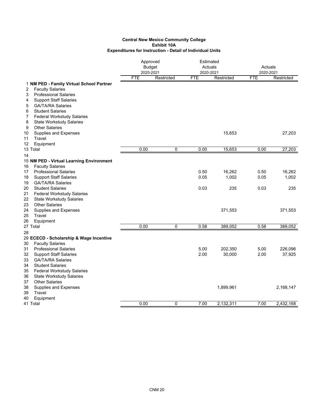|          |                                          |            | Approved<br><b>Budget</b><br>2020-2021 |            | Estimated<br>Actuals<br>2020-2021 |            | Actuals<br>2020-2021 |  |
|----------|------------------------------------------|------------|----------------------------------------|------------|-----------------------------------|------------|----------------------|--|
|          |                                          | <b>FTE</b> | Restricted                             | <b>FTE</b> | Restricted                        | <b>FTE</b> | Restricted           |  |
|          | 1 NM PED - Family Virtual School Partner |            |                                        |            |                                   |            |                      |  |
| 2        | <b>Faculty Salaries</b>                  |            |                                        |            |                                   |            |                      |  |
| 3        | <b>Professional Salaries</b>             |            |                                        |            |                                   |            |                      |  |
| 4        | <b>Support Staff Salaries</b>            |            |                                        |            |                                   |            |                      |  |
| 5        | <b>GA/TA/RA Salaries</b>                 |            |                                        |            |                                   |            |                      |  |
| 6        | <b>Student Salaries</b>                  |            |                                        |            |                                   |            |                      |  |
| 7        | <b>Federal Workstudy Salaries</b>        |            |                                        |            |                                   |            |                      |  |
| 8        | <b>State Workstudy Salaries</b>          |            |                                        |            |                                   |            |                      |  |
| 9        | <b>Other Salaries</b>                    |            |                                        |            |                                   |            |                      |  |
| 10       | Supplies and Expenses                    |            |                                        |            | 15,653                            |            | 27,203               |  |
| 11<br>12 | Travel<br>Equipment                      |            |                                        |            |                                   |            |                      |  |
|          | 13 Total                                 | 0.00       | $\pmb{0}$                              | 0.00       | 15,653                            | 0.00       | 27,203               |  |
|          |                                          |            |                                        |            |                                   |            |                      |  |
| 14       | 15 NM PED - Virtual Learning Environment |            |                                        |            |                                   |            |                      |  |
| 16       | <b>Faculty Salaries</b>                  |            |                                        |            |                                   |            |                      |  |
| 17       | <b>Professional Salaries</b>             |            |                                        | 0.50       | 16,262                            | 0.50       | 16,262               |  |
| 18       | <b>Support Staff Salaries</b>            |            |                                        | 0.05       | 1,002                             | 0.05       | 1,002                |  |
| 19       | <b>GA/TA/RA Salaries</b>                 |            |                                        |            |                                   |            |                      |  |
| 20       | <b>Student Salaries</b>                  |            |                                        | 0.03       | 235                               | 0.03       | 235                  |  |
| 21       | <b>Federal Workstudy Salaries</b>        |            |                                        |            |                                   |            |                      |  |
| 22       | <b>State Workstudy Salaries</b>          |            |                                        |            |                                   |            |                      |  |
| 23       | <b>Other Salaries</b>                    |            |                                        |            |                                   |            |                      |  |
| 24       | Supplies and Expenses                    |            |                                        |            | 371,553                           |            | 371,553              |  |
| 25       | Travel                                   |            |                                        |            |                                   |            |                      |  |
| 26       | Equipment                                |            |                                        |            |                                   |            |                      |  |
|          | 27 Total                                 | 0.00       | $\Omega$                               | 0.58       | 389,052                           | 0.58       | 389,052              |  |
| 28       |                                          |            |                                        |            |                                   |            |                      |  |
|          | 29 ECECD - Scholarship & Wage Incentive  |            |                                        |            |                                   |            |                      |  |
| 30       | <b>Faculty Salaries</b>                  |            |                                        |            |                                   |            |                      |  |
| 31       | <b>Professional Salaries</b>             |            |                                        | 5.00       | 202,350                           | 5.00       | 226,096              |  |
| 32       | <b>Support Staff Salaries</b>            |            |                                        | 2.00       | 30,000                            | 2.00       | 37,925               |  |
| 33       | <b>GA/TA/RA Salaries</b>                 |            |                                        |            |                                   |            |                      |  |
| 34       | <b>Student Salaries</b>                  |            |                                        |            |                                   |            |                      |  |
| 35       | <b>Federal Workstudy Salaries</b>        |            |                                        |            |                                   |            |                      |  |
| 36       | <b>State Workstudy Salaries</b>          |            |                                        |            |                                   |            |                      |  |
| 37       | <b>Other Salaries</b>                    |            |                                        |            |                                   |            |                      |  |
| 38       | Supplies and Expenses                    |            |                                        |            | 1,899,961                         |            | 2,168,147            |  |
| 39       | Travel                                   |            |                                        |            |                                   |            |                      |  |
| 40       | Equipment<br>41 Total                    | 0.00       | 0                                      | 7.00       | 2.132.311                         | 7.00       | 2.432.168            |  |
|          |                                          |            |                                        |            |                                   |            |                      |  |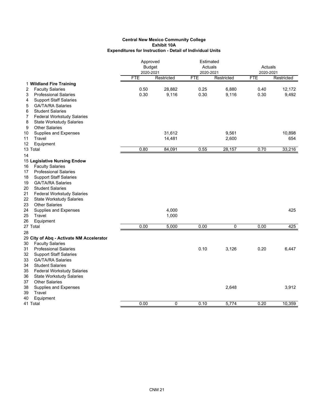|                                                                     |            | Approved<br><b>Budget</b><br>2020-2021 |            | Estimated<br>Actuals<br>2020-2021 |            | Actuals<br>2020-2021 |  |
|---------------------------------------------------------------------|------------|----------------------------------------|------------|-----------------------------------|------------|----------------------|--|
|                                                                     | <b>FTE</b> | Restricted                             | <b>FTE</b> | Restricted                        | <b>FTE</b> | Restricted           |  |
| 1 Wildland Fire Training                                            |            |                                        |            |                                   |            |                      |  |
| <b>Faculty Salaries</b><br>2                                        | 0.50       | 28,882                                 | 0.25       | 6,880                             | 0.40       | 12,172               |  |
| <b>Professional Salaries</b><br>3                                   | 0.30       | 9,116                                  | 0.30       | 9,116                             | 0.30       | 9,492                |  |
| <b>Support Staff Salaries</b><br>4                                  |            |                                        |            |                                   |            |                      |  |
| <b>GA/TA/RA Salaries</b><br>5                                       |            |                                        |            |                                   |            |                      |  |
| <b>Student Salaries</b><br>6                                        |            |                                        |            |                                   |            |                      |  |
| 7<br><b>Federal Workstudy Salaries</b>                              |            |                                        |            |                                   |            |                      |  |
| <b>State Workstudy Salaries</b><br>8                                |            |                                        |            |                                   |            |                      |  |
| <b>Other Salaries</b><br>9                                          |            | 31,612                                 |            | 9,561                             |            | 10,898               |  |
| 10<br>Supplies and Expenses<br>Travel<br>11                         |            | 14,481                                 |            | 2,600                             |            | 654                  |  |
| 12<br>Equipment                                                     |            |                                        |            |                                   |            |                      |  |
| 13 Total                                                            | 0.80       | 84,091                                 | 0.55       | 28,157                            | 0.70       | 33,216               |  |
| 14                                                                  |            |                                        |            |                                   |            |                      |  |
| 15 Legislative Nursing Endow                                        |            |                                        |            |                                   |            |                      |  |
| <b>Faculty Salaries</b><br>16                                       |            |                                        |            |                                   |            |                      |  |
| <b>Professional Salaries</b><br>17                                  |            |                                        |            |                                   |            |                      |  |
| <b>Support Staff Salaries</b><br>18                                 |            |                                        |            |                                   |            |                      |  |
| <b>GA/TA/RA Salaries</b><br>19                                      |            |                                        |            |                                   |            |                      |  |
| <b>Student Salaries</b><br>20                                       |            |                                        |            |                                   |            |                      |  |
| 21<br><b>Federal Workstudy Salaries</b>                             |            |                                        |            |                                   |            |                      |  |
| 22<br><b>State Workstudy Salaries</b>                               |            |                                        |            |                                   |            |                      |  |
| 23<br><b>Other Salaries</b>                                         |            |                                        |            |                                   |            |                      |  |
| 24<br>Supplies and Expenses                                         |            | 4,000                                  |            |                                   |            | 425                  |  |
| 25<br>Travel                                                        |            | 1,000                                  |            |                                   |            |                      |  |
| 26<br>Equipment                                                     |            |                                        |            |                                   |            |                      |  |
| 27 Total                                                            | 0.00       | 5,000                                  | 0.00       | 0                                 | 0.00       | 425                  |  |
| 28                                                                  |            |                                        |            |                                   |            |                      |  |
| 29 City of Abq - Activate NM Accelerator                            |            |                                        |            |                                   |            |                      |  |
| <b>Faculty Salaries</b><br>30<br>31<br><b>Professional Salaries</b> |            |                                        | 0.10       |                                   | 0.20       | 6.447                |  |
| 32<br><b>Support Staff Salaries</b>                                 |            |                                        |            | 3,126                             |            |                      |  |
| 33<br><b>GA/TA/RA Salaries</b>                                      |            |                                        |            |                                   |            |                      |  |
| 34<br><b>Student Salaries</b>                                       |            |                                        |            |                                   |            |                      |  |
| <b>Federal Workstudy Salaries</b><br>35                             |            |                                        |            |                                   |            |                      |  |
| 36<br><b>State Workstudy Salaries</b>                               |            |                                        |            |                                   |            |                      |  |
| <b>Other Salaries</b><br>37                                         |            |                                        |            |                                   |            |                      |  |
| Supplies and Expenses<br>38                                         |            |                                        |            | 2,648                             |            | 3,912                |  |
| 39<br>Travel                                                        |            |                                        |            |                                   |            |                      |  |
| Equipment<br>40                                                     |            |                                        |            |                                   |            |                      |  |
| 41 Total                                                            | 0.00       | $\overline{0}$                         | 0.10       | 5,774                             | 0.20       | 10,359               |  |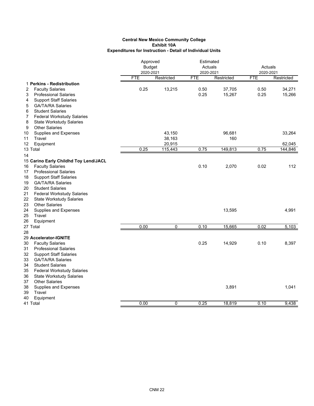|                                                                       | Approved<br><b>Budget</b><br>2020-2021 |            | Estimated<br>Actuals<br>2020-2021 |            | Actuals<br>2020-2021 |            |
|-----------------------------------------------------------------------|----------------------------------------|------------|-----------------------------------|------------|----------------------|------------|
|                                                                       | <b>FTE</b>                             | Restricted | <b>FTE</b>                        | Restricted | <b>FTE</b>           | Restricted |
| 1 Perkins - Redistribution                                            |                                        |            |                                   |            |                      |            |
| 2<br><b>Faculty Salaries</b>                                          | 0.25                                   | 13,215     | 0.50                              | 37,705     | 0.50                 | 34,271     |
| <b>Professional Salaries</b><br>3                                     |                                        |            | 0.25                              | 15,267     | 0.25                 | 15,266     |
| <b>Support Staff Salaries</b><br>4                                    |                                        |            |                                   |            |                      |            |
| <b>GA/TA/RA Salaries</b><br>5                                         |                                        |            |                                   |            |                      |            |
| 6<br><b>Student Salaries</b>                                          |                                        |            |                                   |            |                      |            |
| 7<br><b>Federal Workstudy Salaries</b>                                |                                        |            |                                   |            |                      |            |
| 8<br><b>State Workstudy Salaries</b>                                  |                                        |            |                                   |            |                      |            |
| <b>Other Salaries</b><br>9                                            |                                        |            |                                   |            |                      |            |
| Supplies and Expenses<br>10                                           |                                        | 43,150     |                                   | 96,681     |                      | 33,264     |
| Travel<br>11                                                          |                                        | 38,163     |                                   | 160        |                      |            |
| 12<br>Equipment                                                       |                                        | 20,915     |                                   |            |                      | 62,045     |
| 13 Total                                                              | 0.25                                   | 115,443    | 0.75                              | 149,813    | 0.75                 | 144,846    |
| 14                                                                    |                                        |            |                                   |            |                      |            |
| 15 Carino Early Childhd Toy Lend/JACL                                 |                                        |            |                                   |            |                      |            |
| <b>Faculty Salaries</b><br>16                                         |                                        |            | 0.10                              | 2,070      | 0.02                 | 112        |
| <b>Professional Salaries</b><br>17                                    |                                        |            |                                   |            |                      |            |
| <b>Support Staff Salaries</b><br>18<br><b>GA/TA/RA Salaries</b><br>19 |                                        |            |                                   |            |                      |            |
| <b>Student Salaries</b>                                               |                                        |            |                                   |            |                      |            |
| 20<br>21<br><b>Federal Workstudy Salaries</b>                         |                                        |            |                                   |            |                      |            |
| 22<br><b>State Workstudy Salaries</b>                                 |                                        |            |                                   |            |                      |            |
| <b>Other Salaries</b><br>23                                           |                                        |            |                                   |            |                      |            |
| <b>Supplies and Expenses</b><br>24                                    |                                        |            |                                   | 13,595     |                      | 4,991      |
| 25<br>Travel                                                          |                                        |            |                                   |            |                      |            |
| 26<br>Equipment                                                       |                                        |            |                                   |            |                      |            |
| 27 Total                                                              | 0.00                                   | 0          | 0.10                              | 15,665     | 0.02                 | 5,103      |
| 28                                                                    |                                        |            |                                   |            |                      |            |
| 29 Accelerator-IGNITE                                                 |                                        |            |                                   |            |                      |            |
| <b>Faculty Salaries</b><br>30                                         |                                        |            | 0.25                              | 14,929     | 0.10                 | 8,397      |
| 31<br><b>Professional Salaries</b>                                    |                                        |            |                                   |            |                      |            |
| 32<br><b>Support Staff Salaries</b>                                   |                                        |            |                                   |            |                      |            |
| 33<br>GA/TA/RA Salaries                                               |                                        |            |                                   |            |                      |            |
| 34<br><b>Student Salaries</b>                                         |                                        |            |                                   |            |                      |            |
| <b>Federal Workstudy Salaries</b><br>35                               |                                        |            |                                   |            |                      |            |
| <b>State Workstudy Salaries</b><br>36                                 |                                        |            |                                   |            |                      |            |
| <b>Other Salaries</b><br>37                                           |                                        |            |                                   |            |                      |            |
| 38<br>Supplies and Expenses                                           |                                        |            |                                   | 3,891      |                      | 1,041      |
| 39<br>Travel                                                          |                                        |            |                                   |            |                      |            |
| 40<br>Equipment                                                       |                                        |            |                                   |            |                      |            |
| 41 Total                                                              | 0.00                                   | 0          | 0.25                              | 18.819     | 0.10                 | 9,438      |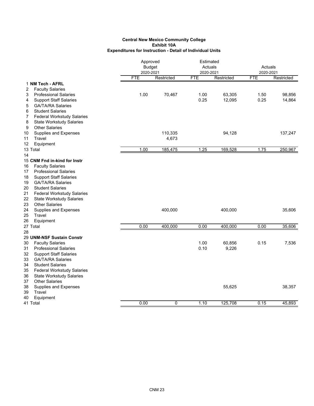|    |                                   | Approved<br><b>Budget</b> |            | Estimated<br>Actuals |            | Actuals    |            |
|----|-----------------------------------|---------------------------|------------|----------------------|------------|------------|------------|
|    |                                   | 2020-2021                 |            | 2020-2021            |            | 2020-2021  |            |
|    |                                   | <b>FTE</b>                | Restricted | <b>FTE</b>           | Restricted | <b>FTE</b> | Restricted |
|    | 1 NM Tech - AFRL                  |                           |            |                      |            |            |            |
| 2  | <b>Faculty Salaries</b>           |                           |            |                      |            |            |            |
| 3  | <b>Professional Salaries</b>      | 1.00                      | 70,467     | 1.00                 | 63,305     | 1.50       | 98,856     |
| 4  | <b>Support Staff Salaries</b>     |                           |            | 0.25                 | 12,095     | 0.25       | 14,864     |
| 5  | <b>GA/TA/RA Salaries</b>          |                           |            |                      |            |            |            |
| 6  | <b>Student Salaries</b>           |                           |            |                      |            |            |            |
| 7  | <b>Federal Workstudy Salaries</b> |                           |            |                      |            |            |            |
| 8  | <b>State Workstudy Salaries</b>   |                           |            |                      |            |            |            |
| 9  | <b>Other Salaries</b>             |                           |            |                      |            |            |            |
| 10 | Supplies and Expenses             |                           | 110,335    |                      | 94,128     |            | 137,247    |
| 11 | Travel                            |                           | 4,673      |                      |            |            |            |
| 12 | Equipment                         |                           |            |                      |            |            |            |
|    | 13 Total                          | 1.00                      | 185,475    | 1.25                 | 169,528    | 1.75       | 250,967    |
| 14 |                                   |                           |            |                      |            |            |            |
|    | 15 CNM Fnd in-kind for Instr      |                           |            |                      |            |            |            |
| 16 | <b>Faculty Salaries</b>           |                           |            |                      |            |            |            |
| 17 | <b>Professional Salaries</b>      |                           |            |                      |            |            |            |
| 18 | <b>Support Staff Salaries</b>     |                           |            |                      |            |            |            |
| 19 | <b>GA/TA/RA Salaries</b>          |                           |            |                      |            |            |            |
| 20 | <b>Student Salaries</b>           |                           |            |                      |            |            |            |
| 21 | <b>Federal Workstudy Salaries</b> |                           |            |                      |            |            |            |
| 22 | <b>State Workstudy Salaries</b>   |                           |            |                      |            |            |            |
| 23 | <b>Other Salaries</b>             |                           |            |                      |            |            |            |
| 24 | Supplies and Expenses             |                           | 400,000    |                      | 400,000    |            | 35,606     |
| 25 | Travel                            |                           |            |                      |            |            |            |
| 26 | Equipment                         |                           |            |                      |            |            |            |
|    | 27 Total                          | 0.00                      | 400,000    | 0.00                 | 400,000    | 0.00       | 35,606     |
| 28 |                                   |                           |            |                      |            |            |            |
|    | 29 UNM-NSF Sustain Constr         |                           |            |                      |            |            |            |
| 30 | <b>Faculty Salaries</b>           |                           |            | 1.00                 | 60,856     | 0.15       | 7,536      |
| 31 | <b>Professional Salaries</b>      |                           |            | 0.10                 | 9,226      |            |            |
| 32 | <b>Support Staff Salaries</b>     |                           |            |                      |            |            |            |
| 33 | <b>GA/TA/RA Salaries</b>          |                           |            |                      |            |            |            |
| 34 | <b>Student Salaries</b>           |                           |            |                      |            |            |            |
| 35 | <b>Federal Workstudy Salaries</b> |                           |            |                      |            |            |            |
| 36 | <b>State Workstudy Salaries</b>   |                           |            |                      |            |            |            |
| 37 | <b>Other Salaries</b>             |                           |            |                      |            |            |            |
| 38 | Supplies and Expenses             |                           |            |                      | 55,625     |            | 38,357     |
| 39 | Travel                            |                           |            |                      |            |            |            |
| 40 | Equipment                         |                           |            |                      |            |            |            |
|    | 41 Total                          | 0.00                      | 0          | 1.10                 | 125,708    | 0.15       | 45,893     |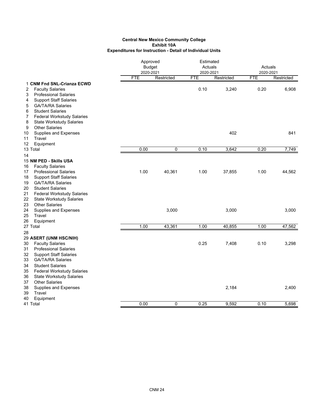|                                                                       | Approved<br><b>Budget</b><br>2020-2021 |             |            | Estimated<br>Actuals<br>2020-2021 |            | Actuals<br>2020-2021 |  |
|-----------------------------------------------------------------------|----------------------------------------|-------------|------------|-----------------------------------|------------|----------------------|--|
|                                                                       | <b>FTE</b>                             | Restricted  | <b>FTE</b> | Restricted                        | <b>FTE</b> | Restricted           |  |
| 1 CNM Fnd SNL-Crianza ECWD                                            |                                        |             |            |                                   |            |                      |  |
| <b>Faculty Salaries</b><br>2                                          |                                        |             | 0.10       | 3,240                             | 0.20       | 6,908                |  |
| 3<br><b>Professional Salaries</b>                                     |                                        |             |            |                                   |            |                      |  |
| <b>Support Staff Salaries</b><br>4                                    |                                        |             |            |                                   |            |                      |  |
| <b>GA/TA/RA Salaries</b><br>5                                         |                                        |             |            |                                   |            |                      |  |
| 6<br><b>Student Salaries</b>                                          |                                        |             |            |                                   |            |                      |  |
| <b>Federal Workstudy Salaries</b><br>7                                |                                        |             |            |                                   |            |                      |  |
| 8<br><b>State Workstudy Salaries</b>                                  |                                        |             |            |                                   |            |                      |  |
| 9<br><b>Other Salaries</b>                                            |                                        |             |            |                                   |            |                      |  |
| Supplies and Expenses<br>10                                           |                                        |             |            | 402                               |            | 841                  |  |
| Travel<br>11                                                          |                                        |             |            |                                   |            |                      |  |
| 12<br>Equipment                                                       |                                        |             |            |                                   |            |                      |  |
| 13 Total                                                              | 0.00                                   | $\mathbf 0$ | 0.10       | 3,642                             | 0.20       | 7,749                |  |
| 14                                                                    |                                        |             |            |                                   |            |                      |  |
| 15 NM PED - Skills USA                                                |                                        |             |            |                                   |            |                      |  |
| <b>Faculty Salaries</b><br>16<br><b>Professional Salaries</b>         |                                        | 40,361      |            |                                   |            | 44,562               |  |
| 17                                                                    | 1.00                                   |             | 1.00       | 37,855                            | 1.00       |                      |  |
| <b>Support Staff Salaries</b><br>18<br>19<br><b>GA/TA/RA Salaries</b> |                                        |             |            |                                   |            |                      |  |
| 20<br><b>Student Salaries</b>                                         |                                        |             |            |                                   |            |                      |  |
| 21<br><b>Federal Workstudy Salaries</b>                               |                                        |             |            |                                   |            |                      |  |
| 22<br><b>State Workstudy Salaries</b>                                 |                                        |             |            |                                   |            |                      |  |
| 23<br><b>Other Salaries</b>                                           |                                        |             |            |                                   |            |                      |  |
| 24<br>Supplies and Expenses                                           |                                        | 3,000       |            | 3,000                             |            | 3,000                |  |
| 25<br>Travel                                                          |                                        |             |            |                                   |            |                      |  |
| 26<br>Equipment                                                       |                                        |             |            |                                   |            |                      |  |
| 27 Total                                                              | 1.00                                   | 43,361      | 1.00       | 40,855                            | 1.00       | 47,562               |  |
| 28                                                                    |                                        |             |            |                                   |            |                      |  |
| 29 ASERT (UNM HSC/NIH)                                                |                                        |             |            |                                   |            |                      |  |
| <b>Faculty Salaries</b><br>30                                         |                                        |             | 0.25       | 7,408                             | 0.10       | 3,298                |  |
| 31<br><b>Professional Salaries</b>                                    |                                        |             |            |                                   |            |                      |  |
| <b>Support Staff Salaries</b><br>32                                   |                                        |             |            |                                   |            |                      |  |
| GA/TA/RA Salaries<br>33                                               |                                        |             |            |                                   |            |                      |  |
| 34<br><b>Student Salaries</b>                                         |                                        |             |            |                                   |            |                      |  |
| <b>Federal Workstudy Salaries</b><br>35                               |                                        |             |            |                                   |            |                      |  |
| 36<br><b>State Workstudy Salaries</b>                                 |                                        |             |            |                                   |            |                      |  |
| <b>Other Salaries</b><br>37                                           |                                        |             |            |                                   |            |                      |  |
| 38<br><b>Supplies and Expenses</b>                                    |                                        |             |            | 2,184                             |            | 2,400                |  |
| 39<br>Travel                                                          |                                        |             |            |                                   |            |                      |  |
| Equipment<br>40                                                       |                                        |             |            |                                   |            |                      |  |
| 41 Total                                                              | 0.00                                   | 0           | 0.25       | 9,592                             | 0.10       | 5,698                |  |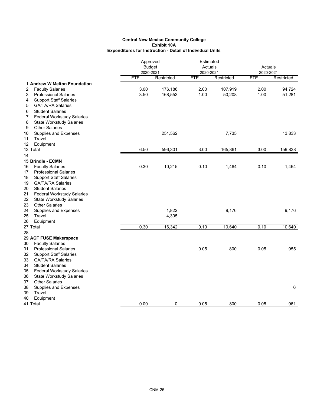|    |                                   | Approved<br><b>Budget</b><br>2020-2021 |             | Estimated<br>Actuals<br>2020-2021 |            | Actuals<br>2020-2021 |            |
|----|-----------------------------------|----------------------------------------|-------------|-----------------------------------|------------|----------------------|------------|
|    |                                   | <b>FTE</b>                             | Restricted  | <b>FTE</b>                        | Restricted | <b>FTE</b>           | Restricted |
|    | 1 Andrew W Melton Foundation      |                                        |             |                                   |            |                      |            |
| 2  | <b>Faculty Salaries</b>           | 3.00                                   | 176,186     | 2.00                              | 107,919    | 2.00                 | 94,724     |
| 3  | <b>Professional Salaries</b>      | 3.50                                   | 168,553     | 1.00                              | 50,208     | 1.00                 | 51,281     |
| 4  | <b>Support Staff Salaries</b>     |                                        |             |                                   |            |                      |            |
| 5  | <b>GA/TA/RA Salaries</b>          |                                        |             |                                   |            |                      |            |
| 6  | <b>Student Salaries</b>           |                                        |             |                                   |            |                      |            |
| 7  | <b>Federal Workstudy Salaries</b> |                                        |             |                                   |            |                      |            |
| 8  | <b>State Workstudy Salaries</b>   |                                        |             |                                   |            |                      |            |
| 9  | <b>Other Salaries</b>             |                                        |             |                                   |            |                      |            |
| 10 | <b>Supplies and Expenses</b>      |                                        | 251,562     |                                   | 7,735      |                      | 13,833     |
| 11 | Travel                            |                                        |             |                                   |            |                      |            |
| 12 | Equipment                         |                                        |             |                                   |            |                      |            |
|    | 13 Total                          | 6.50                                   | 596,301     | 3.00                              | 165,861    | 3.00                 | 159,838    |
| 14 |                                   |                                        |             |                                   |            |                      |            |
|    | 15 Brindle - ECMN                 |                                        |             |                                   |            |                      |            |
| 16 | <b>Faculty Salaries</b>           | 0.30                                   | 10,215      | 0.10                              | 1,464      | 0.10                 | 1,464      |
| 17 | <b>Professional Salaries</b>      |                                        |             |                                   |            |                      |            |
| 18 | <b>Support Staff Salaries</b>     |                                        |             |                                   |            |                      |            |
| 19 | <b>GA/TA/RA Salaries</b>          |                                        |             |                                   |            |                      |            |
| 20 | <b>Student Salaries</b>           |                                        |             |                                   |            |                      |            |
| 21 | <b>Federal Workstudy Salaries</b> |                                        |             |                                   |            |                      |            |
| 22 | <b>State Workstudy Salaries</b>   |                                        |             |                                   |            |                      |            |
| 23 | <b>Other Salaries</b>             |                                        |             |                                   |            |                      |            |
| 24 | Supplies and Expenses             |                                        | 1,822       |                                   | 9,176      |                      | 9,176      |
| 25 | Travel                            |                                        | 4,305       |                                   |            |                      |            |
| 26 | Equipment                         |                                        |             |                                   |            |                      |            |
|    | 27 Total                          | 0.30                                   | 16,342      | 0.10                              | 10,640     | 0.10                 | 10,640     |
| 28 |                                   |                                        |             |                                   |            |                      |            |
|    | 29 ACF FUSE Makerspace            |                                        |             |                                   |            |                      |            |
| 30 | <b>Faculty Salaries</b>           |                                        |             |                                   |            |                      |            |
| 31 | <b>Professional Salaries</b>      |                                        |             | 0.05                              | 800        | 0.05                 | 955        |
| 32 | <b>Support Staff Salaries</b>     |                                        |             |                                   |            |                      |            |
| 33 | <b>GA/TA/RA Salaries</b>          |                                        |             |                                   |            |                      |            |
| 34 | <b>Student Salaries</b>           |                                        |             |                                   |            |                      |            |
| 35 | <b>Federal Workstudy Salaries</b> |                                        |             |                                   |            |                      |            |
| 36 | <b>State Workstudy Salaries</b>   |                                        |             |                                   |            |                      |            |
| 37 | <b>Other Salaries</b>             |                                        |             |                                   |            |                      |            |
| 38 | Supplies and Expenses             |                                        |             |                                   |            |                      | 6          |
| 39 | Travel                            |                                        |             |                                   |            |                      |            |
| 40 | Equipment                         |                                        |             |                                   |            |                      |            |
|    | 41 Total                          | 0.00                                   | $\mathbf 0$ | 0.05                              | 800        | 0.05                 | 961        |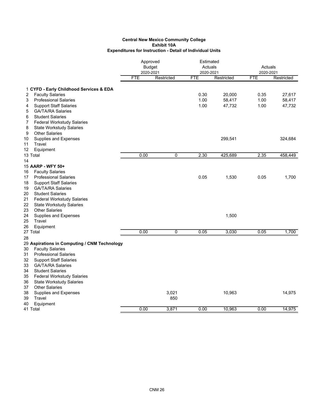|                                         |                                              | Approved      |             |            | Estimated  |                                                                         |            |
|-----------------------------------------|----------------------------------------------|---------------|-------------|------------|------------|-------------------------------------------------------------------------|------------|
|                                         |                                              | <b>Budget</b> |             | Actuals    |            | Actuals                                                                 |            |
|                                         |                                              | 2020-2021     |             | 2020-2021  |            | 2020-2021<br><b>FTE</b><br>0.35<br>1.00<br>1.00<br>2.35<br>0.05<br>0.05 |            |
|                                         |                                              | <b>FTE</b>    | Restricted  | <b>FTE</b> | Restricted |                                                                         | Restricted |
| 1 CYFD - Early Childhood Services & EDA |                                              |               |             |            |            |                                                                         |            |
| <b>Faculty Salaries</b><br>2            |                                              |               |             | 0.30       | 20,000     |                                                                         | 27,617     |
| <b>Professional Salaries</b><br>3       |                                              |               |             | 1.00       | 58,417     |                                                                         | 58,417     |
| <b>Support Staff Salaries</b><br>4      |                                              |               |             | 1.00       | 47,732     |                                                                         | 47,732     |
| 5<br><b>GA/TA/RA Salaries</b>           |                                              |               |             |            |            |                                                                         |            |
| <b>Student Salaries</b><br>6            |                                              |               |             |            |            |                                                                         |            |
| 7<br><b>Federal Workstudy Salaries</b>  |                                              |               |             |            |            |                                                                         |            |
| <b>State Workstudy Salaries</b><br>8    |                                              |               |             |            |            |                                                                         |            |
| 9<br><b>Other Salaries</b>              |                                              |               |             |            |            |                                                                         |            |
| Supplies and Expenses<br>10             |                                              |               |             |            | 299,541    |                                                                         | 324,684    |
| Travel<br>11                            |                                              |               |             |            |            |                                                                         |            |
| 12<br>Equipment                         |                                              |               |             |            |            |                                                                         |            |
| 13 Total                                |                                              | 0.00          | 0           | 2.30       | 425,689    |                                                                         | 458,449    |
| 14                                      |                                              |               |             |            |            |                                                                         |            |
| 15 AARP - WFY 50+                       |                                              |               |             |            |            |                                                                         |            |
| <b>Faculty Salaries</b><br>16           |                                              |               |             |            |            |                                                                         |            |
| <b>Professional Salaries</b><br>17      |                                              |               |             | 0.05       | 1,530      |                                                                         | 1,700      |
| 18<br><b>Support Staff Salaries</b>     |                                              |               |             |            |            |                                                                         |            |
| 19<br><b>GA/TA/RA Salaries</b>          |                                              |               |             |            |            |                                                                         |            |
| 20<br><b>Student Salaries</b>           |                                              |               |             |            |            |                                                                         |            |
| 21<br><b>Federal Workstudy Salaries</b> |                                              |               |             |            |            |                                                                         |            |
| 22<br><b>State Workstudy Salaries</b>   |                                              |               |             |            |            |                                                                         |            |
| <b>Other Salaries</b><br>23             |                                              |               |             |            |            |                                                                         |            |
| 24<br>Supplies and Expenses             |                                              |               |             |            | 1,500      |                                                                         |            |
| Travel<br>25                            |                                              |               |             |            |            |                                                                         |            |
| 26<br>Equipment                         |                                              |               |             |            |            |                                                                         |            |
| 27 Total                                |                                              | 0.00          | $\mathbf 0$ | 0.05       | 3,030      |                                                                         | 1,700      |
| 28                                      |                                              |               |             |            |            |                                                                         |            |
|                                         | 29 Aspirations in Computing / CNM Technology |               |             |            |            |                                                                         |            |
| <b>Faculty Salaries</b><br>30           |                                              |               |             |            |            |                                                                         |            |
| <b>Professional Salaries</b><br>31      |                                              |               |             |            |            |                                                                         |            |
| 32<br><b>Support Staff Salaries</b>     |                                              |               |             |            |            |                                                                         |            |
| <b>GA/TA/RA Salaries</b><br>33          |                                              |               |             |            |            |                                                                         |            |
| 34<br><b>Student Salaries</b>           |                                              |               |             |            |            |                                                                         |            |
| <b>Federal Workstudy Salaries</b><br>35 |                                              |               |             |            |            |                                                                         |            |
| 36<br><b>State Workstudy Salaries</b>   |                                              |               |             |            |            |                                                                         |            |
| 37<br><b>Other Salaries</b>             |                                              |               |             |            |            |                                                                         |            |
| 38<br>Supplies and Expenses             |                                              |               | 3,021       |            | 10,963     |                                                                         | 14,975     |
| 39<br>Travel                            |                                              |               | 850         |            |            |                                                                         |            |
| 40<br>Equipment                         |                                              |               |             |            |            |                                                                         |            |
| 41 Total                                |                                              | 0.00          | 3,871       | 0.00       | 10,963     | 0.00                                                                    | 14,975     |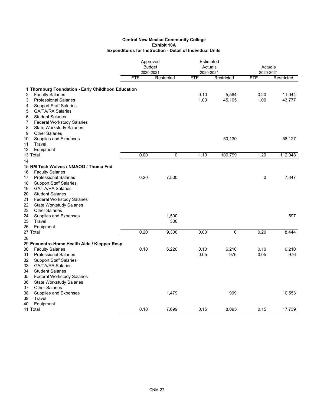|    |                                                           | Approved                |               | Estimated<br>Actuals    |              | Actuals                 |              |
|----|-----------------------------------------------------------|-------------------------|---------------|-------------------------|--------------|-------------------------|--------------|
|    |                                                           |                         | <b>Budget</b> |                         |              |                         |              |
|    |                                                           | 2020-2021<br><b>FTE</b> | Restricted    | 2020-2021<br><b>FTE</b> | Restricted   | 2020-2021<br><b>FTE</b> | Restricted   |
|    |                                                           |                         |               |                         |              |                         |              |
|    | 1 Thornburg Foundation - Early Childhood Education        |                         |               |                         |              |                         |              |
| 2  | <b>Faculty Salaries</b>                                   |                         |               | 0.10                    | 5,564        | 0.20                    | 11,044       |
| 3  | <b>Professional Salaries</b>                              |                         |               | 1.00                    | 45,105       | 1.00                    | 43,777       |
| 4  | <b>Support Staff Salaries</b>                             |                         |               |                         |              |                         |              |
| 5  | <b>GA/TA/RA Salaries</b>                                  |                         |               |                         |              |                         |              |
| 6  | <b>Student Salaries</b>                                   |                         |               |                         |              |                         |              |
| 7  | <b>Federal Workstudy Salaries</b>                         |                         |               |                         |              |                         |              |
| 8  | <b>State Workstudy Salaries</b>                           |                         |               |                         |              |                         |              |
| 9  | <b>Other Salaries</b>                                     |                         |               |                         |              |                         |              |
| 10 | Supplies and Expenses                                     |                         |               |                         | 50,130       |                         | 58,127       |
| 11 | Travel                                                    |                         |               |                         |              |                         |              |
| 12 | Equipment                                                 |                         |               |                         |              |                         |              |
|    | 13 Total                                                  | 0.00                    | 0             | 1.10                    | 100,799      | 1.20                    | 112,948      |
| 14 |                                                           |                         |               |                         |              |                         |              |
|    | 15 NM Tech Wolves / NMAOG / Thoma Fnd                     |                         |               |                         |              |                         |              |
| 16 | <b>Faculty Salaries</b>                                   |                         |               |                         |              |                         |              |
| 17 | <b>Professional Salaries</b>                              | 0.20                    | 7,500         |                         |              | 0                       | 7,847        |
| 18 | <b>Support Staff Salaries</b>                             |                         |               |                         |              |                         |              |
| 19 | <b>GA/TA/RA Salaries</b>                                  |                         |               |                         |              |                         |              |
| 20 | <b>Student Salaries</b>                                   |                         |               |                         |              |                         |              |
| 21 | <b>Federal Workstudy Salaries</b>                         |                         |               |                         |              |                         |              |
| 22 | <b>State Workstudy Salaries</b>                           |                         |               |                         |              |                         |              |
| 23 | <b>Other Salaries</b>                                     |                         |               |                         |              |                         |              |
| 24 | Supplies and Expenses                                     |                         | 1,500         |                         |              |                         | 597          |
| 25 | Travel                                                    |                         | 300           |                         |              |                         |              |
| 26 | Equipment                                                 |                         |               |                         |              |                         |              |
|    | 27 Total                                                  | 0.20                    | 9,300         | 0.00                    | 0            | 0.20                    | 8,444        |
| 28 |                                                           |                         |               |                         |              |                         |              |
|    | 29 Encuentro-Home Health Aide / Klepper Resp              |                         |               |                         |              |                         |              |
| 30 | <b>Faculty Salaries</b>                                   | 0.10                    | 6,220         | 0.10                    | 6,210<br>976 | 0.10                    | 6,210<br>976 |
| 31 | <b>Professional Salaries</b>                              |                         |               | 0.05                    |              | 0.05                    |              |
| 32 | <b>Support Staff Salaries</b><br><b>GA/TA/RA Salaries</b> |                         |               |                         |              |                         |              |
| 33 | <b>Student Salaries</b>                                   |                         |               |                         |              |                         |              |
| 34 |                                                           |                         |               |                         |              |                         |              |
| 35 | <b>Federal Workstudy Salaries</b>                         |                         |               |                         |              |                         |              |
| 36 | <b>State Workstudy Salaries</b><br><b>Other Salaries</b>  |                         |               |                         |              |                         |              |
| 37 |                                                           |                         |               |                         |              |                         |              |
| 38 | <b>Supplies and Expenses</b>                              |                         | 1,479         |                         | 909          |                         | 10,553       |
| 39 | Travel                                                    |                         |               |                         |              |                         |              |
| 40 | Equipment<br>41 Total                                     | 0.10                    | 7,699         | 0.15                    | 8,095        | 0.15                    | 17,739       |
|    |                                                           |                         |               |                         |              |                         |              |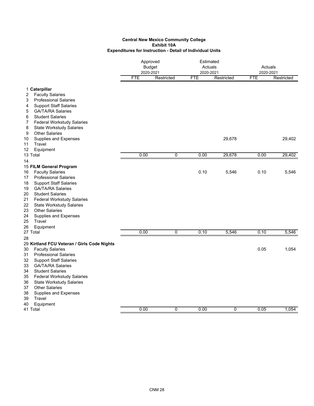|    |                                             | Approved<br><b>Budget</b><br>2020-2021 |             |            | Estimated<br>Actuals<br>2020-2021 |            | Actuals<br>2020-2021 |  |
|----|---------------------------------------------|----------------------------------------|-------------|------------|-----------------------------------|------------|----------------------|--|
|    |                                             | <b>FTE</b>                             | Restricted  | <b>FTE</b> | Restricted                        | <b>FTE</b> | Restricted           |  |
|    | 1 Caterpillar                               |                                        |             |            |                                   |            |                      |  |
| 2  | <b>Faculty Salaries</b>                     |                                        |             |            |                                   |            |                      |  |
| 3  | <b>Professional Salaries</b>                |                                        |             |            |                                   |            |                      |  |
| 4  | <b>Support Staff Salaries</b>               |                                        |             |            |                                   |            |                      |  |
| 5  | <b>GA/TA/RA Salaries</b>                    |                                        |             |            |                                   |            |                      |  |
| 6  | <b>Student Salaries</b>                     |                                        |             |            |                                   |            |                      |  |
| 7  | <b>Federal Workstudy Salaries</b>           |                                        |             |            |                                   |            |                      |  |
| 8  | <b>State Workstudy Salaries</b>             |                                        |             |            |                                   |            |                      |  |
| 9  | <b>Other Salaries</b>                       |                                        |             |            |                                   |            |                      |  |
| 10 | Supplies and Expenses                       |                                        |             |            | 29,678                            |            | 29,402               |  |
| 11 | Travel                                      |                                        |             |            |                                   |            |                      |  |
| 12 | Equipment                                   |                                        |             |            |                                   |            |                      |  |
|    | 13 Total                                    | 0.00                                   | 0           | 0.00       | 29,678                            | 0.00       | 29,402               |  |
| 14 |                                             |                                        |             |            |                                   |            |                      |  |
|    | 15 FILM General Program                     |                                        |             |            |                                   |            |                      |  |
| 16 | <b>Faculty Salaries</b>                     |                                        |             | 0.10       | 5,546                             | 0.10       | 5,546                |  |
| 17 | <b>Professional Salaries</b>                |                                        |             |            |                                   |            |                      |  |
| 18 | <b>Support Staff Salaries</b>               |                                        |             |            |                                   |            |                      |  |
| 19 | <b>GA/TA/RA Salaries</b>                    |                                        |             |            |                                   |            |                      |  |
| 20 | <b>Student Salaries</b>                     |                                        |             |            |                                   |            |                      |  |
| 21 | <b>Federal Workstudy Salaries</b>           |                                        |             |            |                                   |            |                      |  |
| 22 | <b>State Workstudy Salaries</b>             |                                        |             |            |                                   |            |                      |  |
| 23 | <b>Other Salaries</b>                       |                                        |             |            |                                   |            |                      |  |
| 24 | <b>Supplies and Expenses</b>                |                                        |             |            |                                   |            |                      |  |
| 25 | Travel                                      |                                        |             |            |                                   |            |                      |  |
| 26 | Equipment                                   |                                        |             |            |                                   |            |                      |  |
|    | 27 Total                                    | 0.00                                   | $\mathbf 0$ | 0.10       | 5,546                             | 0.10       | 5,546                |  |
| 28 |                                             |                                        |             |            |                                   |            |                      |  |
|    | 29 Kirtland FCU Veteran / Girls Code Nights |                                        |             |            |                                   |            |                      |  |
| 30 | <b>Faculty Salaries</b>                     |                                        |             |            |                                   | 0.05       | 1,054                |  |
| 31 | <b>Professional Salaries</b>                |                                        |             |            |                                   |            |                      |  |
| 32 | <b>Support Staff Salaries</b>               |                                        |             |            |                                   |            |                      |  |
| 33 | <b>GA/TA/RA Salaries</b>                    |                                        |             |            |                                   |            |                      |  |
| 34 | <b>Student Salaries</b>                     |                                        |             |            |                                   |            |                      |  |
| 35 | <b>Federal Workstudy Salaries</b>           |                                        |             |            |                                   |            |                      |  |
| 36 | <b>State Workstudy Salaries</b>             |                                        |             |            |                                   |            |                      |  |
| 37 | <b>Other Salaries</b>                       |                                        |             |            |                                   |            |                      |  |
| 38 | <b>Supplies and Expenses</b>                |                                        |             |            |                                   |            |                      |  |
| 39 | Travel                                      |                                        |             |            |                                   |            |                      |  |
| 40 | Equipment                                   |                                        |             |            |                                   |            |                      |  |
|    | 41 Total                                    | 0.00                                   | 0           | 0.00       | 0                                 | 0.05       | 1,054                |  |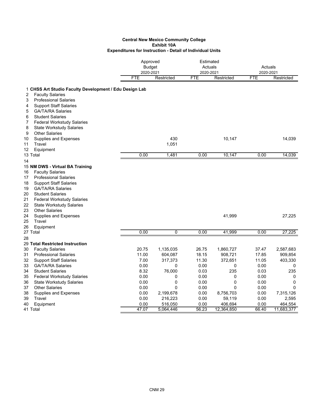|          |                                                        |            | Approved<br><b>Budget</b><br>2020-2021 | Estimated<br>Actuals<br>2020-2021 | Actuals<br>2020-2021 |            |             |  |
|----------|--------------------------------------------------------|------------|----------------------------------------|-----------------------------------|----------------------|------------|-------------|--|
|          |                                                        | <b>FTE</b> | Restricted                             | <b>FTE</b>                        | Restricted           | <b>FTE</b> | Restricted  |  |
|          | 1 CHSS Art Studio Faculty Development / Edu Design Lab |            |                                        |                                   |                      |            |             |  |
| 2        | <b>Faculty Salaries</b>                                |            |                                        |                                   |                      |            |             |  |
| 3        | <b>Professional Salaries</b>                           |            |                                        |                                   |                      |            |             |  |
| 4        | <b>Support Staff Salaries</b>                          |            |                                        |                                   |                      |            |             |  |
| 5        | <b>GA/TA/RA Salaries</b>                               |            |                                        |                                   |                      |            |             |  |
| 6        | <b>Student Salaries</b>                                |            |                                        |                                   |                      |            |             |  |
| 7        | <b>Federal Workstudy Salaries</b>                      |            |                                        |                                   |                      |            |             |  |
| 8        | <b>State Workstudy Salaries</b>                        |            |                                        |                                   |                      |            |             |  |
| 9        | <b>Other Salaries</b>                                  |            |                                        |                                   |                      |            |             |  |
| 10       | Supplies and Expenses                                  |            | 430                                    |                                   | 10,147               |            | 14,039      |  |
| 11       | Travel                                                 |            | 1,051                                  |                                   |                      |            |             |  |
| 12       | Equipment                                              |            |                                        |                                   |                      |            |             |  |
| 13 Total |                                                        | 0.00       | 1,481                                  | 0.00                              | 10,147               | 0.00       | 14,039      |  |
| 14       |                                                        |            |                                        |                                   |                      |            |             |  |
|          | 15 NM DWS - Virtual BA Training                        |            |                                        |                                   |                      |            |             |  |
| 16       | <b>Faculty Salaries</b>                                |            |                                        |                                   |                      |            |             |  |
| 17       | <b>Professional Salaries</b>                           |            |                                        |                                   |                      |            |             |  |
| 18       | <b>Support Staff Salaries</b>                          |            |                                        |                                   |                      |            |             |  |
| 19       | <b>GA/TA/RA Salaries</b>                               |            |                                        |                                   |                      |            |             |  |
| 20       | <b>Student Salaries</b>                                |            |                                        |                                   |                      |            |             |  |
| 21       | <b>Federal Workstudy Salaries</b>                      |            |                                        |                                   |                      |            |             |  |
| 22       | <b>State Workstudy Salaries</b>                        |            |                                        |                                   |                      |            |             |  |
| 23       | <b>Other Salaries</b>                                  |            |                                        |                                   |                      |            |             |  |
| 24       | Supplies and Expenses                                  |            |                                        |                                   | 41,999               |            | 27,225      |  |
| 25       | Travel                                                 |            |                                        |                                   |                      |            |             |  |
| 26       | Equipment                                              |            |                                        |                                   |                      |            |             |  |
| 27 Total |                                                        | 0.00       | 0                                      | 0.00                              | 41,999               | 0.00       | 27,225      |  |
| 28       |                                                        |            |                                        |                                   |                      |            |             |  |
|          | 29 Total Restricted Instruction                        |            |                                        |                                   |                      |            |             |  |
| 30       | <b>Faculty Salaries</b>                                | 20.75      | 1,135,035                              | 26.75                             | 1,860,727            | 37.47      | 2,587,683   |  |
| 31       | <b>Professional Salaries</b>                           | 11.00      | 604,087                                | 18.15                             | 908,721              | 17.85      | 909,854     |  |
| 32       | <b>Support Staff Salaries</b>                          | 7.00       | 317,373                                | 11.30                             | 372,651              | 11.05      | 403,330     |  |
| 33       | <b>GA/TA/RA Salaries</b>                               | 0.00       | 0                                      | 0.00                              | 0                    | 0.00       | 0           |  |
| 34       | <b>Student Salaries</b>                                | 8.32       | 76,000                                 | 0.03                              | 235                  | 0.03       | 235         |  |
| 35       | <b>Federal Workstudy Salaries</b>                      | 0.00       | 0                                      | 0.00                              | 0                    | 0.00       | 0           |  |
| 36       | <b>State Workstudy Salaries</b>                        | 0.00       | 0                                      | 0.00                              | 0                    | 0.00       | 0           |  |
| 37       | <b>Other Salaries</b>                                  | 0.00       | $\mathbf 0$                            | 0.00                              | 0                    | 0.00       | $\mathbf 0$ |  |
| 38       | <b>Supplies and Expenses</b>                           | 0.00       | 2,199,678                              | 0.00                              | 8,756,703            | 0.00       | 7,315,126   |  |
| 39       | Travel                                                 | 0.00       | 216,223                                | 0.00                              | 59,119               | 0.00       | 2,595       |  |
| 40       | Equipment                                              | 0.00       | 516,050                                | 0.00                              | 406,694              | 0.00       | 464,554     |  |
| 41 Total |                                                        | 47.07      | 5,064,446                              | 56.23                             | 12,364,850           | 66.40      | 11,683,377  |  |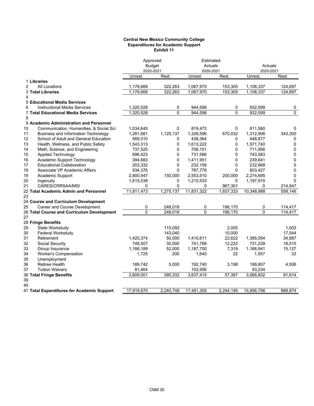#### **Central New Mexico Community College Expenditures for Academic Support Exhibit 11**

|                                               |                      | Approved<br>Estimated<br><b>Budget</b><br>Actuals |                      | Actuals     |                      |             |
|-----------------------------------------------|----------------------|---------------------------------------------------|----------------------|-------------|----------------------|-------------|
|                                               | 2020-2021<br>Unrest. | Rest.                                             | 2020-2021<br>Unrest. | Rest.       | 2020-2021<br>Unrest. | Rest.       |
| 1 Libraries                                   |                      |                                                   |                      |             |                      |             |
| $\overline{2}$<br><b>All Locations</b>        | 1,178,668            | 322,263                                           | 1,067,970            | 153,305     | 1,108,337            | 124,697     |
| <b>3 Total Libraries</b>                      | 1,178,668            | 322,263                                           | 1,067,970            | 153,305     | 1,108,337            | 124,697     |
| 4                                             |                      |                                                   |                      |             |                      |             |
| 5 Educational Media Services                  |                      |                                                   |                      |             |                      |             |
| 6<br><b>Instructional Media Services</b>      | 1,320,528            | 0                                                 | 944,598              | 0           | 932,599              | 0           |
| 7 Total Educational Media Services            | 1,320,528            | $\Omega$                                          | 944.598              | $\Omega$    | 932,599              | $\Omega$    |
| 8                                             |                      |                                                   |                      |             |                      |             |
| 9 Academic Administration and Personnel       |                      |                                                   |                      |             |                      |             |
| 10<br>Communication, Humanities, & Social Sci | 1,034,645            | 0                                                 | 819,472              | 0           | 811,580              | 0           |
| Business and Information Technology<br>11     | 1,281,681            | 1,125,137                                         | 1,326,596            | 670,032     | 1,312,906            | 343,300     |
| 12<br>School of Adult and General Education   | 569,010              | 0                                                 | 438,364              | 0           | 448,877              | 0           |
| 13<br>Health, Wellness, and Public Safety     | 1,543,313            | 0                                                 | 1,613,222            | $\Omega$    | 1,571,740            | $\mathbf 0$ |
| 14<br>Math, Science, and Engineering          | 737,525              | 0                                                 | 706,151              | 0           | 711,956              | 0           |
| 15<br><b>Applied Technology</b>               | 696,423              | 0                                                 | 731,586              | $\Omega$    | 743,583              | 0           |
| Academic Support Technology<br>16             | 394,683              | $\Omega$                                          | 1,411,951            | $\Omega$    | 239,641              | $\mathbf 0$ |
| 17<br><b>Educational Collaboration</b>        | 203,332              | 0                                                 | 232,159              | $\mathbf 0$ | 232,668              | 0           |
| 18<br>Associate VP Academic Affairs           | 934,376              | $\Omega$                                          | 787,778              | $\Omega$    | 803,427              | $\mathbf 0$ |
| 19<br>Academic Support                        | 2,800,947            | 150,000                                           | 2,553,510            | 200,000     | 2,274,695            | $\mathbf 0$ |
| 20<br>Ingenuity                               | 1,615,538            | 0                                                 | 1,210,533            | 0           | 1,197,915            | $\Omega$    |
| 21<br>CARES/CRRSAA/MSI                        | 0                    | 0                                                 | 0                    | 967,301     | 0                    | 214,847     |
| 22 Total Academic Admin and Personnel         | 11.811.473           | 1,275,137                                         | 11.831.322           | 1.837.333   | 10,348,988           | 558,146     |
| 23                                            |                      |                                                   |                      |             |                      |             |
| 24 Course and Curriculum Development          |                      |                                                   |                      |             |                      |             |
| Career and Course Development<br>25           | 0                    | 248,016                                           | 0                    | 196,170     | 0                    | 114,417     |
| 26 Total Course and Curriculum Development    | $\Omega$             | 248,016                                           | $\Omega$             | 196.170     | $\Omega$             | 114.417     |
| 27                                            |                      |                                                   |                      |             |                      |             |
| 28 Fringe Benefits                            |                      |                                                   |                      |             |                      |             |
| 29<br>State Workstudy                         |                      | 115,092                                           |                      | 2.005       |                      | 1.003       |
| 30<br><b>Federal Workstudy</b>                |                      | 143,040                                           |                      | 10,000      |                      | 17,544      |
| 31<br>Retirement                              | 1,420,374            | 50,000                                            | 1,410,611            | 22,622      | 1,385,054            | 34,887      |
| 32<br>Social Security                         | 749,507              | 30,000                                            | 741,768              | 12,222      | 731,239              | 18,515      |
| 33<br>Group Insurance                         | 1,166,189            | 52,000                                            | 1,187,700            | 7,319       | 1,166,941            | 15,127      |
| 34<br>Worker's Compensation                   | 1,725                | 200                                               | 1,640                | 22          | 1,557                | 32          |
| 35<br>Unemployment                            |                      |                                                   |                      |             |                      |             |
| 36<br><b>Retiree Health</b>                   | 189,742              | 5,000                                             | 192,740              | 3,198       | 188,807              | 4,506       |
| 37<br><b>Tuition Waivers</b>                  | 81,464               |                                                   | 102,956              |             | 93,234               |             |
| 38 Total Fringe Benefits                      | 3,609,001            | 395,332                                           | 3,637,415            | 57,387      | 3,566,832            | 91,614      |
| 39                                            |                      |                                                   |                      |             |                      |             |
| 40                                            |                      |                                                   |                      |             |                      |             |
| 41 Total Expenditures for Academic Support    | 17,919,670           | 2,240,748                                         | 17,481,305           | 2,244,195   | 15,956,756           | 888,874     |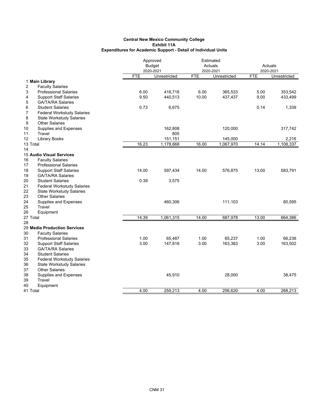|                                                              | Approved   |               |            | Estimated    |            |              |
|--------------------------------------------------------------|------------|---------------|------------|--------------|------------|--------------|
|                                                              |            | <b>Budget</b> | Actuals    |              | Actuals    |              |
|                                                              |            | 2020-2021     |            | 2020-2021    |            | 2020-2021    |
|                                                              | <b>FTE</b> | Unrestricted  | <b>FTE</b> | Unrestricted | <b>FTE</b> | Unrestricted |
| 1 Main Library<br>2                                          |            |               |            |              |            |              |
| <b>Faculty Salaries</b><br>3<br><b>Professional Salaries</b> | 6.00       | 416,716       | 6.00       | 365,533      | 5.00       | 353,542      |
| 4<br><b>Support Staff Salaries</b>                           | 9.50       | 440,513       | 10.00      | 437,437      | 9.00       | 433,499      |
| 5<br><b>GA/TA/RA Salaries</b>                                |            |               |            |              |            |              |
| 6<br><b>Student Salaries</b>                                 | 0.73       | 6,675         |            |              | 0.14       | 1,339        |
| 7<br><b>Federal Workstudy Salaries</b>                       |            |               |            |              |            |              |
| 8<br><b>State Workstudy Salaries</b>                         |            |               |            |              |            |              |
| 9<br><b>Other Salaries</b>                                   |            |               |            |              |            |              |
| 10<br>Supplies and Expenses                                  |            | 162,808       |            | 120,000      |            | 317,742      |
| Travel<br>11                                                 |            | 805           |            |              |            |              |
| 12<br><b>Library Books</b>                                   |            | 151,151       |            | 145,000      |            | 2,216        |
| 13 Total                                                     | 16.23      | 1,178,668     | 16.00      | 1,067,970    | 14.14      | 1,108,337    |
| 14                                                           |            |               |            |              |            |              |
| <b>15 Audio Visual Services</b>                              |            |               |            |              |            |              |
| <b>Faculty Salaries</b><br>16                                |            |               |            |              |            |              |
| 17<br><b>Professional Salaries</b>                           |            |               |            |              |            |              |
| 18<br><b>Support Staff Salaries</b>                          | 14.00      | 597,434       | 14.00      | 576,875      | 13.00      | 583,791      |
| 19<br><b>GA/TA/RA Salaries</b>                               |            |               |            |              |            |              |
| 20<br><b>Student Salaries</b>                                | 0.39       | 3,575         |            |              |            |              |
| 21<br><b>Federal Workstudy Salaries</b>                      |            |               |            |              |            |              |
| 22<br><b>State Workstudy Salaries</b>                        |            |               |            |              |            |              |
| 23<br><b>Other Salaries</b>                                  |            |               |            |              |            |              |
| 24<br>Supplies and Expenses                                  |            | 460,306       |            | 111,103      |            | 80,595       |
| 25<br>Travel                                                 |            |               |            |              |            |              |
| 26<br>Equipment                                              |            |               |            |              |            |              |
| 27 Total                                                     | 14.39      | 1,061,315     | 14.00      | 687,978      | 13.00      | 664,386      |
| 28                                                           |            |               |            |              |            |              |
| 29 Media Production Services                                 |            |               |            |              |            |              |
| 30<br><b>Faculty Salaries</b>                                |            |               |            |              |            |              |
| 31<br><b>Professional Salaries</b>                           | 1.00       | 65,487        | 1.00       | 65,237       | 1.00       | 66,236       |
| 32<br><b>Support Staff Salaries</b>                          | 3.00       | 147,816       | 3.00       | 163,383      | 3.00       | 163,502      |
| 33<br><b>GA/TA/RA Salaries</b>                               |            |               |            |              |            |              |
| 34<br><b>Student Salaries</b>                                |            |               |            |              |            |              |
| 35<br><b>Federal Workstudy Salaries</b>                      |            |               |            |              |            |              |
| 36<br><b>State Workstudy Salaries</b>                        |            |               |            |              |            |              |
| 37<br><b>Other Salaries</b>                                  |            |               |            |              |            |              |
| 38<br>Supplies and Expenses                                  |            | 45,910        |            | 28,000       |            | 38,475       |
| 39<br>Travel                                                 |            |               |            |              |            |              |
| 40<br>Equipment                                              |            |               |            |              |            |              |
| 41 Total                                                     | 4.00       | 259,213       | 4.00       | 256,620      | 4.00       | 268,213      |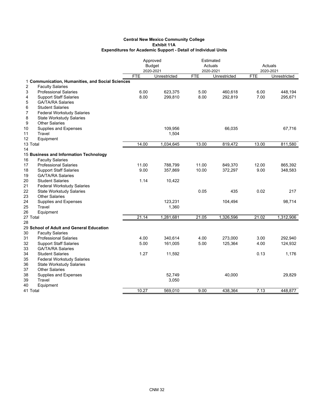|                |                                                  |            | Approved      | Estimated  |              |            |              |
|----------------|--------------------------------------------------|------------|---------------|------------|--------------|------------|--------------|
|                |                                                  |            | <b>Budget</b> |            | Actuals      | Actuals    |              |
|                |                                                  |            | 2020-2021     |            | 2020-2021    |            | 2020-2021    |
|                |                                                  | <b>FTE</b> | Unrestricted  | <b>FTE</b> | Unrestricted | <b>FTE</b> | Unrestricted |
|                | 1 Communication, Humanities, and Social Sciences |            |               |            |              |            |              |
| $\overline{2}$ | <b>Faculty Salaries</b>                          |            |               |            |              |            |              |
| 3              | <b>Professional Salaries</b>                     | 6.00       | 623,375       | 5.00       | 460,618      | 6.00       | 448,194      |
| 4              | <b>Support Staff Salaries</b>                    | 8.00       | 299,810       | 8.00       | 292,819      | 7.00       | 295,671      |
| 5              | <b>GA/TA/RA Salaries</b>                         |            |               |            |              |            |              |
| 6              | <b>Student Salaries</b>                          |            |               |            |              |            |              |
| 7              | <b>Federal Workstudy Salaries</b>                |            |               |            |              |            |              |
| 8              | <b>State Workstudy Salaries</b>                  |            |               |            |              |            |              |
| 9              | <b>Other Salaries</b>                            |            |               |            |              |            |              |
| 10             | Supplies and Expenses                            |            | 109,956       |            | 66,035       |            | 67,716       |
| 11<br>Travel   |                                                  |            | 1,504         |            |              |            |              |
| 12             | Equipment                                        |            |               |            |              |            |              |
| 13 Total       |                                                  | 14.00      | 1,034,645     | 13.00      | 819,472      | 13.00      | 811,580      |
| 14             |                                                  |            |               |            |              |            |              |
|                | 15 Business and Information Technology           |            |               |            |              |            |              |
| 16             | <b>Faculty Salaries</b>                          |            |               |            |              |            |              |
| 17             | <b>Professional Salaries</b>                     | 11.00      | 788,799       | 11.00      | 849,370      | 12.00      | 865,392      |
| 18             | <b>Support Staff Salaries</b>                    | 9.00       | 357,869       | 10.00      | 372,297      | 9.00       | 348,583      |
| 19             | <b>GA/TA/RA Salaries</b>                         |            |               |            |              |            |              |
| 20             | <b>Student Salaries</b>                          | 1.14       | 10,422        |            |              |            |              |
| 21             | <b>Federal Workstudy Salaries</b>                |            |               |            |              |            |              |
| 22             | <b>State Workstudy Salaries</b>                  |            |               | 0.05       | 435          | 0.02       | 217          |
| 23             | <b>Other Salaries</b>                            |            |               |            |              |            |              |
| 24             | Supplies and Expenses                            |            | 123,231       |            | 104,494      |            | 98,714       |
| 25<br>Travel   |                                                  |            | 1,360         |            |              |            |              |
| 26             | Equipment                                        |            |               |            |              |            |              |
| 27 Total       |                                                  | 21.14      | 1,281,681     | 21.05      | 1,326,596    | 21.02      | 1,312,906    |
| 28             |                                                  |            |               |            |              |            |              |
|                | 29 School of Adult and General Education         |            |               |            |              |            |              |
| 30             | <b>Faculty Salaries</b>                          |            |               |            |              |            |              |
| 31             | <b>Professional Salaries</b>                     | 4.00       | 340,614       | 4.00       | 273,000      | 3.00       | 292,940      |
| 32             | <b>Support Staff Salaries</b>                    | 5.00       | 161,005       | 5.00       | 125,364      | 4.00       | 124,932      |
| 33             | <b>GA/TA/RA Salaries</b>                         |            |               |            |              |            |              |
| 34             | <b>Student Salaries</b>                          | 1.27       | 11,592        |            |              | 0.13       | 1,176        |
| 35             | <b>Federal Workstudy Salaries</b>                |            |               |            |              |            |              |
| 36             | <b>State Workstudy Salaries</b>                  |            |               |            |              |            |              |
| 37             | <b>Other Salaries</b>                            |            |               |            |              |            |              |
| 38             | Supplies and Expenses                            |            | 52,749        |            | 40,000       |            | 29,829       |
| 39<br>Travel   |                                                  |            | 3,050         |            |              |            |              |
| 40             | Equipment                                        |            |               |            |              |            |              |
| 41 Total       |                                                  | 10.27      | 569,010       | 9.00       | 438,364      | 7.13       | 448,877      |
|                |                                                  |            |               |            |              |            |              |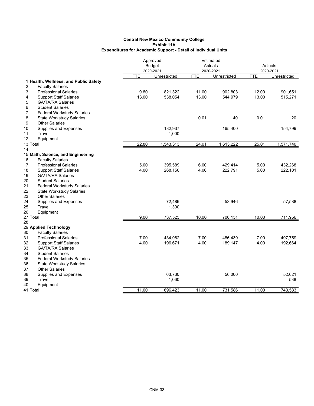|                                         | Approved   |               |            | Estimated    |            |              |  |
|-----------------------------------------|------------|---------------|------------|--------------|------------|--------------|--|
|                                         |            | <b>Budget</b> |            | Actuals      |            | Actuals      |  |
|                                         |            | 2020-2021     |            | 2020-2021    |            | 2020-2021    |  |
|                                         | <b>FTE</b> | Unrestricted  | <b>FTE</b> | Unrestricted | <b>FTE</b> | Unrestricted |  |
| 1 Health, Wellness, and Public Safety   |            |               |            |              |            |              |  |
| 2<br><b>Faculty Salaries</b>            |            |               |            |              |            |              |  |
| 3<br><b>Professional Salaries</b>       | 9.80       | 821,322       | 11.00      | 902,803      | 12.00      | 901,651      |  |
| <b>Support Staff Salaries</b><br>4      | 13.00      | 538,054       | 13.00      | 544,979      | 13.00      | 515,271      |  |
| 5<br><b>GA/TA/RA Salaries</b>           |            |               |            |              |            |              |  |
| 6<br><b>Student Salaries</b>            |            |               |            |              |            |              |  |
| 7<br><b>Federal Workstudy Salaries</b>  |            |               |            |              |            |              |  |
| 8<br><b>State Workstudy Salaries</b>    |            |               | 0.01       | 40           | 0.01       | 20           |  |
| 9<br><b>Other Salaries</b>              |            |               |            |              |            |              |  |
| 10<br>Supplies and Expenses             |            | 182,937       |            | 165,400      |            | 154,799      |  |
| Travel<br>11                            |            | 1,000         |            |              |            |              |  |
| 12<br>Equipment                         |            |               |            |              |            |              |  |
| 13 Total                                | 22.80      | 1,543,313     | 24.01      | 1,613,222    | 25.01      | 1,571,740    |  |
| 14                                      |            |               |            |              |            |              |  |
| 15 Math, Science, and Engineering       |            |               |            |              |            |              |  |
| <b>Faculty Salaries</b><br>16           |            |               |            |              |            |              |  |
| 17<br><b>Professional Salaries</b>      | 5.00       | 395,589       | 6.00       | 429,414      | 5.00       | 432,268      |  |
| 18<br><b>Support Staff Salaries</b>     | 4.00       | 268,150       | 4.00       | 222,791      | 5.00       | 222,101      |  |
| 19<br><b>GA/TA/RA Salaries</b>          |            |               |            |              |            |              |  |
| 20<br><b>Student Salaries</b>           |            |               |            |              |            |              |  |
| 21<br><b>Federal Workstudy Salaries</b> |            |               |            |              |            |              |  |
| 22<br><b>State Workstudy Salaries</b>   |            |               |            |              |            |              |  |
| 23<br><b>Other Salaries</b>             |            |               |            |              |            |              |  |
| 24<br>Supplies and Expenses             |            | 72,486        |            | 53,946       |            | 57,588       |  |
| 25<br>Travel                            |            | 1,300         |            |              |            |              |  |
| 26<br>Equipment                         |            |               |            |              |            |              |  |
| 27 Total                                | 9.00       | 737,525       | 10.00      | 706,151      | 10.00      | 711,956      |  |
| 28                                      |            |               |            |              |            |              |  |
| 29 Applied Technology                   |            |               |            |              |            |              |  |
| 30<br><b>Faculty Salaries</b>           |            |               |            |              |            |              |  |
| 31<br><b>Professional Salaries</b>      | 7.00       | 434,962       | 7.00       | 486,439      | 7.00       | 497,759      |  |
| 32<br><b>Support Staff Salaries</b>     | 4.00       | 196,671       | 4.00       | 189,147      | 4.00       | 192,664      |  |
| 33<br><b>GA/TA/RA Salaries</b>          |            |               |            |              |            |              |  |
| 34<br><b>Student Salaries</b>           |            |               |            |              |            |              |  |
| 35<br><b>Federal Workstudy Salaries</b> |            |               |            |              |            |              |  |
| 36<br><b>State Workstudy Salaries</b>   |            |               |            |              |            |              |  |
| 37<br><b>Other Salaries</b>             |            |               |            |              |            |              |  |
| 38<br>Supplies and Expenses             |            | 63,730        |            | 56,000       |            | 52,621       |  |
| 39<br>Travel                            |            | 1,060         |            |              |            | 538          |  |
| 40<br>Equipment                         |            |               |            |              |            |              |  |
| 41 Total                                | 11.00      | 696,423       | 11.00      | 731,586      | 11.00      | 743,583      |  |
|                                         |            |               |            |              |            |              |  |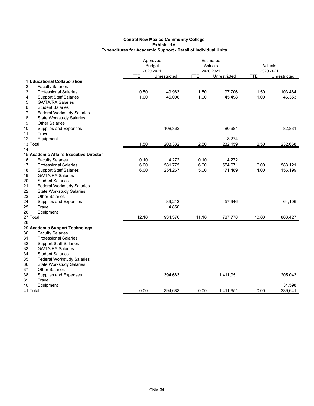|                                           | Approved   |                           | Estimated  |                           |            |              |
|-------------------------------------------|------------|---------------------------|------------|---------------------------|------------|--------------|
|                                           |            | <b>Budget</b><br>Actuals  |            |                           | Actuals    |              |
|                                           | <b>FTE</b> | 2020-2021<br>Unrestricted | <b>FTE</b> | 2020-2021<br>Unrestricted | <b>FTE</b> | 2020-2021    |
| 1 Educational Collaboration               |            |                           |            |                           |            | Unrestricted |
| $\overline{2}$<br><b>Faculty Salaries</b> |            |                           |            |                           |            |              |
| 3<br><b>Professional Salaries</b>         | 0.50       | 49,963                    | 1.50       | 97,706                    | 1.50       | 103,484      |
| <b>Support Staff Salaries</b><br>4        | 1.00       | 45,006                    | 1.00       | 45,498                    | 1.00       | 46,353       |
| 5<br><b>GA/TA/RA Salaries</b>             |            |                           |            |                           |            |              |
| 6<br><b>Student Salaries</b>              |            |                           |            |                           |            |              |
| 7<br><b>Federal Workstudy Salaries</b>    |            |                           |            |                           |            |              |
| 8<br><b>State Workstudy Salaries</b>      |            |                           |            |                           |            |              |
| 9<br><b>Other Salaries</b>                |            |                           |            |                           |            |              |
| Supplies and Expenses<br>10               |            | 108,363                   |            | 80,681                    |            | 82,831       |
| 11<br>Travel                              |            |                           |            |                           |            |              |
| 12<br>Equipment                           |            |                           |            | 8,274                     |            |              |
| 13 Total                                  | 1.50       | 203,332                   | 2.50       | 232,159                   | 2.50       | 232,668      |
| 14                                        |            |                           |            |                           |            |              |
| 15 Academic Affairs Executive Director    |            |                           |            |                           |            |              |
| <b>Faculty Salaries</b><br>16             | 0.10       | 4,272                     | 0.10       | 4,272                     |            |              |
| 17<br><b>Professional Salaries</b>        | 6.00       | 581,775                   | 6.00       | 554,071                   | 6.00       | 583,121      |
| 18<br><b>Support Staff Salaries</b>       | 6.00       | 254,267                   | 5.00       | 171,489                   | 4.00       | 156,199      |
| 19<br><b>GA/TA/RA Salaries</b>            |            |                           |            |                           |            |              |
| 20<br><b>Student Salaries</b>             |            |                           |            |                           |            |              |
| 21<br><b>Federal Workstudy Salaries</b>   |            |                           |            |                           |            |              |
| 22<br><b>State Workstudy Salaries</b>     |            |                           |            |                           |            |              |
| 23<br><b>Other Salaries</b>               |            |                           |            |                           |            |              |
| 24<br>Supplies and Expenses               |            | 89,212                    |            | 57,946                    |            | 64,106       |
| 25<br>Travel                              |            | 4,850                     |            |                           |            |              |
| 26<br>Equipment                           |            |                           |            |                           |            |              |
| 27 Total                                  | 12.10      | 934,376                   | 11.10      | 787,778                   | 10.00      | 803,427      |
| 28                                        |            |                           |            |                           |            |              |
| 29 Academic Support Technology            |            |                           |            |                           |            |              |
| <b>Faculty Salaries</b><br>30             |            |                           |            |                           |            |              |
| 31<br><b>Professional Salaries</b>        |            |                           |            |                           |            |              |
| 32<br><b>Support Staff Salaries</b>       |            |                           |            |                           |            |              |
| 33<br><b>GA/TA/RA Salaries</b>            |            |                           |            |                           |            |              |
| 34<br><b>Student Salaries</b>             |            |                           |            |                           |            |              |
| 35<br><b>Federal Workstudy Salaries</b>   |            |                           |            |                           |            |              |
| 36<br><b>State Workstudy Salaries</b>     |            |                           |            |                           |            |              |
| 37<br><b>Other Salaries</b>               |            |                           |            |                           |            |              |
| 38<br>Supplies and Expenses               |            | 394,683                   |            | 1,411,951                 |            | 205,043      |
| Travel<br>39                              |            |                           |            |                           |            |              |
| 40<br>Equipment                           |            |                           |            |                           |            | 34,598       |
| 41 Total                                  | 0.00       | 394,683                   | 0.00       | 1,411,951                 | 0.00       | 239,641      |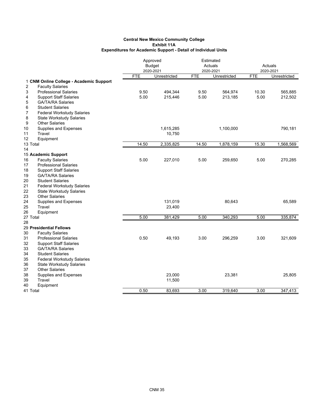|                                           | Approved<br><b>Budget</b> |              | Estimated<br>Actuals |              | Actuals    |              |  |
|-------------------------------------------|---------------------------|--------------|----------------------|--------------|------------|--------------|--|
|                                           |                           | 2020-2021    |                      | 2020-2021    |            | 2020-2021    |  |
|                                           | <b>FTE</b>                | Unrestricted | <b>FTE</b>           | Unrestricted | <b>FTE</b> | Unrestricted |  |
| 1 CNM Online College - Academic Support   |                           |              |                      |              |            |              |  |
| $\overline{2}$<br><b>Faculty Salaries</b> |                           |              |                      |              |            |              |  |
| 3<br><b>Professional Salaries</b>         | 9.50                      | 494,344      | 9.50                 | 564,974      | 10.30      | 565,885      |  |
| <b>Support Staff Salaries</b><br>4        | 5.00                      | 215,446      | 5.00                 | 213,185      | 5.00       | 212,502      |  |
| 5<br><b>GA/TA/RA Salaries</b>             |                           |              |                      |              |            |              |  |
| 6<br><b>Student Salaries</b>              |                           |              |                      |              |            |              |  |
| 7<br><b>Federal Workstudy Salaries</b>    |                           |              |                      |              |            |              |  |
| 8<br><b>State Workstudy Salaries</b>      |                           |              |                      |              |            |              |  |
| 9<br><b>Other Salaries</b>                |                           |              |                      |              |            |              |  |
| 10<br>Supplies and Expenses               |                           | 1,615,285    |                      | 1,100,000    |            | 790,181      |  |
| 11<br>Travel                              |                           | 10,750       |                      |              |            |              |  |
| 12<br>Equipment                           |                           |              |                      |              |            |              |  |
| 13 Total                                  | 14.50                     | 2,335,825    | 14.50                | 1,878,159    | 15.30      | 1,568,569    |  |
| 14                                        |                           |              |                      |              |            |              |  |
| 15 Academic Support                       |                           |              |                      |              |            |              |  |
| 16<br><b>Faculty Salaries</b>             | 5.00                      | 227,010      | 5.00                 | 259,650      | 5.00       | 270,285      |  |
| 17<br><b>Professional Salaries</b>        |                           |              |                      |              |            |              |  |
| 18<br><b>Support Staff Salaries</b>       |                           |              |                      |              |            |              |  |
| 19<br><b>GA/TA/RA Salaries</b>            |                           |              |                      |              |            |              |  |
| 20<br><b>Student Salaries</b>             |                           |              |                      |              |            |              |  |
| 21<br><b>Federal Workstudy Salaries</b>   |                           |              |                      |              |            |              |  |
| 22<br><b>State Workstudy Salaries</b>     |                           |              |                      |              |            |              |  |
| 23<br><b>Other Salaries</b>               |                           |              |                      |              |            |              |  |
| 24<br>Supplies and Expenses               |                           | 131,019      |                      | 80,643       |            | 65,589       |  |
| 25<br>Travel                              |                           | 23,400       |                      |              |            |              |  |
| 26<br>Equipment                           |                           |              |                      |              |            |              |  |
| 27 Total                                  | 5.00                      | 381,429      | 5.00                 | 340,293      | 5.00       | 335,874      |  |
| 28                                        |                           |              |                      |              |            |              |  |
| 29 Presidential Fellows                   |                           |              |                      |              |            |              |  |
| 30<br><b>Faculty Salaries</b>             |                           |              |                      |              |            |              |  |
| 31<br><b>Professional Salaries</b>        | 0.50                      | 49,193       | 3.00                 | 296,259      | 3.00       | 321,609      |  |
| 32<br><b>Support Staff Salaries</b>       |                           |              |                      |              |            |              |  |
| 33<br><b>GA/TA/RA Salaries</b>            |                           |              |                      |              |            |              |  |
| 34<br><b>Student Salaries</b>             |                           |              |                      |              |            |              |  |
| 35<br><b>Federal Workstudy Salaries</b>   |                           |              |                      |              |            |              |  |
| 36<br><b>State Workstudy Salaries</b>     |                           |              |                      |              |            |              |  |
| 37<br><b>Other Salaries</b>               |                           |              |                      |              |            |              |  |
| 38<br>Supplies and Expenses               |                           | 23,000       |                      | 23,381       |            | 25,805       |  |
| 39<br>Travel                              |                           | 11,500       |                      |              |            |              |  |
| 40<br>Equipment                           |                           |              |                      |              |            |              |  |
| 41 Total                                  | 0.50                      | 83,693       | 3.00                 | 319.640      | 3.00       | 347,413      |  |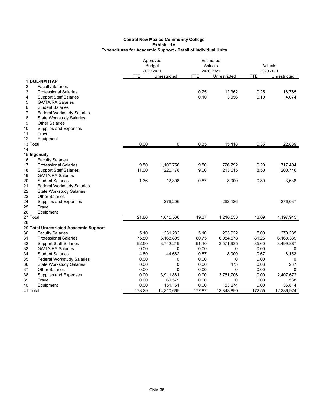|                                         | Approved<br><b>Budget</b><br>2020-2021 |              | Estimated<br>Actuals<br>2020-2021 |              | Actuals<br>2020-2021 |              |
|-----------------------------------------|----------------------------------------|--------------|-----------------------------------|--------------|----------------------|--------------|
|                                         | <b>FTE</b>                             | Unrestricted | <b>FTE</b>                        | Unrestricted | <b>FTE</b>           | Unrestricted |
| 1 DOL-NM ITAP                           |                                        |              |                                   |              |                      |              |
| 2<br><b>Faculty Salaries</b>            |                                        |              |                                   |              |                      |              |
| 3<br><b>Professional Salaries</b>       |                                        |              | 0.25                              | 12,362       | 0.25                 | 18,765       |
| <b>Support Staff Salaries</b><br>4      |                                        |              | 0.10                              | 3,056        | 0.10                 | 4,074        |
| 5<br><b>GA/TA/RA Salaries</b>           |                                        |              |                                   |              |                      |              |
| 6<br><b>Student Salaries</b>            |                                        |              |                                   |              |                      |              |
| 7<br><b>Federal Workstudy Salaries</b>  |                                        |              |                                   |              |                      |              |
| 8<br><b>State Workstudy Salaries</b>    |                                        |              |                                   |              |                      |              |
| 9<br><b>Other Salaries</b>              |                                        |              |                                   |              |                      |              |
| Supplies and Expenses<br>10             |                                        |              |                                   |              |                      |              |
| Travel<br>11                            |                                        |              |                                   |              |                      |              |
| 12<br>Equipment                         |                                        |              |                                   |              |                      |              |
| 13 Total                                | 0.00                                   | 0            | 0.35                              | 15,418       | 0.35                 | 22,839       |
| 14                                      |                                        |              |                                   |              |                      |              |
| 15 Ingenuity                            |                                        |              |                                   |              |                      |              |
| <b>Faculty Salaries</b><br>16           |                                        |              |                                   |              |                      |              |
| 17<br><b>Professional Salaries</b>      | 9.50                                   | 1,106,756    | 9.50                              | 726,792      | 9.20                 | 717,494      |
| 18<br><b>Support Staff Salaries</b>     | 11.00                                  | 220,178      | 9.00                              | 213,615      | 8.50                 | 200,746      |
| 19<br><b>GA/TA/RA Salaries</b>          |                                        |              |                                   |              |                      |              |
| 20<br><b>Student Salaries</b>           | 1.36                                   | 12,398       | 0.87                              | 8,000        | 0.39                 | 3,638        |
| 21<br><b>Federal Workstudy Salaries</b> |                                        |              |                                   |              |                      |              |
| 22<br><b>State Workstudy Salaries</b>   |                                        |              |                                   |              |                      |              |
| 23<br><b>Other Salaries</b>             |                                        |              |                                   |              |                      |              |
| 24<br>Supplies and Expenses             |                                        | 276,206      |                                   | 262,126      |                      | 276,037      |
| 25<br>Travel                            |                                        |              |                                   |              |                      |              |
| 26<br>Equipment                         |                                        |              |                                   |              |                      |              |
| 27 Total                                | 21.86                                  | 1,615,538    | 19.37                             | 1,210,533    | 18.09                | 1,197,915    |
| 28                                      |                                        |              |                                   |              |                      |              |
| 29 Total Unrestricted Academic Support  |                                        |              |                                   |              |                      |              |
| 30<br><b>Faculty Salaries</b>           | 5.10                                   | 231,282      | 5.10                              | 263,922      | 5.00                 | 270,285      |
| 31<br><b>Professional Salaries</b>      | 75.80                                  | 6,168,895    | 80.75                             | 6,084,578    | 81.25                | 6,168,339    |
| 32<br><b>Support Staff Salaries</b>     | 92.50                                  | 3,742,219    | 91.10                             | 3,571,935    | 85.60                | 3,499,887    |
| 33<br><b>GA/TA/RA Salaries</b>          | 0.00                                   | 0            | 0.00                              | 0            | 0.00                 | 0            |
| 34<br><b>Student Salaries</b>           | 4.89                                   | 44,662       | 0.87                              | 8,000        | 0.67                 | 6,153        |
| 35<br><b>Federal Workstudy Salaries</b> | 0.00                                   | 0            | 0.00                              | 0            | 0.00                 | 0            |
| 36<br><b>State Workstudy Salaries</b>   | 0.00                                   | 0            | 0.06                              | 475          | 0.03                 | 237          |
| 37<br><b>Other Salaries</b>             | 0.00                                   | $\Omega$     | 0.00                              | 0            | 0.00                 | 0            |
| 38<br>Supplies and Expenses             | 0.00                                   | 3,911,881    | 0.00                              | 3,761,706    | 0.00                 | 2,407,672    |
| 39<br><b>Travel</b>                     | 0.00                                   | 60,579       | 0.00                              | 0            | 0.00                 | 538          |
| 40<br>Equipment                         | 0.00                                   | 151,151      | 0.00                              | 153,274      | 0.00                 | 36,814       |
| 41 Total                                | 178.29                                 | 14,310,669   | 177.87                            | 13,843,890   | 172.55               | 12,389,924   |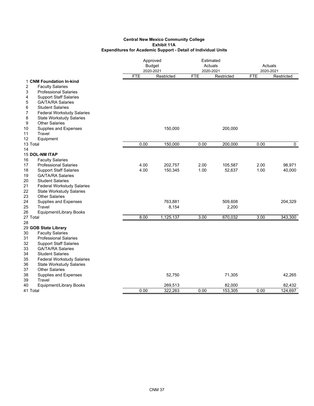|                                                          |            | Approved<br><b>Budget</b><br>2020-2021 |      | Estimated<br>Actuals<br>2020-2021 |            | Actuals<br>2020-2021 |  |
|----------------------------------------------------------|------------|----------------------------------------|------|-----------------------------------|------------|----------------------|--|
|                                                          | <b>FTE</b> | Restricted                             | FTE  | Restricted                        | <b>FTE</b> | Restricted           |  |
| 1 CNM Foundation In-kind                                 |            |                                        |      |                                   |            |                      |  |
| <b>Faculty Salaries</b><br>2                             |            |                                        |      |                                   |            |                      |  |
| 3<br><b>Professional Salaries</b>                        |            |                                        |      |                                   |            |                      |  |
| <b>Support Staff Salaries</b><br>4                       |            |                                        |      |                                   |            |                      |  |
| 5<br><b>GA/TA/RA Salaries</b>                            |            |                                        |      |                                   |            |                      |  |
| 6<br><b>Student Salaries</b>                             |            |                                        |      |                                   |            |                      |  |
| 7<br><b>Federal Workstudy Salaries</b>                   |            |                                        |      |                                   |            |                      |  |
| 8<br><b>State Workstudy Salaries</b>                     |            |                                        |      |                                   |            |                      |  |
| <b>Other Salaries</b><br>9                               |            |                                        |      |                                   |            |                      |  |
| Supplies and Expenses<br>10                              |            | 150,000                                |      | 200,000                           |            |                      |  |
| Travel<br>11                                             |            |                                        |      |                                   |            |                      |  |
| 12<br>Equipment                                          |            |                                        |      |                                   |            |                      |  |
| 13 Total                                                 | 0.00       | 150,000                                | 0.00 | 200,000                           | 0.00       | 0                    |  |
| 14                                                       |            |                                        |      |                                   |            |                      |  |
| <b>15 DOL-NM ITAP</b>                                    |            |                                        |      |                                   |            |                      |  |
| <b>Faculty Salaries</b><br>16                            |            |                                        |      |                                   |            |                      |  |
| 17<br><b>Professional Salaries</b>                       | 4.00       | 202,757                                | 2.00 | 105,587                           | 2.00       | 98,971               |  |
| 18<br><b>Support Staff Salaries</b>                      | 4.00       | 150,345                                | 1.00 | 52,637                            | 1.00       | 40,000               |  |
| 19<br><b>GA/TA/RA Salaries</b>                           |            |                                        |      |                                   |            |                      |  |
| 20<br><b>Student Salaries</b>                            |            |                                        |      |                                   |            |                      |  |
| 21<br><b>Federal Workstudy Salaries</b><br>22            |            |                                        |      |                                   |            |                      |  |
| <b>State Workstudy Salaries</b><br><b>Other Salaries</b> |            |                                        |      |                                   |            |                      |  |
| 23<br>24<br>Supplies and Expenses                        |            | 763,881                                |      | 509,608                           |            | 204,329              |  |
| 25<br>Travel                                             |            | 8,154                                  |      | 2,200                             |            |                      |  |
| <b>Equipment/Library Books</b><br>26                     |            |                                        |      |                                   |            |                      |  |
| 27 Total                                                 | 8.00       | 1,125,137                              | 3.00 | 670,032                           | 3.00       | 343,300              |  |
| 28                                                       |            |                                        |      |                                   |            |                      |  |
| 29 GOB State Library                                     |            |                                        |      |                                   |            |                      |  |
| <b>Faculty Salaries</b><br>30                            |            |                                        |      |                                   |            |                      |  |
| <b>Professional Salaries</b><br>31                       |            |                                        |      |                                   |            |                      |  |
| 32<br><b>Support Staff Salaries</b>                      |            |                                        |      |                                   |            |                      |  |
| 33<br><b>GA/TA/RA Salaries</b>                           |            |                                        |      |                                   |            |                      |  |
| 34<br><b>Student Salaries</b>                            |            |                                        |      |                                   |            |                      |  |
| 35<br><b>Federal Workstudy Salaries</b>                  |            |                                        |      |                                   |            |                      |  |
| 36<br><b>State Workstudy Salaries</b>                    |            |                                        |      |                                   |            |                      |  |
| 37<br><b>Other Salaries</b>                              |            |                                        |      |                                   |            |                      |  |
| 38<br>Supplies and Expenses                              |            | 52,750                                 |      | 71,305                            |            | 42,265               |  |
| 39<br>Travel                                             |            |                                        |      |                                   |            |                      |  |
| 40<br><b>Equipment/Library Books</b>                     |            | 269,513                                |      | 82,000                            |            | 82,432               |  |
| 41 Total                                                 | 0.00       | 322,263                                | 0.00 | 153,305                           | 0.00       | 124,697              |  |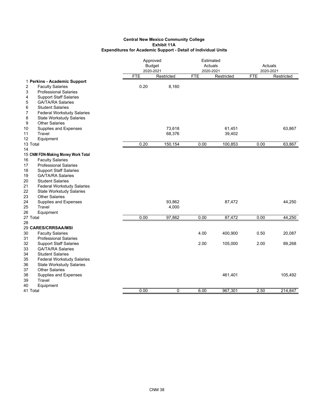| <b>FTE</b><br>Restricted<br><b>FTE</b><br>Restricted<br><b>FTE</b><br>Restricted<br>1 Perkins - Academic Support<br>0.20<br>2<br><b>Faculty Salaries</b><br>8,160<br>3<br><b>Professional Salaries</b><br><b>Support Staff Salaries</b><br>4<br>5<br><b>GA/TA/RA Salaries</b><br>6<br><b>Student Salaries</b><br>7<br><b>Federal Workstudy Salaries</b><br>8<br><b>State Workstudy Salaries</b><br>9<br><b>Other Salaries</b><br>Supplies and Expenses<br>73,618<br>61,451<br>63,867<br>10<br>Travel<br>68,376<br>11<br>39,402<br>12<br>Equipment<br>0.20<br>150,154<br>0.00<br>100,853<br>0.00<br>63,867<br>13 Total<br>14<br>15 CNM FDN-Making Money Work Total<br><b>Faculty Salaries</b><br>16<br><b>Professional Salaries</b><br>17<br>18<br><b>Support Staff Salaries</b><br><b>GA/TA/RA Salaries</b><br>19<br>20<br><b>Student Salaries</b><br>21<br><b>Federal Workstudy Salaries</b><br>22<br><b>State Workstudy Salaries</b><br>23<br><b>Other Salaries</b><br>44,250<br>Supplies and Expenses<br>93,862<br>87,472<br>24<br>25<br>Travel<br>4,000<br>26<br>Equipment<br>0.00<br>97,862<br>0.00<br>87,472<br>0.00<br>44,250<br>27 Total<br>28<br>29 CARES/CRRSAA/MSI<br>30<br><b>Faculty Salaries</b><br>4.00<br>400,900<br>0.50<br>20,087<br>31<br><b>Professional Salaries</b><br>32<br><b>Support Staff Salaries</b><br>2.00<br>105,000<br>2.00<br>89,268<br>33<br><b>GA/TA/RA Salaries</b><br>34<br><b>Student Salaries</b><br>35<br><b>Federal Workstudy Salaries</b><br>36<br><b>State Workstudy Salaries</b><br>37<br><b>Other Salaries</b><br>38<br>Supplies and Expenses<br>461,401<br>105,492<br>Travel<br>39<br>40<br>Equipment<br>0.00<br>0<br>6.00<br>967,301<br>2.50<br>214,847<br>41 Total | Approved<br><b>Budget</b><br>2020-2021 |  | Estimated<br>Actuals<br>2020-2021 |  | Actuals<br>2020-2021 |  |
|--------------------------------------------------------------------------------------------------------------------------------------------------------------------------------------------------------------------------------------------------------------------------------------------------------------------------------------------------------------------------------------------------------------------------------------------------------------------------------------------------------------------------------------------------------------------------------------------------------------------------------------------------------------------------------------------------------------------------------------------------------------------------------------------------------------------------------------------------------------------------------------------------------------------------------------------------------------------------------------------------------------------------------------------------------------------------------------------------------------------------------------------------------------------------------------------------------------------------------------------------------------------------------------------------------------------------------------------------------------------------------------------------------------------------------------------------------------------------------------------------------------------------------------------------------------------------------------------------------------------------------------------------------------------------------------------------------------------|----------------------------------------|--|-----------------------------------|--|----------------------|--|
|                                                                                                                                                                                                                                                                                                                                                                                                                                                                                                                                                                                                                                                                                                                                                                                                                                                                                                                                                                                                                                                                                                                                                                                                                                                                                                                                                                                                                                                                                                                                                                                                                                                                                                                    |                                        |  |                                   |  |                      |  |
|                                                                                                                                                                                                                                                                                                                                                                                                                                                                                                                                                                                                                                                                                                                                                                                                                                                                                                                                                                                                                                                                                                                                                                                                                                                                                                                                                                                                                                                                                                                                                                                                                                                                                                                    |                                        |  |                                   |  |                      |  |
|                                                                                                                                                                                                                                                                                                                                                                                                                                                                                                                                                                                                                                                                                                                                                                                                                                                                                                                                                                                                                                                                                                                                                                                                                                                                                                                                                                                                                                                                                                                                                                                                                                                                                                                    |                                        |  |                                   |  |                      |  |
|                                                                                                                                                                                                                                                                                                                                                                                                                                                                                                                                                                                                                                                                                                                                                                                                                                                                                                                                                                                                                                                                                                                                                                                                                                                                                                                                                                                                                                                                                                                                                                                                                                                                                                                    |                                        |  |                                   |  |                      |  |
|                                                                                                                                                                                                                                                                                                                                                                                                                                                                                                                                                                                                                                                                                                                                                                                                                                                                                                                                                                                                                                                                                                                                                                                                                                                                                                                                                                                                                                                                                                                                                                                                                                                                                                                    |                                        |  |                                   |  |                      |  |
|                                                                                                                                                                                                                                                                                                                                                                                                                                                                                                                                                                                                                                                                                                                                                                                                                                                                                                                                                                                                                                                                                                                                                                                                                                                                                                                                                                                                                                                                                                                                                                                                                                                                                                                    |                                        |  |                                   |  |                      |  |
|                                                                                                                                                                                                                                                                                                                                                                                                                                                                                                                                                                                                                                                                                                                                                                                                                                                                                                                                                                                                                                                                                                                                                                                                                                                                                                                                                                                                                                                                                                                                                                                                                                                                                                                    |                                        |  |                                   |  |                      |  |
|                                                                                                                                                                                                                                                                                                                                                                                                                                                                                                                                                                                                                                                                                                                                                                                                                                                                                                                                                                                                                                                                                                                                                                                                                                                                                                                                                                                                                                                                                                                                                                                                                                                                                                                    |                                        |  |                                   |  |                      |  |
|                                                                                                                                                                                                                                                                                                                                                                                                                                                                                                                                                                                                                                                                                                                                                                                                                                                                                                                                                                                                                                                                                                                                                                                                                                                                                                                                                                                                                                                                                                                                                                                                                                                                                                                    |                                        |  |                                   |  |                      |  |
|                                                                                                                                                                                                                                                                                                                                                                                                                                                                                                                                                                                                                                                                                                                                                                                                                                                                                                                                                                                                                                                                                                                                                                                                                                                                                                                                                                                                                                                                                                                                                                                                                                                                                                                    |                                        |  |                                   |  |                      |  |
|                                                                                                                                                                                                                                                                                                                                                                                                                                                                                                                                                                                                                                                                                                                                                                                                                                                                                                                                                                                                                                                                                                                                                                                                                                                                                                                                                                                                                                                                                                                                                                                                                                                                                                                    |                                        |  |                                   |  |                      |  |
|                                                                                                                                                                                                                                                                                                                                                                                                                                                                                                                                                                                                                                                                                                                                                                                                                                                                                                                                                                                                                                                                                                                                                                                                                                                                                                                                                                                                                                                                                                                                                                                                                                                                                                                    |                                        |  |                                   |  |                      |  |
|                                                                                                                                                                                                                                                                                                                                                                                                                                                                                                                                                                                                                                                                                                                                                                                                                                                                                                                                                                                                                                                                                                                                                                                                                                                                                                                                                                                                                                                                                                                                                                                                                                                                                                                    |                                        |  |                                   |  |                      |  |
|                                                                                                                                                                                                                                                                                                                                                                                                                                                                                                                                                                                                                                                                                                                                                                                                                                                                                                                                                                                                                                                                                                                                                                                                                                                                                                                                                                                                                                                                                                                                                                                                                                                                                                                    |                                        |  |                                   |  |                      |  |
|                                                                                                                                                                                                                                                                                                                                                                                                                                                                                                                                                                                                                                                                                                                                                                                                                                                                                                                                                                                                                                                                                                                                                                                                                                                                                                                                                                                                                                                                                                                                                                                                                                                                                                                    |                                        |  |                                   |  |                      |  |
|                                                                                                                                                                                                                                                                                                                                                                                                                                                                                                                                                                                                                                                                                                                                                                                                                                                                                                                                                                                                                                                                                                                                                                                                                                                                                                                                                                                                                                                                                                                                                                                                                                                                                                                    |                                        |  |                                   |  |                      |  |
|                                                                                                                                                                                                                                                                                                                                                                                                                                                                                                                                                                                                                                                                                                                                                                                                                                                                                                                                                                                                                                                                                                                                                                                                                                                                                                                                                                                                                                                                                                                                                                                                                                                                                                                    |                                        |  |                                   |  |                      |  |
|                                                                                                                                                                                                                                                                                                                                                                                                                                                                                                                                                                                                                                                                                                                                                                                                                                                                                                                                                                                                                                                                                                                                                                                                                                                                                                                                                                                                                                                                                                                                                                                                                                                                                                                    |                                        |  |                                   |  |                      |  |
|                                                                                                                                                                                                                                                                                                                                                                                                                                                                                                                                                                                                                                                                                                                                                                                                                                                                                                                                                                                                                                                                                                                                                                                                                                                                                                                                                                                                                                                                                                                                                                                                                                                                                                                    |                                        |  |                                   |  |                      |  |
|                                                                                                                                                                                                                                                                                                                                                                                                                                                                                                                                                                                                                                                                                                                                                                                                                                                                                                                                                                                                                                                                                                                                                                                                                                                                                                                                                                                                                                                                                                                                                                                                                                                                                                                    |                                        |  |                                   |  |                      |  |
|                                                                                                                                                                                                                                                                                                                                                                                                                                                                                                                                                                                                                                                                                                                                                                                                                                                                                                                                                                                                                                                                                                                                                                                                                                                                                                                                                                                                                                                                                                                                                                                                                                                                                                                    |                                        |  |                                   |  |                      |  |
|                                                                                                                                                                                                                                                                                                                                                                                                                                                                                                                                                                                                                                                                                                                                                                                                                                                                                                                                                                                                                                                                                                                                                                                                                                                                                                                                                                                                                                                                                                                                                                                                                                                                                                                    |                                        |  |                                   |  |                      |  |
|                                                                                                                                                                                                                                                                                                                                                                                                                                                                                                                                                                                                                                                                                                                                                                                                                                                                                                                                                                                                                                                                                                                                                                                                                                                                                                                                                                                                                                                                                                                                                                                                                                                                                                                    |                                        |  |                                   |  |                      |  |
|                                                                                                                                                                                                                                                                                                                                                                                                                                                                                                                                                                                                                                                                                                                                                                                                                                                                                                                                                                                                                                                                                                                                                                                                                                                                                                                                                                                                                                                                                                                                                                                                                                                                                                                    |                                        |  |                                   |  |                      |  |
|                                                                                                                                                                                                                                                                                                                                                                                                                                                                                                                                                                                                                                                                                                                                                                                                                                                                                                                                                                                                                                                                                                                                                                                                                                                                                                                                                                                                                                                                                                                                                                                                                                                                                                                    |                                        |  |                                   |  |                      |  |
|                                                                                                                                                                                                                                                                                                                                                                                                                                                                                                                                                                                                                                                                                                                                                                                                                                                                                                                                                                                                                                                                                                                                                                                                                                                                                                                                                                                                                                                                                                                                                                                                                                                                                                                    |                                        |  |                                   |  |                      |  |
|                                                                                                                                                                                                                                                                                                                                                                                                                                                                                                                                                                                                                                                                                                                                                                                                                                                                                                                                                                                                                                                                                                                                                                                                                                                                                                                                                                                                                                                                                                                                                                                                                                                                                                                    |                                        |  |                                   |  |                      |  |
|                                                                                                                                                                                                                                                                                                                                                                                                                                                                                                                                                                                                                                                                                                                                                                                                                                                                                                                                                                                                                                                                                                                                                                                                                                                                                                                                                                                                                                                                                                                                                                                                                                                                                                                    |                                        |  |                                   |  |                      |  |
|                                                                                                                                                                                                                                                                                                                                                                                                                                                                                                                                                                                                                                                                                                                                                                                                                                                                                                                                                                                                                                                                                                                                                                                                                                                                                                                                                                                                                                                                                                                                                                                                                                                                                                                    |                                        |  |                                   |  |                      |  |
|                                                                                                                                                                                                                                                                                                                                                                                                                                                                                                                                                                                                                                                                                                                                                                                                                                                                                                                                                                                                                                                                                                                                                                                                                                                                                                                                                                                                                                                                                                                                                                                                                                                                                                                    |                                        |  |                                   |  |                      |  |
|                                                                                                                                                                                                                                                                                                                                                                                                                                                                                                                                                                                                                                                                                                                                                                                                                                                                                                                                                                                                                                                                                                                                                                                                                                                                                                                                                                                                                                                                                                                                                                                                                                                                                                                    |                                        |  |                                   |  |                      |  |
|                                                                                                                                                                                                                                                                                                                                                                                                                                                                                                                                                                                                                                                                                                                                                                                                                                                                                                                                                                                                                                                                                                                                                                                                                                                                                                                                                                                                                                                                                                                                                                                                                                                                                                                    |                                        |  |                                   |  |                      |  |
|                                                                                                                                                                                                                                                                                                                                                                                                                                                                                                                                                                                                                                                                                                                                                                                                                                                                                                                                                                                                                                                                                                                                                                                                                                                                                                                                                                                                                                                                                                                                                                                                                                                                                                                    |                                        |  |                                   |  |                      |  |
|                                                                                                                                                                                                                                                                                                                                                                                                                                                                                                                                                                                                                                                                                                                                                                                                                                                                                                                                                                                                                                                                                                                                                                                                                                                                                                                                                                                                                                                                                                                                                                                                                                                                                                                    |                                        |  |                                   |  |                      |  |
|                                                                                                                                                                                                                                                                                                                                                                                                                                                                                                                                                                                                                                                                                                                                                                                                                                                                                                                                                                                                                                                                                                                                                                                                                                                                                                                                                                                                                                                                                                                                                                                                                                                                                                                    |                                        |  |                                   |  |                      |  |
|                                                                                                                                                                                                                                                                                                                                                                                                                                                                                                                                                                                                                                                                                                                                                                                                                                                                                                                                                                                                                                                                                                                                                                                                                                                                                                                                                                                                                                                                                                                                                                                                                                                                                                                    |                                        |  |                                   |  |                      |  |
|                                                                                                                                                                                                                                                                                                                                                                                                                                                                                                                                                                                                                                                                                                                                                                                                                                                                                                                                                                                                                                                                                                                                                                                                                                                                                                                                                                                                                                                                                                                                                                                                                                                                                                                    |                                        |  |                                   |  |                      |  |
|                                                                                                                                                                                                                                                                                                                                                                                                                                                                                                                                                                                                                                                                                                                                                                                                                                                                                                                                                                                                                                                                                                                                                                                                                                                                                                                                                                                                                                                                                                                                                                                                                                                                                                                    |                                        |  |                                   |  |                      |  |
|                                                                                                                                                                                                                                                                                                                                                                                                                                                                                                                                                                                                                                                                                                                                                                                                                                                                                                                                                                                                                                                                                                                                                                                                                                                                                                                                                                                                                                                                                                                                                                                                                                                                                                                    |                                        |  |                                   |  |                      |  |
|                                                                                                                                                                                                                                                                                                                                                                                                                                                                                                                                                                                                                                                                                                                                                                                                                                                                                                                                                                                                                                                                                                                                                                                                                                                                                                                                                                                                                                                                                                                                                                                                                                                                                                                    |                                        |  |                                   |  |                      |  |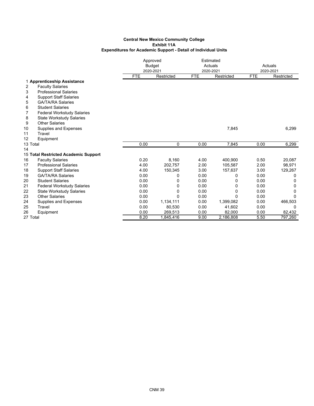|          |                                      |            | Approved<br><b>Budget</b><br>2020-2021 |            | Estimated<br>Actuals<br>2020-2021 | Actuals<br>2020-2021 |            |
|----------|--------------------------------------|------------|----------------------------------------|------------|-----------------------------------|----------------------|------------|
|          |                                      | <b>FTE</b> | Restricted                             | <b>FTE</b> | Restricted                        | <b>FTE</b>           | Restricted |
|          | 1 Apprenticeship Assistance          |            |                                        |            |                                   |                      |            |
| 2        | <b>Faculty Salaries</b>              |            |                                        |            |                                   |                      |            |
| 3        | <b>Professional Salaries</b>         |            |                                        |            |                                   |                      |            |
| 4        | <b>Support Staff Salaries</b>        |            |                                        |            |                                   |                      |            |
| 5        | <b>GA/TA/RA Salaries</b>             |            |                                        |            |                                   |                      |            |
| 6        | <b>Student Salaries</b>              |            |                                        |            |                                   |                      |            |
| 7        | <b>Federal Workstudy Salaries</b>    |            |                                        |            |                                   |                      |            |
| 8        | <b>State Workstudy Salaries</b>      |            |                                        |            |                                   |                      |            |
| 9        | <b>Other Salaries</b>                |            |                                        |            |                                   |                      |            |
| 10       | <b>Supplies and Expenses</b>         |            |                                        |            | 7,845                             |                      | 6,299      |
| 11       | Travel                               |            |                                        |            |                                   |                      |            |
| 12       | Equipment                            |            |                                        |            |                                   |                      |            |
| 13 Total |                                      | 0.00       | 0                                      | 0.00       | 7,845                             | 0.00                 | 6,299      |
| 14       |                                      |            |                                        |            |                                   |                      |            |
|          | 15 Total Restricted Academic Support |            |                                        |            |                                   |                      |            |
| 16       | <b>Faculty Salaries</b>              | 0.20       | 8,160                                  | 4.00       | 400.900                           | 0.50                 | 20,087     |
| 17       | <b>Professional Salaries</b>         | 4.00       | 202.757                                | 2.00       | 105.587                           | 2.00                 | 98,971     |
| 18       | <b>Support Staff Salaries</b>        | 4.00       | 150,345                                | 3.00       | 157,637                           | 3.00                 | 129,267    |
| 19       | <b>GA/TA/RA Salaries</b>             | 0.00       | 0                                      | 0.00       | 0                                 | 0.00                 | 0          |
| 20       | <b>Student Salaries</b>              | 0.00       | 0                                      | 0.00       | 0                                 | 0.00                 | $\Omega$   |
| 21       | <b>Federal Workstudy Salaries</b>    | 0.00       | 0                                      | 0.00       | 0                                 | 0.00                 | 0          |
| 22       | <b>State Workstudy Salaries</b>      | 0.00       | 0                                      | 0.00       | 0                                 | 0.00                 | 0          |
| 23       | <b>Other Salaries</b>                | 0.00       | 0                                      | 0.00       | 0                                 | 0.00                 | $\Omega$   |
| 24       | Supplies and Expenses                | 0.00       | 1,134,111                              | 0.00       | 1,399,082                         | 0.00                 | 466,503    |
| 25       | Travel                               | 0.00       | 80,530                                 | 0.00       | 41,602                            | 0.00                 | 0          |
| 26       | Equipment                            | 0.00       | 269,513                                | 0.00       | 82,000                            | 0.00                 | 82,432     |
| 27 Total |                                      | 8.20       | 1,845,416                              | 9.00       | 2,186,808                         | 5.50                 | 797,260    |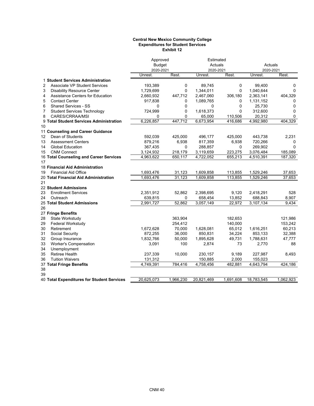#### **Central New Mexico Community College Expenditures for Student Services Exhibit 12**

|                |                                            | Approved      |           | Estimated  |           |            |             |
|----------------|--------------------------------------------|---------------|-----------|------------|-----------|------------|-------------|
|                |                                            | <b>Budget</b> |           | Actuals    |           | Actuals    |             |
|                |                                            | 2020-2021     |           | 2020-2021  |           | 2020-2021  |             |
|                |                                            | Unrest.       | Rest.     | Unrest.    | Rest.     | Unrest.    | Rest.       |
|                | 1 Student Services Administration          |               |           |            |           |            |             |
| 2              | <b>Associate VP Student Services</b>       | 193,389       | 0         | 89,745     | 0         | 99,400     | $\Omega$    |
| 3              | <b>Disability Resource Center</b>          | 1,729,699     | 0         | 1,344,011  | 0         | 1,040,644  | $\mathbf 0$ |
| 4              | Assistance Centers for Education           | 2,660,932     | 447,712   | 2,467,060  | 306,180   | 2,363,141  | 404,329     |
| 5              | <b>Contact Center</b>                      | 917,838       | 0         | 1,089,765  | 0         | 1,131,152  | 0           |
| 6              | <b>Shared Services - SS</b>                | 0             | 0         | 0          | 0         | 25,730     | $\Omega$    |
| $\overline{7}$ | <b>Student Services Technology</b>         | 724,999       | 0         | 1,618,373  | 0         | 312,600    | 0           |
| 8              | CARES/CRRAA/MSI                            | 0             | 0         | 65,000     | 110,506   | 20,312     | $\Omega$    |
|                | 9 Total Student Services Administration    | 6,226,857     | 447,712   | 6,673,954  | 416,686   | 4,992,980  | 404,329     |
| 10             |                                            |               |           |            |           |            |             |
|                | 11 Counseling and Career Guidance          |               |           |            |           |            |             |
| 12             | Dean of Students                           | 592,039       | 425,000   | 496,177    | 425,000   | 443,738    | 2,231       |
| 13             | <b>Assessment Centers</b>                  | 879,216       | 6,938     | 817,359    | 6,938     | 720,266    | 0           |
| 14             | <b>Global Education</b>                    | 367,435       | 0         | 288,857    | $\Omega$  | 269,902    | $\Omega$    |
| 15             | <b>CNM Connect</b>                         | 3,124,932     | 218,179   | 3,119,659  | 223,275   | 3,076,484  | 185,089     |
|                | 16 Total Counseling and Career Services    | 4,963,622     | 650,117   | 4,722,052  | 655,213   | 4,510,391  | 187,320     |
| 17             |                                            |               |           |            |           |            |             |
|                | 18 Financial Aid Administration            |               |           |            |           |            |             |
| 19             | <b>Financial Aid Office</b>                | 1,693,476     | 31,123    | 1,609,858  | 113,855   | 1,529,246  | 37,653      |
|                | 20 Total Financial Aid Administration      | 1,693,476     | 31,123    | 1,609,858  | 113,855   | 1,529,246  | 37,653      |
| 21             |                                            |               |           |            |           |            |             |
|                | 22 Student Admissions                      |               |           |            |           |            |             |
| 23             | <b>Enrollment Services</b>                 | 2,351,912     | 52,862    | 2,398,695  | 9,120     | 2,418,291  | 528         |
| 24             | Outreach                                   | 639,815       | 0         | 658,454    | 13,852    | 688,843    | 8,907       |
|                | 25 Total Student Admissions                | 2,991,727     | 52,862    | 3,057,149  | 22,972    | 3,107,134  | 9,434       |
| 26             |                                            |               |           |            |           |            |             |
|                | 27 Fringe Benefits                         |               |           |            |           |            |             |
| 28             | State Workstudy                            |               | 363,904   |            | 182,653   |            | 121,986     |
| 29             | <b>Federal Workstudy</b>                   |               | 254,412   |            | 140,000   |            | 153,242     |
| 30             | Retirement                                 | 1,672,628     | 70,000    | 1,628,081  | 65,012    | 1,616,251  | 60,213      |
| 31             | Social Security                            | 872,255       | 36,000    | 850,831    | 34,224    | 853,133    | 32,388      |
| 32             | Group Insurance                            | 1,832,766     | 50,000    | 1,895,628  | 49,731    | 1,788,631  | 47,777      |
| 33             | <b>Worker's Compensation</b>               | 3,091         | 100       | 2,874      | 73        | 2,770      | 88          |
| 34             | Unemployment                               |               |           |            |           |            |             |
| 35             | <b>Retiree Health</b>                      | 237,339       | 10,000    | 230,157    | 9,189     | 227,987    | 8,493       |
| 36             | <b>Tuition Waivers</b>                     | 131,312       |           | 150,885    | 2,000     | 155,023    |             |
|                | 37 Total Fringe Benefits                   | 4,749,391     | 784,416   | 4,758,456  | 482.881   | 4,643,794  | 424,186     |
| 38             |                                            |               |           |            |           |            |             |
| 39             |                                            |               |           |            |           |            |             |
|                | 40 Total Expenditures for Student Services | 20,625,073    | 1,966,230 | 20,821,469 | 1,691,608 | 18,783,545 | 1,062,923   |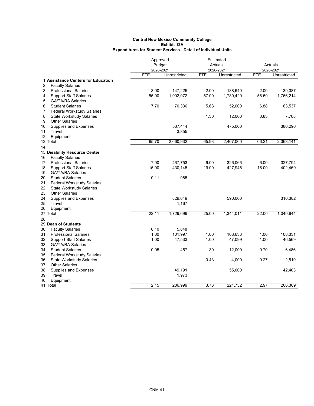|                                         | Approved      |              | Estimated  |              |            |              |
|-----------------------------------------|---------------|--------------|------------|--------------|------------|--------------|
|                                         | <b>Budget</b> |              |            | Actuals      |            | Actuals      |
|                                         | 2020-2021     |              |            | 2020-2021    |            | 2020-2021    |
|                                         | <b>FTE</b>    | Unrestricted | <b>FTE</b> | Unrestricted | <b>FTE</b> | Unrestricted |
| 1 Assistance Centers for Education      |               |              |            |              |            |              |
| <b>Faculty Salaries</b><br>2            |               |              |            |              |            |              |
| 3<br><b>Professional Salaries</b>       | 3.00          | 147,225      | 2.00       | 138,640      | 2.00       | 139,387      |
| 4<br><b>Support Staff Salaries</b>      | 55.00         | 1,902,072    | 57.00      | 1,789,420    | 56.50      | 1,766,214    |
| 5<br><b>GA/TA/RA Salaries</b>           |               |              |            |              |            |              |
| 6<br><b>Student Salaries</b>            | 7.70          | 70,336       | 5.63       | 52,000       | 6.88       | 63,537       |
| 7<br><b>Federal Workstudy Salaries</b>  |               |              |            |              |            |              |
| 8<br><b>State Workstudy Salaries</b>    |               |              | 1.30       | 12,000       | 0.83       | 7,708        |
| 9<br><b>Other Salaries</b>              |               |              |            |              |            |              |
| 10<br>Supplies and Expenses             |               | 537,444      |            | 475,000      |            | 386,296      |
| 11<br>Travel                            |               | 3,855        |            |              |            |              |
| 12<br>Equipment                         |               |              |            |              |            |              |
| 13 Total                                | 65.70         | 2,660,932    | 65.93      | 2,467,060    | 66.21      | 2,363,141    |
| 14                                      |               |              |            |              |            |              |
| 15 Disability Resource Center           |               |              |            |              |            |              |
| <b>Faculty Salaries</b><br>16           |               |              |            |              |            |              |
| 17<br><b>Professional Salaries</b>      | 7.00          | 467,753      | 6.00       | 326,066      | 6.00       | 327,794      |
| <b>Support Staff Salaries</b><br>18     | 15.00         | 430,145      | 19.00      | 427,945      | 16.00      | 402,469      |
| 19<br><b>GA/TA/RA Salaries</b>          |               |              |            |              |            |              |
| 20<br><b>Student Salaries</b>           | 0.11          | 985          |            |              |            |              |
| 21<br><b>Federal Workstudy Salaries</b> |               |              |            |              |            |              |
| 22<br><b>State Workstudy Salaries</b>   |               |              |            |              |            |              |
| 23<br><b>Other Salaries</b>             |               |              |            |              |            |              |
| 24<br>Supplies and Expenses             |               | 829,649      |            | 590,000      |            | 310,382      |
| 25<br>Travel                            |               | 1,167        |            |              |            |              |
| 26<br>Equipment                         |               |              |            |              |            |              |
| 27 Total                                | 22.11         | 1,729,699    | 25.00      | 1,344,011    | 22.00      | 1,040,644    |
| 28                                      |               |              |            |              |            |              |
| 29 Dean of Students                     |               |              |            |              |            |              |
| 30<br><b>Faculty Salaries</b>           | 0.10          | 5,848        |            |              |            |              |
| 31<br><b>Professional Salaries</b>      | 1.00          | 101,997      | 1.00       | 103,633      | 1.00       | 108,331      |
| 32<br><b>Support Staff Salaries</b>     | 1.00          | 47,533       | 1.00       | 47,099       | 1.00       | 46,569       |
| 33<br><b>GA/TA/RA Salaries</b>          |               |              |            |              |            |              |
| 34<br><b>Student Salaries</b>           | 0.05          | 457          | 1.30       | 12,000       | 0.70       | 6,486        |
| <b>Federal Workstudy Salaries</b><br>35 |               |              |            |              |            |              |
| 36<br><b>State Workstudy Salaries</b>   |               |              | 0.43       | 4,000        | 0.27       | 2,519        |
| 37<br><b>Other Salaries</b>             |               |              |            |              |            |              |
| 38<br>Supplies and Expenses             |               | 49,191       |            | 55,000       |            | 42,403       |
| 39<br>Travel                            |               | 1,973        |            |              |            |              |
| 40<br>Equipment                         |               |              |            |              |            |              |
| 41 Total                                | 2.15          | 206,999      | 3.73       | 221,732      | 2.97       | 206,309      |
|                                         |               |              |            |              |            |              |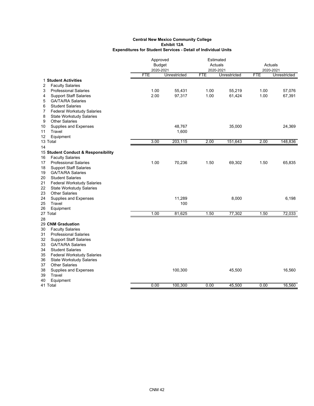|                                                               | Approved      |              | Estimated  |              |           |              |
|---------------------------------------------------------------|---------------|--------------|------------|--------------|-----------|--------------|
|                                                               | <b>Budget</b> |              |            | Actuals      | Actuals   |              |
|                                                               | 2020-2021     |              |            | 2020-2021    | 2020-2021 |              |
|                                                               | <b>FTE</b>    | Unrestricted | <b>FTE</b> | Unrestricted | FTE       | Unrestricted |
| 1 Student Activities                                          |               |              |            |              |           |              |
| <b>Faculty Salaries</b><br>2                                  |               |              |            |              |           |              |
| 3<br><b>Professional Salaries</b>                             | 1.00          | 55,431       | 1.00       | 55,219       | 1.00      | 57,076       |
| <b>Support Staff Salaries</b><br>4                            | 2.00          | 97,317       | 1.00       | 61,424       | 1.00      | 67,391       |
| 5<br><b>GA/TA/RA Salaries</b>                                 |               |              |            |              |           |              |
| 6<br><b>Student Salaries</b>                                  |               |              |            |              |           |              |
| $\overline{7}$<br><b>Federal Workstudy Salaries</b>           |               |              |            |              |           |              |
| 8<br><b>State Workstudy Salaries</b>                          |               |              |            |              |           |              |
| <b>Other Salaries</b><br>9                                    |               |              |            |              |           |              |
| 10<br>Supplies and Expenses                                   |               | 48,767       |            | 35,000       |           | 24,369       |
| Travel<br>11                                                  |               | 1,600        |            |              |           |              |
| 12<br>Equipment                                               |               |              |            |              |           |              |
| 13 Total                                                      | 3.00          | 203,115      | 2.00       | 151,643      | 2.00      | 148,836      |
| 14                                                            |               |              |            |              |           |              |
| 15 Student Conduct & Responsibility                           |               |              |            |              |           |              |
| <b>Faculty Salaries</b><br>16                                 |               |              |            |              |           |              |
| <b>Professional Salaries</b><br>17                            | 1.00          | 70,236       | 1.50       | 69,302       | 1.50      | 65,835       |
| <b>Support Staff Salaries</b><br>18                           |               |              |            |              |           |              |
| <b>GA/TA/RA Salaries</b><br>19                                |               |              |            |              |           |              |
| 20<br><b>Student Salaries</b>                                 |               |              |            |              |           |              |
| 21<br><b>Federal Workstudy Salaries</b>                       |               |              |            |              |           |              |
| 22<br><b>State Workstudy Salaries</b>                         |               |              |            |              |           |              |
| 23<br><b>Other Salaries</b>                                   |               |              |            |              |           |              |
| 24<br>Supplies and Expenses                                   |               | 11,289       |            | 8,000        |           | 6,198        |
| Travel<br>25                                                  |               | 100          |            |              |           |              |
| 26<br>Equipment<br>27 Total                                   | 1.00          | 81,625       | 1.50       | 77,302       | 1.50      | 72,033       |
|                                                               |               |              |            |              |           |              |
| 28<br>29 CNM Graduation                                       |               |              |            |              |           |              |
| 30                                                            |               |              |            |              |           |              |
| <b>Faculty Salaries</b><br><b>Professional Salaries</b><br>31 |               |              |            |              |           |              |
| 32<br><b>Support Staff Salaries</b>                           |               |              |            |              |           |              |
| 33<br><b>GA/TA/RA Salaries</b>                                |               |              |            |              |           |              |
| 34<br><b>Student Salaries</b>                                 |               |              |            |              |           |              |
| <b>Federal Workstudy Salaries</b><br>35                       |               |              |            |              |           |              |
| 36<br><b>State Workstudy Salaries</b>                         |               |              |            |              |           |              |
| 37<br><b>Other Salaries</b>                                   |               |              |            |              |           |              |
| 38<br>Supplies and Expenses                                   |               | 100,300      |            | 45,500       |           | 16,560       |
| 39<br>Travel                                                  |               |              |            |              |           |              |
| 40<br>Equipment                                               |               |              |            |              |           |              |
| 41 Total                                                      | 0.00          | 100,300      | 0.00       | 45,500       | 0.00      | 16,560       |
|                                                               |               |              |            |              |           |              |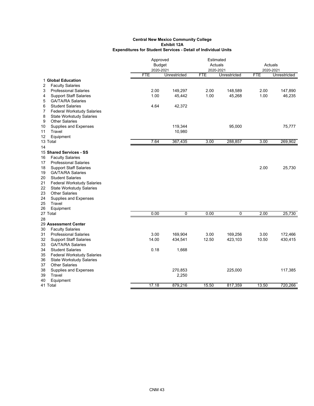|                                         | Approved      |              | Estimated  |              |            |              |
|-----------------------------------------|---------------|--------------|------------|--------------|------------|--------------|
|                                         | <b>Budget</b> |              |            | Actuals      |            | Actuals      |
|                                         | 2020-2021     |              |            | 2020-2021    | 2020-2021  |              |
|                                         | <b>FTE</b>    | Unrestricted | <b>FTE</b> | Unrestricted | <b>FTE</b> | Unrestricted |
| 1 Global Education                      |               |              |            |              |            |              |
| 2<br><b>Faculty Salaries</b>            |               |              |            |              |            |              |
| 3<br><b>Professional Salaries</b>       | 2.00          | 149,297      | 2.00       | 148,589      | 2.00       | 147,890      |
| 4<br><b>Support Staff Salaries</b>      | 1.00          | 45,442       | 1.00       | 45,268       | 1.00       | 46,235       |
| 5<br><b>GA/TA/RA Salaries</b>           |               |              |            |              |            |              |
| 6<br><b>Student Salaries</b>            | 4.64          | 42,372       |            |              |            |              |
| <b>Federal Workstudy Salaries</b><br>7  |               |              |            |              |            |              |
| 8<br><b>State Workstudy Salaries</b>    |               |              |            |              |            |              |
| 9<br><b>Other Salaries</b>              |               |              |            |              |            |              |
| 10<br>Supplies and Expenses             |               | 119,344      |            | 95,000       |            | 75,777       |
| 11<br>Travel                            |               | 10,980       |            |              |            |              |
| Equipment<br>12                         |               |              |            |              |            |              |
| 13 Total                                | 7.64          | 367,435      | 3.00       | 288,857      | 3.00       | 269,902      |
| 14                                      |               |              |            |              |            |              |
| 15 Shared Services - SS                 |               |              |            |              |            |              |
| <b>Faculty Salaries</b><br>16           |               |              |            |              |            |              |
| <b>Professional Salaries</b><br>17      |               |              |            |              |            |              |
| <b>Support Staff Salaries</b><br>18     |               |              |            |              | 2.00       | 25,730       |
| <b>GA/TA/RA Salaries</b><br>19          |               |              |            |              |            |              |
| 20<br><b>Student Salaries</b>           |               |              |            |              |            |              |
| 21<br><b>Federal Workstudy Salaries</b> |               |              |            |              |            |              |
| 22<br><b>State Workstudy Salaries</b>   |               |              |            |              |            |              |
| 23<br><b>Other Salaries</b>             |               |              |            |              |            |              |
| 24<br>Supplies and Expenses             |               |              |            |              |            |              |
| Travel<br>25                            |               |              |            |              |            |              |
| 26<br>Equipment                         |               |              |            |              |            |              |
| 27 Total                                | 0.00          | 0            | 0.00       | 0            | 2.00       | 25,730       |
| 28                                      |               |              |            |              |            |              |
| 29 Assessment Center                    |               |              |            |              |            |              |
| 30<br><b>Faculty Salaries</b>           |               |              |            |              |            |              |
| 31<br><b>Professional Salaries</b>      | 3.00          | 169,904      | 3.00       | 169,256      | 3.00       | 172,466      |
| 32<br><b>Support Staff Salaries</b>     | 14.00         | 434,541      | 12.50      | 423,103      | 10.50      | 430,415      |
| 33<br><b>GA/TA/RA Salaries</b>          |               |              |            |              |            |              |
| <b>Student Salaries</b><br>34           | 0.18          | 1,668        |            |              |            |              |
| 35<br><b>Federal Workstudy Salaries</b> |               |              |            |              |            |              |
| 36<br><b>State Workstudy Salaries</b>   |               |              |            |              |            |              |
| <b>Other Salaries</b><br>37             |               |              |            |              |            |              |
| 38<br>Supplies and Expenses             |               | 270,853      |            | 225,000      |            | 117,385      |
| Travel<br>39                            |               | 2,250        |            |              |            |              |
| 40<br>Equipment                         |               |              |            |              |            |              |
| 41 Total                                | 17.18         | 879,216      | 15.50      | 817,359      | 13.50      | 720,266      |
|                                         |               |              |            |              |            |              |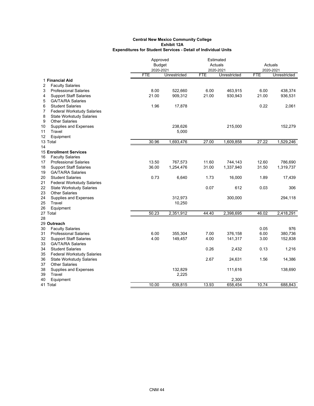|    |                                   | Approved      |              | Estimated  |              |           |              |
|----|-----------------------------------|---------------|--------------|------------|--------------|-----------|--------------|
|    |                                   | <b>Budget</b> |              |            | Actuals      |           | Actuals      |
|    |                                   | 2020-2021     |              |            | 2020-2021    | 2020-2021 |              |
|    |                                   | <b>FTE</b>    | Unrestricted | <b>FTE</b> | Unrestricted | FTE       | Unrestricted |
|    | 1 Financial Aid                   |               |              |            |              |           |              |
| 2  | <b>Faculty Salaries</b>           |               |              |            |              |           |              |
| 3  | <b>Professional Salaries</b>      | 8.00          | 522,660      | 6.00       | 463,915      | 6.00      | 438,374      |
| 4  | <b>Support Staff Salaries</b>     | 21.00         | 909,312      | 21.00      | 930,943      | 21.00     | 936,531      |
| 5  | <b>GA/TA/RA Salaries</b>          |               |              |            |              |           |              |
| 6  | <b>Student Salaries</b>           | 1.96          | 17,878       |            |              | 0.22      | 2,061        |
| 7  | <b>Federal Workstudy Salaries</b> |               |              |            |              |           |              |
| 8  | <b>State Workstudy Salaries</b>   |               |              |            |              |           |              |
| 9  | <b>Other Salaries</b>             |               |              |            |              |           |              |
| 10 | Supplies and Expenses             |               | 238,626      |            | 215,000      |           | 152,279      |
| 11 | Travel                            |               | 5,000        |            |              |           |              |
| 12 | Equipment                         |               |              |            |              |           |              |
|    | 13 Total                          | 30.96         | 1,693,476    | 27.00      | 1,609,858    | 27.22     | 1,529,246    |
| 14 |                                   |               |              |            |              |           |              |
|    | <b>15 Enrollment Services</b>     |               |              |            |              |           |              |
| 16 | <b>Faculty Salaries</b>           |               |              |            |              |           |              |
| 17 | <b>Professional Salaries</b>      | 13.50         | 767,573      | 11.60      | 744,143      | 12.60     | 786,690      |
| 18 | <b>Support Staff Salaries</b>     | 36.00         | 1,254,476    | 31.00      | 1,337,940    | 31.50     | 1,319,737    |
| 19 | <b>GA/TA/RA Salaries</b>          |               |              |            |              |           |              |
| 20 | <b>Student Salaries</b>           | 0.73          | 6,640        | 1.73       | 16,000       | 1.89      | 17,439       |
| 21 | <b>Federal Workstudy Salaries</b> |               |              |            |              |           |              |
| 22 | <b>State Workstudy Salaries</b>   |               |              | 0.07       | 612          | 0.03      | 306          |
| 23 | <b>Other Salaries</b>             |               |              |            |              |           |              |
| 24 | Supplies and Expenses             |               | 312,973      |            | 300,000      |           | 294,118      |
| 25 | Travel                            |               | 10,250       |            |              |           |              |
| 26 | Equipment                         |               |              |            |              |           |              |
|    | 27 Total                          | 50.23         | 2,351,912    | 44.40      | 2,398,695    | 46.02     | 2,418,291    |
| 28 |                                   |               |              |            |              |           |              |
|    | 29 Outreach                       |               |              |            |              |           |              |
| 30 | <b>Faculty Salaries</b>           |               |              |            |              | 0.05      | 976          |
| 31 | <b>Professional Salaries</b>      | 6.00          | 355,304      | 7.00       | 376,158      | 6.00      | 380,736      |
| 32 | <b>Support Staff Salaries</b>     | 4.00          | 149,457      | 4.00       | 141,317      | 3.00      | 152,838      |
| 33 | <b>GA/TA/RA Salaries</b>          |               |              |            |              |           |              |
| 34 | <b>Student Salaries</b>           |               |              | 0.26       | 2,432        | 0.13      | 1,216        |
| 35 | <b>Federal Workstudy Salaries</b> |               |              |            |              |           |              |
| 36 | <b>State Workstudy Salaries</b>   |               |              | 2.67       | 24,631       | 1.56      | 14,386       |
| 37 | <b>Other Salaries</b>             |               |              |            |              |           |              |
| 38 | Supplies and Expenses             |               | 132,829      |            | 111,616      |           | 138,690      |
| 39 | Travel                            |               | 2,225        |            |              |           |              |
| 40 | Equipment                         |               |              |            | 2,300        |           |              |
|    | 41 Total                          | 10.00         | 639,815      | 13.93      | 658,454      | 10.74     | 688,843      |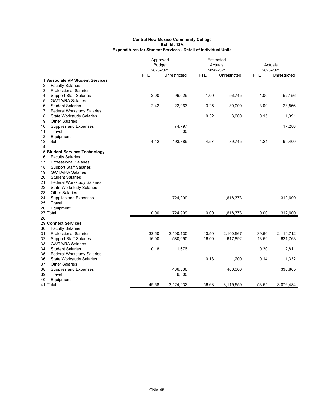|                |                                                     | Approved      |              | Estimated  |              |            |              |
|----------------|-----------------------------------------------------|---------------|--------------|------------|--------------|------------|--------------|
|                |                                                     | <b>Budget</b> |              |            | Actuals      | Actuals    |              |
|                |                                                     | 2020-2021     |              | 2020-2021  |              | 2020-2021  |              |
|                |                                                     | <b>FTE</b>    | Unrestricted | <b>FTE</b> | Unrestricted | <b>FTE</b> | Unrestricted |
|                | 1 Associate VP Student Services                     |               |              |            |              |            |              |
| 2              | <b>Faculty Salaries</b>                             |               |              |            |              |            |              |
| 3              | <b>Professional Salaries</b>                        |               |              |            |              |            |              |
| 4              | <b>Support Staff Salaries</b>                       | 2.00          | 96,029       | 1.00       | 56,745       | 1.00       | 52,156       |
| 5              | <b>GA/TA/RA Salaries</b>                            |               |              |            |              |            |              |
| 6              | <b>Student Salaries</b>                             | 2.42          | 22,063       | 3.25       | 30,000       | 3.09       | 28,566       |
| $\overline{7}$ | <b>Federal Workstudy Salaries</b>                   |               |              |            |              |            |              |
| 8              | <b>State Workstudy Salaries</b>                     |               |              | 0.32       | 3,000        | 0.15       | 1,391        |
| 9              | <b>Other Salaries</b>                               |               |              |            |              |            |              |
| 10             | Supplies and Expenses                               |               | 74,797       |            |              |            | 17,288       |
| 11             | Travel                                              |               | 500          |            |              |            |              |
| 12             | Equipment                                           |               |              |            |              |            |              |
|                | 13 Total                                            | 4.42          | 193,389      | 4.57       | 89,745       | 4.24       | 99,400       |
| 14             |                                                     |               |              |            |              |            |              |
|                | 15 Student Services Technology                      |               |              |            |              |            |              |
| 16             | <b>Faculty Salaries</b>                             |               |              |            |              |            |              |
| 17             | <b>Professional Salaries</b>                        |               |              |            |              |            |              |
| 18             | <b>Support Staff Salaries</b>                       |               |              |            |              |            |              |
| 19             | <b>GA/TA/RA Salaries</b>                            |               |              |            |              |            |              |
| 20             | <b>Student Salaries</b>                             |               |              |            |              |            |              |
| 21             | <b>Federal Workstudy Salaries</b>                   |               |              |            |              |            |              |
| 22             | <b>State Workstudy Salaries</b>                     |               |              |            |              |            |              |
| 23             | <b>Other Salaries</b>                               |               |              |            |              |            |              |
| 24             | Supplies and Expenses                               |               | 724,999      |            | 1,618,373    |            | 312,600      |
| 25             | Travel                                              |               |              |            |              |            |              |
| 26             | Equipment                                           |               |              |            |              |            |              |
|                | 27 Total                                            | 0.00          | 724,999      | 0.00       | 1,618,373    | 0.00       | 312,600      |
| 28             |                                                     |               |              |            |              |            |              |
|                | 29 Connect Services                                 |               |              |            |              |            |              |
| 30             | <b>Faculty Salaries</b>                             | 33.50         |              | 40.50      |              | 39.60      |              |
| 31<br>32       | <b>Professional Salaries</b>                        |               | 2,100,130    |            | 2,100,567    |            | 2,119,712    |
| 33             | <b>Support Staff Salaries</b>                       | 16.00         | 580,090      | 16.00      | 617,892      | 13.50      | 621,763      |
| 34             | <b>GA/TA/RA Salaries</b><br><b>Student Salaries</b> | 0.18          | 1,676        |            |              | 0.30       | 2,811        |
|                |                                                     |               |              |            |              |            |              |
| 35             | <b>Federal Workstudy Salaries</b>                   |               |              | 0.13       |              | 0.14       |              |
| 36             | <b>State Workstudy Salaries</b>                     |               |              |            | 1,200        |            | 1,332        |
| 37             | <b>Other Salaries</b>                               |               |              |            |              |            |              |
| 38<br>39       | Supplies and Expenses<br>Travel                     |               | 436,536      |            | 400,000      |            | 330,865      |
|                |                                                     |               | 6,500        |            |              |            |              |
| 40             | Equipment                                           | 49.68         |              | 56.63      |              |            |              |
|                | 41 Total                                            |               | 3,124,932    |            | 3,119,659    | 53.55      | 3,076,484    |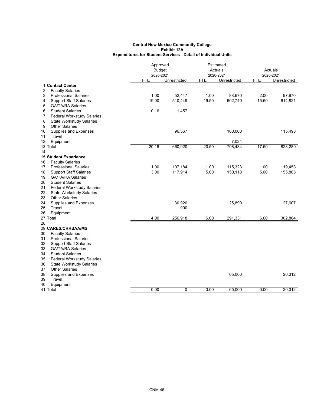|          |                                   | Approved      |              | Estimated  |              |            |              |
|----------|-----------------------------------|---------------|--------------|------------|--------------|------------|--------------|
|          |                                   | <b>Budget</b> |              |            | Actuals      | Actuals    |              |
|          |                                   | 2020-2021     |              |            | 2020-2021    |            | 2020-2021    |
|          |                                   | <b>FTE</b>    | Unrestricted | <b>FTE</b> | Unrestricted | <b>FTE</b> | Unrestricted |
|          | 1 Contact Center                  |               |              |            |              |            |              |
| 2        | <b>Faculty Salaries</b>           |               |              |            |              |            |              |
| 3        | <b>Professional Salaries</b>      | 1.00          | 52,447       | 1.00       | 88,670       | 2.00       | 97,970       |
| 4        | <b>Support Staff Salaries</b>     | 19.00         | 510,449      | 19.50      | 602,740      | 15.50      | 614,821      |
| 5        | <b>GA/TA/RA Salaries</b>          |               |              |            |              |            |              |
| 6        | <b>Student Salaries</b>           | 0.16          | 1,457        |            |              |            |              |
| 7        | <b>Federal Workstudy Salaries</b> |               |              |            |              |            |              |
| 8        | <b>State Workstudy Salaries</b>   |               |              |            |              |            |              |
| 9        | <b>Other Salaries</b>             |               |              |            |              |            |              |
| 10       | Supplies and Expenses             |               | 96,567       |            | 100,000      |            | 115,498      |
| 11       | Travel                            |               |              |            |              |            |              |
| 12       | Equipment                         |               |              |            | 7,024        |            |              |
|          | 13 Total                          | 20.16         | 660,920      | 20.50      | 798,434      | 17.50      | 828,289      |
| 14       |                                   |               |              |            |              |            |              |
|          | 15 Student Experience             |               |              |            |              |            |              |
| 16       | <b>Faculty Salaries</b>           |               |              |            |              |            |              |
| 17       | <b>Professional Salaries</b>      | 1.00          | 107,184      | 1.00       | 115,323      | 1.00       | 119,453      |
| 18       | <b>Support Staff Salaries</b>     | 3.00          | 117,914      | 5.00       | 150,118      | 5.00       | 155,803      |
| 19       | <b>GA/TA/RA Salaries</b>          |               |              |            |              |            |              |
| 20       | <b>Student Salaries</b>           |               |              |            |              |            |              |
| 21       | <b>Federal Workstudy Salaries</b> |               |              |            |              |            |              |
| 22       | <b>State Workstudy Salaries</b>   |               |              |            |              |            |              |
| 23       | <b>Other Salaries</b>             |               |              |            |              |            |              |
| 24       | Supplies and Expenses             |               | 30,920       |            | 25,890       |            | 27,607       |
| 25<br>26 | Travel                            |               | 900          |            |              |            |              |
|          | Equipment                         | 4.00          |              |            |              |            |              |
| 28       | 27 Total                          |               | 256,918      | 6.00       | 291,331      | 6.00       | 302,864      |
|          | 29 CARES/CRRSAA/MSI               |               |              |            |              |            |              |
| 30       | <b>Faculty Salaries</b>           |               |              |            |              |            |              |
| 31       | <b>Professional Salaries</b>      |               |              |            |              |            |              |
| 32       | <b>Support Staff Salaries</b>     |               |              |            |              |            |              |
| 33       | <b>GA/TA/RA Salaries</b>          |               |              |            |              |            |              |
| 34       | <b>Student Salaries</b>           |               |              |            |              |            |              |
| 35       | <b>Federal Workstudy Salaries</b> |               |              |            |              |            |              |
| 36       | <b>State Workstudy Salaries</b>   |               |              |            |              |            |              |
| 37       | <b>Other Salaries</b>             |               |              |            |              |            |              |
| 38       | Supplies and Expenses             |               |              |            | 65,000       |            | 20,312       |
| 39       | Travel                            |               |              |            |              |            |              |
| 40       | Equipment                         |               |              |            |              |            |              |
|          | 41 Total                          | 0.00          | 0            | 0.00       | 65,000       | 0.00       | 20,312       |
|          |                                   |               |              |            |              |            |              |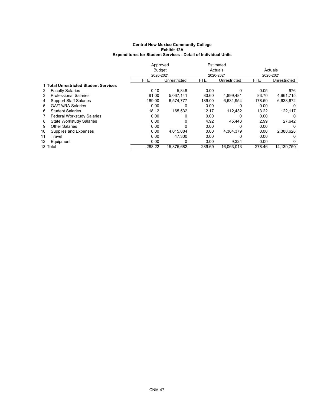|    |                                       | Approved      |              |            | Estimated    |            |              |
|----|---------------------------------------|---------------|--------------|------------|--------------|------------|--------------|
|    |                                       | <b>Budget</b> |              |            | Actuals      |            | Actuals      |
|    |                                       |               | 2020-2021    |            | 2020-2021    | 2020-2021  |              |
|    |                                       | <b>FTE</b>    | Unrestricted | <b>FTE</b> | Unrestricted | <b>FTE</b> | Unrestricted |
|    | 1 Total Unrestricted Student Services |               |              |            |              |            |              |
| 2  | <b>Faculty Salaries</b>               | 0.10          | 5.848        | 0.00       | 0            | 0.05       | 976          |
| 3  | <b>Professional Salaries</b>          | 81.00         | 5,067,141    | 83.60      | 4,899,481    | 83.70      | 4,961,715    |
| 4  | <b>Support Staff Salaries</b>         | 189.00        | 6.574.777    | 189.00     | 6.631.954    | 178.50     | 6,638,672    |
| 5. | <b>GA/TA/RA Salaries</b>              | 0.00          |              | 0.00       |              | 0.00       |              |
| 6  | <b>Student Salaries</b>               | 18.12         | 165.532      | 12.17      | 112.432      | 13.22      | 122,117      |
| 7  | <b>Federal Workstudy Salaries</b>     | 0.00          |              | 0.00       | 0            | 0.00       | 0            |
| 8  | <b>State Workstudy Salaries</b>       | 0.00          | 0            | 4.92       | 45.443       | 2.99       | 27,642       |
| 9  | <b>Other Salaries</b>                 | 0.00          | O            | 0.00       | 0            | 0.00       | 0            |
| 10 | Supplies and Expenses                 | 0.00          | 4,015,084    | 0.00       | 4.364.379    | 0.00       | 2,388,628    |
| 11 | Travel                                | 0.00          | 47.300       | 0.00       | 0            | 0.00       | 0            |
| 12 | Equipment                             | 0.00          | 0            | 0.00       | 9,324        | 0.00       | 0            |
|    | 13 Total                              | 288.22        | 15,875,682   | 289.69     | 16.063.013   | 278.46     | 14.139.750   |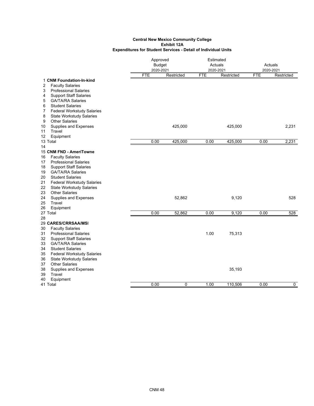|                                                                     | Approved<br><b>Budget</b> |            |            | Estimated<br>Actuals |            | Actuals     |
|---------------------------------------------------------------------|---------------------------|------------|------------|----------------------|------------|-------------|
|                                                                     | 2020-2021                 |            | 2020-2021  |                      |            | 2020-2021   |
|                                                                     | <b>FTE</b>                | Restricted | <b>FTE</b> | Restricted           | <b>FTE</b> | Restricted  |
| 1 CNM Foundation-In-kind                                            |                           |            |            |                      |            |             |
| 2<br><b>Faculty Salaries</b>                                        |                           |            |            |                      |            |             |
| 3<br><b>Professional Salaries</b>                                   |                           |            |            |                      |            |             |
| <b>Support Staff Salaries</b><br>4                                  |                           |            |            |                      |            |             |
| <b>GA/TA/RA Salaries</b><br>5                                       |                           |            |            |                      |            |             |
| <b>Student Salaries</b><br>6                                        |                           |            |            |                      |            |             |
| 7<br><b>Federal Workstudy Salaries</b>                              |                           |            |            |                      |            |             |
| 8<br><b>State Workstudy Salaries</b>                                |                           |            |            |                      |            |             |
| <b>Other Salaries</b><br>9                                          |                           |            |            |                      |            |             |
| Supplies and Expenses<br>10                                         |                           | 425,000    |            | 425,000              |            | 2,231       |
| Travel<br>11                                                        |                           |            |            |                      |            |             |
| Equipment<br>12                                                     |                           |            |            |                      |            |             |
| 13 Total                                                            | 0.00                      | 425,000    | 0.00       | 425,000              | 0.00       | 2,231       |
| 14                                                                  |                           |            |            |                      |            |             |
| 15 CNM FND - AmeriTowne                                             |                           |            |            |                      |            |             |
| <b>Faculty Salaries</b><br>16<br><b>Professional Salaries</b><br>17 |                           |            |            |                      |            |             |
| <b>Support Staff Salaries</b><br>18                                 |                           |            |            |                      |            |             |
| <b>GA/TA/RA Salaries</b><br>19                                      |                           |            |            |                      |            |             |
| <b>Student Salaries</b><br>20                                       |                           |            |            |                      |            |             |
| <b>Federal Workstudy Salaries</b><br>21                             |                           |            |            |                      |            |             |
| 22<br><b>State Workstudy Salaries</b>                               |                           |            |            |                      |            |             |
| 23<br><b>Other Salaries</b>                                         |                           |            |            |                      |            |             |
| Supplies and Expenses<br>24                                         |                           | 52,862     |            | 9,120                |            | 528         |
| 25<br>Travel                                                        |                           |            |            |                      |            |             |
| Equipment<br>26                                                     |                           |            |            |                      |            |             |
| 27 Total                                                            | 0.00                      | 52,862     | 0.00       | 9,120                | 0.00       | 528         |
| 28                                                                  |                           |            |            |                      |            |             |
| 29 CARES/CRRSAA/MSI                                                 |                           |            |            |                      |            |             |
| <b>Faculty Salaries</b><br>30                                       |                           |            |            |                      |            |             |
| 31<br><b>Professional Salaries</b>                                  |                           |            | 1.00       | 75,313               |            |             |
| <b>Support Staff Salaries</b><br>32                                 |                           |            |            |                      |            |             |
| 33<br><b>GA/TA/RA Salaries</b>                                      |                           |            |            |                      |            |             |
| 34<br><b>Student Salaries</b>                                       |                           |            |            |                      |            |             |
| <b>Federal Workstudy Salaries</b><br>35                             |                           |            |            |                      |            |             |
| 36<br><b>State Workstudy Salaries</b>                               |                           |            |            |                      |            |             |
| <b>Other Salaries</b><br>37                                         |                           |            |            |                      |            |             |
| Supplies and Expenses<br>38                                         |                           |            |            | 35,193               |            |             |
| 39<br>Travel                                                        |                           |            |            |                      |            |             |
| Equipment<br>40                                                     |                           |            |            |                      |            |             |
| 41 Total                                                            | 0.00                      | 0          | 1.00       | 110,506              | 0.00       | $\mathbf 0$ |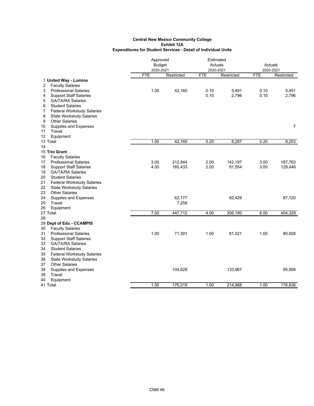|    |                                   |               | Approved   |            | Estimated  |            |                |
|----|-----------------------------------|---------------|------------|------------|------------|------------|----------------|
|    |                                   | <b>Budget</b> |            | Actuals    |            | Actuals    |                |
|    |                                   | 2020-2021     |            | 2020-2021  |            | 2020-2021  |                |
|    |                                   | <b>FTE</b>    | Restricted | <b>FTE</b> | Restricted | <b>FTE</b> | Restricted     |
|    | 1 United Way - Lumina             |               |            |            |            |            |                |
| 2  | <b>Faculty Salaries</b>           |               |            |            |            |            |                |
| 3  | <b>Professional Salaries</b>      | 1.00          | 42,160     | 0.10       | 5,491      | 0.10       | 5,451          |
| 4  | <b>Support Staff Salaries</b>     |               |            | 0.10       | 2,796      | 0.10       | 2,796          |
| 5  | <b>GA/TA/RA Salaries</b>          |               |            |            |            |            |                |
| 6  | <b>Student Salaries</b>           |               |            |            |            |            |                |
| 7  | Federal Workstudy Salaries        |               |            |            |            |            |                |
| 8  | <b>State Workstudy Salaries</b>   |               |            |            |            |            |                |
| 9  | <b>Other Salaries</b>             |               |            |            |            |            |                |
| 10 | Supplies and Expenses             |               |            |            |            |            | $\overline{7}$ |
| 11 | Travel                            |               |            |            |            |            |                |
| 12 | Equipment                         |               |            |            |            |            |                |
|    | 13 Total                          | 1.00          | 42,160     | 0.20       | 8,287      | 0.20       | 8,253          |
| 14 |                                   |               |            |            |            |            |                |
|    | 15 Trio Grant                     |               |            |            |            |            |                |
| 16 | <b>Faculty Salaries</b>           |               |            |            |            |            |                |
| 17 | <b>Professional Salaries</b>      | 3.00          | 212,844    | 2.00       | 142,197    | 3.00       | 187,763        |
| 18 | <b>Support Staff Salaries</b>     | 4.00          | 165,433    | 2.00       | 81,554     | 3.00       | 129,446        |
| 19 | <b>GA/TA/RA Salaries</b>          |               |            |            |            |            |                |
| 20 | <b>Student Salaries</b>           |               |            |            |            |            |                |
| 21 | <b>Federal Workstudy Salaries</b> |               |            |            |            |            |                |
| 22 | <b>State Workstudy Salaries</b>   |               |            |            |            |            |                |
| 23 | <b>Other Salaries</b>             |               |            |            |            |            |                |
| 24 | Supplies and Expenses             |               | 62,177     |            | 82,429     |            | 87,120         |
| 25 | Travel                            |               | 7,258      |            |            |            |                |
| 26 | Equipment                         |               |            |            |            |            |                |
|    | 27 Total                          | 7.00          | 447,712    | 4.00       | 306,180    | 6.00       | 404,329        |
| 28 |                                   |               |            |            |            |            |                |
|    | 29 Dept of Edu - CCAMPIS          |               |            |            |            |            |                |
| 30 | <b>Faculty Salaries</b>           |               |            |            |            |            |                |
| 31 | <b>Professional Salaries</b>      | 1.00          | 71,391     | 1.00       | 81,021     | 1.00       | 80,928         |
| 32 | <b>Support Staff Salaries</b>     |               |            |            |            |            |                |
| 33 | <b>GA/TA/RA Salaries</b>          |               |            |            |            |            |                |
| 34 | <b>Student Salaries</b>           |               |            |            |            |            |                |
| 35 | <b>Federal Workstudy Salaries</b> |               |            |            |            |            |                |
| 36 | <b>State Workstudy Salaries</b>   |               |            |            |            |            |                |
| 37 | <b>Other Salaries</b>             |               |            |            |            |            |                |
| 38 | Supplies and Expenses             |               | 104,628    |            | 133,967    |            | 95,908         |
| 39 | Travel                            |               |            |            |            |            |                |
| 40 | Equipment                         |               |            |            |            |            |                |
|    | 41 Total                          | 1.00          | 176,019    | 1.00       | 214,988    | 1.00       | 176,836        |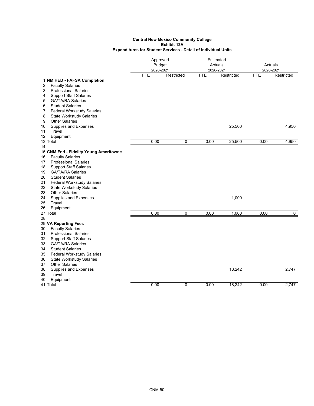|                                                               |            | Approved<br><b>Budget</b> |            | Estimated<br>Actuals |            | Actuals    |  |
|---------------------------------------------------------------|------------|---------------------------|------------|----------------------|------------|------------|--|
|                                                               | 2020-2021  |                           |            | 2020-2021            |            | 2020-2021  |  |
|                                                               | <b>FTE</b> | Restricted                | <b>FTE</b> | Restricted           | <b>FTE</b> | Restricted |  |
| 1 NM HED - FAFSA Completion                                   |            |                           |            |                      |            |            |  |
| <b>Faculty Salaries</b><br>2                                  |            |                           |            |                      |            |            |  |
| 3<br><b>Professional Salaries</b>                             |            |                           |            |                      |            |            |  |
| <b>Support Staff Salaries</b><br>4                            |            |                           |            |                      |            |            |  |
| 5<br><b>GA/TA/RA Salaries</b><br>6<br><b>Student Salaries</b> |            |                           |            |                      |            |            |  |
| 7<br><b>Federal Workstudy Salaries</b>                        |            |                           |            |                      |            |            |  |
| 8<br><b>State Workstudy Salaries</b>                          |            |                           |            |                      |            |            |  |
| <b>Other Salaries</b><br>9                                    |            |                           |            |                      |            |            |  |
| Supplies and Expenses<br>10                                   |            |                           |            | 25,500               |            | 4,950      |  |
| Travel<br>11                                                  |            |                           |            |                      |            |            |  |
| 12<br>Equipment                                               |            |                           |            |                      |            |            |  |
| 13 Total                                                      | 0.00       | 0                         | 0.00       | 25,500               | 0.00       | 4,950      |  |
| 14                                                            |            |                           |            |                      |            |            |  |
| 15 CNM Fnd - Fidelity Young Ameritowne                        |            |                           |            |                      |            |            |  |
| <b>Faculty Salaries</b><br>16                                 |            |                           |            |                      |            |            |  |
| <b>Professional Salaries</b><br>17                            |            |                           |            |                      |            |            |  |
| <b>Support Staff Salaries</b><br>18                           |            |                           |            |                      |            |            |  |
| <b>GA/TA/RA Salaries</b><br>19                                |            |                           |            |                      |            |            |  |
| 20<br><b>Student Salaries</b>                                 |            |                           |            |                      |            |            |  |
| 21<br><b>Federal Workstudy Salaries</b>                       |            |                           |            |                      |            |            |  |
| 22<br><b>State Workstudy Salaries</b>                         |            |                           |            |                      |            |            |  |
| <b>Other Salaries</b><br>23                                   |            |                           |            |                      |            |            |  |
| 24<br>Supplies and Expenses                                   |            |                           |            | 1,000                |            |            |  |
| 25<br>Travel                                                  |            |                           |            |                      |            |            |  |
| Equipment<br>26                                               |            |                           |            |                      |            |            |  |
| 27 Total                                                      | 0.00       | 0                         | 0.00       | 1,000                | 0.00       | 0          |  |
| 28                                                            |            |                           |            |                      |            |            |  |
| 29 VA Reporting Fees                                          |            |                           |            |                      |            |            |  |
| 30<br><b>Faculty Salaries</b>                                 |            |                           |            |                      |            |            |  |
| <b>Professional Salaries</b><br>31                            |            |                           |            |                      |            |            |  |
| <b>Support Staff Salaries</b><br>32                           |            |                           |            |                      |            |            |  |
| 33<br><b>GA/TA/RA Salaries</b>                                |            |                           |            |                      |            |            |  |
| <b>Student Salaries</b><br>34                                 |            |                           |            |                      |            |            |  |
| <b>Federal Workstudy Salaries</b><br>35                       |            |                           |            |                      |            |            |  |
| <b>State Workstudy Salaries</b><br>36                         |            |                           |            |                      |            |            |  |
| 37<br><b>Other Salaries</b>                                   |            |                           |            |                      |            |            |  |
| Supplies and Expenses<br>38                                   |            |                           |            | 18,242               |            | 2,747      |  |
| Travel<br>39<br>Equipment<br>40                               |            |                           |            |                      |            |            |  |
| 41 Total                                                      | 0.00       | 0                         | 0.00       | 18,242               | 0.00       | 2,747      |  |
|                                                               |            |                           |            |                      |            |            |  |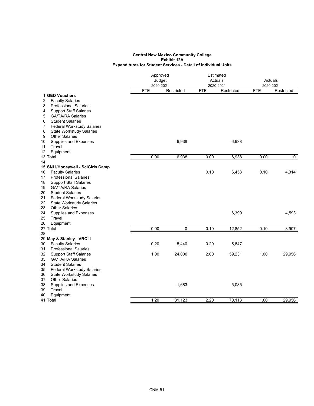|          |                                                         | Approved      |            | Estimated  |            |            |            |  |
|----------|---------------------------------------------------------|---------------|------------|------------|------------|------------|------------|--|
|          |                                                         | <b>Budget</b> |            |            | Actuals    |            | Actuals    |  |
|          |                                                         | 2020-2021     |            |            | 2020-2021  |            | 2020-2021  |  |
|          |                                                         | <b>FTE</b>    | Restricted | <b>FTE</b> | Restricted | <b>FTE</b> | Restricted |  |
|          | 1 GED Vouchers                                          |               |            |            |            |            |            |  |
| 2        | <b>Faculty Salaries</b>                                 |               |            |            |            |            |            |  |
| 3        | <b>Professional Salaries</b>                            |               |            |            |            |            |            |  |
| 4        | <b>Support Staff Salaries</b>                           |               |            |            |            |            |            |  |
| 5        | <b>GA/TA/RA Salaries</b>                                |               |            |            |            |            |            |  |
| 6        | <b>Student Salaries</b>                                 |               |            |            |            |            |            |  |
| 7        | <b>Federal Workstudy Salaries</b>                       |               |            |            |            |            |            |  |
| 8        | <b>State Workstudy Salaries</b>                         |               |            |            |            |            |            |  |
| 9        | <b>Other Salaries</b>                                   |               |            |            |            |            |            |  |
| 10       | Supplies and Expenses                                   |               | 6,938      |            | 6,938      |            |            |  |
| 11       | Travel                                                  |               |            |            |            |            |            |  |
| 12       | Equipment                                               |               |            |            |            |            |            |  |
|          | 13 Total                                                | 0.00          | 6,938      | 0.00       | 6,938      | 0.00       | 0          |  |
| 14       |                                                         |               |            |            |            |            |            |  |
|          | 15 SNLI/Honeywell - SciGirls Camp                       |               |            | 0.10       |            |            |            |  |
| 16<br>17 | <b>Faculty Salaries</b><br><b>Professional Salaries</b> |               |            |            | 6,453      | 0.10       | 4,314      |  |
| 18       | <b>Support Staff Salaries</b>                           |               |            |            |            |            |            |  |
| 19       | <b>GA/TA/RA Salaries</b>                                |               |            |            |            |            |            |  |
| 20       | <b>Student Salaries</b>                                 |               |            |            |            |            |            |  |
| 21       | <b>Federal Workstudy Salaries</b>                       |               |            |            |            |            |            |  |
| 22       | <b>State Workstudy Salaries</b>                         |               |            |            |            |            |            |  |
| 23       | <b>Other Salaries</b>                                   |               |            |            |            |            |            |  |
| 24       | Supplies and Expenses                                   |               |            |            | 6,399      |            | 4,593      |  |
| 25       | Travel                                                  |               |            |            |            |            |            |  |
| 26       | Equipment                                               |               |            |            |            |            |            |  |
|          | 27 Total                                                | 0.00          | 0          | 0.10       | 12,852     | 0.10       | 8,907      |  |
| 28       |                                                         |               |            |            |            |            |            |  |
|          | 29 May & Stanley - VRC II                               |               |            |            |            |            |            |  |
| 30       | <b>Faculty Salaries</b>                                 | 0.20          | 5,440      | 0.20       | 5,847      |            |            |  |
| 31       | <b>Professional Salaries</b>                            |               |            |            |            |            |            |  |
| 32       | <b>Support Staff Salaries</b>                           | 1.00          | 24,000     | 2.00       | 59,231     | 1.00       | 29,956     |  |
| 33       | <b>GA/TA/RA Salaries</b>                                |               |            |            |            |            |            |  |
| 34       | <b>Student Salaries</b>                                 |               |            |            |            |            |            |  |
| 35       | <b>Federal Workstudy Salaries</b>                       |               |            |            |            |            |            |  |
| 36       | <b>State Workstudy Salaries</b>                         |               |            |            |            |            |            |  |
| 37       | <b>Other Salaries</b>                                   |               |            |            |            |            |            |  |
| 38       | Supplies and Expenses                                   |               | 1,683      |            | 5,035      |            |            |  |
| 39       | Travel                                                  |               |            |            |            |            |            |  |
| 40       | Equipment                                               |               |            |            |            |            |            |  |
|          | 41 Total                                                | 1.20          | 31,123     | 2.20       | 70,113     | 1.00       | 29,956     |  |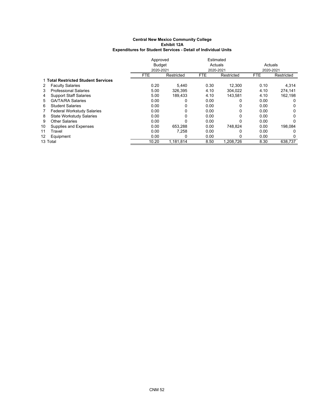|    |                                     | Approved      |            | Estimated |            |            |            |
|----|-------------------------------------|---------------|------------|-----------|------------|------------|------------|
|    |                                     | <b>Budget</b> |            | Actuals   |            | Actuals    |            |
|    |                                     |               | 2020-2021  |           | 2020-2021  | 2020-2021  |            |
|    |                                     | <b>FTE</b>    | Restricted | FTE.      | Restricted | <b>FTE</b> | Restricted |
|    | 1 Total Restricted Student Services |               |            |           |            |            |            |
| 2  | <b>Faculty Salaries</b>             | 0.20          | 5.440      | 0.30      | 12.300     | 0.10       | 4,314      |
| 3  | <b>Professional Salaries</b>        | 5.00          | 326.395    | 4.10      | 304,022    | 4.10       | 274,141    |
| 4  | <b>Support Staff Salaries</b>       | 5.00          | 189.433    | 4.10      | 143.581    | 4.10       | 162,198    |
| 5. | <b>GA/TA/RA Salaries</b>            | 0.00          | 0          | 0.00      | 0          | 0.00       | 0          |
| 6  | <b>Student Salaries</b>             | 0.00          | 0          | 0.00      | 0          | 0.00       | 0          |
| 7  | <b>Federal Workstudy Salaries</b>   | 0.00          | 0          | 0.00      | 0          | 0.00       | 0          |
| 8  | <b>State Workstudy Salaries</b>     | 0.00          | 0          | 0.00      | 0          | 0.00       | 0          |
| 9  | <b>Other Salaries</b>               | 0.00          | 0          | 0.00      | 0          | 0.00       | 0          |
| 10 | Supplies and Expenses               | 0.00          | 653.288    | 0.00      | 748.824    | 0.00       | 198,084    |
| 11 | Travel                              | 0.00          | 7,258      | 0.00      |            | 0.00       | 0          |
| 12 | Equipment                           | 0.00          | 0          | 0.00      | 0          | 0.00       | $\Omega$   |
|    | 13 Total                            | 10.20         | 1.181.814  | 8.50      | 1,208,726  | 8.30       | 638.737    |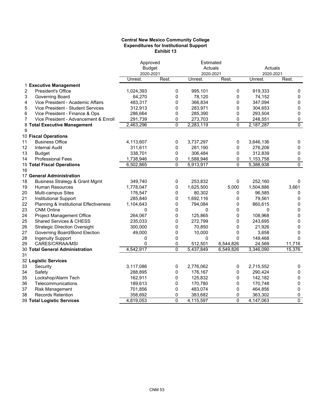### **Central New Mexico Community College Expenditures for Institutional Support Exhibit 13**

|                                                 | Approved<br><b>Budget</b> |             | Estimated<br>Actuals |             | Actuals              |                |
|-------------------------------------------------|---------------------------|-------------|----------------------|-------------|----------------------|----------------|
|                                                 | 2020-2021<br>Unrest.      | Rest.       | 2020-2021<br>Unrest. | Rest.       | 2020-2021<br>Unrest. | Rest.          |
| 1 Executive Management                          |                           |             |                      |             |                      |                |
| 2<br>President's Office                         | 1,024,393                 | 0           | 995,101              | 0           | 919,333              | 0              |
| 3<br>Governing Board                            | 64,270                    | 0           | 78,120               | 0           | 74,152               | 0              |
| Vice President - Academic Affairs<br>4          | 483,317                   | 0           | 366,834              | 0           | 347,094              | 0              |
| 5<br>Vice President - Student Services          | 312,913                   | 0           | 283,971              | 0           | 304,653              | 0              |
| 6<br>Vice President - Finance & Ops             | 286,664                   | $\mathbf 0$ | 285,390              | 0           | 293,504              | 0              |
| Vice President - Advancement & Enroll<br>7      | 291,739                   | 0           | 273,703              | 0           | 248,551              | 0              |
| 8 Total Executive Management                    | 2,463,296                 | 0           | 2,283,119            | $\mathbf 0$ | 2,187,287            | $\overline{0}$ |
| 9                                               |                           |             |                      |             |                      |                |
| 10 Fiscal Operations                            |                           |             |                      |             |                      |                |
| <b>Business Office</b><br>11                    | 4,113,607                 | 0           | 3,737,297            | 0           | 3,646,136            | 0              |
| 12<br><b>Internal Audit</b>                     | 311,611                   | 0           | 281,190              | 0           | 276,206              | 0              |
| 13<br><b>Budget</b>                             | 338,701                   | 0           | 306,484              | 0           | 312,839              | 0              |
| <b>Professional Fees</b><br>14                  | 1,738,946                 | 0           | 1,588,946            | 0           | 1,153,758            | 0              |
| <b>15 Total Fiscal Operations</b>               | 6,502,865                 | $\Omega$    | 5,913,917            | 0           | 5,388,938            | $\overline{0}$ |
| 16<br>17 General Administration                 |                           |             |                      |             |                      |                |
| <b>Business Strategy &amp; Grant Mgmt</b><br>18 | 349,740                   | 0           | 253,832              | 0           | 252,160              | 0              |
| 19<br><b>Human Resources</b>                    | 1,778,047                 | 0           | 1,625,500            | 5,000       | 1,504,886            | 3,661          |
| 20<br>Multi-campus Sites                        | 176,547                   | 0           | 80,302               | 0           | 96,585               | 0              |
| 21<br>Institutional Support                     | 285,840                   | 0           | 1,692,116            | 0           | 79,561               | 0              |
| 22<br>Planning & Institutional Effectiveness    | 1,104,643                 | 0           | 794,084              | 0           | 860,615              | 0              |
| 23<br><b>CNM Online</b>                         | 0                         | 0           | 0                    | 0           | 0                    | 0              |
| 24<br>Project Management Office                 | 264,067                   | 0           | 125,865              | 0           | 108,968              | 0              |
| 25<br>Shared Services & CHESS                   | 235,033                   | 0           | 272,799              | 0           | 243,695              | 0              |
| 26<br><b>Strategic Direction Oversight</b>      | 300,000                   | 0           | 70,850               | 0           | 21,926               | 0              |
| 27<br>Governing Board/Bond Election             | 49,000                    | 0           | 10,000               | 0           | 3,658                | 0              |
| 28<br><b>Ingenuity Support</b>                  | 0                         | 0           | 0                    | 0           | 149,468              | $\Omega$       |
| CARES/CRRAA/MSI<br>29                           | 0                         | 0           | 512,501              | 6,544,826   | 24,569               | 11,716         |
| 30 Total General Administration                 | 4,542,917                 | $\Omega$    | 5,437,849            | 6,549,826   | 3,346,090            | 15,376         |
| 31                                              |                           |             |                      |             |                      |                |
| 32 Logistic Services                            |                           |             |                      |             |                      |                |
| 33<br>Security                                  | 3,117,086                 | 0           | 2,776,062            | 0           | 2,715,552            | 0              |
| 34<br>Safety                                    | 288,895                   | 0           | 176,167              | 0           | 290,424              | 0              |
| Lockshop/Alarm Tech<br>35                       | 162,911                   | 0           | 125,832              | 0           | 142,182              | 0              |
| 36<br>Telecommunications                        | 189,613                   | 0           | 170,780              | 0           | 170,748              | 0              |
| 37<br><b>Risk Management</b>                    | 701,856                   | 0           | 483,074              | 0           | 464,856              | 0              |
| 38<br><b>Records Retention</b>                  | 358,692                   | 0           | 383,682              | 0           | 363,302              | 0              |
| 39 Total Logistic Services                      | 4,819,053                 | $\Omega$    | 4,115,597            | $\Omega$    | 4,147,063            | $\overline{0}$ |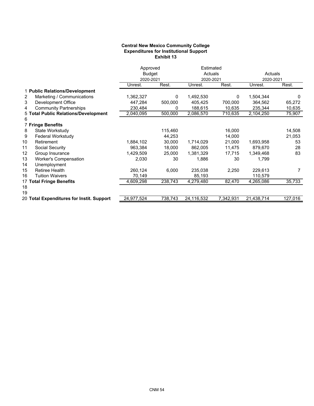### **Central New Mexico Community College Expenditures for Institutional Support Exhibit 13**

|                                           | Approved      |         | Estimated  |           |            |         |
|-------------------------------------------|---------------|---------|------------|-----------|------------|---------|
|                                           | <b>Budget</b> |         | Actuals    |           | Actuals    |         |
|                                           | 2020-2021     |         | 2020-2021  |           | 2020-2021  |         |
|                                           | Unrest.       | Rest.   | Unrest.    | Rest.     | Unrest.    | Rest.   |
| 1 Public Relations/Development            |               |         |            |           |            |         |
| Marketing / Communications<br>2           | 1,362,327     | 0       | 1,492,530  | 0         | 1,504,344  | 0       |
| 3<br>Development Office                   | 447,284       | 500,000 | 405,425    | 700,000   | 364,562    | 65,272  |
| <b>Community Partnerships</b><br>4        | 230,484       | 0       | 188,615    | 10,635    | 235,344    | 10,635  |
| 5 Total Public Relations/Development      | 2,040,095     | 500,000 | 2,086,570  | 710,635   | 2,104,250  | 75,907  |
| 6                                         |               |         |            |           |            |         |
| <b>7 Fringe Benefits</b>                  |               |         |            |           |            |         |
| 8<br>State Workstudy                      |               | 115,460 |            | 16,000    |            | 14,508  |
| 9<br>Federal Workstudy                    |               | 44,253  |            | 14,000    |            | 21,053  |
| 10<br>Retirement                          | 1,884,102     | 30,000  | 1,714,029  | 21,000    | 1,693,958  | 53      |
| 11<br>Social Security                     | 963,384       | 18,000  | 862,005    | 11,475    | 879,670    | 28      |
| 12<br>Group Insurance                     | 1,429,509     | 25,000  | 1,381,329  | 17,715    | 1,349,468  | 83      |
| <b>Worker's Compensation</b><br>13        | 2,030         | 30      | 1,886      | 30        | 1,799      |         |
| 14<br>Unemployment                        |               |         |            |           |            |         |
| 15<br><b>Retiree Health</b>               | 260,124       | 6,000   | 235,038    | 2,250     | 229,613    | 7       |
| 16<br><b>Tuition Waivers</b>              | 70,149        |         | 85,193     |           | 110,579    |         |
| 17 Total Fringe Benefits                  | 4,609,298     | 238,743 | 4,279,480  | 82,470    | 4,265,086  | 35,733  |
| 18                                        |               |         |            |           |            |         |
| 19                                        |               |         |            |           |            |         |
| 20 Total Expenditures for Instit. Support | 24,977,524    | 738,743 | 24,116,532 | 7,342,931 | 21,438,714 | 127,016 |
|                                           |               |         |            |           |            |         |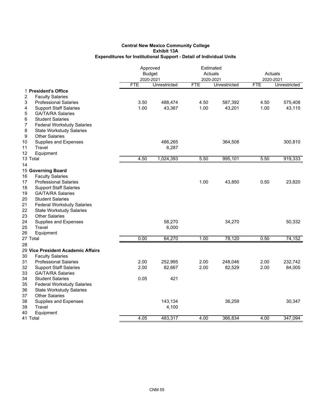# **Exhibit 13A Expenditures for Institutional Support - Detail of Individual Units Central New Mexico Community College**

|                                                     | Approved<br><b>Budget</b><br>2020-2021 |              | Estimated               | Actuals      | Actuals<br>2020-2021 |              |
|-----------------------------------------------------|----------------------------------------|--------------|-------------------------|--------------|----------------------|--------------|
|                                                     | <b>FTE</b>                             | Unrestricted | 2020-2021<br><b>FTE</b> | Unrestricted | <b>FTE</b>           | Unrestricted |
| 1 President's Office                                |                                        |              |                         |              |                      |              |
| 2<br><b>Faculty Salaries</b>                        |                                        |              |                         |              |                      |              |
| 3<br><b>Professional Salaries</b>                   | 3.50                                   | 488,474      | 4.50                    | 587,392      | 4.50                 | 575,408      |
| 4<br><b>Support Staff Salaries</b>                  | 1.00                                   | 43,367       | 1.00                    | 43,201       | 1.00                 | 43,115       |
| 5<br><b>GA/TA/RA Salaries</b>                       |                                        |              |                         |              |                      |              |
| <b>Student Salaries</b><br>6                        |                                        |              |                         |              |                      |              |
| 7<br><b>Federal Workstudy Salaries</b>              |                                        |              |                         |              |                      |              |
| 8<br><b>State Workstudy Salaries</b>                |                                        |              |                         |              |                      |              |
| 9<br><b>Other Salaries</b>                          |                                        |              |                         |              |                      |              |
| 10<br><b>Supplies and Expenses</b>                  |                                        | 486,265      |                         | 364,508      |                      | 300,810      |
| Travel<br>11                                        |                                        | 6,287        |                         |              |                      |              |
| 12<br>Equipment                                     |                                        |              |                         |              |                      |              |
| 13 Total                                            | 4.50                                   | 1,024,393    | 5.50                    | 995,101      | 5.50                 | 919,333      |
| 14                                                  |                                        |              |                         |              |                      |              |
| 15 Governing Board<br>16<br><b>Faculty Salaries</b> |                                        |              |                         |              |                      |              |
| 17<br><b>Professional Salaries</b>                  |                                        |              | 1.00                    | 43,850       | 0.50                 | 23,820       |
| 18<br><b>Support Staff Salaries</b>                 |                                        |              |                         |              |                      |              |
| 19<br><b>GA/TA/RA Salaries</b>                      |                                        |              |                         |              |                      |              |
| 20<br><b>Student Salaries</b>                       |                                        |              |                         |              |                      |              |
| 21<br><b>Federal Workstudy Salaries</b>             |                                        |              |                         |              |                      |              |
| 22<br><b>State Workstudy Salaries</b>               |                                        |              |                         |              |                      |              |
| 23<br><b>Other Salaries</b>                         |                                        |              |                         |              |                      |              |
| 24<br><b>Supplies and Expenses</b>                  |                                        | 58,270       |                         | 34,270       |                      | 50,332       |
| Travel<br>25                                        |                                        | 6,000        |                         |              |                      |              |
| 26<br>Equipment                                     |                                        |              |                         |              |                      |              |
| 27 Total                                            | 0.00                                   | 64,270       | 1.00                    | 78,120       | 0.50                 | 74,152       |
| 28                                                  |                                        |              |                         |              |                      |              |
| 29 Vice President Academic Affairs                  |                                        |              |                         |              |                      |              |
| <b>Faculty Salaries</b><br>30                       |                                        |              |                         |              |                      |              |
| 31<br><b>Professional Salaries</b>                  | 2.00                                   | 252,995      | 2.00                    | 248,046      | 2.00                 | 232,742      |
| 32<br><b>Support Staff Salaries</b>                 | 2.00                                   | 82,667       | 2.00                    | 82,529       | 2.00                 | 84,005       |
| 33<br><b>GA/TA/RA Salaries</b>                      |                                        |              |                         |              |                      |              |
| 34<br><b>Student Salaries</b>                       | 0.05                                   | 421          |                         |              |                      |              |
| 35<br><b>Federal Workstudy Salaries</b>             |                                        |              |                         |              |                      |              |
| 36<br><b>State Workstudy Salaries</b>               |                                        |              |                         |              |                      |              |
| 37<br><b>Other Salaries</b>                         |                                        |              |                         |              |                      |              |
| 38<br>Supplies and Expenses                         |                                        | 143,134      |                         | 36,259       |                      | 30,347       |
| Travel<br>39                                        |                                        | 4,100        |                         |              |                      |              |
| Equipment<br>40                                     | 4.05                                   |              | 4.00                    | 366,834      | 4.00                 | 347,094      |
| 41 Total                                            |                                        | 483,317      |                         |              |                      |              |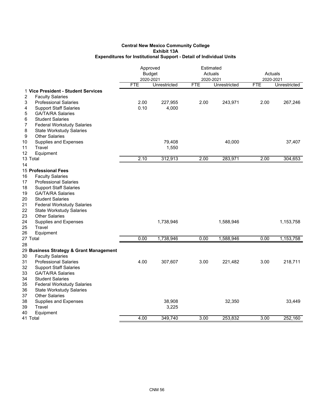|                                         | Approved<br><b>Budget</b><br>2020-2021 |              | 2020-2021  | Estimated<br>Actuals | Actuals<br>2020-2021 |              |
|-----------------------------------------|----------------------------------------|--------------|------------|----------------------|----------------------|--------------|
|                                         | <b>FTE</b>                             | Unrestricted | <b>FTE</b> | Unrestricted         | <b>FTE</b>           | Unrestricted |
| 1 Vice President - Student Services     |                                        |              |            |                      |                      |              |
| 2<br><b>Faculty Salaries</b>            |                                        |              |            |                      |                      |              |
| <b>Professional Salaries</b><br>3       | 2.00                                   | 227,955      | 2.00       | 243,971              | 2.00                 | 267,246      |
| <b>Support Staff Salaries</b><br>4      | 0.10                                   | 4,000        |            |                      |                      |              |
| 5<br><b>GA/TA/RA Salaries</b>           |                                        |              |            |                      |                      |              |
| 6<br><b>Student Salaries</b>            |                                        |              |            |                      |                      |              |
| 7<br><b>Federal Workstudy Salaries</b>  |                                        |              |            |                      |                      |              |
| 8<br><b>State Workstudy Salaries</b>    |                                        |              |            |                      |                      |              |
| 9<br><b>Other Salaries</b>              |                                        |              |            |                      |                      |              |
| 10<br>Supplies and Expenses             |                                        | 79,408       |            | 40,000               |                      | 37,407       |
| Travel<br>11                            |                                        | 1,550        |            |                      |                      |              |
| 12<br>Equipment                         |                                        |              |            |                      |                      |              |
| 13 Total                                | 2.10                                   | 312,913      | 2.00       | 283,971              | 2.00                 | 304,653      |
| 14                                      |                                        |              |            |                      |                      |              |
| 15 Professional Fees                    |                                        |              |            |                      |                      |              |
| 16<br><b>Faculty Salaries</b>           |                                        |              |            |                      |                      |              |
| 17<br><b>Professional Salaries</b>      |                                        |              |            |                      |                      |              |
| 18<br><b>Support Staff Salaries</b>     |                                        |              |            |                      |                      |              |
| 19<br><b>GA/TA/RA Salaries</b>          |                                        |              |            |                      |                      |              |
| 20<br><b>Student Salaries</b>           |                                        |              |            |                      |                      |              |
| 21<br><b>Federal Workstudy Salaries</b> |                                        |              |            |                      |                      |              |
| 22<br><b>State Workstudy Salaries</b>   |                                        |              |            |                      |                      |              |
| 23<br><b>Other Salaries</b>             |                                        |              |            |                      |                      |              |
| 24<br>Supplies and Expenses             |                                        | 1,738,946    |            | 1,588,946            |                      | 1,153,758    |
| 25<br>Travel                            |                                        |              |            |                      |                      |              |
| 26<br>Equipment                         |                                        |              |            |                      |                      |              |
| 27 Total                                | 0.00                                   | 1,738,946    | 0.00       | 1,588,946            | 0.00                 | 1,153,758    |
| 28                                      |                                        |              |            |                      |                      |              |
| 29 Business Strategy & Grant Management |                                        |              |            |                      |                      |              |
| 30<br><b>Faculty Salaries</b>           |                                        |              |            |                      |                      |              |
| 31<br><b>Professional Salaries</b>      | 4.00                                   | 307,607      | 3.00       | 221,482              | 3.00                 | 218,711      |
| 32<br><b>Support Staff Salaries</b>     |                                        |              |            |                      |                      |              |
| 33<br><b>GA/TA/RA Salaries</b>          |                                        |              |            |                      |                      |              |
| 34<br><b>Student Salaries</b>           |                                        |              |            |                      |                      |              |
| 35<br><b>Federal Workstudy Salaries</b> |                                        |              |            |                      |                      |              |
| 36<br><b>State Workstudy Salaries</b>   |                                        |              |            |                      |                      |              |
| 37<br><b>Other Salaries</b>             |                                        |              |            |                      |                      |              |
| 38<br><b>Supplies and Expenses</b>      |                                        | 38,908       |            | 32,350               |                      | 33,449       |
| 39<br>Travel                            |                                        | 3,225        |            |                      |                      |              |
| 40<br>Equipment                         |                                        |              |            |                      |                      |              |
| 41 Total                                | 4.00                                   | 349,740      | 3.00       | 253,832              | 3.00                 | 252,160      |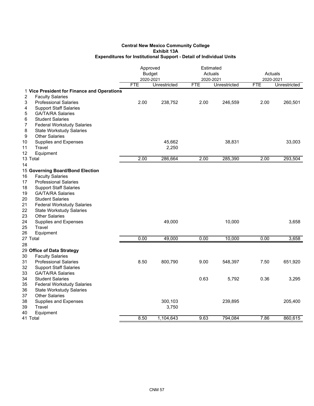|                                                             | Approved      |              |            | Estimated    |            |              |
|-------------------------------------------------------------|---------------|--------------|------------|--------------|------------|--------------|
|                                                             | <b>Budget</b> |              |            | Actuals      | Actuals    |              |
|                                                             | 2020-2021     |              | 2020-2021  |              | 2020-2021  |              |
|                                                             | <b>FTE</b>    | Unrestricted | <b>FTE</b> | Unrestricted | <b>FTE</b> | Unrestricted |
| 1 Vice President for Finance and Operations                 |               |              |            |              |            |              |
| 2<br><b>Faculty Salaries</b>                                |               |              |            |              |            |              |
| 3<br><b>Professional Salaries</b>                           | 2.00          | 238,752      | 2.00       | 246,559      | 2.00       | 260,501      |
| 4<br><b>Support Staff Salaries</b>                          |               |              |            |              |            |              |
| <b>GA/TA/RA Salaries</b><br>5                               |               |              |            |              |            |              |
| 6<br><b>Student Salaries</b>                                |               |              |            |              |            |              |
| <b>Federal Workstudy Salaries</b><br>7                      |               |              |            |              |            |              |
| 8<br><b>State Workstudy Salaries</b>                        |               |              |            |              |            |              |
| 9<br><b>Other Salaries</b>                                  |               |              |            |              |            |              |
| 10<br>Supplies and Expenses                                 |               | 45,662       |            | 38,831       |            | 33,003       |
| Travel<br>11                                                |               | 2,250        |            |              |            |              |
| 12<br>Equipment                                             |               |              |            |              |            |              |
| 13 Total                                                    | 2.00          | 286,664      | 2.00       | 285,390      | 2.00       | 293,504      |
| 14                                                          |               |              |            |              |            |              |
| 15 Governing Board/Bond Election                            |               |              |            |              |            |              |
| 16<br><b>Faculty Salaries</b>                               |               |              |            |              |            |              |
| 17<br><b>Professional Salaries</b>                          |               |              |            |              |            |              |
| 18<br><b>Support Staff Salaries</b>                         |               |              |            |              |            |              |
| 19<br><b>GA/TA/RA Salaries</b>                              |               |              |            |              |            |              |
| 20<br><b>Student Salaries</b>                               |               |              |            |              |            |              |
| 21<br><b>Federal Workstudy Salaries</b>                     |               |              |            |              |            |              |
| 22<br><b>State Workstudy Salaries</b>                       |               |              |            |              |            |              |
| 23<br><b>Other Salaries</b>                                 |               |              |            |              |            |              |
| 24<br>Supplies and Expenses                                 |               | 49,000       |            | 10,000       |            | 3,658        |
| 25<br>Travel                                                |               |              |            |              |            |              |
| 26<br>Equipment<br>27 Total                                 | 0.00          | 49,000       | 0.00       | 10,000       | 0.00       | 3,658        |
|                                                             |               |              |            |              |            |              |
| 28                                                          |               |              |            |              |            |              |
| 29 Office of Data Strategy<br>30<br><b>Faculty Salaries</b> |               |              |            |              |            |              |
| 31<br><b>Professional Salaries</b>                          | 8.50          | 800,790      | 9.00       | 548,397      | 7.50       | 651,920      |
| 32<br><b>Support Staff Salaries</b>                         |               |              |            |              |            |              |
| 33<br><b>GA/TA/RA Salaries</b>                              |               |              |            |              |            |              |
| 34<br><b>Student Salaries</b>                               |               |              | 0.63       | 5,792        | 0.36       | 3,295        |
| 35<br><b>Federal Workstudy Salaries</b>                     |               |              |            |              |            |              |
| 36<br><b>State Workstudy Salaries</b>                       |               |              |            |              |            |              |
| 37<br><b>Other Salaries</b>                                 |               |              |            |              |            |              |
| 38<br><b>Supplies and Expenses</b>                          |               | 300,103      |            | 239,895      |            | 205,400      |
| 39<br>Travel                                                |               | 3,750        |            |              |            |              |
| 40<br>Equipment                                             |               |              |            |              |            |              |
| 41 Total                                                    | 8.50          | 1,104,643    | 9.63       | 794,084      | 7.86       | 860,615      |
|                                                             |               |              |            |              |            |              |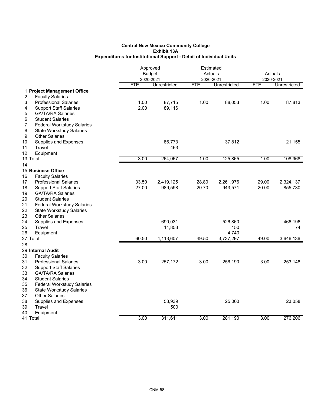|                                                                                                                                                                                                                                                                 | Approved<br><b>Budget</b><br>2020-2021 |                      |                | Estimated<br>Actuals<br>2020-2021 |                | Actuals<br>2020-2021 |
|-----------------------------------------------------------------------------------------------------------------------------------------------------------------------------------------------------------------------------------------------------------------|----------------------------------------|----------------------|----------------|-----------------------------------|----------------|----------------------|
|                                                                                                                                                                                                                                                                 | <b>FTE</b>                             | Unrestricted         | <b>FTE</b>     | Unrestricted                      | <b>FTE</b>     | Unrestricted         |
| 1 Project Management Office<br><b>Faculty Salaries</b><br>2                                                                                                                                                                                                     |                                        |                      |                |                                   |                |                      |
| 3<br><b>Professional Salaries</b><br>4<br><b>Support Staff Salaries</b><br><b>GA/TA/RA Salaries</b><br>5<br>6<br><b>Student Salaries</b><br>7<br><b>Federal Workstudy Salaries</b><br>8<br><b>State Workstudy Salaries</b><br>9<br><b>Other Salaries</b>        | 1.00<br>2.00                           | 87,715<br>89,116     | 1.00           | 88,053                            | 1.00           | 87,813               |
| 10<br><b>Supplies and Expenses</b><br>Travel<br>11<br>12<br>Equipment                                                                                                                                                                                           |                                        | 86,773<br>463        |                | 37,812                            |                | 21,155               |
| 13 Total                                                                                                                                                                                                                                                        | 3.00                                   | 264,067              | 1.00           | 125,865                           | 1.00           | 108,968              |
| 14                                                                                                                                                                                                                                                              |                                        |                      |                |                                   |                |                      |
| 15 Business Office<br>16<br><b>Faculty Salaries</b>                                                                                                                                                                                                             |                                        |                      |                |                                   |                |                      |
| <b>Professional Salaries</b><br>17<br>18<br><b>Support Staff Salaries</b><br>19<br><b>GA/TA/RA Salaries</b><br><b>Student Salaries</b><br>20<br>21<br><b>Federal Workstudy Salaries</b><br>22<br><b>State Workstudy Salaries</b><br>23<br><b>Other Salaries</b> | 33.50<br>27.00                         | 2,419,125<br>989,598 | 28.80<br>20.70 | 2,261,976<br>943,571              | 29.00<br>20.00 | 2,324,137<br>855,730 |
| 24<br><b>Supplies and Expenses</b><br>25<br>Travel                                                                                                                                                                                                              |                                        | 690,031<br>14,853    |                | 526,860<br>150                    |                | 466,196<br>74        |
| 26<br>Equipment<br>27 Total                                                                                                                                                                                                                                     | 60.50                                  | 4,113,607            | 49.50          | 4,740<br>3,737,297                | 49.00          | 3,646,136            |
| 28                                                                                                                                                                                                                                                              |                                        |                      |                |                                   |                |                      |
| 29 Internal Audit<br>30<br><b>Faculty Salaries</b>                                                                                                                                                                                                              |                                        |                      |                |                                   |                |                      |
| 31<br><b>Professional Salaries</b><br>32<br><b>Support Staff Salaries</b><br>33<br><b>GA/TA/RA Salaries</b><br>34<br><b>Student Salaries</b><br>35<br><b>Federal Workstudy Salaries</b><br>36<br><b>State Workstudy Salaries</b><br>37<br><b>Other Salaries</b> | 3.00                                   | 257,172              | 3.00           | 256,190                           | 3.00           | 253,148              |
| 38<br>Supplies and Expenses<br>39<br>Travel<br>Equipment<br>40                                                                                                                                                                                                  |                                        | 53,939<br>500        |                | 25,000                            |                | 23,058               |
| 41 Total                                                                                                                                                                                                                                                        | 3.00                                   | 311,611              | 3.00           | 281,190                           | 3.00           | 276,206              |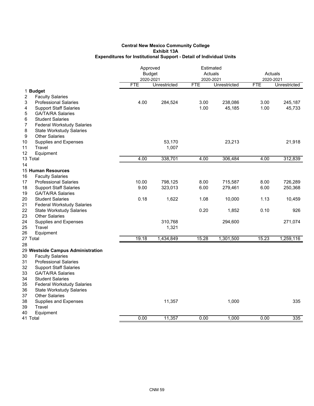|                                                                       |                         | Approved<br><b>Budget</b> |                         | Estimated<br>Actuals | Actuals                 |              |
|-----------------------------------------------------------------------|-------------------------|---------------------------|-------------------------|----------------------|-------------------------|--------------|
|                                                                       | 2020-2021<br><b>FTE</b> | Unrestricted              | 2020-2021<br><b>FTE</b> | Unrestricted         | 2020-2021<br><b>FTE</b> | Unrestricted |
| 1 Budget                                                              |                         |                           |                         |                      |                         |              |
| 2<br><b>Faculty Salaries</b>                                          |                         |                           |                         |                      |                         |              |
| 3<br><b>Professional Salaries</b>                                     | 4.00                    | 284,524                   | 3.00                    | 238,086              | 3.00                    | 245,187      |
| 4<br><b>Support Staff Salaries</b>                                    |                         |                           | 1.00                    | 45,185               | 1.00                    | 45,733       |
| 5<br><b>GA/TA/RA Salaries</b>                                         |                         |                           |                         |                      |                         |              |
| 6<br><b>Student Salaries</b>                                          |                         |                           |                         |                      |                         |              |
| 7<br><b>Federal Workstudy Salaries</b>                                |                         |                           |                         |                      |                         |              |
| 8<br><b>State Workstudy Salaries</b>                                  |                         |                           |                         |                      |                         |              |
| 9<br><b>Other Salaries</b>                                            |                         |                           |                         |                      |                         |              |
| 10<br>Supplies and Expenses                                           |                         | 53,170                    |                         | 23,213               |                         | 21,918       |
| 11<br>Travel                                                          |                         | 1,007                     |                         |                      |                         |              |
| 12<br>Equipment                                                       |                         |                           |                         |                      |                         |              |
| 13 Total                                                              | 4.00                    | 338,701                   | 4.00                    | 306,484              | 4.00                    | 312,839      |
| 14                                                                    |                         |                           |                         |                      |                         |              |
| <b>15 Human Resources</b>                                             |                         |                           |                         |                      |                         |              |
| 16<br><b>Faculty Salaries</b>                                         |                         |                           |                         |                      |                         |              |
| 17<br><b>Professional Salaries</b>                                    | 10.00                   | 798,125                   | 8.00                    | 715,587              | 8.00                    | 726,289      |
| 18<br><b>Support Staff Salaries</b>                                   | 9.00                    | 323,013                   | 6.00                    | 279,461              | 6.00                    | 250,368      |
| 19<br><b>GA/TA/RA Salaries</b>                                        |                         |                           |                         |                      |                         |              |
| 20<br><b>Student Salaries</b>                                         | 0.18                    | 1,622                     | 1.08                    | 10,000               | 1.13                    | 10,459       |
| 21<br><b>Federal Workstudy Salaries</b>                               |                         |                           |                         |                      |                         |              |
| 22<br><b>State Workstudy Salaries</b>                                 |                         |                           | 0.20                    | 1,852                | 0.10                    | 926          |
| 23<br><b>Other Salaries</b>                                           |                         |                           |                         |                      |                         |              |
| 24<br>Supplies and Expenses                                           |                         | 310,768                   |                         | 294,600              |                         | 271,074      |
| 25<br>Travel                                                          |                         | 1,321                     |                         |                      |                         |              |
| 26<br>Equipment                                                       |                         |                           |                         |                      |                         |              |
| 27 Total                                                              | 19.18                   | 1,434,849                 | 15.28                   | 1,301,500            | 15.23                   | 1,259,116    |
| 28                                                                    |                         |                           |                         |                      |                         |              |
| 29 Westside Campus Administration                                     |                         |                           |                         |                      |                         |              |
| 30<br><b>Faculty Salaries</b>                                         |                         |                           |                         |                      |                         |              |
| 31<br><b>Professional Salaries</b>                                    |                         |                           |                         |                      |                         |              |
| 32<br><b>Support Staff Salaries</b><br>33<br><b>GA/TA/RA Salaries</b> |                         |                           |                         |                      |                         |              |
| 34<br><b>Student Salaries</b>                                         |                         |                           |                         |                      |                         |              |
| 35<br><b>Federal Workstudy Salaries</b>                               |                         |                           |                         |                      |                         |              |
| 36<br><b>State Workstudy Salaries</b>                                 |                         |                           |                         |                      |                         |              |
| 37<br><b>Other Salaries</b>                                           |                         |                           |                         |                      |                         |              |
| 38<br>Supplies and Expenses                                           |                         | 11,357                    |                         | 1,000                |                         | 335          |
| 39<br>Travel                                                          |                         |                           |                         |                      |                         |              |
| 40<br>Equipment                                                       |                         |                           |                         |                      |                         |              |
| 41 Total                                                              | 0.00                    | 11,357                    | 0.00                    | 1,000                | 0.00                    | 335          |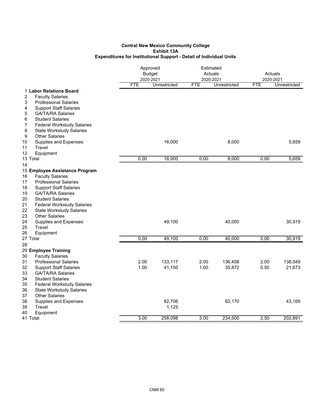|                                             |            | Approved<br><b>Budget</b><br>2020-2021 |            | Estimated<br>Actuals<br>2020-2021 |            | Actuals<br>2020-2021 |  |
|---------------------------------------------|------------|----------------------------------------|------------|-----------------------------------|------------|----------------------|--|
|                                             | <b>FTE</b> | Unrestricted                           | <b>FTE</b> | Unrestricted                      | <b>FTE</b> | Unrestricted         |  |
| 1 Labor Relations Board                     |            |                                        |            |                                   |            |                      |  |
| 2<br><b>Faculty Salaries</b>                |            |                                        |            |                                   |            |                      |  |
| 3<br><b>Professional Salaries</b>           |            |                                        |            |                                   |            |                      |  |
| <b>Support Staff Salaries</b><br>4          |            |                                        |            |                                   |            |                      |  |
| 5<br><b>GA/TA/RA Salaries</b>               |            |                                        |            |                                   |            |                      |  |
| 6<br><b>Student Salaries</b>                |            |                                        |            |                                   |            |                      |  |
| <b>Federal Workstudy Salaries</b><br>7      |            |                                        |            |                                   |            |                      |  |
| 8<br><b>State Workstudy Salaries</b>        |            |                                        |            |                                   |            |                      |  |
| <b>Other Salaries</b><br>9                  |            |                                        |            |                                   |            |                      |  |
| 10<br>Supplies and Expenses<br>Travel<br>11 |            | 16,000                                 |            | 8,000                             |            | 5,659                |  |
| 12<br>Equipment                             |            |                                        |            |                                   |            |                      |  |
| 13 Total                                    | 0.00       | 16,000                                 | 0.00       | 8,000                             | 0.00       | 5,659                |  |
| 14                                          |            |                                        |            |                                   |            |                      |  |
| 15 Employee Assistance Program              |            |                                        |            |                                   |            |                      |  |
| <b>Faculty Salaries</b><br>16               |            |                                        |            |                                   |            |                      |  |
| 17<br><b>Professional Salaries</b>          |            |                                        |            |                                   |            |                      |  |
| 18<br><b>Support Staff Salaries</b>         |            |                                        |            |                                   |            |                      |  |
| 19<br><b>GA/TA/RA Salaries</b>              |            |                                        |            |                                   |            |                      |  |
| 20<br><b>Student Salaries</b>               |            |                                        |            |                                   |            |                      |  |
| 21<br><b>Federal Workstudy Salaries</b>     |            |                                        |            |                                   |            |                      |  |
| 22<br><b>State Workstudy Salaries</b>       |            |                                        |            |                                   |            |                      |  |
| 23<br><b>Other Salaries</b>                 |            |                                        |            |                                   |            |                      |  |
| 24<br>Supplies and Expenses                 |            | 49,100                                 |            | 40,000                            |            | 30,919               |  |
| 25<br>Travel                                |            |                                        |            |                                   |            |                      |  |
| 26<br>Equipment                             |            |                                        |            |                                   |            |                      |  |
| 27 Total                                    | 0.00       | 49,100                                 | 0.00       | 40,000                            | 0.00       | 30,919               |  |
| 28                                          |            |                                        |            |                                   |            |                      |  |
| 29 Employee Training                        |            |                                        |            |                                   |            |                      |  |
| <b>Faculty Salaries</b><br>30               |            |                                        |            |                                   |            |                      |  |
| 31<br><b>Professional Salaries</b>          | 2.00       | 133,117                                | 2.00       | 136,458                           | 2.00       | 138,049              |  |
| 32<br><b>Support Staff Salaries</b>         | 1.00       | 41,150                                 | 1.00       | 35,872                            | 0.50       | 21,673               |  |
| 33<br><b>GA/TA/RA Salaries</b>              |            |                                        |            |                                   |            |                      |  |
| 34<br><b>Student Salaries</b>               |            |                                        |            |                                   |            |                      |  |
| 35<br><b>Federal Workstudy Salaries</b>     |            |                                        |            |                                   |            |                      |  |
| 36<br><b>State Workstudy Salaries</b>       |            |                                        |            |                                   |            |                      |  |
| 37<br><b>Other Salaries</b>                 |            |                                        |            |                                   |            |                      |  |
| 38<br>Supplies and Expenses<br>39<br>Travel |            | 82,706<br>1,125                        |            | 62,170                            |            | 43,169               |  |
| 40<br>Equipment                             |            |                                        |            |                                   |            |                      |  |
| 41 Total                                    | 3.00       | 258,098                                | 3.00       | 234,500                           | 2.50       | 202,891              |  |
|                                             |            |                                        |            |                                   |            |                      |  |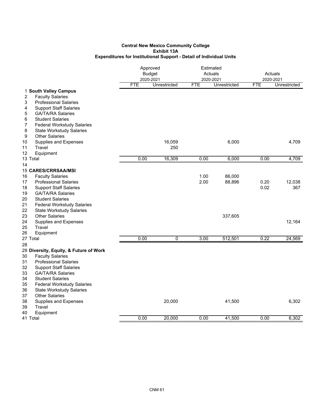|                                                                                                                                                                                                                                                                                                                                                  | Approved<br><b>Budget</b><br>2020-2021 |               | Estimated<br>Actuals<br>2020-2021 |                  | Actuals<br>2020-2021 |               |
|--------------------------------------------------------------------------------------------------------------------------------------------------------------------------------------------------------------------------------------------------------------------------------------------------------------------------------------------------|----------------------------------------|---------------|-----------------------------------|------------------|----------------------|---------------|
|                                                                                                                                                                                                                                                                                                                                                  | <b>FTE</b>                             | Unrestricted  | <b>FTE</b>                        | Unrestricted     | <b>FTE</b>           | Unrestricted  |
| 1 South Valley Campus<br>2<br><b>Faculty Salaries</b><br><b>Professional Salaries</b><br>3<br><b>Support Staff Salaries</b><br>4                                                                                                                                                                                                                 |                                        |               |                                   |                  |                      |               |
| 5<br><b>GA/TA/RA Salaries</b><br>6<br><b>Student Salaries</b><br>7<br><b>Federal Workstudy Salaries</b>                                                                                                                                                                                                                                          |                                        |               |                                   |                  |                      |               |
| 8<br><b>State Workstudy Salaries</b><br>9<br><b>Other Salaries</b>                                                                                                                                                                                                                                                                               |                                        |               |                                   |                  |                      |               |
| 10<br>Supplies and Expenses<br>Travel<br>11<br>12<br>Equipment                                                                                                                                                                                                                                                                                   |                                        | 16,059<br>250 |                                   | 6,000            |                      | 4,709         |
| 13 Total                                                                                                                                                                                                                                                                                                                                         | 0.00                                   | 16,309        | 0.00                              | 6,000            | 0.00                 | 4,709         |
| 14                                                                                                                                                                                                                                                                                                                                               |                                        |               |                                   |                  |                      |               |
| <b>15 CARES/CRRSAA/MSI</b><br>16<br><b>Faculty Salaries</b><br>17<br><b>Professional Salaries</b><br>18<br><b>Support Staff Salaries</b><br>19<br><b>GA/TA/RA Salaries</b><br>20<br><b>Student Salaries</b>                                                                                                                                      |                                        |               | 1.00<br>2.00                      | 86,000<br>88,896 | 0.20<br>0.02         | 12,038<br>367 |
| 21<br><b>Federal Workstudy Salaries</b><br>22<br><b>State Workstudy Salaries</b><br>23<br><b>Other Salaries</b><br>24<br>Supplies and Expenses<br>25<br>Travel                                                                                                                                                                                   |                                        |               |                                   | 337,605          |                      | 12,164        |
| 26<br>Equipment<br>27 Total                                                                                                                                                                                                                                                                                                                      | 0.00                                   | 0             | 3.00                              | 512,501          | 0.22                 | 24,569        |
| 28<br>29 Diversity, Equity, & Future of Work<br>30<br><b>Faculty Salaries</b><br>31<br><b>Professional Salaries</b><br>32<br><b>Support Staff Salaries</b><br>33<br><b>GA/TA/RA Salaries</b><br>34<br><b>Student Salaries</b><br>35<br><b>Federal Workstudy Salaries</b><br>36<br><b>State Workstudy Salaries</b><br>37<br><b>Other Salaries</b> |                                        |               |                                   |                  |                      |               |
| 38<br>Supplies and Expenses<br>39<br>Travel<br>40<br>Equipment                                                                                                                                                                                                                                                                                   |                                        | 20,000        |                                   | 41,500           |                      | 6,302         |
| 41 Total                                                                                                                                                                                                                                                                                                                                         | 0.00                                   | 20,000        | 0.00                              | 41,500           | 0.00                 | 6,302         |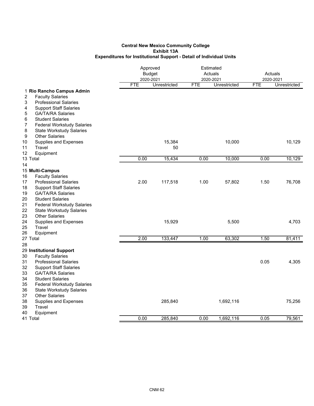|                                         | Approved   | <b>Budget</b><br>2020-2021 | Estimated<br>Actuals<br>2020-2021 |              | Actuals<br>2020-2021 |              |
|-----------------------------------------|------------|----------------------------|-----------------------------------|--------------|----------------------|--------------|
|                                         | <b>FTE</b> | Unrestricted               | <b>FTE</b>                        | Unrestricted | <b>FTE</b>           | Unrestricted |
| 1 Rio Rancho Campus Admin               |            |                            |                                   |              |                      |              |
| <b>Faculty Salaries</b><br>2            |            |                            |                                   |              |                      |              |
| 3<br><b>Professional Salaries</b>       |            |                            |                                   |              |                      |              |
| <b>Support Staff Salaries</b><br>4      |            |                            |                                   |              |                      |              |
| 5<br><b>GA/TA/RA Salaries</b>           |            |                            |                                   |              |                      |              |
| 6<br><b>Student Salaries</b>            |            |                            |                                   |              |                      |              |
| <b>Federal Workstudy Salaries</b><br>7  |            |                            |                                   |              |                      |              |
| 8<br><b>State Workstudy Salaries</b>    |            |                            |                                   |              |                      |              |
| <b>Other Salaries</b><br>9              |            |                            |                                   |              |                      |              |
| 10<br>Supplies and Expenses             |            | 15,384                     |                                   | 10,000       |                      | 10,129       |
| 11<br>Travel                            |            | 50                         |                                   |              |                      |              |
| 12<br>Equipment<br>13 Total             | 0.00       | 15,434                     | 0.00                              | 10,000       | 0.00                 | 10,129       |
|                                         |            |                            |                                   |              |                      |              |
| 14<br>15 Multi-Campus                   |            |                            |                                   |              |                      |              |
| 16<br><b>Faculty Salaries</b>           |            |                            |                                   |              |                      |              |
| 17<br><b>Professional Salaries</b>      | 2.00       | 117,518                    | 1.00                              | 57,802       | 1.50                 | 76,708       |
| 18<br><b>Support Staff Salaries</b>     |            |                            |                                   |              |                      |              |
| 19<br><b>GA/TA/RA Salaries</b>          |            |                            |                                   |              |                      |              |
| 20<br><b>Student Salaries</b>           |            |                            |                                   |              |                      |              |
| 21<br><b>Federal Workstudy Salaries</b> |            |                            |                                   |              |                      |              |
| 22<br><b>State Workstudy Salaries</b>   |            |                            |                                   |              |                      |              |
| 23<br><b>Other Salaries</b>             |            |                            |                                   |              |                      |              |
| 24<br>Supplies and Expenses             |            | 15,929                     |                                   | 5,500        |                      | 4,703        |
| 25<br>Travel                            |            |                            |                                   |              |                      |              |
| 26<br>Equipment                         |            |                            |                                   |              |                      |              |
| 27 Total                                | 2.00       | 133,447                    | 1.00                              | 63,302       | 1.50                 | 81,411       |
| 28                                      |            |                            |                                   |              |                      |              |
| 29 Institutional Support                |            |                            |                                   |              |                      |              |
| 30<br><b>Faculty Salaries</b>           |            |                            |                                   |              |                      |              |
| 31<br><b>Professional Salaries</b>      |            |                            |                                   |              | 0.05                 | 4,305        |
| 32<br><b>Support Staff Salaries</b>     |            |                            |                                   |              |                      |              |
| 33<br><b>GA/TA/RA Salaries</b>          |            |                            |                                   |              |                      |              |
| 34<br><b>Student Salaries</b>           |            |                            |                                   |              |                      |              |
| 35<br><b>Federal Workstudy Salaries</b> |            |                            |                                   |              |                      |              |
| 36<br><b>State Workstudy Salaries</b>   |            |                            |                                   |              |                      |              |
| 37<br><b>Other Salaries</b>             |            |                            |                                   |              |                      |              |
| 38<br>Supplies and Expenses             |            | 285,840                    |                                   | 1,692,116    |                      | 75,256       |
| 39<br>Travel                            |            |                            |                                   |              |                      |              |
| 40<br>Equipment                         |            |                            |                                   |              |                      |              |
| 41 Total                                | 0.00       | 285.840                    | 0.00                              | 1,692,116    | 0.05                 | 79,561       |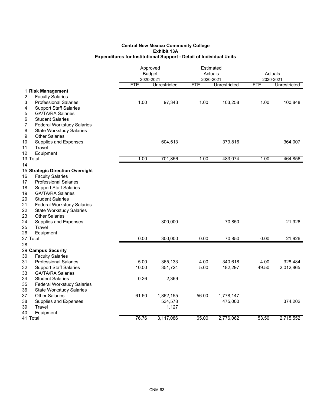|                                                                                                                                                                                                                                                                                                                                                                     | Approved<br><b>Budget</b><br>2020-2021 |                               | Estimated<br>Actuals<br>2020-2021 |                      | Actuals<br>2020-2021 |                      |
|---------------------------------------------------------------------------------------------------------------------------------------------------------------------------------------------------------------------------------------------------------------------------------------------------------------------------------------------------------------------|----------------------------------------|-------------------------------|-----------------------------------|----------------------|----------------------|----------------------|
|                                                                                                                                                                                                                                                                                                                                                                     | <b>FTE</b>                             | Unrestricted                  | <b>FTE</b>                        | Unrestricted         | <b>FTE</b>           | Unrestricted         |
| 1 Risk Management<br>$\boldsymbol{2}$<br><b>Faculty Salaries</b>                                                                                                                                                                                                                                                                                                    |                                        |                               |                                   |                      |                      |                      |
| 3<br><b>Professional Salaries</b><br>4<br><b>Support Staff Salaries</b><br>5<br><b>GA/TA/RA Salaries</b><br>6<br><b>Student Salaries</b><br>7<br><b>Federal Workstudy Salaries</b>                                                                                                                                                                                  | 1.00                                   | 97,343                        | 1.00                              | 103,258              | 1.00                 | 100,848              |
| 8<br><b>State Workstudy Salaries</b><br>9<br><b>Other Salaries</b><br>10<br>Supplies and Expenses<br>11<br>Travel<br>12<br>Equipment                                                                                                                                                                                                                                |                                        | 604,513                       |                                   | 379,816              |                      | 364,007              |
| 13 Total                                                                                                                                                                                                                                                                                                                                                            | 1.00                                   | 701,856                       | 1.00                              | 483,074              | 1.00                 | 464,856              |
| 14                                                                                                                                                                                                                                                                                                                                                                  |                                        |                               |                                   |                      |                      |                      |
| 15 Strategic Direction Oversight<br>16<br><b>Faculty Salaries</b><br>17<br><b>Professional Salaries</b><br>18<br><b>Support Staff Salaries</b><br>19<br><b>GA/TA/RA Salaries</b><br>20<br><b>Student Salaries</b><br>21<br><b>Federal Workstudy Salaries</b><br>22<br><b>State Workstudy Salaries</b><br>23<br><b>Other Salaries</b><br>24<br>Supplies and Expenses |                                        | 300,000                       |                                   | 70,850               |                      | 21,926               |
| 25<br>Travel<br>26<br>Equipment                                                                                                                                                                                                                                                                                                                                     |                                        |                               |                                   |                      |                      |                      |
| 27 Total                                                                                                                                                                                                                                                                                                                                                            | 0.00                                   | 300,000                       | 0.00                              | 70,850               | 0.00                 | 21,926               |
| 28                                                                                                                                                                                                                                                                                                                                                                  |                                        |                               |                                   |                      |                      |                      |
| 29 Campus Security<br><b>Faculty Salaries</b><br>30                                                                                                                                                                                                                                                                                                                 |                                        |                               |                                   |                      |                      |                      |
| 31<br><b>Professional Salaries</b><br>32<br><b>Support Staff Salaries</b><br>33<br><b>GA/TA/RA Salaries</b>                                                                                                                                                                                                                                                         | 5.00<br>10.00                          | 365,133<br>351,724            | 4.00<br>5.00                      | 340,618<br>182,297   | 4.00<br>49.50        | 328,484<br>2,012,865 |
| 34<br><b>Student Salaries</b><br>35<br><b>Federal Workstudy Salaries</b><br>36<br><b>State Workstudy Salaries</b>                                                                                                                                                                                                                                                   | 0.26                                   | 2,369                         |                                   |                      |                      |                      |
| 37<br><b>Other Salaries</b><br>38<br><b>Supplies and Expenses</b><br>Travel<br>39<br>40<br>Equipment                                                                                                                                                                                                                                                                | 61.50                                  | 1,862,155<br>534,578<br>1,127 | 56.00                             | 1,778,147<br>475,000 |                      | 374,202              |
| 41 Total                                                                                                                                                                                                                                                                                                                                                            | 76.76                                  | 3,117,086                     | 65.00                             | 2,776,062            | 53.50                | 2,715,552            |
|                                                                                                                                                                                                                                                                                                                                                                     |                                        |                               |                                   |                      |                      |                      |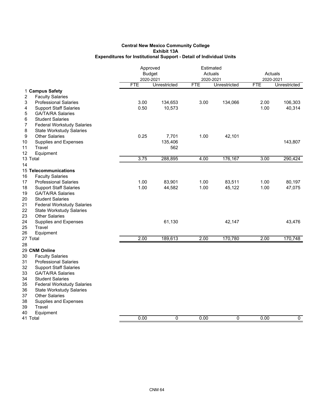|                                                                      | Approved<br><b>Budget</b> |              | Estimated<br>Actuals<br>2020-2021 |              | Actuals<br>2020-2021 |              |
|----------------------------------------------------------------------|---------------------------|--------------|-----------------------------------|--------------|----------------------|--------------|
|                                                                      | 2020-2021<br><b>FTE</b>   | Unrestricted | <b>FTE</b>                        | Unrestricted | <b>FTE</b>           | Unrestricted |
| 1 Campus Safety<br><b>Faculty Salaries</b><br>2                      |                           |              |                                   |              |                      |              |
| 3<br><b>Professional Salaries</b>                                    | 3.00                      | 134,653      | 3.00                              | 134,066      | 2.00                 | 106,303      |
| 4<br><b>Support Staff Salaries</b>                                   | 0.50                      | 10,573       |                                   |              | 1.00                 | 40,314       |
| <b>GA/TA/RA Salaries</b><br>5                                        |                           |              |                                   |              |                      |              |
| <b>Student Salaries</b><br>6                                         |                           |              |                                   |              |                      |              |
| 7<br><b>Federal Workstudy Salaries</b>                               |                           |              |                                   |              |                      |              |
| 8<br><b>State Workstudy Salaries</b>                                 |                           |              |                                   |              |                      |              |
| 9<br><b>Other Salaries</b>                                           | 0.25                      | 7,701        | 1.00                              | 42,101       |                      |              |
| 10<br>Supplies and Expenses                                          |                           | 135,406      |                                   |              |                      | 143,807      |
| Travel<br>11                                                         |                           | 562          |                                   |              |                      |              |
| 12<br>Equipment                                                      |                           |              |                                   |              |                      |              |
| 13 Total                                                             | 3.75                      | 288,895      | 4.00                              | 176,167      | 3.00                 | 290,424      |
| 14                                                                   |                           |              |                                   |              |                      |              |
| 15 Telecommunications<br>16                                          |                           |              |                                   |              |                      |              |
| <b>Faculty Salaries</b><br>17<br><b>Professional Salaries</b>        | 1.00                      | 83,901       | 1.00                              | 83,511       | 1.00                 | 80,197       |
| 18<br><b>Support Staff Salaries</b>                                  | 1.00                      | 44,582       | 1.00                              | 45,122       | 1.00                 | 47,075       |
| 19<br><b>GA/TA/RA Salaries</b>                                       |                           |              |                                   |              |                      |              |
| 20<br><b>Student Salaries</b>                                        |                           |              |                                   |              |                      |              |
| 21<br><b>Federal Workstudy Salaries</b>                              |                           |              |                                   |              |                      |              |
| 22<br><b>State Workstudy Salaries</b>                                |                           |              |                                   |              |                      |              |
| 23<br><b>Other Salaries</b>                                          |                           |              |                                   |              |                      |              |
| 24<br>Supplies and Expenses                                          |                           | 61,130       |                                   | 42,147       |                      | 43,476       |
| 25<br>Travel                                                         |                           |              |                                   |              |                      |              |
| 26<br>Equipment                                                      |                           |              |                                   |              |                      |              |
| 27 Total                                                             | 2.00                      | 189,613      | 2.00                              | 170,780      | 2.00                 | 170,748      |
| 28                                                                   |                           |              |                                   |              |                      |              |
| 29 CNM Online                                                        |                           |              |                                   |              |                      |              |
| 30<br><b>Faculty Salaries</b>                                        |                           |              |                                   |              |                      |              |
| 31<br><b>Professional Salaries</b>                                   |                           |              |                                   |              |                      |              |
| 32<br><b>Support Staff Salaries</b>                                  |                           |              |                                   |              |                      |              |
| 33<br><b>GA/TA/RA Salaries</b>                                       |                           |              |                                   |              |                      |              |
| 34<br><b>Student Salaries</b>                                        |                           |              |                                   |              |                      |              |
| 35<br><b>Federal Workstudy Salaries</b>                              |                           |              |                                   |              |                      |              |
| 36<br><b>State Workstudy Salaries</b><br>37<br><b>Other Salaries</b> |                           |              |                                   |              |                      |              |
| 38                                                                   |                           |              |                                   |              |                      |              |
| Supplies and Expenses<br>39<br>Travel                                |                           |              |                                   |              |                      |              |
| 40<br>Equipment                                                      |                           |              |                                   |              |                      |              |
| 41 Total                                                             | 0.00                      | 0            | 0.00                              | 0            | 0.00                 | $\mathbf 0$  |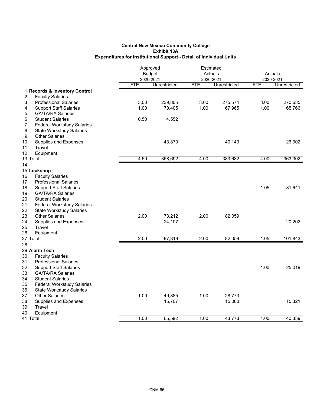|                                         | Approved   |               | Estimated  |              |                      |              |
|-----------------------------------------|------------|---------------|------------|--------------|----------------------|--------------|
|                                         |            | <b>Budget</b> | Actuals    |              | Actuals<br>2020-2021 |              |
|                                         | 2020-2021  |               | 2020-2021  |              |                      |              |
|                                         | <b>FTE</b> | Unrestricted  | <b>FTE</b> | Unrestricted | <b>FTE</b>           | Unrestricted |
| 1 Records & Inventory Control           |            |               |            |              |                      |              |
| 2<br><b>Faculty Salaries</b>            |            |               |            |              |                      |              |
| 3<br><b>Professional Salaries</b>       | 3.00       | 239,865       | 3.00       | 275,574      | 3.00                 | 270,635      |
| <b>Support Staff Salaries</b><br>4      | 1.00       | 70,405        | 1.00       | 67,965       | 1.00                 | 65,766       |
| 5<br><b>GA/TA/RA Salaries</b>           |            |               |            |              |                      |              |
| 6<br><b>Student Salaries</b>            | 0.50       | 4,552         |            |              |                      |              |
| 7<br><b>Federal Workstudy Salaries</b>  |            |               |            |              |                      |              |
| 8<br><b>State Workstudy Salaries</b>    |            |               |            |              |                      |              |
| <b>Other Salaries</b><br>9              |            |               |            |              |                      |              |
| 10<br>Supplies and Expenses             |            | 43,870        |            | 40,143       |                      | 26,902       |
| 11<br>Travel                            |            |               |            |              |                      |              |
| 12<br>Equipment                         |            |               |            |              |                      |              |
| 13 Total                                | 4.50       | 358,692       | 4.00       | 383,682      | 4.00                 | 363,302      |
| 14                                      |            |               |            |              |                      |              |
| 15 Lockshop                             |            |               |            |              |                      |              |
| 16<br><b>Faculty Salaries</b>           |            |               |            |              |                      |              |
| 17<br><b>Professional Salaries</b>      |            |               |            |              |                      |              |
| 18<br><b>Support Staff Salaries</b>     |            |               |            |              | 1.05                 | 81,641       |
| 19<br><b>GA/TA/RA Salaries</b>          |            |               |            |              |                      |              |
| 20<br><b>Student Salaries</b>           |            |               |            |              |                      |              |
| 21<br><b>Federal Workstudy Salaries</b> |            |               |            |              |                      |              |
| 22<br><b>State Workstudy Salaries</b>   |            |               |            |              |                      |              |
| 23<br><b>Other Salaries</b>             | 2.00       | 73,212        | 2.00       | 82,059       |                      |              |
| 24<br><b>Supplies and Expenses</b>      |            | 24,107        |            |              |                      | 20,202       |
| 25<br>Travel                            |            |               |            |              |                      |              |
| 26<br>Equipment                         |            |               |            |              |                      |              |
| 27 Total                                | 2.00       | 97,319        | 2.00       | 82,059       | 1.05                 | 101,843      |
| 28                                      |            |               |            |              |                      |              |
| 29 Alarm Tech                           |            |               |            |              |                      |              |
| 30<br><b>Faculty Salaries</b>           |            |               |            |              |                      |              |
| 31<br><b>Professional Salaries</b>      |            |               |            |              |                      |              |
| 32<br><b>Support Staff Salaries</b>     |            |               |            |              | 1.00                 | 25,019       |
| 33<br><b>GA/TA/RA Salaries</b>          |            |               |            |              |                      |              |
| 34<br><b>Student Salaries</b>           |            |               |            |              |                      |              |
| 35<br><b>Federal Workstudy Salaries</b> |            |               |            |              |                      |              |
| 36<br><b>State Workstudy Salaries</b>   |            |               |            |              |                      |              |
| 37<br><b>Other Salaries</b>             | 1.00       | 49,885        | 1.00       | 28,773       |                      |              |
| 38<br><b>Supplies and Expenses</b>      |            | 15,707        |            | 15,000       |                      | 15,321       |
| 39<br>Travel                            |            |               |            |              |                      |              |
| 40<br>Equipment                         |            |               |            |              |                      |              |
| 41 Total                                | 1.00       | 65,592        | 1.00       | 43,773       | 1.00                 | 40,339       |
|                                         |            |               |            |              |                      |              |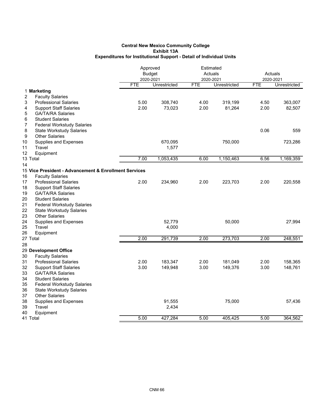|                                                               |            | Approved<br><b>Budget</b> | Estimated<br>Actuals<br>2020-2021 |              | Actuals<br>2020-2021 |                     |
|---------------------------------------------------------------|------------|---------------------------|-----------------------------------|--------------|----------------------|---------------------|
|                                                               | <b>FTE</b> | 2020-2021<br>Unrestricted | <b>FTE</b>                        | Unrestricted | <b>FTE</b>           | <b>Unrestricted</b> |
| 1 Marketing                                                   |            |                           |                                   |              |                      |                     |
| 2<br><b>Faculty Salaries</b>                                  |            |                           |                                   |              |                      |                     |
| 3<br><b>Professional Salaries</b>                             | 5.00       | 308,740                   | 4.00                              | 319,199      | 4.50                 | 363,007             |
| 4<br><b>Support Staff Salaries</b>                            | 2.00       | 73,023                    | 2.00                              | 81,264       | 2.00                 | 82,507              |
| 5<br><b>GA/TA/RA Salaries</b>                                 |            |                           |                                   |              |                      |                     |
| 6<br><b>Student Salaries</b>                                  |            |                           |                                   |              |                      |                     |
| 7<br><b>Federal Workstudy Salaries</b>                        |            |                           |                                   |              |                      |                     |
| 8<br><b>State Workstudy Salaries</b>                          |            |                           |                                   |              | 0.06                 | 559                 |
| 9<br><b>Other Salaries</b>                                    |            |                           |                                   |              |                      |                     |
| 10<br><b>Supplies and Expenses</b>                            |            | 670,095                   |                                   | 750,000      |                      | 723,286             |
| Travel<br>11                                                  |            | 1,577                     |                                   |              |                      |                     |
| 12<br>Equipment                                               |            |                           |                                   |              |                      |                     |
| 13 Total                                                      | 7.00       | 1,053,435                 | 6.00                              | 1,150,463    | 6.56                 | 1,169,359           |
| 14                                                            |            |                           |                                   |              |                      |                     |
| 15 Vice President - Advancement & Enrollment Services         |            |                           |                                   |              |                      |                     |
| 16<br><b>Faculty Salaries</b>                                 |            |                           |                                   |              |                      |                     |
| 17<br><b>Professional Salaries</b>                            | 2.00       | 234,960                   | 2.00                              | 223,703      | 2.00                 | 220,558             |
| 18<br><b>Support Staff Salaries</b>                           |            |                           |                                   |              |                      |                     |
| 19<br><b>GA/TA/RA Salaries</b>                                |            |                           |                                   |              |                      |                     |
| 20<br><b>Student Salaries</b>                                 |            |                           |                                   |              |                      |                     |
| 21<br><b>Federal Workstudy Salaries</b>                       |            |                           |                                   |              |                      |                     |
| 22<br><b>State Workstudy Salaries</b>                         |            |                           |                                   |              |                      |                     |
| 23<br><b>Other Salaries</b>                                   |            |                           |                                   |              |                      |                     |
| 24<br><b>Supplies and Expenses</b>                            |            | 52,779                    |                                   | 50,000       |                      | 27,994              |
| Travel<br>25                                                  |            | 4,000                     |                                   |              |                      |                     |
| 26<br>Equipment                                               | 2.00       |                           | 2.00                              |              |                      |                     |
| 27 Total                                                      |            | 291,739                   |                                   | 273,703      | 2.00                 | 248,551             |
| 28                                                            |            |                           |                                   |              |                      |                     |
| 29 Development Office<br>30                                   |            |                           |                                   |              |                      |                     |
| <b>Faculty Salaries</b><br>31<br><b>Professional Salaries</b> | 2.00       | 183,347                   | 2.00                              | 181,049      | 2.00                 | 158,365             |
| 32<br><b>Support Staff Salaries</b>                           | 3.00       | 149,948                   | 3.00                              | 149,376      | 3.00                 | 148,761             |
| 33<br><b>GA/TA/RA Salaries</b>                                |            |                           |                                   |              |                      |                     |
| 34<br><b>Student Salaries</b>                                 |            |                           |                                   |              |                      |                     |
| 35<br><b>Federal Workstudy Salaries</b>                       |            |                           |                                   |              |                      |                     |
| 36<br><b>State Workstudy Salaries</b>                         |            |                           |                                   |              |                      |                     |
| 37<br><b>Other Salaries</b>                                   |            |                           |                                   |              |                      |                     |
| 38<br>Supplies and Expenses                                   |            | 91,555                    |                                   | 75,000       |                      | 57,436              |
| Travel<br>39                                                  |            | 2,434                     |                                   |              |                      |                     |
| 40<br>Equipment                                               |            |                           |                                   |              |                      |                     |
| 41 Total                                                      | 5.00       | 427,284                   | 5.00                              | 405,425      | 5.00                 | 364,562             |
|                                                               |            |                           |                                   |              |                      |                     |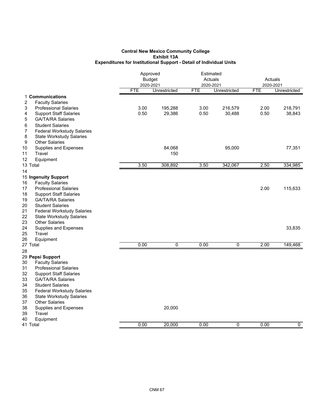|                                                                 | Approved<br><b>Budget</b><br>2020-2021 |                | Estimated<br>Actuals<br>2020-2021 |                | Actuals<br>2020-2021 |                |
|-----------------------------------------------------------------|----------------------------------------|----------------|-----------------------------------|----------------|----------------------|----------------|
|                                                                 | <b>FTE</b>                             | Unrestricted   | <b>FTE</b>                        | Unrestricted   | <b>FTE</b>           | Unrestricted   |
| 1 Communications<br>2<br><b>Faculty Salaries</b>                |                                        |                |                                   |                |                      |                |
| 3<br><b>Professional Salaries</b>                               | 3.00                                   | 195,288        | 3.00                              | 216,579        | 2.00                 | 218,791        |
| 4<br><b>Support Staff Salaries</b>                              | 0.50                                   | 29,386         | 0.50                              | 30,488         | 0.50                 | 38,843         |
| 5<br><b>GA/TA/RA Salaries</b>                                   |                                        |                |                                   |                |                      |                |
| 6<br><b>Student Salaries</b>                                    |                                        |                |                                   |                |                      |                |
| 7<br><b>Federal Workstudy Salaries</b>                          |                                        |                |                                   |                |                      |                |
| 8<br><b>State Workstudy Salaries</b>                            |                                        |                |                                   |                |                      |                |
| 9<br><b>Other Salaries</b>                                      |                                        |                |                                   |                |                      |                |
| Supplies and Expenses<br>10                                     |                                        | 84,068         |                                   | 95,000         |                      | 77,351         |
| Travel<br>11                                                    |                                        | 150            |                                   |                |                      |                |
| 12<br>Equipment                                                 |                                        |                |                                   |                |                      |                |
| 13 Total                                                        | 3.50                                   | 308,892        | 3.50                              | 342,067        | 2.50                 | 334,985        |
| 14                                                              |                                        |                |                                   |                |                      |                |
| 15 Ingenuity Support                                            |                                        |                |                                   |                |                      |                |
| <b>Faculty Salaries</b><br>16                                   |                                        |                |                                   |                |                      |                |
| <b>Professional Salaries</b><br>17                              |                                        |                |                                   |                | 2.00                 | 115,633        |
| <b>Support Staff Salaries</b><br>18                             |                                        |                |                                   |                |                      |                |
| <b>GA/TA/RA Salaries</b><br>19<br>20<br><b>Student Salaries</b> |                                        |                |                                   |                |                      |                |
| 21<br><b>Federal Workstudy Salaries</b>                         |                                        |                |                                   |                |                      |                |
| 22<br><b>State Workstudy Salaries</b>                           |                                        |                |                                   |                |                      |                |
| 23<br><b>Other Salaries</b>                                     |                                        |                |                                   |                |                      |                |
| 24<br>Supplies and Expenses                                     |                                        |                |                                   |                |                      | 33,835         |
| 25<br>Travel                                                    |                                        |                |                                   |                |                      |                |
| 26<br>Equipment                                                 |                                        |                |                                   |                |                      |                |
| 27 Total                                                        | 0.00                                   | $\overline{0}$ | 0.00                              | $\overline{0}$ | 2.00                 | 149,468        |
| 28                                                              |                                        |                |                                   |                |                      |                |
| 29 Pepsi Support                                                |                                        |                |                                   |                |                      |                |
| <b>Faculty Salaries</b><br>30                                   |                                        |                |                                   |                |                      |                |
| 31<br><b>Professional Salaries</b>                              |                                        |                |                                   |                |                      |                |
| 32<br><b>Support Staff Salaries</b>                             |                                        |                |                                   |                |                      |                |
| <b>GA/TA/RA Salaries</b><br>33<br>34<br><b>Student Salaries</b> |                                        |                |                                   |                |                      |                |
| 35<br><b>Federal Workstudy Salaries</b>                         |                                        |                |                                   |                |                      |                |
| <b>State Workstudy Salaries</b><br>36                           |                                        |                |                                   |                |                      |                |
| 37<br><b>Other Salaries</b>                                     |                                        |                |                                   |                |                      |                |
| 38<br>Supplies and Expenses                                     |                                        | 20,000         |                                   |                |                      |                |
| Travel<br>39                                                    |                                        |                |                                   |                |                      |                |
| 40<br>Equipment                                                 |                                        |                |                                   |                |                      |                |
| 41 Total                                                        | 0.00                                   | 20,000         | 0.00                              | 0              | 0.00                 | $\overline{0}$ |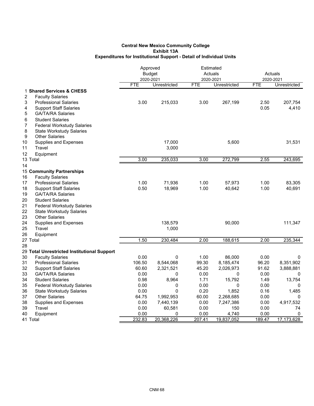| 2020-2021<br><b>FTE</b><br>Unrestricted<br><b>FTE</b><br>Unrestricted<br><b>FTE</b><br>Unrestricted<br>1 Shared Services & CHESS<br>2<br><b>Faculty Salaries</b><br>3<br>3.00<br>3.00<br>2.50<br><b>Professional Salaries</b><br>215,033<br>267,199<br>207,754<br>0.05<br>4,410<br>4<br><b>Support Staff Salaries</b><br>5<br><b>GA/TA/RA Salaries</b><br>6<br><b>Student Salaries</b><br>7<br><b>Federal Workstudy Salaries</b><br>8<br><b>State Workstudy Salaries</b><br>9<br><b>Other Salaries</b><br>Supplies and Expenses<br>17,000<br>5,600<br>31,531<br>Travel<br>3,000<br>Equipment<br>13 Total<br>3.00<br>235,033<br>3.00<br>272,799<br>2.55<br>243,695<br>15 Community Partnerships<br><b>Faculty Salaries</b><br>1.00<br>71,936<br>1.00<br>57,973<br>1.00<br>83,305<br><b>Professional Salaries</b><br>18<br><b>Support Staff Salaries</b><br>0.50<br>18,969<br>1.00<br>40,642<br>1.00<br>40,691<br>19<br><b>GA/TA/RA Salaries</b><br><b>Student Salaries</b><br>21<br><b>Federal Workstudy Salaries</b><br>22<br><b>State Workstudy Salaries</b><br>23<br><b>Other Salaries</b><br>24<br>Supplies and Expenses<br>138,579<br>90,000<br>111,347<br>25<br>Travel<br>1,000<br>26<br>Equipment<br>1.50<br>2.00<br>27 Total<br>230,484<br>188,615<br>2.00<br>235,344<br>28<br>29 Total Unrestricted Institutional Support<br>0.00<br>30<br>0<br>1.00<br>86,000<br>0.00<br><b>Faculty Salaries</b><br>0<br>31<br>106.50<br>99.30<br>96.20<br>8,351,902<br><b>Professional Salaries</b><br>8,544,068<br>8,185,474<br>45.20<br>32<br><b>Support Staff Salaries</b><br>60.60<br>2,321,521<br>2,026,973<br>91.62<br>3,888,881<br>33<br>0.00<br>0.00<br>0.00<br><b>GA/TA/RA Salaries</b><br>0<br>0<br>0<br>34<br><b>Student Salaries</b><br>0.98<br>8,964<br>1.71<br>15,792<br>1.49<br>13,754<br>0.00<br>35<br>0.00<br>0<br>0<br>0.00<br><b>Federal Workstudy Salaries</b><br>0<br>36<br><b>State Workstudy Salaries</b><br>0.00<br>0<br>0.20<br>1,852<br>0.16<br>1,485<br>37<br><b>Other Salaries</b><br>64.75<br>60.00<br>2,268,685<br>0.00<br>1,992,953<br>0<br>38<br>0.00<br>0.00<br><b>Supplies and Expenses</b><br>7,440,139<br>7,247,386<br>0.00<br>4,917,532<br>Travel<br>0.00<br>0.00<br>0.00<br>39<br>60,581<br>150<br>74<br>0.00<br>0.00<br>4,740<br>0.00<br>40<br>Equipment<br>0<br>0 |          |        | Approved<br><b>Budget</b> |        | Estimated<br>Actuals<br>2020-2021 |        | Actuals<br>2020-2021 |  |
|-----------------------------------------------------------------------------------------------------------------------------------------------------------------------------------------------------------------------------------------------------------------------------------------------------------------------------------------------------------------------------------------------------------------------------------------------------------------------------------------------------------------------------------------------------------------------------------------------------------------------------------------------------------------------------------------------------------------------------------------------------------------------------------------------------------------------------------------------------------------------------------------------------------------------------------------------------------------------------------------------------------------------------------------------------------------------------------------------------------------------------------------------------------------------------------------------------------------------------------------------------------------------------------------------------------------------------------------------------------------------------------------------------------------------------------------------------------------------------------------------------------------------------------------------------------------------------------------------------------------------------------------------------------------------------------------------------------------------------------------------------------------------------------------------------------------------------------------------------------------------------------------------------------------------------------------------------------------------------------------------------------------------------------------------------------------------------------------------------------------------------------------------------------------------------------------------------------------------------------------------------------------------------------------------------|----------|--------|---------------------------|--------|-----------------------------------|--------|----------------------|--|
|                                                                                                                                                                                                                                                                                                                                                                                                                                                                                                                                                                                                                                                                                                                                                                                                                                                                                                                                                                                                                                                                                                                                                                                                                                                                                                                                                                                                                                                                                                                                                                                                                                                                                                                                                                                                                                                                                                                                                                                                                                                                                                                                                                                                                                                                                                     |          |        |                           |        |                                   |        |                      |  |
|                                                                                                                                                                                                                                                                                                                                                                                                                                                                                                                                                                                                                                                                                                                                                                                                                                                                                                                                                                                                                                                                                                                                                                                                                                                                                                                                                                                                                                                                                                                                                                                                                                                                                                                                                                                                                                                                                                                                                                                                                                                                                                                                                                                                                                                                                                     |          |        |                           |        |                                   |        |                      |  |
|                                                                                                                                                                                                                                                                                                                                                                                                                                                                                                                                                                                                                                                                                                                                                                                                                                                                                                                                                                                                                                                                                                                                                                                                                                                                                                                                                                                                                                                                                                                                                                                                                                                                                                                                                                                                                                                                                                                                                                                                                                                                                                                                                                                                                                                                                                     |          |        |                           |        |                                   |        |                      |  |
|                                                                                                                                                                                                                                                                                                                                                                                                                                                                                                                                                                                                                                                                                                                                                                                                                                                                                                                                                                                                                                                                                                                                                                                                                                                                                                                                                                                                                                                                                                                                                                                                                                                                                                                                                                                                                                                                                                                                                                                                                                                                                                                                                                                                                                                                                                     |          |        |                           |        |                                   |        |                      |  |
|                                                                                                                                                                                                                                                                                                                                                                                                                                                                                                                                                                                                                                                                                                                                                                                                                                                                                                                                                                                                                                                                                                                                                                                                                                                                                                                                                                                                                                                                                                                                                                                                                                                                                                                                                                                                                                                                                                                                                                                                                                                                                                                                                                                                                                                                                                     |          |        |                           |        |                                   |        |                      |  |
|                                                                                                                                                                                                                                                                                                                                                                                                                                                                                                                                                                                                                                                                                                                                                                                                                                                                                                                                                                                                                                                                                                                                                                                                                                                                                                                                                                                                                                                                                                                                                                                                                                                                                                                                                                                                                                                                                                                                                                                                                                                                                                                                                                                                                                                                                                     |          |        |                           |        |                                   |        |                      |  |
|                                                                                                                                                                                                                                                                                                                                                                                                                                                                                                                                                                                                                                                                                                                                                                                                                                                                                                                                                                                                                                                                                                                                                                                                                                                                                                                                                                                                                                                                                                                                                                                                                                                                                                                                                                                                                                                                                                                                                                                                                                                                                                                                                                                                                                                                                                     |          |        |                           |        |                                   |        |                      |  |
|                                                                                                                                                                                                                                                                                                                                                                                                                                                                                                                                                                                                                                                                                                                                                                                                                                                                                                                                                                                                                                                                                                                                                                                                                                                                                                                                                                                                                                                                                                                                                                                                                                                                                                                                                                                                                                                                                                                                                                                                                                                                                                                                                                                                                                                                                                     |          |        |                           |        |                                   |        |                      |  |
|                                                                                                                                                                                                                                                                                                                                                                                                                                                                                                                                                                                                                                                                                                                                                                                                                                                                                                                                                                                                                                                                                                                                                                                                                                                                                                                                                                                                                                                                                                                                                                                                                                                                                                                                                                                                                                                                                                                                                                                                                                                                                                                                                                                                                                                                                                     |          |        |                           |        |                                   |        |                      |  |
|                                                                                                                                                                                                                                                                                                                                                                                                                                                                                                                                                                                                                                                                                                                                                                                                                                                                                                                                                                                                                                                                                                                                                                                                                                                                                                                                                                                                                                                                                                                                                                                                                                                                                                                                                                                                                                                                                                                                                                                                                                                                                                                                                                                                                                                                                                     |          |        |                           |        |                                   |        |                      |  |
|                                                                                                                                                                                                                                                                                                                                                                                                                                                                                                                                                                                                                                                                                                                                                                                                                                                                                                                                                                                                                                                                                                                                                                                                                                                                                                                                                                                                                                                                                                                                                                                                                                                                                                                                                                                                                                                                                                                                                                                                                                                                                                                                                                                                                                                                                                     | 10       |        |                           |        |                                   |        |                      |  |
|                                                                                                                                                                                                                                                                                                                                                                                                                                                                                                                                                                                                                                                                                                                                                                                                                                                                                                                                                                                                                                                                                                                                                                                                                                                                                                                                                                                                                                                                                                                                                                                                                                                                                                                                                                                                                                                                                                                                                                                                                                                                                                                                                                                                                                                                                                     | 11       |        |                           |        |                                   |        |                      |  |
|                                                                                                                                                                                                                                                                                                                                                                                                                                                                                                                                                                                                                                                                                                                                                                                                                                                                                                                                                                                                                                                                                                                                                                                                                                                                                                                                                                                                                                                                                                                                                                                                                                                                                                                                                                                                                                                                                                                                                                                                                                                                                                                                                                                                                                                                                                     | 12       |        |                           |        |                                   |        |                      |  |
|                                                                                                                                                                                                                                                                                                                                                                                                                                                                                                                                                                                                                                                                                                                                                                                                                                                                                                                                                                                                                                                                                                                                                                                                                                                                                                                                                                                                                                                                                                                                                                                                                                                                                                                                                                                                                                                                                                                                                                                                                                                                                                                                                                                                                                                                                                     |          |        |                           |        |                                   |        |                      |  |
|                                                                                                                                                                                                                                                                                                                                                                                                                                                                                                                                                                                                                                                                                                                                                                                                                                                                                                                                                                                                                                                                                                                                                                                                                                                                                                                                                                                                                                                                                                                                                                                                                                                                                                                                                                                                                                                                                                                                                                                                                                                                                                                                                                                                                                                                                                     | 14       |        |                           |        |                                   |        |                      |  |
|                                                                                                                                                                                                                                                                                                                                                                                                                                                                                                                                                                                                                                                                                                                                                                                                                                                                                                                                                                                                                                                                                                                                                                                                                                                                                                                                                                                                                                                                                                                                                                                                                                                                                                                                                                                                                                                                                                                                                                                                                                                                                                                                                                                                                                                                                                     |          |        |                           |        |                                   |        |                      |  |
|                                                                                                                                                                                                                                                                                                                                                                                                                                                                                                                                                                                                                                                                                                                                                                                                                                                                                                                                                                                                                                                                                                                                                                                                                                                                                                                                                                                                                                                                                                                                                                                                                                                                                                                                                                                                                                                                                                                                                                                                                                                                                                                                                                                                                                                                                                     | 16       |        |                           |        |                                   |        |                      |  |
|                                                                                                                                                                                                                                                                                                                                                                                                                                                                                                                                                                                                                                                                                                                                                                                                                                                                                                                                                                                                                                                                                                                                                                                                                                                                                                                                                                                                                                                                                                                                                                                                                                                                                                                                                                                                                                                                                                                                                                                                                                                                                                                                                                                                                                                                                                     | 17       |        |                           |        |                                   |        |                      |  |
|                                                                                                                                                                                                                                                                                                                                                                                                                                                                                                                                                                                                                                                                                                                                                                                                                                                                                                                                                                                                                                                                                                                                                                                                                                                                                                                                                                                                                                                                                                                                                                                                                                                                                                                                                                                                                                                                                                                                                                                                                                                                                                                                                                                                                                                                                                     |          |        |                           |        |                                   |        |                      |  |
|                                                                                                                                                                                                                                                                                                                                                                                                                                                                                                                                                                                                                                                                                                                                                                                                                                                                                                                                                                                                                                                                                                                                                                                                                                                                                                                                                                                                                                                                                                                                                                                                                                                                                                                                                                                                                                                                                                                                                                                                                                                                                                                                                                                                                                                                                                     |          |        |                           |        |                                   |        |                      |  |
|                                                                                                                                                                                                                                                                                                                                                                                                                                                                                                                                                                                                                                                                                                                                                                                                                                                                                                                                                                                                                                                                                                                                                                                                                                                                                                                                                                                                                                                                                                                                                                                                                                                                                                                                                                                                                                                                                                                                                                                                                                                                                                                                                                                                                                                                                                     | 20       |        |                           |        |                                   |        |                      |  |
|                                                                                                                                                                                                                                                                                                                                                                                                                                                                                                                                                                                                                                                                                                                                                                                                                                                                                                                                                                                                                                                                                                                                                                                                                                                                                                                                                                                                                                                                                                                                                                                                                                                                                                                                                                                                                                                                                                                                                                                                                                                                                                                                                                                                                                                                                                     |          |        |                           |        |                                   |        |                      |  |
|                                                                                                                                                                                                                                                                                                                                                                                                                                                                                                                                                                                                                                                                                                                                                                                                                                                                                                                                                                                                                                                                                                                                                                                                                                                                                                                                                                                                                                                                                                                                                                                                                                                                                                                                                                                                                                                                                                                                                                                                                                                                                                                                                                                                                                                                                                     |          |        |                           |        |                                   |        |                      |  |
|                                                                                                                                                                                                                                                                                                                                                                                                                                                                                                                                                                                                                                                                                                                                                                                                                                                                                                                                                                                                                                                                                                                                                                                                                                                                                                                                                                                                                                                                                                                                                                                                                                                                                                                                                                                                                                                                                                                                                                                                                                                                                                                                                                                                                                                                                                     |          |        |                           |        |                                   |        |                      |  |
|                                                                                                                                                                                                                                                                                                                                                                                                                                                                                                                                                                                                                                                                                                                                                                                                                                                                                                                                                                                                                                                                                                                                                                                                                                                                                                                                                                                                                                                                                                                                                                                                                                                                                                                                                                                                                                                                                                                                                                                                                                                                                                                                                                                                                                                                                                     |          |        |                           |        |                                   |        |                      |  |
|                                                                                                                                                                                                                                                                                                                                                                                                                                                                                                                                                                                                                                                                                                                                                                                                                                                                                                                                                                                                                                                                                                                                                                                                                                                                                                                                                                                                                                                                                                                                                                                                                                                                                                                                                                                                                                                                                                                                                                                                                                                                                                                                                                                                                                                                                                     |          |        |                           |        |                                   |        |                      |  |
|                                                                                                                                                                                                                                                                                                                                                                                                                                                                                                                                                                                                                                                                                                                                                                                                                                                                                                                                                                                                                                                                                                                                                                                                                                                                                                                                                                                                                                                                                                                                                                                                                                                                                                                                                                                                                                                                                                                                                                                                                                                                                                                                                                                                                                                                                                     |          |        |                           |        |                                   |        |                      |  |
|                                                                                                                                                                                                                                                                                                                                                                                                                                                                                                                                                                                                                                                                                                                                                                                                                                                                                                                                                                                                                                                                                                                                                                                                                                                                                                                                                                                                                                                                                                                                                                                                                                                                                                                                                                                                                                                                                                                                                                                                                                                                                                                                                                                                                                                                                                     |          |        |                           |        |                                   |        |                      |  |
|                                                                                                                                                                                                                                                                                                                                                                                                                                                                                                                                                                                                                                                                                                                                                                                                                                                                                                                                                                                                                                                                                                                                                                                                                                                                                                                                                                                                                                                                                                                                                                                                                                                                                                                                                                                                                                                                                                                                                                                                                                                                                                                                                                                                                                                                                                     |          |        |                           |        |                                   |        |                      |  |
|                                                                                                                                                                                                                                                                                                                                                                                                                                                                                                                                                                                                                                                                                                                                                                                                                                                                                                                                                                                                                                                                                                                                                                                                                                                                                                                                                                                                                                                                                                                                                                                                                                                                                                                                                                                                                                                                                                                                                                                                                                                                                                                                                                                                                                                                                                     |          |        |                           |        |                                   |        |                      |  |
|                                                                                                                                                                                                                                                                                                                                                                                                                                                                                                                                                                                                                                                                                                                                                                                                                                                                                                                                                                                                                                                                                                                                                                                                                                                                                                                                                                                                                                                                                                                                                                                                                                                                                                                                                                                                                                                                                                                                                                                                                                                                                                                                                                                                                                                                                                     |          |        |                           |        |                                   |        |                      |  |
|                                                                                                                                                                                                                                                                                                                                                                                                                                                                                                                                                                                                                                                                                                                                                                                                                                                                                                                                                                                                                                                                                                                                                                                                                                                                                                                                                                                                                                                                                                                                                                                                                                                                                                                                                                                                                                                                                                                                                                                                                                                                                                                                                                                                                                                                                                     |          |        |                           |        |                                   |        |                      |  |
|                                                                                                                                                                                                                                                                                                                                                                                                                                                                                                                                                                                                                                                                                                                                                                                                                                                                                                                                                                                                                                                                                                                                                                                                                                                                                                                                                                                                                                                                                                                                                                                                                                                                                                                                                                                                                                                                                                                                                                                                                                                                                                                                                                                                                                                                                                     |          |        |                           |        |                                   |        |                      |  |
|                                                                                                                                                                                                                                                                                                                                                                                                                                                                                                                                                                                                                                                                                                                                                                                                                                                                                                                                                                                                                                                                                                                                                                                                                                                                                                                                                                                                                                                                                                                                                                                                                                                                                                                                                                                                                                                                                                                                                                                                                                                                                                                                                                                                                                                                                                     |          |        |                           |        |                                   |        |                      |  |
|                                                                                                                                                                                                                                                                                                                                                                                                                                                                                                                                                                                                                                                                                                                                                                                                                                                                                                                                                                                                                                                                                                                                                                                                                                                                                                                                                                                                                                                                                                                                                                                                                                                                                                                                                                                                                                                                                                                                                                                                                                                                                                                                                                                                                                                                                                     |          |        |                           |        |                                   |        |                      |  |
|                                                                                                                                                                                                                                                                                                                                                                                                                                                                                                                                                                                                                                                                                                                                                                                                                                                                                                                                                                                                                                                                                                                                                                                                                                                                                                                                                                                                                                                                                                                                                                                                                                                                                                                                                                                                                                                                                                                                                                                                                                                                                                                                                                                                                                                                                                     |          |        |                           |        |                                   |        |                      |  |
|                                                                                                                                                                                                                                                                                                                                                                                                                                                                                                                                                                                                                                                                                                                                                                                                                                                                                                                                                                                                                                                                                                                                                                                                                                                                                                                                                                                                                                                                                                                                                                                                                                                                                                                                                                                                                                                                                                                                                                                                                                                                                                                                                                                                                                                                                                     |          |        |                           |        |                                   |        |                      |  |
|                                                                                                                                                                                                                                                                                                                                                                                                                                                                                                                                                                                                                                                                                                                                                                                                                                                                                                                                                                                                                                                                                                                                                                                                                                                                                                                                                                                                                                                                                                                                                                                                                                                                                                                                                                                                                                                                                                                                                                                                                                                                                                                                                                                                                                                                                                     |          |        |                           |        |                                   |        |                      |  |
|                                                                                                                                                                                                                                                                                                                                                                                                                                                                                                                                                                                                                                                                                                                                                                                                                                                                                                                                                                                                                                                                                                                                                                                                                                                                                                                                                                                                                                                                                                                                                                                                                                                                                                                                                                                                                                                                                                                                                                                                                                                                                                                                                                                                                                                                                                     |          |        |                           |        |                                   |        |                      |  |
|                                                                                                                                                                                                                                                                                                                                                                                                                                                                                                                                                                                                                                                                                                                                                                                                                                                                                                                                                                                                                                                                                                                                                                                                                                                                                                                                                                                                                                                                                                                                                                                                                                                                                                                                                                                                                                                                                                                                                                                                                                                                                                                                                                                                                                                                                                     |          |        |                           |        |                                   |        |                      |  |
|                                                                                                                                                                                                                                                                                                                                                                                                                                                                                                                                                                                                                                                                                                                                                                                                                                                                                                                                                                                                                                                                                                                                                                                                                                                                                                                                                                                                                                                                                                                                                                                                                                                                                                                                                                                                                                                                                                                                                                                                                                                                                                                                                                                                                                                                                                     | 41 Total | 232.83 | 20,368,226                | 207.41 | 19,837,052                        | 189.47 | 17,173,628           |  |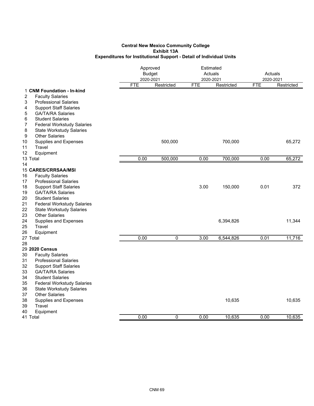|                                              | Approved<br><b>Budget</b><br>2020-2021 |            | Estimated<br>Actuals<br>2020-2021 |            | Actuals<br>2020-2021 |            |
|----------------------------------------------|----------------------------------------|------------|-----------------------------------|------------|----------------------|------------|
|                                              | <b>FTE</b>                             | Restricted | <b>FTE</b>                        | Restricted | <b>FTE</b>           | Restricted |
| 1 CNM Foundation - In-kind                   |                                        |            |                                   |            |                      |            |
| 2<br><b>Faculty Salaries</b>                 |                                        |            |                                   |            |                      |            |
| 3<br><b>Professional Salaries</b>            |                                        |            |                                   |            |                      |            |
| <b>Support Staff Salaries</b><br>4           |                                        |            |                                   |            |                      |            |
| 5<br><b>GA/TA/RA Salaries</b>                |                                        |            |                                   |            |                      |            |
| 6<br><b>Student Salaries</b>                 |                                        |            |                                   |            |                      |            |
| 7<br><b>Federal Workstudy Salaries</b>       |                                        |            |                                   |            |                      |            |
| 8<br><b>State Workstudy Salaries</b>         |                                        |            |                                   |            |                      |            |
| $\boldsymbol{9}$<br><b>Other Salaries</b>    |                                        |            |                                   |            |                      |            |
| 10<br><b>Supplies and Expenses</b><br>Travel |                                        | 500,000    |                                   | 700,000    |                      | 65,272     |
| 11<br>12                                     |                                        |            |                                   |            |                      |            |
| Equipment<br>13 Total                        | 0.00                                   | 500,000    | 0.00                              | 700,000    | 0.00                 | 65,272     |
| 14                                           |                                        |            |                                   |            |                      |            |
| <b>15 CARES/CRRSAA/MSI</b>                   |                                        |            |                                   |            |                      |            |
| 16<br><b>Faculty Salaries</b>                |                                        |            |                                   |            |                      |            |
| 17<br><b>Professional Salaries</b>           |                                        |            |                                   |            |                      |            |
| 18<br><b>Support Staff Salaries</b>          |                                        |            | 3.00                              | 150,000    | 0.01                 | 372        |
| <b>GA/TA/RA Salaries</b><br>19               |                                        |            |                                   |            |                      |            |
| 20<br><b>Student Salaries</b>                |                                        |            |                                   |            |                      |            |
| 21<br><b>Federal Workstudy Salaries</b>      |                                        |            |                                   |            |                      |            |
| 22<br><b>State Workstudy Salaries</b>        |                                        |            |                                   |            |                      |            |
| 23<br><b>Other Salaries</b>                  |                                        |            |                                   |            |                      |            |
| 24<br><b>Supplies and Expenses</b>           |                                        |            |                                   | 6,394,826  |                      | 11,344     |
| 25<br>Travel                                 |                                        |            |                                   |            |                      |            |
| 26<br>Equipment                              |                                        |            |                                   |            |                      |            |
| 27 Total                                     | 0.00                                   | 0          | 3.00                              | 6,544,826  | 0.01                 | 11,716     |
| 28                                           |                                        |            |                                   |            |                      |            |
| 29 2020 Census                               |                                        |            |                                   |            |                      |            |
| 30<br><b>Faculty Salaries</b>                |                                        |            |                                   |            |                      |            |
| 31<br><b>Professional Salaries</b>           |                                        |            |                                   |            |                      |            |
| 32<br><b>Support Staff Salaries</b>          |                                        |            |                                   |            |                      |            |
| 33<br><b>GA/TA/RA Salaries</b>               |                                        |            |                                   |            |                      |            |
| 34<br><b>Student Salaries</b>                |                                        |            |                                   |            |                      |            |
| 35<br><b>Federal Workstudy Salaries</b>      |                                        |            |                                   |            |                      |            |
| 36<br><b>State Workstudy Salaries</b>        |                                        |            |                                   |            |                      |            |
| 37<br><b>Other Salaries</b>                  |                                        |            |                                   |            |                      |            |
| 38<br>Supplies and Expenses                  |                                        |            |                                   | 10,635     |                      | 10,635     |
| 39<br>Travel                                 |                                        |            |                                   |            |                      |            |
| 40<br>Equipment                              |                                        |            |                                   |            |                      |            |
| 41 Total                                     | 0.00                                   | 0          | 0.00                              | 10,635     | 0.00                 | 10,635     |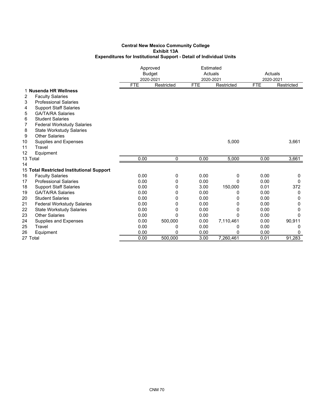|                                           | Approved<br><b>Budget</b><br>2020-2021 |              | Estimated<br>Actuals<br>2020-2021 |            | Actuals<br>2020-2021 |            |
|-------------------------------------------|----------------------------------------|--------------|-----------------------------------|------------|----------------------|------------|
|                                           | <b>FTE</b>                             | Restricted   | <b>FTE</b>                        | Restricted | <b>FTE</b>           | Restricted |
| 1 Nusenda HR Wellness                     |                                        |              |                                   |            |                      |            |
| 2<br><b>Faculty Salaries</b>              |                                        |              |                                   |            |                      |            |
| 3<br><b>Professional Salaries</b>         |                                        |              |                                   |            |                      |            |
| <b>Support Staff Salaries</b><br>4        |                                        |              |                                   |            |                      |            |
| <b>GA/TA/RA Salaries</b><br>5             |                                        |              |                                   |            |                      |            |
| <b>Student Salaries</b><br>6              |                                        |              |                                   |            |                      |            |
| 7<br><b>Federal Workstudy Salaries</b>    |                                        |              |                                   |            |                      |            |
| 8<br><b>State Workstudy Salaries</b>      |                                        |              |                                   |            |                      |            |
| <b>Other Salaries</b><br>9                |                                        |              |                                   |            |                      |            |
| 10<br>Supplies and Expenses               |                                        |              |                                   | 5,000      |                      | 3,661      |
| 11<br>Travel                              |                                        |              |                                   |            |                      |            |
| 12<br>Equipment                           |                                        |              |                                   |            |                      |            |
| 13 Total                                  | 0.00                                   | 0            | 0.00                              | 5,000      | 0.00                 | 3,661      |
| 14                                        |                                        |              |                                   |            |                      |            |
| 15 Total Restricted Institutional Support |                                        |              |                                   |            |                      |            |
| 16<br><b>Faculty Salaries</b>             | 0.00                                   | 0            | 0.00                              | 0          | 0.00                 | 0          |
| <b>Professional Salaries</b><br>17        | 0.00                                   | 0            | 0.00                              | $\Omega$   | 0.00                 | 0          |
| <b>Support Staff Salaries</b><br>18       | 0.00                                   | 0            | 3.00                              | 150,000    | 0.01                 | 372        |
| <b>GA/TA/RA Salaries</b><br>19            | 0.00                                   | 0            | 0.00                              | 0          | 0.00                 | 0          |
| <b>Student Salaries</b><br>20             | 0.00                                   | 0            | 0.00                              | 0          | 0.00                 | 0          |
| 21<br><b>Federal Workstudy Salaries</b>   | 0.00                                   | 0            | 0.00                              | 0          | 0.00                 | 0          |
| 22<br><b>State Workstudy Salaries</b>     | 0.00                                   | 0            | 0.00                              | 0          | 0.00                 | $\Omega$   |
| <b>Other Salaries</b><br>23               | 0.00                                   | $\mathbf{0}$ | 0.00                              | 0          | 0.00                 | 0          |
| 24<br>Supplies and Expenses               | 0.00                                   | 500,000      | 0.00                              | 7,110,461  | 0.00                 | 90,911     |
| 25<br>Travel                              | 0.00                                   | 0            | 0.00                              | 0          | 0.00                 | 0          |
| 26<br>Equipment                           | 0.00                                   | 0            | 0.00                              | 0          | 0.00                 | 0          |
| 27 Total                                  | 0.00                                   | 500.000      | 3.00                              | 7,260,461  | 0.01                 | 91,283     |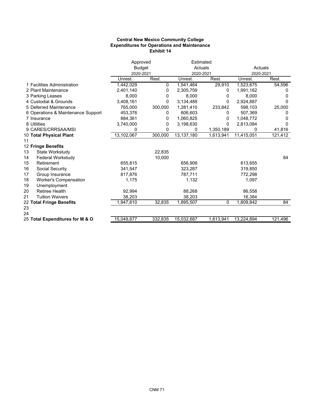### **Central New Mexico Community College Expenditures for Operations and Maintenance Exhibit 14**

|                                    | Approved   |               | Estimated  |           |            |         |
|------------------------------------|------------|---------------|------------|-----------|------------|---------|
|                                    |            | <b>Budget</b> |            | Actuals   |            | Actuals |
|                                    | 2020-2021  |               | 2020-2021  |           | 2020-2021  |         |
|                                    | Unrest.    | Rest.         | Unrest.    | Rest.     | Unrest.    | Rest.   |
| 1 Facilities Administration        | 1,442,029  | 0             | 1,541,464  | 29,910    | 1,523,675  | 54,596  |
| 2 Plant Maintenance                | 2,401,140  | 0             | 2,305,759  | 0         | 1,991,162  | 0       |
| 3 Parking Leases                   | 8.000      | 0             | 8,000      | 0         | 8.000      | O       |
| 4 Custodial & Grounds              | 3,408,161  | 0             | 3,134,489  | 0         | 2,924,887  | 0       |
| 5 Deferred Maintenance             | 765,000    | 300,000       | 1,281,410  | 233,842   | 598,103    | 25,000  |
| 6 Operations & Maintenance Support | 453,376    | 0             | 606,603    | 0         | 507,369    | 0       |
| 7 Insurance                        | 884,361    | 0             | 1,060,825  | 0         | 1,048,772  |         |
| 8 Utilities                        | 3,740,000  | 0             | 3,198,630  | 0         | 2,813,084  | O       |
| 9 CARES/CRRSAA/MSI                 | 0          | 0             | 0          | 1,350,189 | 0          | 41,816  |
| 10 Total Physical Plant            | 13,102,067 | 300,000       | 13,137,180 | 1,613,941 | 11,415,051 | 121,412 |
| 11                                 |            |               |            |           |            |         |
| 12 Fringe Benefits                 |            |               |            |           |            |         |
| 13<br>State Workstudy              |            | 22,835        |            |           |            |         |
| Federal Workstudy<br>14            |            | 10,000        |            |           |            | 84      |
| 15<br>Retirement                   | 655,815    |               | 656,906    |           | 613,655    |         |
| 16<br>Social Security              | 341,547    |               | 323,287    |           | 319,850    |         |
| 17<br>Group Insurance              | 817,876    |               | 787,711    |           | 772,298    |         |
| 18<br><b>Worker's Compensation</b> | 1,175      |               | 1,132      |           | 1,097      |         |
| 19<br>Unemployment                 |            |               |            |           |            |         |
| 20<br><b>Retiree Health</b>        | 92,994     |               | 88,268     |           | 86,558     |         |
| 21<br><b>Tuition Waivers</b>       | 38,203     |               | 38,203     |           | 16,384     |         |
| 22 Total Fringe Benefits           | 1,947,610  | 32,835        | 1,895,507  | 0         | 1,809,842  | 84      |
| 23                                 |            |               |            |           |            |         |
| 24                                 |            |               |            |           |            |         |
| 25 Total Expenditures for M & O    | 15,049,677 | 332,835       | 15,032,687 | 1,613,941 | 13,224,894 | 121,496 |
|                                    |            |               |            |           |            |         |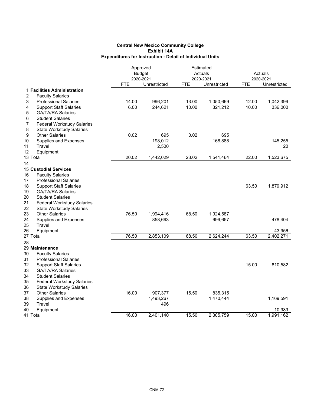|                                         |            | Approved      | Estimated |              |           |              |
|-----------------------------------------|------------|---------------|-----------|--------------|-----------|--------------|
|                                         |            | <b>Budget</b> |           | Actuals      |           | Actuals      |
|                                         |            | 2020-2021     |           | 2020-2021    | 2020-2021 |              |
|                                         | <b>FTE</b> | Unrestricted  | FTE       | Unrestricted | FTE       | Unrestricted |
| 1 Facilities Administration             |            |               |           |              |           |              |
| 2<br><b>Faculty Salaries</b>            |            |               |           |              |           |              |
| 3<br><b>Professional Salaries</b>       | 14.00      | 996,201       | 13.00     | 1,050,669    | 12.00     | 1,042,399    |
| <b>Support Staff Salaries</b><br>4      | 6.00       | 244,621       | 10.00     | 321,212      | 10.00     | 336,000      |
| 5<br><b>GA/TA/RA Salaries</b>           |            |               |           |              |           |              |
| 6<br><b>Student Salaries</b>            |            |               |           |              |           |              |
| 7<br><b>Federal Workstudy Salaries</b>  |            |               |           |              |           |              |
| 8<br><b>State Workstudy Salaries</b>    |            |               |           |              |           |              |
| 9<br><b>Other Salaries</b>              | 0.02       | 695           | 0.02      | 695          |           |              |
| 10<br>Supplies and Expenses             |            | 198,012       |           | 168,888      |           | 145,255      |
| 11<br>Travel                            |            | 2,500         |           |              |           | 20           |
| 12<br>Equipment                         |            |               |           |              |           |              |
| 13 Total                                | 20.02      | 1,442,029     | 23.02     | 1,541,464    | 22.00     | 1,523,675    |
| 14                                      |            |               |           |              |           |              |
| <b>15 Custodial Services</b>            |            |               |           |              |           |              |
| 16<br><b>Faculty Salaries</b>           |            |               |           |              |           |              |
| 17<br><b>Professional Salaries</b>      |            |               |           |              |           |              |
| 18<br><b>Support Staff Salaries</b>     |            |               |           |              | 63.50     | 1,879,912    |
| 19<br><b>GA/TA/RA Salaries</b>          |            |               |           |              |           |              |
| 20<br><b>Student Salaries</b>           |            |               |           |              |           |              |
| 21<br><b>Federal Workstudy Salaries</b> |            |               |           |              |           |              |
| 22<br><b>State Workstudy Salaries</b>   |            |               |           |              |           |              |
| 23<br><b>Other Salaries</b>             | 76.50      | 1,994,416     | 68.50     | 1,924,587    |           |              |
| 24<br><b>Supplies and Expenses</b>      |            | 858,693       |           | 699,657      |           | 478,404      |
| 25<br>Travel                            |            |               |           |              |           |              |
| 26<br>Equipment                         |            |               |           |              |           | 43,956       |
| 27 Total                                | 76.50      | 2,853,109     | 68.50     | 2,624,244    | 63.50     | 2,402,271    |
| 28                                      |            |               |           |              |           |              |
| 29 Maintenance                          |            |               |           |              |           |              |
| 30<br><b>Faculty Salaries</b>           |            |               |           |              |           |              |
| 31<br><b>Professional Salaries</b>      |            |               |           |              |           |              |
| 32<br><b>Support Staff Salaries</b>     |            |               |           |              | 15.00     | 810,582      |
| 33<br><b>GA/TA/RA Salaries</b>          |            |               |           |              |           |              |
| 34<br><b>Student Salaries</b>           |            |               |           |              |           |              |
| 35<br><b>Federal Workstudy Salaries</b> |            |               |           |              |           |              |
| 36<br><b>State Workstudy Salaries</b>   |            |               |           |              |           |              |
| 37<br><b>Other Salaries</b>             | 16.00      | 907,377       | 15.50     | 835,315      |           |              |
| 38<br><b>Supplies and Expenses</b>      |            | 1,493,267     |           | 1,470,444    |           | 1,169,591    |
| 39<br>Travel                            |            | 496           |           |              |           |              |
| 40<br>Equipment                         |            |               |           |              |           | 10,989       |
| 41 Total                                | 16.00      | 2,401,140     | 15.50     | 2,305,759    | 15.00     | 1,991,162    |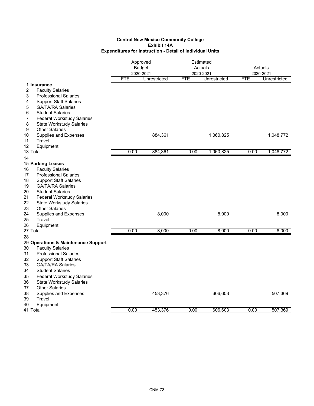|                                                                | Approved<br><b>Budget</b><br>2020-2021 |              |            | Estimated<br>Actuals      | Actuals<br>2020-2021 |              |
|----------------------------------------------------------------|----------------------------------------|--------------|------------|---------------------------|----------------------|--------------|
|                                                                | <b>FTE</b>                             | Unrestricted | <b>FTE</b> | 2020-2021<br>Unrestricted | <b>FTE</b>           | Unrestricted |
| 1 Insurance                                                    |                                        |              |            |                           |                      |              |
| 2<br><b>Faculty Salaries</b>                                   |                                        |              |            |                           |                      |              |
| 3<br><b>Professional Salaries</b>                              |                                        |              |            |                           |                      |              |
| <b>Support Staff Salaries</b><br>4                             |                                        |              |            |                           |                      |              |
| 5<br><b>GA/TA/RA Salaries</b>                                  |                                        |              |            |                           |                      |              |
| <b>Student Salaries</b><br>6                                   |                                        |              |            |                           |                      |              |
| 7<br><b>Federal Workstudy Salaries</b>                         |                                        |              |            |                           |                      |              |
| 8<br><b>State Workstudy Salaries</b>                           |                                        |              |            |                           |                      |              |
| <b>Other Salaries</b><br>9                                     |                                        |              |            |                           |                      |              |
| 10<br>Supplies and Expenses                                    |                                        | 884,361      |            | 1,060,825                 |                      | 1,048,772    |
| 11<br>Travel                                                   |                                        |              |            |                           |                      |              |
| 12<br>Equipment                                                |                                        |              |            |                           |                      |              |
| 13 Total                                                       | 0.00                                   | 884,361      | 0.00       | 1,060,825                 | 0.00                 | 1,048,772    |
| 14                                                             |                                        |              |            |                           |                      |              |
| 15 Parking Leases                                              |                                        |              |            |                           |                      |              |
| 16<br><b>Faculty Salaries</b>                                  |                                        |              |            |                           |                      |              |
| 17<br><b>Professional Salaries</b>                             |                                        |              |            |                           |                      |              |
| 18<br><b>Support Staff Salaries</b>                            |                                        |              |            |                           |                      |              |
| 19<br><b>GA/TA/RA Salaries</b>                                 |                                        |              |            |                           |                      |              |
| 20<br><b>Student Salaries</b>                                  |                                        |              |            |                           |                      |              |
| 21<br><b>Federal Workstudy Salaries</b><br>22                  |                                        |              |            |                           |                      |              |
| <b>State Workstudy Salaries</b><br>23<br><b>Other Salaries</b> |                                        |              |            |                           |                      |              |
| 24<br>Supplies and Expenses                                    |                                        | 8,000        |            | 8,000                     |                      | 8,000        |
| 25<br>Travel                                                   |                                        |              |            |                           |                      |              |
| 26<br>Equipment                                                |                                        |              |            |                           |                      |              |
| 27 Total                                                       | 0.00                                   | 8,000        | 0.00       | 8,000                     | 0.00                 | 8,000        |
| 28                                                             |                                        |              |            |                           |                      |              |
| 29 Operations & Maintenance Support                            |                                        |              |            |                           |                      |              |
| 30<br><b>Faculty Salaries</b>                                  |                                        |              |            |                           |                      |              |
| 31<br><b>Professional Salaries</b>                             |                                        |              |            |                           |                      |              |
| 32<br><b>Support Staff Salaries</b>                            |                                        |              |            |                           |                      |              |
| 33<br><b>GA/TA/RA Salaries</b>                                 |                                        |              |            |                           |                      |              |
| 34<br><b>Student Salaries</b>                                  |                                        |              |            |                           |                      |              |
| 35<br><b>Federal Workstudy Salaries</b>                        |                                        |              |            |                           |                      |              |
| 36<br><b>State Workstudy Salaries</b>                          |                                        |              |            |                           |                      |              |
| 37<br><b>Other Salaries</b>                                    |                                        |              |            |                           |                      |              |
| 38<br>Supplies and Expenses                                    |                                        | 453,376      |            | 606,603                   |                      | 507,369      |
| 39<br>Travel                                                   |                                        |              |            |                           |                      |              |
| 40<br>Equipment                                                |                                        |              |            |                           |                      |              |
| 41 Total                                                       | 0.00                                   | 453,376      | 0.00       | 606,603                   | 0.00                 | 507,369      |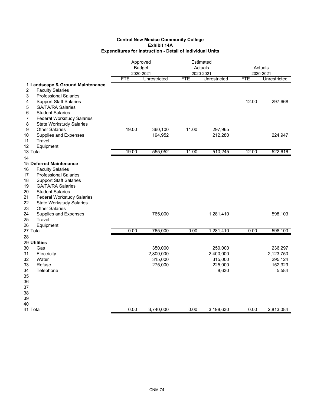|                                         | Approved<br><b>Budget</b><br>2020-2021<br><b>FTE</b><br>Unrestricted |                    | Estimated<br>Actuals<br>2020-2021<br><b>FTE</b><br>Unrestricted |                    | Actuals<br>2020-2021<br><b>FTE</b> |                    |
|-----------------------------------------|----------------------------------------------------------------------|--------------------|-----------------------------------------------------------------|--------------------|------------------------------------|--------------------|
| 1 Landscape & Ground Maintenance        |                                                                      |                    |                                                                 |                    |                                    | Unrestricted       |
| 2<br><b>Faculty Salaries</b>            |                                                                      |                    |                                                                 |                    |                                    |                    |
| 3<br><b>Professional Salaries</b>       |                                                                      |                    |                                                                 |                    |                                    |                    |
| <b>Support Staff Salaries</b><br>4      |                                                                      |                    |                                                                 |                    | 12.00                              | 297,668            |
| <b>GA/TA/RA Salaries</b><br>5           |                                                                      |                    |                                                                 |                    |                                    |                    |
| <b>Student Salaries</b><br>6            |                                                                      |                    |                                                                 |                    |                                    |                    |
| 7<br><b>Federal Workstudy Salaries</b>  |                                                                      |                    |                                                                 |                    |                                    |                    |
| 8<br><b>State Workstudy Salaries</b>    |                                                                      |                    |                                                                 |                    |                                    |                    |
| 9<br><b>Other Salaries</b>              | 19.00                                                                | 360,100            | 11.00                                                           | 297,965            |                                    |                    |
| 10<br>Supplies and Expenses             |                                                                      | 194,952            |                                                                 | 212,280            |                                    | 224,947            |
| 11<br>Travel                            |                                                                      |                    |                                                                 |                    |                                    |                    |
| 12<br>Equipment                         |                                                                      |                    |                                                                 |                    |                                    |                    |
| 13 Total                                | 19.00                                                                | 555,052            | 11.00                                                           | 510,245            | 12.00                              | 522,616            |
| 14                                      |                                                                      |                    |                                                                 |                    |                                    |                    |
| 15 Deferred Maintenance                 |                                                                      |                    |                                                                 |                    |                                    |                    |
| 16<br><b>Faculty Salaries</b>           |                                                                      |                    |                                                                 |                    |                                    |                    |
| 17<br><b>Professional Salaries</b>      |                                                                      |                    |                                                                 |                    |                                    |                    |
| 18<br><b>Support Staff Salaries</b>     |                                                                      |                    |                                                                 |                    |                                    |                    |
| 19<br><b>GA/TA/RA Salaries</b>          |                                                                      |                    |                                                                 |                    |                                    |                    |
| <b>Student Salaries</b><br>20           |                                                                      |                    |                                                                 |                    |                                    |                    |
| 21<br><b>Federal Workstudy Salaries</b> |                                                                      |                    |                                                                 |                    |                                    |                    |
| 22<br><b>State Workstudy Salaries</b>   |                                                                      |                    |                                                                 |                    |                                    |                    |
| 23<br><b>Other Salaries</b>             |                                                                      |                    |                                                                 |                    |                                    |                    |
| 24<br>Supplies and Expenses             |                                                                      | 765,000            |                                                                 | 1,281,410          |                                    | 598,103            |
| 25<br>Travel                            |                                                                      |                    |                                                                 |                    |                                    |                    |
| 26<br>Equipment                         |                                                                      |                    |                                                                 |                    |                                    |                    |
| 27 Total                                | 0.00                                                                 | 765,000            | 0.00                                                            | 1,281,410          | 0.00                               | 598,103            |
| 28                                      |                                                                      |                    |                                                                 |                    |                                    |                    |
| 29 Utilities                            |                                                                      |                    |                                                                 |                    |                                    |                    |
| 30<br>Gas                               |                                                                      | 350,000            |                                                                 | 250,000            |                                    | 236,297            |
| 31<br>Electricity                       |                                                                      | 2,800,000          |                                                                 | 2,400,000          |                                    | 2,123,750          |
| 32<br>Water<br>33<br>Refuse             |                                                                      | 315,000<br>275,000 |                                                                 | 315,000<br>225,000 |                                    | 295,124<br>152,329 |
| 34<br>Telephone                         |                                                                      |                    |                                                                 | 8,630              |                                    | 5,584              |
| 35                                      |                                                                      |                    |                                                                 |                    |                                    |                    |
| 36                                      |                                                                      |                    |                                                                 |                    |                                    |                    |
| 37                                      |                                                                      |                    |                                                                 |                    |                                    |                    |
| 38                                      |                                                                      |                    |                                                                 |                    |                                    |                    |
| 39                                      |                                                                      |                    |                                                                 |                    |                                    |                    |
| 40                                      |                                                                      |                    |                                                                 |                    |                                    |                    |
| 41 Total                                | 0.00                                                                 | 3,740,000          | 0.00                                                            | 3,198,630          | 0.00                               | 2,813,084          |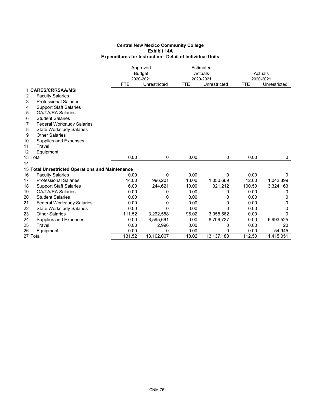|          |                                                  | Approved   |               |            | Estimated    |            |              |  |
|----------|--------------------------------------------------|------------|---------------|------------|--------------|------------|--------------|--|
|          |                                                  |            | <b>Budget</b> |            | Actuals      | Actuals    |              |  |
|          |                                                  |            | 2020-2021     |            | 2020-2021    |            | 2020-2021    |  |
|          |                                                  | <b>FTE</b> | Unrestricted  | <b>FTE</b> | Unrestricted | <b>FTE</b> | Unrestricted |  |
|          | 1 CARES/CRRSAA/MSI                               |            |               |            |              |            |              |  |
| 2        | <b>Faculty Salaries</b>                          |            |               |            |              |            |              |  |
| 3        | <b>Professional Salaries</b>                     |            |               |            |              |            |              |  |
| 4        | <b>Support Staff Salaries</b>                    |            |               |            |              |            |              |  |
| 5        | <b>GA/TA/RA Salaries</b>                         |            |               |            |              |            |              |  |
| 6        | <b>Student Salaries</b>                          |            |               |            |              |            |              |  |
| 7        | <b>Federal Workstudy Salaries</b>                |            |               |            |              |            |              |  |
| 8        | <b>State Workstudy Salaries</b>                  |            |               |            |              |            |              |  |
| 9        | <b>Other Salaries</b>                            |            |               |            |              |            |              |  |
| 10       | Supplies and Expenses                            |            |               |            |              |            |              |  |
| 11       | Travel                                           |            |               |            |              |            |              |  |
| 12       | Equipment                                        |            |               |            |              |            |              |  |
| 13 Total |                                                  | 0.00       | 0             | 0.00       | 0            | 0.00       | 0            |  |
| 14       |                                                  |            |               |            |              |            |              |  |
|          | 15 Total Unrestricted Operations and Maintenance |            |               |            |              |            |              |  |
| 16       | <b>Faculty Salaries</b>                          | 0.00       | $\mathbf{0}$  | 0.00       | 0            | 0.00       | $\mathbf{0}$ |  |
| 17       | <b>Professional Salaries</b>                     | 14.00      | 996,201       | 13.00      | 1,050,669    | 12.00      | 1,042,399    |  |
| 18       | <b>Support Staff Salaries</b>                    | 6.00       | 244,621       | 10.00      | 321,212      | 100.50     | 3,324,163    |  |
| 19       | <b>GA/TA/RA Salaries</b>                         | 0.00       | 0             | 0.00       | 0            | 0.00       | 0            |  |
| 20       | <b>Student Salaries</b>                          | 0.00       | 0             | 0.00       | 0            | 0.00       | 0            |  |
| 21       | <b>Federal Workstudy Salaries</b>                | 0.00       | 0             | 0.00       | 0            | 0.00       | 0            |  |
| 22       | <b>State Workstudy Salaries</b>                  | 0.00       | $\mathbf{0}$  | 0.00       | 0            | 0.00       | 0            |  |
| 23       | <b>Other Salaries</b>                            | 111.52     | 3,262,588     | 95.02      | 3,058,562    | 0.00       | 0            |  |
| 24       | Supplies and Expenses                            | 0.00       | 8,595,661     | 0.00       | 8,706,737    | 0.00       | 6,993,525    |  |
| 25       | Travel                                           | 0.00       | 2,996         | 0.00       | 0            | 0.00       | 20           |  |
| 26       | Equipment                                        | 0.00       | 0             | 0.00       | 0            | 0.00       | 54,945       |  |
| 27 Total |                                                  | 131.52     | 13,102,067    | 118.02     | 13,137,180   | 112.50     | 11,415,051   |  |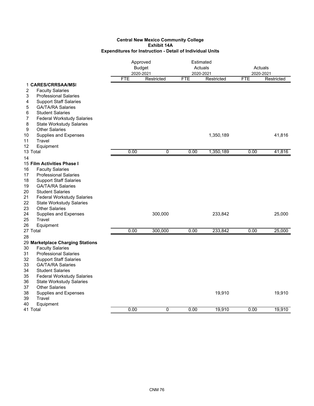|                                         | Approved<br><b>Budget</b> |             |            | Estimated<br>Actuals |            | Actuals    |  |
|-----------------------------------------|---------------------------|-------------|------------|----------------------|------------|------------|--|
|                                         |                           | 2020-2021   |            | 2020-2021            |            | 2020-2021  |  |
|                                         | <b>FTE</b>                | Restricted  | <b>FTE</b> | Restricted           | <b>FTE</b> | Restricted |  |
| 1 CARES/CRRSAA/MSI                      |                           |             |            |                      |            |            |  |
| 2<br><b>Faculty Salaries</b>            |                           |             |            |                      |            |            |  |
| 3<br><b>Professional Salaries</b>       |                           |             |            |                      |            |            |  |
| 4<br><b>Support Staff Salaries</b>      |                           |             |            |                      |            |            |  |
| 5<br><b>GA/TA/RA Salaries</b>           |                           |             |            |                      |            |            |  |
| 6<br><b>Student Salaries</b>            |                           |             |            |                      |            |            |  |
| 7<br><b>Federal Workstudy Salaries</b>  |                           |             |            |                      |            |            |  |
| 8<br><b>State Workstudy Salaries</b>    |                           |             |            |                      |            |            |  |
| 9<br><b>Other Salaries</b>              |                           |             |            |                      |            |            |  |
| 10<br>Supplies and Expenses             |                           |             |            | 1,350,189            |            | 41,816     |  |
| 11<br>Travel                            |                           |             |            |                      |            |            |  |
| 12<br>Equipment                         |                           |             |            |                      |            |            |  |
| 13 Total                                | 0.00                      | 0           | 0.00       | 1,350,189            | 0.00       | 41,816     |  |
| 14                                      |                           |             |            |                      |            |            |  |
| 15 Film Activities Phase I              |                           |             |            |                      |            |            |  |
| 16<br><b>Faculty Salaries</b>           |                           |             |            |                      |            |            |  |
| 17<br><b>Professional Salaries</b>      |                           |             |            |                      |            |            |  |
| 18<br><b>Support Staff Salaries</b>     |                           |             |            |                      |            |            |  |
| 19<br><b>GA/TA/RA Salaries</b>          |                           |             |            |                      |            |            |  |
| 20<br><b>Student Salaries</b>           |                           |             |            |                      |            |            |  |
| 21<br><b>Federal Workstudy Salaries</b> |                           |             |            |                      |            |            |  |
| 22<br><b>State Workstudy Salaries</b>   |                           |             |            |                      |            |            |  |
| 23<br><b>Other Salaries</b>             |                           |             |            |                      |            |            |  |
| 24<br>Supplies and Expenses             |                           | 300,000     |            | 233,842              |            | 25,000     |  |
| 25<br>Travel                            |                           |             |            |                      |            |            |  |
| Equipment<br>26                         |                           |             |            |                      |            |            |  |
| 27 Total                                | 0.00                      | 300,000     | 0.00       | 233,842              | 0.00       | 25,000     |  |
| 28                                      |                           |             |            |                      |            |            |  |
| 29 Marketplace Charging Stations        |                           |             |            |                      |            |            |  |
| <b>Faculty Salaries</b><br>30           |                           |             |            |                      |            |            |  |
| 31<br><b>Professional Salaries</b>      |                           |             |            |                      |            |            |  |
| 32<br><b>Support Staff Salaries</b>     |                           |             |            |                      |            |            |  |
| 33<br><b>GA/TA/RA Salaries</b>          |                           |             |            |                      |            |            |  |
| 34<br><b>Student Salaries</b>           |                           |             |            |                      |            |            |  |
| 35<br><b>Federal Workstudy Salaries</b> |                           |             |            |                      |            |            |  |
| 36<br><b>State Workstudy Salaries</b>   |                           |             |            |                      |            |            |  |
| 37<br><b>Other Salaries</b>             |                           |             |            |                      |            |            |  |
| 38<br>Supplies and Expenses             |                           |             |            | 19,910               |            | 19,910     |  |
| 39<br>Travel                            |                           |             |            |                      |            |            |  |
| 40<br>Equipment                         |                           |             |            |                      |            |            |  |
| 41 Total                                | 0.00                      | $\mathbf 0$ | 0.00       | 19,910               | 0.00       | 19,910     |  |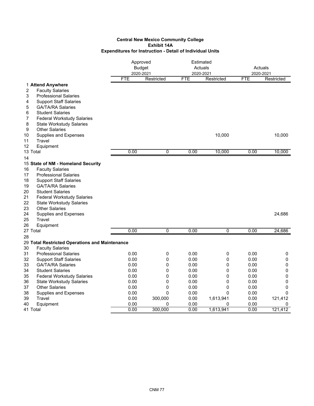|                                                     | Approved<br><b>Budget</b><br>2020-2021 |                |            | Estimated<br>Actuals<br>2020-2021 |            | Actuals<br>2020-2021 |  |
|-----------------------------------------------------|----------------------------------------|----------------|------------|-----------------------------------|------------|----------------------|--|
|                                                     | FTE                                    | Restricted     | <b>FTE</b> | Restricted                        | <b>FTE</b> | Restricted           |  |
| 1 Attend Anywhere<br>2<br><b>Faculty Salaries</b>   |                                        |                |            |                                   |            |                      |  |
| 3<br><b>Professional Salaries</b>                   |                                        |                |            |                                   |            |                      |  |
| 4<br><b>Support Staff Salaries</b>                  |                                        |                |            |                                   |            |                      |  |
| 5<br><b>GA/TA/RA Salaries</b>                       |                                        |                |            |                                   |            |                      |  |
| 6<br><b>Student Salaries</b>                        |                                        |                |            |                                   |            |                      |  |
| $\overline{7}$<br><b>Federal Workstudy Salaries</b> |                                        |                |            |                                   |            |                      |  |
| 8<br><b>State Workstudy Salaries</b>                |                                        |                |            |                                   |            |                      |  |
| 9<br><b>Other Salaries</b>                          |                                        |                |            |                                   |            |                      |  |
| 10<br>Supplies and Expenses                         |                                        |                |            | 10,000                            |            | 10,000               |  |
| Travel<br>11<br>12                                  |                                        |                |            |                                   |            |                      |  |
| Equipment<br>13 Total                               | 0.00                                   | 0              | 0.00       | 10,000                            | 0.00       | 10,000               |  |
| 14                                                  |                                        |                |            |                                   |            |                      |  |
| 15 State of NM - Homeland Security                  |                                        |                |            |                                   |            |                      |  |
| <b>Faculty Salaries</b><br>16                       |                                        |                |            |                                   |            |                      |  |
| 17<br><b>Professional Salaries</b>                  |                                        |                |            |                                   |            |                      |  |
| 18<br><b>Support Staff Salaries</b>                 |                                        |                |            |                                   |            |                      |  |
| 19<br><b>GA/TA/RA Salaries</b>                      |                                        |                |            |                                   |            |                      |  |
| 20<br><b>Student Salaries</b>                       |                                        |                |            |                                   |            |                      |  |
| 21<br><b>Federal Workstudy Salaries</b>             |                                        |                |            |                                   |            |                      |  |
| 22<br><b>State Workstudy Salaries</b>               |                                        |                |            |                                   |            |                      |  |
| 23<br><b>Other Salaries</b>                         |                                        |                |            |                                   |            |                      |  |
| 24<br>Supplies and Expenses                         |                                        |                |            |                                   |            | 24,686               |  |
| 25<br>Travel                                        |                                        |                |            |                                   |            |                      |  |
| 26<br>Equipment                                     |                                        |                |            |                                   |            |                      |  |
| 27 Total                                            | 0.00                                   | $\overline{0}$ | 0.00       | 0                                 | 0.00       | 24,686               |  |
| 28                                                  |                                        |                |            |                                   |            |                      |  |
| 29 Total Restricted Operations and Maintenance      |                                        |                |            |                                   |            |                      |  |
| 30<br><b>Faculty Salaries</b>                       |                                        |                |            |                                   |            |                      |  |
| 31<br><b>Professional Salaries</b>                  | 0.00                                   | 0              | 0.00       | 0                                 | 0.00       | 0                    |  |
| 32<br><b>Support Staff Salaries</b>                 | 0.00                                   | 0              | 0.00       | 0                                 | 0.00       | 0                    |  |
| 33<br><b>GA/TA/RA Salaries</b>                      | 0.00                                   | 0              | 0.00       | 0                                 | 0.00       | $\pmb{0}$            |  |
| 34<br><b>Student Salaries</b>                       | 0.00                                   | 0              | 0.00       | 0                                 | 0.00       | $\mathbf 0$          |  |
| 35<br><b>Federal Workstudy Salaries</b>             | 0.00                                   | 0              | 0.00       | 0                                 | 0.00       | $\pmb{0}$            |  |
| 36<br><b>State Workstudy Salaries</b>               | 0.00                                   | 0              | 0.00       | 0                                 | 0.00       | 0                    |  |
| 37<br><b>Other Salaries</b>                         | 0.00                                   | 0              | 0.00       | 0                                 | 0.00       | 0                    |  |
| 38<br>Supplies and Expenses                         | 0.00                                   | $\mathbf{0}$   | 0.00       | 0                                 | 0.00       | $\Omega$             |  |
| 39<br>Travel                                        | 0.00                                   | 300,000        | 0.00       | 1,613,941                         | 0.00       | 121,412              |  |
| 40<br>Equipment                                     | 0.00                                   | 0              | 0.00       | 0                                 | 0.00       | 0                    |  |
| 41 Total                                            | 0.00                                   | 300,000        | 0.00       | 1,613,941                         | 0.00       | 121,412              |  |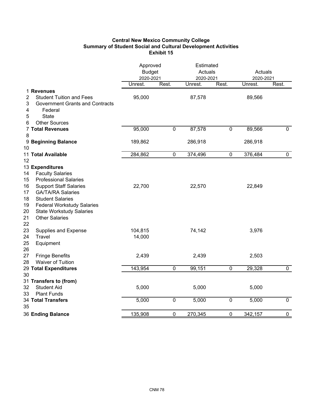# **Central New Mexico Community College Summary of Student Social and Cultural Development Activities Exhibit 15**

|                                  |                                                                                                                                                      | Approved<br><b>Budget</b><br>2020-2021 |                | Estimated<br>Actuals<br>2020-2021 |                | Actuals<br>2020-2021 |                |
|----------------------------------|------------------------------------------------------------------------------------------------------------------------------------------------------|----------------------------------------|----------------|-----------------------------------|----------------|----------------------|----------------|
|                                  |                                                                                                                                                      | Unrest.                                | Rest.          | Unrest.                           | Rest.          | Unrest.              | Rest.          |
| 2<br>3<br>4<br>5<br>6            | 1 Revenues<br><b>Student Tuition and Fees</b><br><b>Government Grants and Contracts</b><br>Federal<br><b>State</b><br><b>Other Sources</b>           | 95,000                                 |                | 87,578                            |                | 89,566               |                |
| 8                                | <b>7 Total Revenues</b>                                                                                                                              | 95,000                                 | $\pmb{0}$      | 87,578                            | $\pmb{0}$      | 89,566               | $\mathbf 0$    |
| 10                               | 9 Beginning Balance                                                                                                                                  | 189,862                                |                | 286,918                           |                | 286,918              |                |
|                                  | 11 Total Available                                                                                                                                   | 284,862                                | $\pmb{0}$      | 374,496                           | $\mathbf 0$    | 376,484              | $\mathbf 0$    |
| 12                               |                                                                                                                                                      |                                        |                |                                   |                |                      |                |
| 14<br>15<br>16                   | 13 Expenditures<br><b>Faculty Salaries</b><br><b>Professional Salaries</b><br><b>Support Staff Salaries</b>                                          | 22,700                                 |                | 22,570                            |                | 22,849               |                |
| 17<br>18<br>19<br>20<br>21<br>22 | <b>GA/TA/RA Salaries</b><br><b>Student Salaries</b><br><b>Federal Workstudy Salaries</b><br><b>State Workstudy Salaries</b><br><b>Other Salaries</b> |                                        |                |                                   |                |                      |                |
| 23<br>24<br>25<br>26             | Supplies and Expense<br>Travel<br>Equipment                                                                                                          | 104,815<br>14,000                      |                | 74,142                            |                | 3,976                |                |
| 27<br>28                         | <b>Fringe Benefits</b><br>Waiver of Tuition                                                                                                          | 2,439                                  |                | 2,439                             |                | 2,503                |                |
|                                  | 29 Total Expenditures                                                                                                                                | 143,954                                | $\overline{0}$ | 99,151                            | $\overline{0}$ | 29,328               | $\overline{0}$ |
| 30                               |                                                                                                                                                      |                                        |                |                                   |                |                      |                |
| 32<br>33                         | 31 Transfers to (from)<br><b>Student Aid</b><br><b>Plant Funds</b>                                                                                   | 5,000                                  |                | 5,000                             |                | 5,000                |                |
| 35                               | <b>34 Total Transfers</b>                                                                                                                            | 5,000                                  | $\pmb{0}$      | 5,000                             | $\pmb{0}$      | 5,000                | $\pmb{0}$      |
|                                  | 36 Ending Balance                                                                                                                                    | 135,908                                | $\pmb{0}$      | 270,345                           | $\pmb{0}$      | 342,157              | $\pmb{0}$      |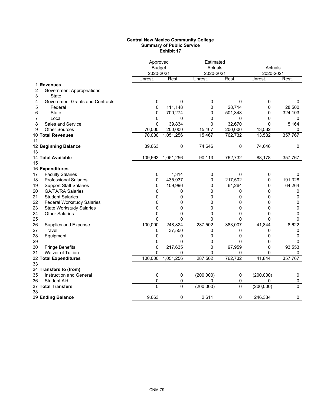### **Central New Mexico Community College Summary of Public Service Exhibit 17**

|    |                                        | Approved<br><b>Budget</b> |              | Estimated<br>Actuals |              |                      |          |
|----|----------------------------------------|---------------------------|--------------|----------------------|--------------|----------------------|----------|
|    |                                        | 2020-2021                 |              | 2020-2021            |              | Actuals<br>2020-2021 |          |
|    |                                        | Unrest.                   | Rest.        | Unrest.              | Rest.        | Unrest.              | Rest.    |
|    | 1 Revenues                             |                           |              |                      |              |                      |          |
| 2  | <b>Government Appropriations</b>       |                           |              |                      |              |                      |          |
| 3  | State                                  |                           |              |                      |              |                      |          |
| 4  | <b>Government Grants and Contracts</b> | 0                         | 0            | 0                    | 0            | 0                    | 0        |
| 5  | Federal                                | 0                         | 111,148      | 0                    | 28,714       | 0                    | 28,500   |
| 6  | State                                  | 0                         | 700,274      | 0                    | 501,348      | 0                    | 324,103  |
| 7  | Local                                  | 0                         | 0            | $\Omega$             | 0            | $\Omega$             | 0        |
| 8  | Sales and Service                      | 0                         | 39,834       | $\Omega$             | 32,670       | $\Omega$             | 5,164    |
| 9  | <b>Other Sources</b>                   | 70,000                    | 200,000      | 15,467               | 200,000      | 13,532               | 0        |
|    | 10 Total Revenues                      | 70,000                    | 1,051,256    | 15,467               | 762,732      | 13,532               | 357,767  |
| 11 |                                        |                           |              |                      |              |                      |          |
|    | 12 Beginning Balance                   | 39,663                    | 0            | 74,646               | 0            | 74,646               | 0        |
| 13 |                                        |                           |              |                      |              |                      |          |
|    | 14 Total Available                     | 109,663                   | 1,051,256    | 90,113               | 762,732      | 88,178               | 357,767  |
| 15 |                                        |                           |              |                      |              |                      |          |
|    | 16 Expenditures                        |                           |              |                      |              |                      |          |
| 17 | <b>Faculty Salaries</b>                | 0                         | 1,314        | 0                    | $\mathbf{0}$ | 0                    | $\Omega$ |
| 18 | <b>Professional Salaries</b>           | 0                         | 435,937      | 0                    | 217,502      | 0                    | 191,328  |
| 19 | <b>Support Staff Salaries</b>          | 0                         | 109,996      | 0                    | 64,264       | 0                    | 64,264   |
| 20 | <b>GA/TA/RA Salaries</b>               | 0                         | 0            | 0                    | 0            | 0                    | 0        |
| 21 | <b>Student Salaries</b>                | 0                         | 0            | $\mathbf{0}$         | $\mathbf{0}$ | $\mathbf{0}$         | 0        |
| 22 | <b>Federal Workstudy Salaries</b>      | 0                         | 0            | $\mathbf{0}$         | 0            | $\mathbf{0}$         | 0        |
| 23 | <b>State Workstudy Salaries</b>        | 0                         | 0            | 0                    | $\mathbf 0$  | $\mathbf 0$          | 0        |
| 24 | <b>Other Salaries</b>                  | 0                         | 0            | $\mathbf{0}$         | 0            | 0                    | 0        |
| 25 |                                        | 0                         | $\mathbf{0}$ | 0                    | $\mathbf{0}$ | $\Omega$             | 0        |
| 26 | Supplies and Expense                   | 100,000                   | 248,824      | 287,502              | 383,007      | 41,844               | 8,622    |
| 27 | Travel                                 | 0                         | 37,550       | 0                    | 0            | 0                    | 0        |
| 28 | Equipment                              | 0                         | 0            | 0                    | 0            | 0                    | 0        |
| 29 |                                        | 0                         | 0            | $\mathbf{0}$         | 0            | 0                    | 0        |
| 30 | <b>Fringe Benefits</b>                 | 0                         | 217,635      | $\mathbf 0$          | 97,959       | $\mathbf{0}$         | 93,553   |
| 31 | Waiver of Tuition                      | 0                         | 0            | 0                    | 0            | 0                    | 0        |
|    | 32 Total Expenditures                  | 100,000                   | 1,051,256    | 287,502              | 762,732      | 41,844               | 357,767  |
| 33 |                                        |                           |              |                      |              |                      |          |
|    | 34 Transfers to (from)                 |                           |              |                      |              |                      |          |
| 35 | Instruction and General                | 0                         | 0            | (200,000)            | 0            | (200,000)            | 0        |
| 36 | <b>Student Aid</b>                     | 0                         | 0            | $\mathbf{0}$         | 0            | 0                    | 0        |
| 38 | 37 Total Transfers                     | 0                         | 0            | (200,000)            | 0            | (200,000)            | 0        |
|    | 39 Ending Balance                      | 9,663                     | 0            | 2,611                | 0            | 246,334              | 0        |
|    |                                        |                           |              |                      |              |                      |          |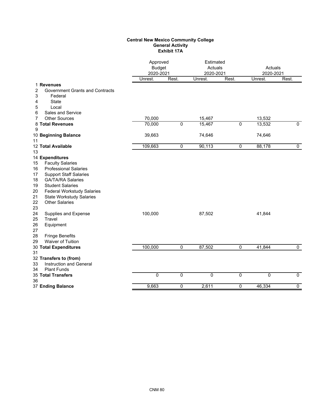## **Central New Mexico Community College General Activity Exhibit 17A**

|                                                                                                                                                                                                                                                                                                                           |         | Approved<br><b>Budget</b><br>2020-2021 |         | Estimated<br>Actuals<br>2020-2021 |             | Actuals<br>2020-2021 |
|---------------------------------------------------------------------------------------------------------------------------------------------------------------------------------------------------------------------------------------------------------------------------------------------------------------------------|---------|----------------------------------------|---------|-----------------------------------|-------------|----------------------|
|                                                                                                                                                                                                                                                                                                                           | Unrest. | Rest.                                  | Unrest. | Rest.                             | Unrest.     | Rest.                |
| 1 Revenues<br>$\overline{\mathbf{c}}$<br><b>Government Grants and Contracts</b><br>3<br>Federal<br><b>State</b><br>4<br>5<br>Local<br>Sales and Service<br>6                                                                                                                                                              |         |                                        |         |                                   |             |                      |
| <b>Other Sources</b><br>7                                                                                                                                                                                                                                                                                                 | 70,000  |                                        | 15,467  |                                   | 13,532      |                      |
| 8 Total Revenues<br>9                                                                                                                                                                                                                                                                                                     | 70,000  | $\overline{0}$                         | 15,467  | $\overline{0}$                    | 13,532      | $\overline{0}$       |
| 10 Beginning Balance<br>11                                                                                                                                                                                                                                                                                                | 39,663  |                                        | 74,646  |                                   | 74,646      |                      |
| 12 Total Available<br>13                                                                                                                                                                                                                                                                                                  | 109,663 | $\mathbf 0$                            | 90,113  | $\mathbf 0$                       | 88,178      | $\mathbf 0$          |
| 14 Expenditures<br><b>Faculty Salaries</b><br>15<br><b>Professional Salaries</b><br>16<br>17<br><b>Support Staff Salaries</b><br><b>GA/TA/RA Salaries</b><br>18<br><b>Student Salaries</b><br>19<br><b>Federal Workstudy Salaries</b><br>20<br>21<br><b>State Workstudy Salaries</b><br>22<br><b>Other Salaries</b><br>23 |         |                                        |         |                                   |             |                      |
| 24<br>Supplies and Expense<br>25<br>Travel<br>26<br>Equipment<br>27<br><b>Fringe Benefits</b><br>28<br>29<br>Waiver of Tuition                                                                                                                                                                                            | 100,000 |                                        | 87,502  |                                   | 41,844      |                      |
| 30 Total Expenditures<br>31                                                                                                                                                                                                                                                                                               | 100,000 | $\mathbf 0$                            | 87,502  | $\mathbf 0$                       | 41,844      | $\mathbf 0$          |
| 32 Transfers to (from)<br>Instruction and General<br>33<br><b>Plant Funds</b><br>34                                                                                                                                                                                                                                       |         |                                        |         |                                   |             |                      |
| 35 Total Transfers<br>36                                                                                                                                                                                                                                                                                                  | 0       | $\mathbf 0$                            | 0       | $\mathbf 0$                       | $\mathbf 0$ | $\mathbf 0$          |
| 37 Ending Balance                                                                                                                                                                                                                                                                                                         | 9,663   | $\mathbf 0$                            | 2,611   | $\overline{0}$                    | 46,334      | $\overline{0}$       |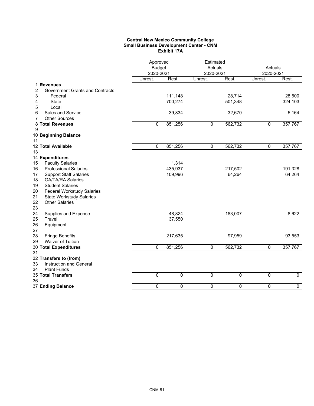### **Central New Mexico Community College Small Business Development Center - CNM Exhibit 17A**

|                                             | Approved<br><b>Budget</b><br>2020-2021 |             | Estimated<br>Actuals<br>2020-2021 |                | Actuals<br>2020-2021 |                |
|---------------------------------------------|----------------------------------------|-------------|-----------------------------------|----------------|----------------------|----------------|
|                                             | Unrest.                                | Rest.       | Unrest.                           | Rest.          | Unrest.              | Rest.          |
| 1 Revenues                                  |                                        |             |                                   |                |                      |                |
| 2<br><b>Government Grants and Contracts</b> |                                        |             |                                   |                |                      |                |
| 3<br>Federal                                |                                        | 111,148     |                                   | 28,714         |                      | 28,500         |
| 4<br><b>State</b><br>5<br>Local             |                                        | 700,274     |                                   | 501,348        |                      | 324,103        |
| Sales and Service<br>6                      |                                        | 39,834      |                                   | 32,670         |                      | 5,164          |
| <b>Other Sources</b><br>7                   |                                        |             |                                   |                |                      |                |
| 8 Total Revenues                            | 0                                      | 851,256     | $\mathbf 0$                       | 562,732        | 0                    | 357,767        |
| 9                                           |                                        |             |                                   |                |                      |                |
| 10 Beginning Balance                        |                                        |             |                                   |                |                      |                |
| 11                                          |                                        |             |                                   |                |                      |                |
| 12 Total Available                          | 0                                      | 851,256     | $\overline{0}$                    | 562,732        | $\mathbf 0$          | 357,767        |
| 13                                          |                                        |             |                                   |                |                      |                |
| 14 Expenditures                             |                                        |             |                                   |                |                      |                |
| <b>Faculty Salaries</b><br>15               |                                        | 1,314       |                                   |                |                      |                |
| <b>Professional Salaries</b><br>16          |                                        | 435,937     |                                   | 217,502        |                      | 191,328        |
| <b>Support Staff Salaries</b><br>17         |                                        | 109,996     |                                   | 64,264         |                      | 64,264         |
| 18<br><b>GA/TA/RA Salaries</b>              |                                        |             |                                   |                |                      |                |
| 19<br><b>Student Salaries</b>               |                                        |             |                                   |                |                      |                |
| <b>Federal Workstudy Salaries</b><br>20     |                                        |             |                                   |                |                      |                |
| 21<br><b>State Workstudy Salaries</b>       |                                        |             |                                   |                |                      |                |
| 22<br><b>Other Salaries</b>                 |                                        |             |                                   |                |                      |                |
| 23                                          |                                        |             |                                   |                |                      |                |
| 24<br>Supplies and Expense                  |                                        | 48,824      |                                   | 183,007        |                      | 8,622          |
| 25<br>Travel                                |                                        | 37,550      |                                   |                |                      |                |
| 26<br>Equipment<br>27                       |                                        |             |                                   |                |                      |                |
| 28<br><b>Fringe Benefits</b>                |                                        | 217,635     |                                   | 97,959         |                      | 93,553         |
| Waiver of Tuition<br>29                     |                                        |             |                                   |                |                      |                |
| 30 Total Expenditures                       | $\Omega$                               | 851,256     | $\mathbf{0}$                      | 562,732        | 0                    | 357,767        |
| 31                                          |                                        |             |                                   |                |                      |                |
| 32 Transfers to (from)                      |                                        |             |                                   |                |                      |                |
| Instruction and General<br>33               |                                        |             |                                   |                |                      |                |
| <b>Plant Funds</b><br>34                    |                                        |             |                                   |                |                      |                |
| 35 Total Transfers                          | $\overline{0}$                         | $\mathbf 0$ | $\overline{0}$                    | 0              | 0                    | $\overline{0}$ |
| 36                                          |                                        |             |                                   |                |                      |                |
| 37 Ending Balance                           | 0                                      | $\mathbf 0$ | $\overline{0}$                    | $\overline{0}$ | $\overline{0}$       | $\overline{0}$ |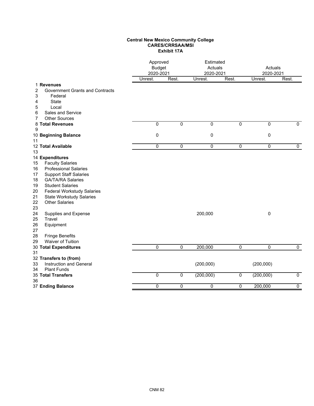## **Central New Mexico Community College CARES/CRRSAA/MSI Exhibit 17A**

|                  |                                                                                          | Approved<br><b>Budget</b><br>2020-2021 |                | Estimated<br>Actuals<br>2020-2021 |                | Actuals<br>2020-2021 |                |
|------------------|------------------------------------------------------------------------------------------|----------------------------------------|----------------|-----------------------------------|----------------|----------------------|----------------|
|                  |                                                                                          | Unrest.                                | Rest.          | Unrest.                           | Rest.          | Unrest.              | Rest.          |
| 2<br>3<br>4<br>5 | 1 Revenues<br><b>Government Grants and Contracts</b><br>Federal<br><b>State</b><br>Local |                                        |                |                                   |                |                      |                |
| 6                | Sales and Service                                                                        |                                        |                |                                   |                |                      |                |
| 7                | <b>Other Sources</b>                                                                     |                                        |                |                                   |                |                      |                |
|                  | 8 Total Revenues                                                                         | $\overline{0}$                         | $\overline{0}$ | $\overline{0}$                    | $\overline{0}$ | $\overline{0}$       | $\overline{0}$ |
| 9                |                                                                                          |                                        |                |                                   |                |                      |                |
| 11               | 10 Beginning Balance                                                                     | $\mathbf 0$                            |                | 0                                 |                | 0                    |                |
| 13               | 12 Total Available                                                                       | 0                                      | 0              | $\overline{0}$                    | 0              | $\overline{0}$       | 0              |
|                  | 14 Expenditures                                                                          |                                        |                |                                   |                |                      |                |
| 15               | <b>Faculty Salaries</b>                                                                  |                                        |                |                                   |                |                      |                |
| 16               | <b>Professional Salaries</b>                                                             |                                        |                |                                   |                |                      |                |
| 17               | <b>Support Staff Salaries</b>                                                            |                                        |                |                                   |                |                      |                |
| 18               | <b>GA/TA/RA Salaries</b>                                                                 |                                        |                |                                   |                |                      |                |
| 19               | <b>Student Salaries</b>                                                                  |                                        |                |                                   |                |                      |                |
| 20<br>21         | <b>Federal Workstudy Salaries</b>                                                        |                                        |                |                                   |                |                      |                |
| 22               | <b>State Workstudy Salaries</b><br><b>Other Salaries</b>                                 |                                        |                |                                   |                |                      |                |
| 23               |                                                                                          |                                        |                |                                   |                |                      |                |
| 24<br>25         | Supplies and Expense<br>Travel                                                           |                                        |                | 200,000                           |                | 0                    |                |
| 26<br>27         | Equipment                                                                                |                                        |                |                                   |                |                      |                |
| 28               | <b>Fringe Benefits</b>                                                                   |                                        |                |                                   |                |                      |                |
| 29               | Waiver of Tuition                                                                        |                                        |                |                                   |                |                      |                |
| 31               | 30 Total Expenditures                                                                    | 0                                      | $\overline{0}$ | 200,000                           | $\overline{0}$ | $\mathbf 0$          | $\mathbf 0$    |
|                  | 32 Transfers to (from)                                                                   |                                        |                |                                   |                |                      |                |
| 33               | Instruction and General                                                                  |                                        |                | (200,000)                         |                | (200,000)            |                |
| 34               | <b>Plant Funds</b>                                                                       |                                        |                |                                   |                |                      |                |
| 36               | <b>35 Total Transfers</b>                                                                | $\overline{0}$                         | $\mathbf 0$    | (200,000)                         | $\mathbf 0$    | (200,000)            | $\overline{0}$ |
|                  | 37 Ending Balance                                                                        | $\overline{0}$                         | $\overline{0}$ | $\overline{0}$                    | $\overline{0}$ | 200,000              | $\overline{0}$ |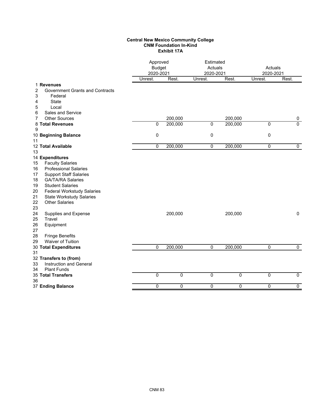## **Central New Mexico Community College CNM Foundation In-Kind Exhibit 17A**

|                                                                                                                                                                                                                                                                                                                                                         | Approved<br><b>Budget</b><br>2020-2021<br>Rest.<br>Unrest. |                    | Estimated<br>Actuals<br>2020-2021 |                    | Actuals<br>2020-2021 |                     |
|---------------------------------------------------------------------------------------------------------------------------------------------------------------------------------------------------------------------------------------------------------------------------------------------------------------------------------------------------------|------------------------------------------------------------|--------------------|-----------------------------------|--------------------|----------------------|---------------------|
|                                                                                                                                                                                                                                                                                                                                                         |                                                            |                    | Unrest.                           | Rest.              | Unrest.              | Rest.               |
| 1 Revenues<br>2<br><b>Government Grants and Contracts</b><br>3<br>Federal<br>State<br>4<br>5<br>Local                                                                                                                                                                                                                                                   |                                                            |                    |                                   |                    |                      |                     |
| Sales and Service<br>6<br><b>Other Sources</b>                                                                                                                                                                                                                                                                                                          |                                                            |                    |                                   |                    |                      |                     |
| 7<br>8 Total Revenues                                                                                                                                                                                                                                                                                                                                   | $\overline{0}$                                             | 200,000<br>200,000 | $\overline{0}$                    | 200,000<br>200,000 | $\overline{0}$       | 0<br>$\overline{0}$ |
| 9                                                                                                                                                                                                                                                                                                                                                       |                                                            |                    |                                   |                    |                      |                     |
| 10 Beginning Balance<br>11                                                                                                                                                                                                                                                                                                                              | 0                                                          |                    | 0                                 |                    | $\mathbf 0$          |                     |
| 12 Total Available                                                                                                                                                                                                                                                                                                                                      | 0                                                          | 200,000            | 0                                 | 200,000            | $\mathbf 0$          | 0                   |
| 13                                                                                                                                                                                                                                                                                                                                                      |                                                            |                    |                                   |                    |                      |                     |
| 14 Expenditures<br><b>Faculty Salaries</b><br>15<br><b>Professional Salaries</b><br>16<br>17<br><b>Support Staff Salaries</b><br><b>GA/TA/RA Salaries</b><br>18<br><b>Student Salaries</b><br>19<br><b>Federal Workstudy Salaries</b><br>20<br>21<br><b>State Workstudy Salaries</b><br>22<br><b>Other Salaries</b><br>23<br>24<br>Supplies and Expense |                                                            | 200,000            |                                   | 200,000            |                      | $\mathbf 0$         |
| 25<br>Travel<br>26<br>Equipment<br>27<br><b>Fringe Benefits</b><br>28<br>Waiver of Tuition<br>29                                                                                                                                                                                                                                                        |                                                            |                    |                                   |                    |                      |                     |
| 30 Total Expenditures                                                                                                                                                                                                                                                                                                                                   | 0                                                          | 200,000            | $\overline{0}$                    | 200,000            | $\mathbf 0$          | $\overline{0}$      |
| 31<br>32 Transfers to (from)<br>Instruction and General<br>33<br><b>Plant Funds</b><br>34                                                                                                                                                                                                                                                               |                                                            |                    |                                   |                    |                      |                     |
| 35 Total Transfers                                                                                                                                                                                                                                                                                                                                      | 0                                                          | $\mathbf{0}$       | 0                                 | $\mathbf 0$        | $\mathbf 0$          | $\mathbf 0$         |
| 36<br>37 Ending Balance                                                                                                                                                                                                                                                                                                                                 | 0                                                          | 0                  | $\overline{0}$                    | $\mathbf 0$        | $\mathbf 0$          | $\overline{0}$      |
|                                                                                                                                                                                                                                                                                                                                                         |                                                            |                    |                                   |                    |                      |                     |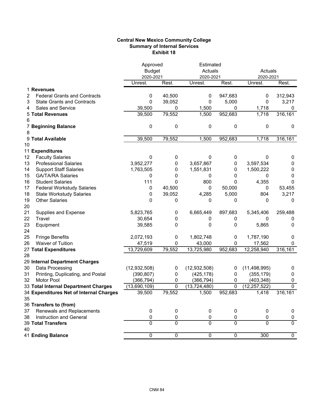## **Central New Mexico Community College Summary of Internal Services Exhibit 18**

|    |                                         | Approved       |                | Estimated      |                |                |                |
|----|-----------------------------------------|----------------|----------------|----------------|----------------|----------------|----------------|
|    |                                         | <b>Budget</b>  |                | Actuals        |                | Actuals        |                |
|    |                                         | 2020-2021      |                | 2020-2021      |                | 2020-2021      |                |
|    |                                         | Unrest.        | Rest.          | Unrest.        | Rest.          | Unrest.        | Rest.          |
|    | 1 Revenues                              |                |                |                |                |                |                |
| 2  | <b>Federal Grants and Contracts</b>     | 0              | 40,500         | 0              | 947,683        | 0              | 312,943        |
| 3  | <b>State Grants and Contracts</b>       | 0              | 39,052         | 0              | 5,000          | 0              | 3,217          |
| 4  | <b>Sales and Service</b>                | 39,500         | 0              | 1,500          | 0              | 1,718          | 0              |
|    | <b>5 Total Revenues</b>                 | 39,500         | 79,552         | 1,500          | 952,683        | 1,718          | 316,161        |
| 6  |                                         |                |                |                |                |                |                |
|    | 7 Beginning Balance                     | 0              | 0              | 0              | 0              | 0              | $\mathbf 0$    |
| 8  |                                         |                |                |                |                |                |                |
|    | 9 Total Available                       | 39,500         | 79,552         | 1,500          | 952,683        | 1,718          | 316,161        |
| 10 |                                         |                |                |                |                |                |                |
|    | 11 Expenditures                         |                |                |                |                |                |                |
| 12 | <b>Faculty Salaries</b>                 | 0              | 0              | 0              | 0              | 0              | 0              |
| 13 | <b>Professional Salaries</b>            | 3,952,277      | 0              | 3,657,867      | 0              | 3,597,534      | 0              |
| 14 | <b>Support Staff Salaries</b>           | 1,763,505      | 0              | 1,551,831      | 0              | 1,500,222      | 0              |
| 15 | <b>GA/TA/RA Salaries</b>                | 0              | 0              | 0              | 0              | 0              | 0              |
| 16 | <b>Student Salaries</b>                 | 111            | 0              | 800            | 0              | 4,355          | 0              |
| 17 | <b>Federal Workstudy Salaries</b>       | 0              | 40,500         | 0              | 50,000         | 0              | 53,455         |
| 18 | <b>State Workstudy Salaries</b>         | 0              | 39,052         | 4,285          | 5,000          | 804            | 3,217          |
| 19 | <b>Other Salaries</b>                   | 0              | 0              | 0              | 0              | 0              | 0              |
| 20 |                                         |                |                |                |                |                |                |
| 21 | Supplies and Expense                    | 5,823,765      | 0              | 6,665,449      | 897,683        | 5,345,406      | 259,488        |
| 22 | Travel                                  | 30,654         | 0              | 0              | 0              | 0              | 0              |
| 23 | Equipment                               | 39,585         | 0              | 0              | 0              | 5,865          | 0              |
| 24 |                                         |                |                |                |                |                |                |
| 25 | <b>Fringe Benefits</b>                  | 2,072,193      | 0              | 1,802,748      | 0              | 1,787,190      | 0              |
| 26 | Waiver of Tuition                       | 47,519         | 0              | 43,000         | 0              | 17,562         | 0              |
|    | 27 Total Expenditures                   | 13,729,609     | 79,552         | 13,725,980     | 952,683        | 12,258,940     | 316,161        |
| 28 |                                         |                |                |                |                |                |                |
|    | 29 Internal Department Charges          |                |                |                |                |                |                |
| 30 | Data Processing                         | (12, 932, 508) | 0              | (12, 932, 508) | 0              | (11, 498, 995) | 0              |
| 31 | Printing, Duplicating, and Postal       | (390, 807)     | 0              | (425, 178)     | 0              | (355, 179)     | 0              |
| 32 | <b>Motor Pool</b>                       | (366, 794)     | 0              | (366,794)      | 0              | (403, 348)     | 0              |
|    | 33 Total Internal Department Charges    | (13,690,109)   | 0              | (13,724,480)   | 0              | (12, 257, 522) | $\overline{0}$ |
|    | 34 Expenditures Net of Internal Charges | 39,500         | 79,552         | 1,500          | 952,683        | 1,418          | 316, 161       |
| 35 |                                         |                |                |                |                |                |                |
|    | 36 Transfers to (from)                  |                |                |                |                |                |                |
| 37 | Renewals and Replacements               | 0              | 0              | 0              | 0              | 0              | 0              |
| 38 | Instruction and General                 | 0              | 0              | $\pmb{0}$      | 0              | $\pmb{0}$      | 0              |
|    | <b>39 Total Transfers</b>               | $\overline{0}$ | $\overline{0}$ | $\overline{0}$ | $\overline{0}$ | 0              | $\overline{0}$ |
| 40 |                                         |                |                |                |                |                |                |
|    | 41 Ending Balance                       | $\overline{0}$ | $\overline{0}$ | $\overline{0}$ | $\overline{0}$ | 300            | $\overline{0}$ |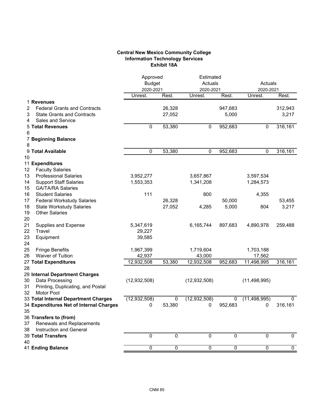# **Central New Mexico Community College Information Technology Services Exhibit 18A**

|                                          | Approved             |                | Estimated            |                | Actuals              |             |
|------------------------------------------|----------------------|----------------|----------------------|----------------|----------------------|-------------|
|                                          | <b>Budget</b>        |                | Actuals              |                |                      |             |
|                                          | 2020-2021<br>Unrest. | Rest.          | 2020-2021<br>Unrest. | Rest.          | 2020-2021<br>Unrest. | Rest.       |
| <b>Revenues</b><br>1.                    |                      |                |                      |                |                      |             |
| <b>Federal Grants and Contracts</b><br>2 |                      | 26,328         |                      | 947,683        |                      | 312,943     |
| 3<br><b>State Grants and Contracts</b>   |                      | 27,052         |                      | 5,000          |                      | 3,217       |
| <b>Sales and Service</b><br>4            |                      |                |                      |                |                      |             |
| <b>Total Revenues</b><br>5               | 0                    | 53,380         | $\pmb{0}$            | 952,683        | $\pmb{0}$            | 316,161     |
| 6                                        |                      |                |                      |                |                      |             |
| <b>Beginning Balance</b>                 |                      |                |                      |                |                      |             |
| 8                                        |                      |                |                      |                |                      |             |
| 9<br><b>Total Available</b>              | 0                    | 53,380         | 0                    | 952,683        | 0                    | 316,161     |
| 10                                       |                      |                |                      |                |                      |             |
| 11 Expenditures                          |                      |                |                      |                |                      |             |
| 12<br><b>Faculty Salaries</b>            |                      |                |                      |                |                      |             |
| 13<br><b>Professional Salaries</b>       | 3,952,277            |                | 3,657,867            |                | 3,597,534            |             |
| 14<br><b>Support Staff Salaries</b>      | 1,553,353            |                | 1,341,208            |                | 1,284,573            |             |
| 15<br><b>GA/TA/RA Salaries</b>           |                      |                |                      |                |                      |             |
| 16<br><b>Student Salaries</b>            | 111                  |                | 800                  |                | 4,355                |             |
| 17<br><b>Federal Workstudy Salaries</b>  |                      | 26,328         |                      | 50,000         |                      | 53,455      |
| 18<br><b>State Workstudy Salaries</b>    |                      | 27,052         | 4,285                | 5,000          | 804                  | 3,217       |
| 19<br><b>Other Salaries</b>              |                      |                |                      |                |                      |             |
| 20                                       |                      |                |                      |                |                      |             |
| 21<br>Supplies and Expense               | 5,347,619            |                | 6,165,744            | 897,683        | 4,890,978            | 259,488     |
| 22<br>Travel                             | 29,227               |                |                      |                |                      |             |
| 23<br>Equipment                          | 39,585               |                |                      |                |                      |             |
| 24                                       |                      |                |                      |                |                      |             |
| 25<br><b>Fringe Benefits</b>             | 1,967,399            |                | 1,719,604            |                | 1,703,188            |             |
| 26<br><b>Waiver of Tuition</b>           | 42,937               |                | 43,000               |                | 17,562               |             |
| 27 Total Expenditures<br>28              | 12,932,508           | 53,380         | 12,932,508           | 952,683        | 11,498,995           | 316,161     |
| 29 Internal Department Charges           |                      |                |                      |                |                      |             |
| 30<br>Data Processing                    | (12, 932, 508)       |                | (12, 932, 508)       |                | (11, 498, 995)       |             |
| 31<br>Printing, Duplicating, and Postal  |                      |                |                      |                |                      |             |
| 32<br><b>Motor Pool</b>                  |                      |                |                      |                |                      |             |
| 33 Total Internal Department Charges     | (12, 932, 508)       | 0              | (12, 932, 508)       | 0              | (11, 498, 995)       | $\pmb{0}$   |
| 34 Expenditures Net of Internal Charges  | 0                    | 53,380         | 0                    | 952,683        | 0                    | 316,161     |
| 35                                       |                      |                |                      |                |                      |             |
| 36 Transfers to (from)                   |                      |                |                      |                |                      |             |
| Renewals and Replacements<br>37          |                      |                |                      |                |                      |             |
| 38<br>Instruction and General            |                      |                |                      |                |                      |             |
| <b>39 Total Transfers</b>                | 0                    | 0              | 0                    | 0              | 0                    | 0           |
| 40                                       |                      |                |                      |                |                      |             |
| 41 Ending Balance                        | $\overline{0}$       | $\overline{0}$ | $\overline{0}$       | $\overline{0}$ | $\mathbf 0$          | $\mathbf 0$ |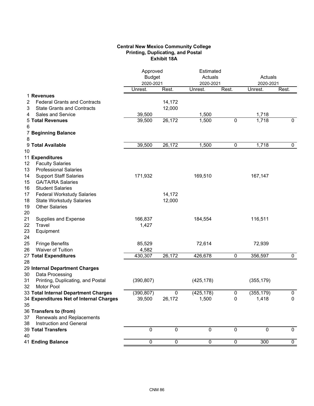# **Central New Mexico Community College Printing, Duplicating, and Postal Exhibit 18A**

|                                          | Approved<br><b>Budget</b> |                | Estimated<br>Actuals |                | Actuals    |             |
|------------------------------------------|---------------------------|----------------|----------------------|----------------|------------|-------------|
|                                          | 2020-2021<br>Unrest.      |                | 2020-2021            |                | 2020-2021  |             |
| 1 Revenues                               |                           | Rest.          | Unrest.              | Rest.          | Unrest.    | Rest.       |
| <b>Federal Grants and Contracts</b><br>2 |                           | 14,172         |                      |                |            |             |
| <b>State Grants and Contracts</b><br>3   |                           | 12,000         |                      |                |            |             |
| Sales and Service<br>4                   | 39,500                    |                | 1,500                |                | 1,718      |             |
| <b>5 Total Revenues</b>                  | 39,500                    | 26,172         | 1,500                | $\mathbf 0$    | 1,718      | $\mathbf 0$ |
| 6                                        |                           |                |                      |                |            |             |
| <b>7 Beginning Balance</b>               |                           |                |                      |                |            |             |
| 8                                        |                           |                |                      |                |            |             |
| 9 Total Available                        | 39,500                    | 26,172         | 1,500                | 0              | 1,718      | 0           |
| 10                                       |                           |                |                      |                |            |             |
| 11 Expenditures                          |                           |                |                      |                |            |             |
| 12<br><b>Faculty Salaries</b>            |                           |                |                      |                |            |             |
| <b>Professional Salaries</b><br>13       |                           |                |                      |                |            |             |
| <b>Support Staff Salaries</b><br>14      | 171,932                   |                | 169,510              |                | 167,147    |             |
| 15<br><b>GA/TA/RA Salaries</b>           |                           |                |                      |                |            |             |
| 16<br><b>Student Salaries</b>            |                           |                |                      |                |            |             |
| 17<br><b>Federal Workstudy Salaries</b>  |                           | 14,172         |                      |                |            |             |
| 18<br><b>State Workstudy Salaries</b>    |                           | 12,000         |                      |                |            |             |
| <b>Other Salaries</b><br>19              |                           |                |                      |                |            |             |
| 20                                       |                           |                |                      |                |            |             |
| 21<br>Supplies and Expense               | 166,837                   |                | 184,554              |                | 116,511    |             |
| 22<br>Travel                             | 1,427                     |                |                      |                |            |             |
| 23<br>Equipment                          |                           |                |                      |                |            |             |
| 24                                       |                           |                |                      |                |            |             |
| 25<br><b>Fringe Benefits</b>             | 85,529                    |                | 72,614               |                | 72,939     |             |
| 26<br>Waiver of Tuition                  | 4,582                     |                |                      |                |            |             |
| 27 Total Expenditures                    | 430,307                   | 26,172         | 426,678              | $\mathbf 0$    | 356,597    | $\mathbf 0$ |
| 28                                       |                           |                |                      |                |            |             |
| 29 Internal Department Charges           |                           |                |                      |                |            |             |
| Data Processing<br>30                    |                           |                |                      |                |            |             |
| Printing, Duplicating, and Postal<br>31  | (390, 807)                |                | (425, 178)           |                | (355, 179) |             |
| 32<br><b>Motor Pool</b>                  |                           |                |                      |                |            |             |
| 33 Total Internal Department Charges     | (390, 807)                | 0              | (425, 178)           | $\pmb{0}$      | (355, 179) | $\pmb{0}$   |
| 34 Expenditures Net of Internal Charges  | 39,500                    | 26,172         | 1,500                | 0              | 1,418      | 0           |
| 35                                       |                           |                |                      |                |            |             |
| 36 Transfers to (from)                   |                           |                |                      |                |            |             |
| Renewals and Replacements<br>37          |                           |                |                      |                |            |             |
| Instruction and General<br>38            |                           |                |                      |                |            |             |
| 39 Total Transfers                       | $\mathbf 0$               | $\mathbf 0$    | 0                    | $\mathbf 0$    | 0          | 0           |
| 40<br>41 Ending Balance                  | $\overline{0}$            | $\overline{0}$ | $\overline{0}$       | $\overline{0}$ | 300        | $\mathbf 0$ |
|                                          |                           |                |                      |                |            |             |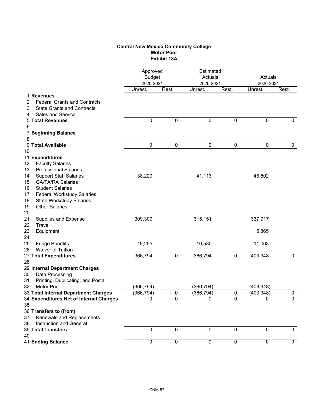# **Central New Mexico Community College Motor Pool Exhibit 18A**

|                                                            | Approved<br><b>Budget</b><br>2020-2021 |             | Estimated<br>Actuals<br>2020-2021 |                | Actuals<br>2020-2021 |             |
|------------------------------------------------------------|----------------------------------------|-------------|-----------------------------------|----------------|----------------------|-------------|
|                                                            | Unrest.                                | Rest.       | Unrest.                           | Rest.          | Unrest.              | Rest.       |
| 1 Revenues                                                 |                                        |             |                                   |                |                      |             |
| 2<br><b>Federal Grants and Contracts</b>                   |                                        |             |                                   |                |                      |             |
| <b>State Grants and Contracts</b><br>3                     |                                        |             |                                   |                |                      |             |
| <b>Sales and Service</b><br>4                              |                                        |             |                                   |                |                      |             |
| <b>5 Total Revenues</b>                                    | $\mathbf 0$                            | 0           | 0                                 | 0              | $\mathbf 0$          | $\mathbf 0$ |
| 6                                                          |                                        |             |                                   |                |                      |             |
| 7 Beginning Balance                                        |                                        |             |                                   |                |                      |             |
| 8                                                          |                                        |             |                                   |                |                      |             |
| 9 Total Available                                          | 0                                      | 0           | 0                                 | $\pmb{0}$      | 0                    | 0           |
| 10                                                         |                                        |             |                                   |                |                      |             |
| 11 Expenditures                                            |                                        |             |                                   |                |                      |             |
| <b>Faculty Salaries</b><br>12                              |                                        |             |                                   |                |                      |             |
| 13<br><b>Professional Salaries</b>                         |                                        |             |                                   |                |                      |             |
| <b>Support Staff Salaries</b><br>14                        | 38,220                                 |             | 41,113                            |                | 48,502               |             |
| <b>GA/TA/RA Salaries</b><br>15                             |                                        |             |                                   |                |                      |             |
| 16<br><b>Student Salaries</b>                              |                                        |             |                                   |                |                      |             |
| 17<br><b>Federal Workstudy Salaries</b>                    |                                        |             |                                   |                |                      |             |
| 18<br><b>State Workstudy Salaries</b>                      |                                        |             |                                   |                |                      |             |
| 19<br><b>Other Salaries</b>                                |                                        |             |                                   |                |                      |             |
| 20                                                         |                                        |             |                                   |                |                      |             |
| 21<br>Supplies and Expense                                 | 309,309                                |             | 315,151                           |                | 337,917              |             |
| 22<br>Travel                                               |                                        |             |                                   |                |                      |             |
| 23<br>Equipment                                            |                                        |             |                                   |                | 5,865                |             |
| 24                                                         |                                        |             |                                   |                |                      |             |
| 25<br><b>Fringe Benefits</b>                               | 19,265                                 |             | 10,530                            |                | 11,063               |             |
| 26<br><b>Waiver of Tuition</b>                             |                                        |             |                                   |                |                      |             |
| 27 Total Expenditures                                      | 366,794                                | 0           | 366,794                           | 0              | 403,348              | $\mathbf 0$ |
| 28                                                         |                                        |             |                                   |                |                      |             |
| 29 Internal Department Charges                             |                                        |             |                                   |                |                      |             |
| Data Processing<br>30                                      |                                        |             |                                   |                |                      |             |
| Printing, Duplicating, and Postal<br>31                    |                                        |             |                                   |                |                      |             |
| Motor Pool<br>32.                                          | (366,794)                              |             | (366, 794)                        |                | (403, 348)           |             |
| 33 Total Internal Department Charges                       | (366, 794)                             | $\pmb{0}$   | (366, 794)                        | 0              | (403, 348)           | $\pmb{0}$   |
| 34 Expenditures Net of Internal Charges                    | 0                                      | $\pmb{0}$   | 0                                 | $\pmb{0}$      | $\pmb{0}$            | $\mathbf 0$ |
| 35<br>36 Transfers to (from)                               |                                        |             |                                   |                |                      |             |
| 37                                                         |                                        |             |                                   |                |                      |             |
| Renewals and Replacements<br>Instruction and General<br>38 |                                        |             |                                   |                |                      |             |
| 39 Total Transfers                                         | $\mathbf 0$                            | $\mathbf 0$ | 0                                 | $\mathbf 0$    | $\mathbf 0$          | $\mathbf 0$ |
| 40                                                         |                                        |             |                                   |                |                      |             |
| 41 Ending Balance                                          | $\overline{0}$                         | $\mathbf 0$ | $\mathbf 0$                       | $\overline{0}$ | $\pmb{0}$            | $\mathbf 0$ |
|                                                            |                                        |             |                                   |                |                      |             |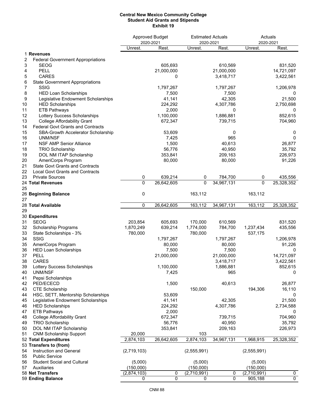#### **Central New Mexico Community College Student Aid Grants and Stipends Exhibit 19**

|          |                                                                    |             | <b>Approved Budget</b> | <b>Estimated Actuals</b> |            | Actuals               |                |
|----------|--------------------------------------------------------------------|-------------|------------------------|--------------------------|------------|-----------------------|----------------|
|          |                                                                    | Unrest.     | 2020-2021<br>Rest.     | 2020-2021<br>Unrest.     | Rest.      | 2020-2021<br>Unrest.  | Rest.          |
|          | 1 Revenues                                                         |             |                        |                          |            |                       |                |
| 2        | <b>Federal Government Appropriations</b>                           |             |                        |                          |            |                       |                |
| 3        | <b>SEOG</b>                                                        |             | 605,693                |                          | 610,569    |                       | 831,520        |
| 4        | <b>PELL</b>                                                        |             | 21,000,000             |                          | 21,000,000 |                       | 14,721,097     |
| 5        | <b>CARES</b>                                                       |             | 0                      |                          | 3,418,717  |                       | 3,422,561      |
| 6        | <b>State Government Appropriations</b>                             |             |                        |                          |            |                       |                |
| 7        | <b>SSIG</b>                                                        |             | 1,797,267              |                          | 1,797,267  |                       | 1,206,978      |
| 8        | <b>HED Loan Scholarships</b>                                       |             | 7,500                  |                          | 7,500      |                       | 0              |
| 9        | Legislative Endowment Scholarships                                 |             | 41,141                 |                          | 42,305     |                       | 21,500         |
| 10       | <b>HED Scholarships</b>                                            |             | 224,292                |                          | 4,307,786  |                       | 2,750,698      |
| 11       | <b>ETB Pathways</b>                                                |             | 2,000                  |                          | 0          |                       | 0              |
| 12       | Lottery Success Scholarships<br><b>College Affordability Grant</b> |             | 1,100,000              |                          | 1,886,881  |                       | 852,615        |
| 13<br>14 | <b>Federal Govt Grants and Contracts</b>                           |             | 672,347                |                          | 739,715    |                       | 704,960        |
| 15       | SBA-Growth Accelerator Scholarship                                 |             | 53,609                 |                          | 0          |                       | 0              |
| 16       | UNM/NSF                                                            |             | 7,425                  |                          | 965        |                       | $\Omega$       |
| 17       | <b>NSF AMP Senior Alliance</b>                                     |             | 1,500                  |                          | 40,613     |                       | 26,877         |
| 18       | <b>TRIO Scholarship</b>                                            |             | 56,776                 |                          | 40,950     |                       | 35,792         |
| 19       | DOL NM ITAP Scholarship                                            |             | 353,841                |                          | 209,163    |                       | 226,973        |
| 20       | AmeriCorps Program                                                 |             | 80,000                 |                          | 80,000     |                       | 91,226         |
| 21       | <b>State Govt Grants and Contracts</b>                             |             |                        |                          |            |                       |                |
| 22       | <b>Local Govt Grants and Contracts</b>                             |             |                        |                          |            |                       |                |
| 23       | <b>Private Sources</b>                                             | 0           | 639,214                | 0                        | 784,700    | 0                     | 435,556        |
|          | 24 Total Revenues                                                  | 0           | 26,642,605             | 0                        | 34,967,131 | 0                     | 25,328,352     |
| 25       |                                                                    |             |                        |                          |            |                       |                |
|          | 26 Beginning Balance                                               | 0           |                        | 163,112                  |            | 163,112               |                |
| 27       |                                                                    |             |                        |                          |            |                       |                |
|          | 28 Total Available                                                 | 0           | 26,642,605             | 163,112                  | 34,967,131 | 163,112               | 25,328,352     |
| 29       |                                                                    |             |                        |                          |            |                       |                |
|          | 30 Expenditures                                                    |             |                        |                          |            |                       |                |
| 31       | <b>SEOG</b>                                                        | 203,854     | 605,693                | 170,000                  | 610,569    |                       | 831,520        |
| 32       | Scholarship Programs                                               | 1,870,249   | 639,214                | 1,774,000                | 784,700    | 1,237,434             | 435,556        |
| 33<br>34 | State Scholarships - 3%<br>SSIG                                    | 780,000     |                        | 780,000                  | 1,797,267  | 537,175               | 1,206,978      |
| 35       | AmeriCorps Program                                                 |             | 1,797,267<br>80,000    |                          | 80,000     |                       | 91,226         |
| 36       | <b>HED Loan Scholarships</b>                                       |             | 7,500                  |                          | 7,500      |                       | 0              |
| 37       | PELL                                                               |             | 21,000,000             |                          | 21,000,000 |                       | 14,721,097     |
| 38       | CARES                                                              |             |                        |                          | 3,418,717  |                       | 3,422,561      |
| 39       | Lottery Success Scholarships                                       |             | 1,100,000              |                          | 1,886,881  |                       | 852,615        |
| 40       | UNM/NSF                                                            |             | 7,425                  |                          | 965        |                       | 0              |
| 41       | Pepsi Scholarships                                                 |             |                        |                          |            |                       |                |
| 42       | PED/ECECD                                                          |             | 1,500                  |                          | 40,613     |                       | 26,877         |
| 43       | <b>CTE Scholarship</b>                                             |             |                        | 150,000                  |            | 194,306               | 16,110         |
| 44       | HSC, SETT, Mentorship Scholarships                                 |             | 53,609                 |                          |            |                       | 0              |
| 45       | Legislative Endowment Scholarships                                 |             | 41,141                 |                          | 42,305     |                       | 21,500         |
| 46       | <b>HED Scholarships</b>                                            |             | 224,292                |                          | 4,307,786  |                       | 2,734,588      |
| 47       | <b>ETB Pathways</b>                                                |             | 2,000                  |                          |            |                       | 0              |
| 48       | <b>College Affordability Grant</b>                                 |             | 672,347                |                          | 739,715    |                       | 704,960        |
| 49       | <b>TRIO Scholarship</b>                                            |             | 56,776                 |                          | 40,950     |                       | 35,792         |
| 50       | DOL NM ITAP Scholarship                                            |             | 353,841                |                          | 209,163    |                       | 226,973        |
| 51       | <b>CNM Scholarship Support</b>                                     | 20,000      |                        | 103                      |            |                       |                |
|          | 52 Total Expenditures                                              | 2,874,103   | 26,642,605             | 2,874,103                | 34,967,131 | 1,968,915             | 25,328,352     |
| 54       | 53 Transfers to (from)                                             |             |                        |                          |            |                       |                |
| 55       | Instruction and General<br><b>Public Service</b>                   | (2,719,103) |                        | (2,555,991)              |            | (2,555,991)           |                |
| 56       | <b>Student Social and Cultural</b>                                 | (5,000)     |                        | (5,000)                  |            | (5,000)               |                |
| 57       | Auxiliaries                                                        | (150,000)   |                        | (150,000)                |            | (150,000)             |                |
|          | 58 Net Transfers                                                   | (2,874,103) | 0                      | (2,710,991)              | 0          | (2,710,991)           | 0              |
|          | 59 Ending Balance                                                  | 0           | 0                      | 0                        | 0          | $\overline{905, 188}$ | $\overline{0}$ |
|          |                                                                    |             |                        |                          |            |                       |                |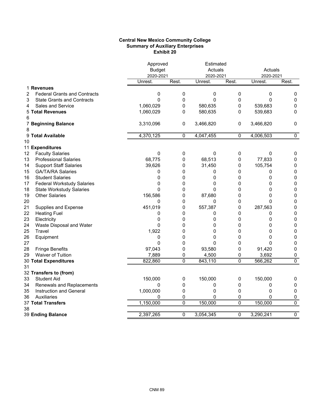# **Central New Mexico Community College Summary of Auxiliary Enterprises Exhibit 20**

|    |                                     | Approved<br><b>Budget</b> |              | Estimated<br>Actuals |       | Actuals              |                     |
|----|-------------------------------------|---------------------------|--------------|----------------------|-------|----------------------|---------------------|
|    |                                     | 2020-2021<br>Unrest.      | Rest.        | 2020-2021<br>Unrest. | Rest. | 2020-2021<br>Unrest. | Rest.               |
|    | 1 Revenues                          |                           |              |                      |       |                      |                     |
| 2  | <b>Federal Grants and Contracts</b> | 0                         | 0            | 0                    | 0     | 0                    | 0                   |
| 3  | <b>State Grants and Contracts</b>   | $\mathbf{0}$              | $\mathbf 0$  | $\mathbf{0}$         | 0     | 0                    | $\mathbf 0$         |
| 4  | <b>Sales and Service</b>            | 1,060,029                 | $\mathbf 0$  | 580,635              | 0     | 539,683              | $\pmb{0}$           |
|    | <b>5 Total Revenues</b>             | 1,060,029                 | 0            | 580,635              | 0     | 539,683              | 0                   |
| 6  |                                     |                           |              |                      |       |                      |                     |
|    | 7 Beginning Balance                 | 3,310,096                 | $\pmb{0}$    | 3,466,820            | 0     | 3,466,820            | 0                   |
| 8  |                                     |                           |              |                      |       |                      |                     |
|    | 9 Total Available                   | 4,370,125                 | $\mathbf{0}$ | 4,047,455            | 0     | 4,006,503            | 0                   |
| 10 |                                     |                           |              |                      |       |                      |                     |
|    | 11 Expenditures                     |                           |              |                      |       |                      |                     |
| 12 | <b>Faculty Salaries</b>             | $\mathbf 0$               | 0            | $\pmb{0}$            | 0     | $\pmb{0}$            | 0                   |
| 13 | <b>Professional Salaries</b>        | 68,775                    | 0            | 68,513               | 0     | 77,833               | 0                   |
| 14 | <b>Support Staff Salaries</b>       | 39,626                    | 0            | 31,450               | 0     | 105,754              | 0                   |
| 15 | <b>GA/TA/RA Salaries</b>            | 0                         | 0            | 0                    | 0     | 0                    | $\pmb{0}$           |
| 16 | <b>Student Salaries</b>             | 0                         | 0            | 0                    | 0     | 0                    | 0                   |
| 17 | <b>Federal Workstudy Salaries</b>   | 0                         | 0            | 0                    | 0     | 0                    | $\pmb{0}$           |
| 18 | <b>State Workstudy Salaries</b>     | 0                         | 0            | 0                    | 0     | 0                    | $\pmb{0}$           |
| 19 | <b>Other Salaries</b>               | 156,586                   | 0            | 87,680               | 0     | 0                    | $\pmb{0}$           |
| 20 |                                     | 0                         | 0            | 0                    | 0     | 0                    | $\mathsf{O}\xspace$ |
| 21 | Supplies and Expense                | 451,019                   | 0            | 557,387              | 0     | 287,563              | 0                   |
| 22 | <b>Heating Fuel</b>                 | 0                         | 0            | 0                    | 0     | 0                    | $\pmb{0}$           |
| 23 | Electricity                         | 0                         | 0            | 0                    | 0     | 0                    | 0                   |
| 24 | Waste Disposal and Water            | $\mathbf{0}$              | 0            | 0                    | 0     | 0                    | 0                   |
| 25 | Travel                              | 1,922                     | 0            | 0                    | 0     | 0                    | $\pmb{0}$           |
| 26 | Equipment                           | 0                         | 0            | 0                    | 0     | 0                    | 0                   |
| 27 |                                     | $\mathbf{0}$              | $\mathbf 0$  | 0                    | 0     | 0                    | 0                   |
| 28 | <b>Fringe Benefits</b>              | 97,043                    | 0            | 93,580               | 0     | 91,420               | 0                   |
| 29 | <b>Waiver of Tuition</b>            | 7,889                     | 0            | 4,500                | 0     | 3,692                | 0                   |
|    | 30 Total Expenditures               | 822,860                   | 0            | 843,110              | 0     | 566,262              | 0                   |
| 31 |                                     |                           |              |                      |       |                      |                     |
|    | 32 Transfers to (from)              |                           |              |                      |       |                      |                     |
| 33 | <b>Student Aid</b>                  | 150,000                   | 0            | 150,000              | 0     | 150,000              | 0                   |
| 34 | Renewals and Replacements           | $\mathbf{0}$              | 0            | 0                    | 0     | 0                    | 0                   |
| 35 | Instruction and General             | 1,000,000                 | 0            | 0                    | 0     | 0                    | $\pmb{0}$           |
| 36 | Auxiliaries                         | 0                         | 0            | 0                    | 0     | 0                    | 0                   |
|    | 37 Total Transfers                  | 1,150,000                 | $\mathbf 0$  | 150,000              | 0     | 150,000              | 0                   |
| 38 | 39 Ending Balance                   | 2,397,265                 | 0            | 3,054,345            | 0     | 3,290,241            | $\overline{0}$      |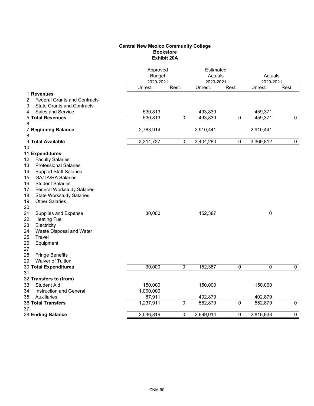# **Central New Mexico Community College Bookstore Exhibit 20A**

|                                          |           | Approved<br><b>Budget</b><br>2020-2021 |           | Estimated<br>Actuals<br>2020-2021 |             | Actuals<br>2020-2021 |
|------------------------------------------|-----------|----------------------------------------|-----------|-----------------------------------|-------------|----------------------|
|                                          | Unrest.   | Rest.                                  | Unrest.   | Rest.                             | Unrest.     | Rest.                |
| 1 Revenues                               |           |                                        |           |                                   |             |                      |
| 2<br><b>Federal Grants and Contracts</b> |           |                                        |           |                                   |             |                      |
| 3<br><b>State Grants and Contracts</b>   |           |                                        |           |                                   |             |                      |
| Sales and Service<br>4                   | 530,813   |                                        | 493,839   |                                   | 459,371     |                      |
| <b>5 Total Revenues</b>                  | 530,813   | $\pmb{0}$                              | 493,839   | 0                                 | 459,371     | $\mathbf{0}$         |
| 6                                        |           |                                        |           |                                   |             |                      |
| <b>7 Beginning Balance</b>               | 2,783,914 |                                        | 2,910,441 |                                   | 2,910,441   |                      |
| 8                                        |           |                                        |           |                                   |             |                      |
| 9 Total Available                        | 3,314,727 | $\pmb{0}$                              | 3,404,280 | 0                                 | 3,369,812   | 0                    |
| 10                                       |           |                                        |           |                                   |             |                      |
| 11 Expenditures                          |           |                                        |           |                                   |             |                      |
| 12<br><b>Faculty Salaries</b>            |           |                                        |           |                                   |             |                      |
| <b>Professional Salaries</b><br>13       |           |                                        |           |                                   |             |                      |
| <b>Support Staff Salaries</b><br>14      |           |                                        |           |                                   |             |                      |
| 15<br><b>GA/TA/RA Salaries</b>           |           |                                        |           |                                   |             |                      |
| 16<br><b>Student Salaries</b>            |           |                                        |           |                                   |             |                      |
| 17<br><b>Federal Workstudy Salaries</b>  |           |                                        |           |                                   |             |                      |
| 18<br><b>State Workstudy Salaries</b>    |           |                                        |           |                                   |             |                      |
| 19<br><b>Other Salaries</b>              |           |                                        |           |                                   |             |                      |
| 20                                       |           |                                        |           |                                   |             |                      |
| 21<br>Supplies and Expense               | 30,000    |                                        | 152,387   |                                   | $\pmb{0}$   |                      |
| 22<br><b>Heating Fuel</b>                |           |                                        |           |                                   |             |                      |
| 23<br>Electricity                        |           |                                        |           |                                   |             |                      |
| 24<br>Waste Disposal and Water           |           |                                        |           |                                   |             |                      |
| 25<br>Travel                             |           |                                        |           |                                   |             |                      |
| 26<br>Equipment                          |           |                                        |           |                                   |             |                      |
| 27                                       |           |                                        |           |                                   |             |                      |
| 28<br><b>Fringe Benefits</b>             |           |                                        |           |                                   |             |                      |
| 29<br>Waiver of Tuition                  |           |                                        |           |                                   |             |                      |
| 30 Total Expenditures                    | 30,000    | $\pmb{0}$                              | 152,387   | 0                                 | $\mathbf 0$ | $\mathbf{0}$         |
| 31                                       |           |                                        |           |                                   |             |                      |
| 32 Transfers to (from)                   |           |                                        |           |                                   |             |                      |
| <b>Student Aid</b><br>33                 | 150,000   |                                        | 150,000   |                                   | 150,000     |                      |
| Instruction and General<br>34            | 1,000,000 |                                        |           |                                   |             |                      |
| 35<br>Auxiliaries                        | 87,911    |                                        | 402,879   |                                   | 402,879     |                      |
| 36 Total Transfers                       | 1,237,911 | $\pmb{0}$                              | 552,879   | $\overline{0}$                    | 552,879     | $\overline{0}$       |
| 37                                       |           |                                        |           |                                   |             |                      |
| 38 Ending Balance                        | 2,046,816 | 0                                      | 2,699,014 | 0                                 | 2,816,933   | $\overline{0}$       |
|                                          |           |                                        |           |                                   |             |                      |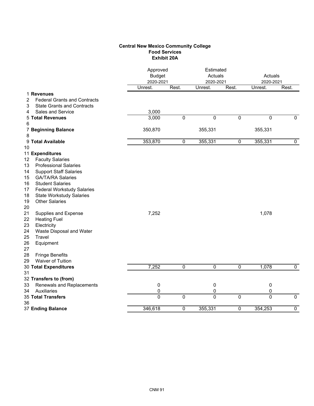# **Central New Mexico Community College Food Services Exhibit 20A**

|                                                   |                | Approved<br>Estimated<br><b>Budget</b><br>Actuals<br>2020-2021<br>2020-2021 |                | Actuals<br>2020-2021 |                |                |
|---------------------------------------------------|----------------|-----------------------------------------------------------------------------|----------------|----------------------|----------------|----------------|
|                                                   | Unrest.        | Rest.                                                                       | Unrest.        | Rest.                | Unrest.        | Rest.          |
| 1 Revenues<br><b>Federal Grants and Contracts</b> |                |                                                                             |                |                      |                |                |
| 2<br><b>State Grants and Contracts</b><br>3       |                |                                                                             |                |                      |                |                |
| Sales and Service<br>4                            | 3,000          |                                                                             |                |                      |                |                |
| <b>5 Total Revenues</b>                           | 3,000          | $\pmb{0}$                                                                   | 0              | $\mathbf 0$          | $\pmb{0}$      | $\mathbf 0$    |
| 6                                                 |                |                                                                             |                |                      |                |                |
| 7 Beginning Balance                               | 350,870        |                                                                             | 355,331        |                      | 355,331        |                |
| 8                                                 |                |                                                                             |                |                      |                |                |
| 9 Total Available                                 | 353,870        | 0                                                                           | 355,331        | $\overline{0}$       | 355,331        | $\mathbf 0$    |
| 10                                                |                |                                                                             |                |                      |                |                |
| 11 Expenditures                                   |                |                                                                             |                |                      |                |                |
| <b>Faculty Salaries</b><br>12                     |                |                                                                             |                |                      |                |                |
| <b>Professional Salaries</b><br>13                |                |                                                                             |                |                      |                |                |
| 14<br><b>Support Staff Salaries</b>               |                |                                                                             |                |                      |                |                |
| <b>GA/TA/RA Salaries</b><br>15                    |                |                                                                             |                |                      |                |                |
| <b>Student Salaries</b><br>16                     |                |                                                                             |                |                      |                |                |
| 17<br><b>Federal Workstudy Salaries</b>           |                |                                                                             |                |                      |                |                |
| 18<br><b>State Workstudy Salaries</b>             |                |                                                                             |                |                      |                |                |
| <b>Other Salaries</b><br>19                       |                |                                                                             |                |                      |                |                |
| 20                                                |                |                                                                             |                |                      |                |                |
| 21<br>Supplies and Expense                        | 7,252          |                                                                             |                |                      | 1,078          |                |
| 22<br><b>Heating Fuel</b>                         |                |                                                                             |                |                      |                |                |
| 23<br>Electricity                                 |                |                                                                             |                |                      |                |                |
| 24<br>Waste Disposal and Water                    |                |                                                                             |                |                      |                |                |
| 25<br>Travel                                      |                |                                                                             |                |                      |                |                |
| 26<br>Equipment                                   |                |                                                                             |                |                      |                |                |
| 27                                                |                |                                                                             |                |                      |                |                |
| 28<br><b>Fringe Benefits</b>                      |                |                                                                             |                |                      |                |                |
| <b>Waiver of Tuition</b><br>29                    |                |                                                                             |                |                      |                |                |
| 30 Total Expenditures                             | 7,252          | 0                                                                           | $\pmb{0}$      | $\mathbf 0$          | 1,078          | $\pmb{0}$      |
| 31                                                |                |                                                                             |                |                      |                |                |
| 32 Transfers to (from)                            |                |                                                                             |                |                      |                |                |
| Renewals and Replacements<br>33                   | $\pmb{0}$      |                                                                             | 0              |                      | $\pmb{0}$      |                |
| Auxiliaries<br>34                                 | 0              |                                                                             | 0              |                      | 0              |                |
| 35 Total Transfers                                | $\overline{0}$ | $\overline{0}$                                                              | $\overline{0}$ | $\overline{0}$       | $\overline{0}$ | $\overline{0}$ |
| 36                                                |                |                                                                             |                |                      |                |                |
| 37 Ending Balance                                 | 346,618        | 0                                                                           | 355,331        | 0                    | 354,253        | $\overline{0}$ |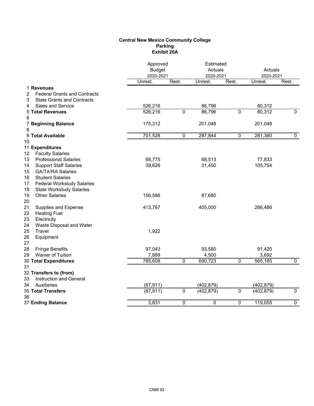## **Central New Mexico Community College Parking Exhibit 20A**

|                                                  |           | Approved<br><b>Budget</b><br>2020-2021 |            | Estimated<br>Actuals<br>2020-2021 |            | Actuals<br>2020-2021 |
|--------------------------------------------------|-----------|----------------------------------------|------------|-----------------------------------|------------|----------------------|
|                                                  | Unrest.   | Rest.                                  | Unrest.    | Rest.                             | Unrest.    | Rest.                |
| 1 Revenues                                       |           |                                        |            |                                   |            |                      |
| <b>Federal Grants and Contracts</b><br>2         |           |                                        |            |                                   |            |                      |
| 3<br><b>State Grants and Contracts</b>           |           |                                        |            |                                   |            |                      |
| Sales and Service<br>4                           | 526,216   |                                        | 86,796     |                                   | 80,312     |                      |
| <b>5 Total Revenues</b>                          | 526,216   | 0                                      | 86,796     | $\overline{0}$                    | 80,312     | $\mathbf{0}$         |
| 6                                                |           |                                        |            |                                   |            |                      |
| 7 Beginning Balance                              | 175,312   |                                        | 201,048    |                                   | 201,048    |                      |
| 8                                                |           |                                        |            |                                   |            |                      |
| 9 Total Available                                | 701,528   | $\overline{0}$                         | 287,844    | $\overline{0}$                    | 281,360    | $\mathbf 0$          |
| 10                                               |           |                                        |            |                                   |            |                      |
| 11 Expenditures<br><b>Faculty Salaries</b><br>12 |           |                                        |            |                                   |            |                      |
| <b>Professional Salaries</b><br>13               | 68,775    |                                        | 68,513     |                                   | 77,833     |                      |
| <b>Support Staff Salaries</b><br>14              | 39,626    |                                        | 31,450     |                                   | 105,754    |                      |
| <b>GA/TA/RA Salaries</b><br>15                   |           |                                        |            |                                   |            |                      |
| <b>Student Salaries</b><br>16                    |           |                                        |            |                                   |            |                      |
| <b>Federal Workstudy Salaries</b><br>17          |           |                                        |            |                                   |            |                      |
| 18<br><b>State Workstudy Salaries</b>            |           |                                        |            |                                   |            |                      |
| <b>Other Salaries</b><br>19                      | 156,586   |                                        | 87,680     |                                   |            |                      |
| 20                                               |           |                                        |            |                                   |            |                      |
| 21<br>Supplies and Expense                       | 413,767   |                                        | 405,000    |                                   | 286,486    |                      |
| 22<br><b>Heating Fuel</b>                        |           |                                        |            |                                   |            |                      |
| 23<br>Electricity                                |           |                                        |            |                                   |            |                      |
| Waste Disposal and Water<br>24                   |           |                                        |            |                                   |            |                      |
| 25<br>Travel                                     | 1,922     |                                        |            |                                   |            |                      |
| 26<br>Equipment                                  |           |                                        |            |                                   |            |                      |
| 27                                               |           |                                        |            |                                   |            |                      |
| 28<br><b>Fringe Benefits</b>                     | 97,043    |                                        | 93,580     |                                   | 91,420     |                      |
| Waiver of Tuition<br>29                          | 7,889     |                                        | 4,500      |                                   | 3,692      |                      |
| 30 Total Expenditures                            | 785,608   | 0                                      | 690,723    | $\mathbf 0$                       | 565,185    | $\mathbf 0$          |
| 31                                               |           |                                        |            |                                   |            |                      |
| 32 Transfers to (from)                           |           |                                        |            |                                   |            |                      |
| Instruction and General<br>33                    |           |                                        |            |                                   |            |                      |
| Auxiliaries<br>34                                | (87, 911) |                                        | (402, 879) |                                   | (402, 879) |                      |
| <b>35 Total Transfers</b><br>36                  | (87, 911) | $\mathbf 0$                            | (402, 879) | $\overline{0}$                    | (402, 879) | $\overline{0}$       |
| 37 Ending Balance                                | 3,831     | $\mathbf 0$                            | 0          | 0                                 | 119,055    | $\overline{0}$       |
|                                                  |           |                                        |            |                                   |            |                      |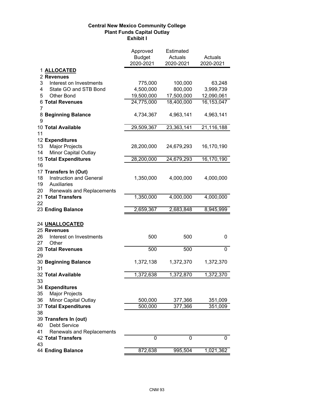# **Central New Mexico Community College Plant Funds Capital Outlay Exhibit I**

|                                        | Approved<br><b>Budget</b><br>2020-2021 | Estimated<br>Actuals<br>2020-2021 | Actuals<br>2020-2021 |
|----------------------------------------|----------------------------------------|-----------------------------------|----------------------|
| 1 ALLOCATED                            |                                        |                                   |                      |
| 2 Revenues                             |                                        |                                   |                      |
| 3<br>Interest on Investments           | 775,000                                | 100,000                           | 63,248               |
| State GO and STB Bond<br>4             | 4,500,000                              | 800,000                           | 3,999,739            |
| 5<br><b>Other Bond</b>                 | 19,500,000                             | 17,500,000                        | 12,090,061           |
| <b>6 Total Revenues</b><br>7           | 24,775,000                             | 18,400,000                        | 16,153,047           |
| 8 Beginning Balance<br>9               | 4,734,367                              | 4,963,141                         | 4,963,141            |
| 10 Total Available                     | 29,509,367                             | 23,363,141                        | 21,116,188           |
| 11                                     |                                        |                                   |                      |
| 12 Expenditures                        |                                        |                                   |                      |
| Major Projects<br>13                   | 28,200,000                             | 24,679,293                        | 16,170,190           |
| <b>Minor Capital Outlay</b><br>14      |                                        |                                   |                      |
| <b>15 Total Expenditures</b>           | 28,200,000                             | 24,679,293                        | 16,170,190           |
| 16                                     |                                        |                                   |                      |
| 17 Transfers In (Out)                  |                                        |                                   |                      |
| Instruction and General<br>18          | 1,350,000                              | 4,000,000                         | 4,000,000            |
| Auxiliaries<br>19                      |                                        |                                   |                      |
| 20<br><b>Renewals and Replacements</b> |                                        |                                   |                      |
| 21 Total Transfers                     | 1,350,000                              | 4,000,000                         | 4,000,000            |
| 22                                     |                                        |                                   |                      |
| 23 Ending Balance                      | 2,659,367                              | 2,683,848                         | 8,945,999            |
|                                        |                                        |                                   |                      |
| 24 UNALLOCATED                         |                                        |                                   |                      |
| 25 Revenues                            |                                        |                                   |                      |
| 26<br>Interest on Investments          | 500                                    | 500                               | 0                    |
| Other<br>27                            |                                        |                                   |                      |
| 28 Total Revenues                      | 500                                    | 500                               | 0                    |
| 29<br>30 Beginning Balance             | 1,372,138                              |                                   |                      |
| 31                                     |                                        | 1,372,370                         | 1,372,370            |
| 32 Total Available                     | 1,372,638                              | 1,372,870                         | 1,372,370            |
| 33                                     |                                        |                                   |                      |
| 34 Expenditures                        |                                        |                                   |                      |
| 35<br><b>Major Projects</b>            |                                        |                                   |                      |
| Minor Capital Outlay<br>36             | 500,000                                | 377,366                           | 351,009              |
| 37 Total Expenditures                  | 500,000                                | 377,366                           | 351,009              |
| 38                                     |                                        |                                   |                      |
| 39 Transfers In (out)                  |                                        |                                   |                      |
| <b>Debt Service</b><br>40              |                                        |                                   |                      |
| Renewals and Replacements<br>41        |                                        |                                   |                      |
| <b>42 Total Transfers</b>              | 0                                      | 0                                 | 0                    |
| 43                                     |                                        |                                   |                      |
| 44 Ending Balance                      | 872,638                                | 995, 504                          | 1,021,362            |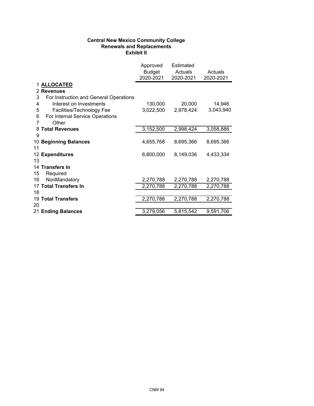# **Central New Mexico Community College Renewals and Replacements Exhibit II**

|    |                                        | Approved<br>Budget<br>2020-2021 | <b>Estimated</b><br>Actuals<br>2020-2021 | Actuals<br>2020-2021 |
|----|----------------------------------------|---------------------------------|------------------------------------------|----------------------|
|    | 1 ALLOCATED                            |                                 |                                          |                      |
|    | 2 Revenues                             |                                 |                                          |                      |
| 3  | For Instruction and General Operations |                                 |                                          |                      |
| 4  | Interest on Investments                | 130,000                         | 20,000                                   | 14,946               |
| 5  | Facilities/Technology Fee              | 3,022,500                       | 2,978,424                                | 3,043,940            |
| 6  | For Internal Service Operations        |                                 |                                          |                      |
| 7  | Other                                  |                                 |                                          |                      |
| 8  | <b>Total Revenues</b>                  | 3,152,500                       | 2,998,424                                | 3,058,886            |
| 9  |                                        |                                 |                                          |                      |
|    | 10 Beginning Balances                  | 4,655,768                       | 8,695,366                                | 8,695,366            |
| 11 |                                        |                                 |                                          |                      |
|    | 12 Expenditures                        | 6,800,000                       | 8,149,036                                | 4,433,334            |
| 13 |                                        |                                 |                                          |                      |
|    | 14 Transfers In                        |                                 |                                          |                      |
| 15 | Required                               |                                 |                                          |                      |
| 16 | NonMandatory                           | 2,270,788                       | 2,270,788                                | 2,270,788            |
|    | 17 Total Transfers In                  | 2,270,788                       | 2,270,788                                | 2,270,788            |
| 18 |                                        |                                 |                                          |                      |
|    | <b>19 Total Transfers</b>              | 2,270,788                       | 2,270,788                                | 2,270,788            |
| 20 |                                        |                                 |                                          |                      |
|    | 21 Ending Balances                     | 3,279,056                       | 5,815,542                                | 9,591,706            |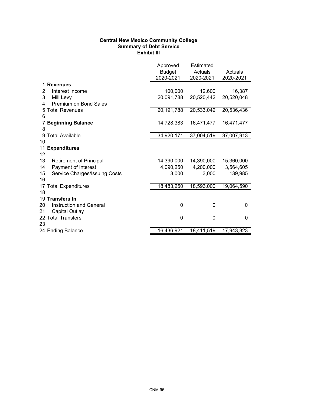# **Central New Mexico Community College Summary of Debt Service Exhibit III**

|                                      | Approved<br><b>Budget</b><br>2020-2021 | Estimated<br>Actuals<br>2020-2021 | Actuals<br>2020-2021 |
|--------------------------------------|----------------------------------------|-----------------------------------|----------------------|
| <b>Revenues</b>                      |                                        |                                   |                      |
| Interest Income<br>2                 | 100,000                                | 12,600                            | 16,387               |
| 3<br>Mill Levy                       | 20,091,788                             | 20,520,442                        | 20,520,048           |
| Premium on Bond Sales<br>4           |                                        |                                   |                      |
| 5 Total Revenues                     | 20,191,788                             | 20,533,042                        | 20,536,436           |
| 6                                    |                                        |                                   |                      |
| <b>Beginning Balance</b>             | 14,728,383                             | 16,471,477                        | 16,471,477           |
| 8                                    |                                        |                                   |                      |
| 9 Total Available                    | 34,920,171                             | 37,004,519                        | 37,007,913           |
| 10                                   |                                        |                                   |                      |
| 11<br><b>Expenditures</b>            |                                        |                                   |                      |
| 12                                   |                                        |                                   |                      |
| 13<br><b>Retirement of Principal</b> | 14,390,000                             | 14,390,000                        | 15,360,000           |
| Payment of Interest<br>14            | 4,090,250                              | 4,200,000                         | 3,564,605            |
| Service Charges/Issuing Costs<br>15  | 3,000                                  | 3,000                             | 139,985              |
| 16                                   |                                        |                                   |                      |
| 17 Total Expenditures                | 18,483,250                             | 18,593,000                        | 19,064,590           |
| 18                                   |                                        |                                   |                      |
| 19 Transfers In                      |                                        |                                   |                      |
| Instruction and General<br>20        | 0                                      | 0                                 | 0                    |
| 21<br>Capital Outlay                 |                                        |                                   |                      |
| 22 Total Transfers                   | $\mathbf 0$                            | 0                                 | $\mathbf{0}$         |
| 23                                   |                                        |                                   |                      |
| 24 Ending Balance                    | 16,436,921                             | 18,411,519                        | 17,943,323           |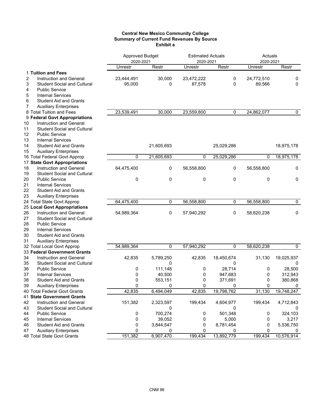### **Central New Mexico Community College Summary of Current Fund Revenues By Source Exhibit a**

|                                          | <b>Approved Budget</b><br>2020-2021 |            | <b>Estimated Actuals</b><br>2020-2021 |             | Actuals<br>2020-2021 |            |
|------------------------------------------|-------------------------------------|------------|---------------------------------------|-------------|----------------------|------------|
|                                          | Unrestr                             | Restr      | Unrestr                               | Restr       | Unrestr              | Restr      |
| 1 Tuition and Fees                       |                                     |            |                                       |             |                      |            |
| 2<br><b>Instruction and General</b>      | 23,444,491                          | 30,000     | 23,472,222                            | 0           | 24,772,510           | 0          |
| 3<br><b>Student Social and Cultural</b>  | 95,000                              | 0          | 87,578                                | 0           | 89,566               | 0          |
| 4<br><b>Public Service</b>               |                                     |            |                                       |             |                      |            |
| 5<br><b>Internal Services</b>            |                                     |            |                                       |             |                      |            |
| 6<br><b>Student Aid and Grants</b>       |                                     |            |                                       |             |                      |            |
| 7<br><b>Auxiliary Enterprises</b>        |                                     |            |                                       |             |                      |            |
| 8 Total Tuition and Fees                 | 23,539,491                          | 30,000     | 23,559,800                            | $\mathbf 0$ | 24,862,077           | 0          |
| 9 Federal Govt Appropriations            |                                     |            |                                       |             |                      |            |
| Instruction and General<br>10            |                                     |            |                                       |             |                      |            |
| <b>Student Social and Cultural</b><br>11 |                                     |            |                                       |             |                      |            |
| <b>Public Service</b><br>12              |                                     |            |                                       |             |                      |            |
| 13<br><b>Internal Services</b>           |                                     |            |                                       |             |                      |            |
| <b>Student Aid and Grants</b><br>14      |                                     | 21,605,693 |                                       | 25,029,286  |                      | 18,975,178 |
| <b>Auxiliary Enterprises</b><br>15       |                                     |            |                                       |             |                      |            |
| 16 Total Federal Govt Approp             | 0                                   | 21,605,693 | 0                                     | 25,029,286  | 0                    | 18,975,178 |
| 17 State Govt Appropriations             |                                     |            |                                       |             |                      |            |
| Instruction and General<br>18            | 64,475,400                          | 0          | 56,558,800                            | 0           | 56,558,800           | 0          |
| <b>Student Social and Cultural</b><br>19 |                                     |            |                                       |             |                      |            |
| 20<br><b>Public Service</b>              | 0                                   | 0          | 0                                     | 0           | 0                    | 0          |
| 21<br><b>Internal Services</b>           |                                     |            |                                       |             |                      |            |
| 22<br><b>Student Aid and Grants</b>      |                                     |            |                                       |             |                      |            |
| 23<br><b>Auxiliary Enterprises</b>       |                                     |            |                                       |             |                      |            |
| 24 Total State Govt Approp               | 64,475,400                          | 0          | 56,558,800                            | 0           | 56,558,800           | 0          |
| <b>25 Local Govt Appropriations</b>      |                                     |            |                                       |             |                      |            |
| 26<br>Instruction and General            | 54,989,364                          | 0          | 57,940,292                            | 0           | 58,620,238           | 0          |
| <b>Student Social and Cultural</b><br>27 |                                     |            |                                       |             |                      |            |
| 28<br><b>Public Service</b>              |                                     |            |                                       |             |                      |            |
| 29<br><b>Internal Services</b>           |                                     |            |                                       |             |                      |            |
| 30<br><b>Student Aid and Grants</b>      |                                     |            |                                       |             |                      |            |
| 31<br><b>Auxiliary Enterprises</b>       |                                     |            |                                       |             |                      |            |
| 32 Total Local Govt Approp               | 54,989,364                          | 0          | 57,940,292                            | 0           | 58,620,238           | 0          |
| 33 Federal Government Grants             |                                     |            |                                       |             |                      |            |
| 34<br>Instruction and General            | 42,835                              | 5,789,250  | 42,835                                | 18,450,674  | 31,130               | 19,025,937 |
| 35<br><b>Student Social and Cultural</b> |                                     | 0          |                                       | 0           |                      | 0          |
| <b>Public Service</b><br>36              | 0                                   | 111,148    | 0                                     | 28,714      | 0                    | 28,500     |
| 37<br><b>Internal Services</b>           | 0                                   | 40,500     | 0                                     | 947,683     | 0                    | 312,943    |
| 38<br><b>Student Aid and Grants</b>      | 0                                   | 553,151    | $\mathbf{0}$                          | 371,691     | $\mathbf{0}$         | 380,868    |
| <b>Auxiliary Enterprises</b><br>39       | $\pmb{0}$                           | 0          | $\pmb{0}$                             | 0           | $\pmb{0}$            | 0          |
| 40 Total Federal Govt Grants             | 42,835                              | 6,494,049  | 42,835                                | 19,798,762  | 31,130               | 19,748,247 |
| 41 State Government Grants               |                                     |            |                                       |             |                      |            |
| 42<br>Instruction and General            | 151,382                             | 2,323,597  | 199,434                               | 4,604,977   | 199,434              | 4,712,843  |
| 43<br><b>Student Social and Cultural</b> |                                     | 0          |                                       | 0           |                      | 0          |
| <b>Public Service</b><br>44              | 0                                   | 700,274    | 0                                     | 501,348     | 0                    | 324,103    |
| 45<br><b>Internal Services</b>           | 0                                   | 39,052     | 0                                     | 5,000       | 0                    | 3,217      |
| <b>Student Aid and Grants</b><br>46      | 0                                   | 3,844,547  | 0                                     | 8,781,454   | 0                    | 5,536,750  |
| <b>Auxiliary Enterprises</b><br>47       | 0                                   | 0          | 0                                     | 0           | 0                    | 0          |
| 48 Total State Govt Grants               | 151,382                             | 6,907,470  | 199,434                               | 13,892,779  | 199,434              | 10,576,914 |
|                                          |                                     |            |                                       |             |                      |            |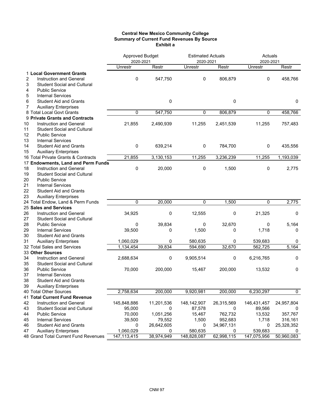## **Central New Mexico Community College Summary of Current Fund Revenues By Source Exhibit a**

|                                          | <b>Approved Budget</b><br>2020-2021 |            | <b>Estimated Actuals</b><br>2020-2021 |            | Actuals<br>2020-2021 |            |  |
|------------------------------------------|-------------------------------------|------------|---------------------------------------|------------|----------------------|------------|--|
|                                          | Unrestr                             | Restr      | <b>Unrestr</b>                        | Restr      | Unrestr              | Restr      |  |
| 1 Local Government Grants                |                                     |            |                                       |            |                      |            |  |
| 2<br>Instruction and General             | $\mathbf 0$                         | 547,750    | 0                                     | 806,879    | 0                    | 458,766    |  |
| 3<br><b>Student Social and Cultural</b>  |                                     |            |                                       |            |                      |            |  |
| <b>Public Service</b><br>4               |                                     |            |                                       |            |                      |            |  |
| 5<br><b>Internal Services</b>            |                                     |            |                                       |            |                      |            |  |
| 6<br><b>Student Aid and Grants</b>       |                                     | 0          |                                       | 0          |                      | 0          |  |
| <b>Auxiliary Enterprises</b><br>7        |                                     |            |                                       |            |                      |            |  |
| 8 Total Local Govt Grants                | 0                                   | 547,750    | 0                                     | 806,879    | 0                    | 458,766    |  |
| 9 Private Grants and Contracts           |                                     |            |                                       |            |                      |            |  |
| 10<br><b>Instruction and General</b>     | 21,855                              | 2,490,939  | 11,255                                | 2,451,539  | 11,255               | 757,483    |  |
| 11<br><b>Student Social and Cultural</b> |                                     |            |                                       |            |                      |            |  |
| 12<br><b>Public Service</b>              |                                     |            |                                       |            |                      |            |  |
| 13<br><b>Internal Services</b>           |                                     |            |                                       |            |                      |            |  |
| 14<br><b>Student Aid and Grants</b>      | 0                                   | 639,214    | 0                                     | 784,700    | 0                    | 435,556    |  |
| 15<br><b>Auxiliary Enterprises</b>       |                                     |            |                                       |            |                      |            |  |
| 16 Total Private Grants & Contracts      | 21,855                              | 3,130,153  | 11,255                                | 3,236,239  | 11,255               | 1,193,039  |  |
| 17 Endowments, Land and Perm Funds       |                                     |            |                                       |            |                      |            |  |
| 18<br>Instruction and General            | 0                                   | 20,000     | 0                                     | 1,500      | 0                    | 2,775      |  |
| 19<br><b>Student Social and Cultural</b> |                                     |            |                                       |            |                      |            |  |
| 20<br><b>Public Service</b>              |                                     |            |                                       |            |                      |            |  |
| 21<br><b>Internal Services</b>           |                                     |            |                                       |            |                      |            |  |
| 22<br><b>Student Aid and Grants</b>      |                                     |            |                                       |            |                      |            |  |
| 23<br><b>Auxiliary Enterprises</b>       |                                     |            |                                       |            |                      |            |  |
| 24 Total Endow, Land & Perm Funds        | $\mathbf{0}$                        | 20,000     | $\Omega$                              | 1,500      | 0                    | 2,775      |  |
| 25 Sales and Services                    |                                     |            |                                       |            |                      |            |  |
| 26<br><b>Instruction and General</b>     | 34,925                              | 0          | 12,555                                | 0          | 21,325               | 0          |  |
| 27<br><b>Student Social and Cultural</b> |                                     |            |                                       |            |                      |            |  |
| 28<br><b>Public Service</b>              | 0                                   | 39,834     | 0                                     | 32,670     | 0                    | 5,164      |  |
| 29<br><b>Internal Services</b>           | 39,500                              | 0          | 1,500                                 | 0          | 1,718                | 0          |  |
| 30<br><b>Student Aid and Grants</b>      |                                     |            |                                       |            |                      |            |  |
| 31<br><b>Auxiliary Enterprises</b>       | 1,060,029                           | 0          | 580,635                               | 0          | 539,683              | 0          |  |
| 32 Total Sales and Services              | 1,134,454                           | 39,834     | 594,690                               | 32,670     | 562,725              | 5,164      |  |
| 33 Other Sources                         |                                     |            |                                       |            |                      |            |  |
| 34<br><b>Instruction and General</b>     | 2,688,634                           | 0          | 9,905,514                             | 0          | 6,216,765            | 0          |  |
| 35<br><b>Student Social and Cultural</b> |                                     |            |                                       |            |                      |            |  |
| <b>Public Service</b><br>36              | 70,000                              | 200,000    | 15,467                                | 200,000    | 13,532               | 0          |  |
| 37<br><b>Internal Services</b>           |                                     |            |                                       |            |                      |            |  |
| 38<br><b>Student Aid and Grants</b>      |                                     |            |                                       |            |                      |            |  |
| 39<br><b>Auxiliary Enterprises</b>       |                                     |            |                                       |            |                      |            |  |
| 40 Total Other Sources                   | 2,758,634                           | 200,000    | 9,920,981                             | 200,000    | 6,230,297            | 0          |  |
| 41 Total Current Fund Revenue            |                                     |            |                                       |            |                      |            |  |
| 42<br>Instruction and General            | 145,848,886                         | 11,201,536 | 148,142,907                           | 26,315,569 | 146,431,457          | 24,957,804 |  |
| 43<br><b>Student Social and Cultural</b> | 95,000                              | 0          | 87,578                                | 0          | 89,566               | 0          |  |
| <b>Public Service</b><br>44              | 70,000                              | 1,051,256  | 15,467                                | 762,732    | 13,532               | 357,767    |  |
| 45<br><b>Internal Services</b>           | 39,500                              | 79,552     | 1,500                                 | 952,683    | 1,718                | 316,161    |  |
| 46<br><b>Student Aid and Grants</b>      | 0                                   | 26,642,605 | 0                                     | 34,967,131 | 0                    | 25,328,352 |  |
| <b>Auxiliary Enterprises</b><br>47       | 1,060,029                           | 0          | 580,635                               | 0          | 539,683              | 0          |  |
| 48 Grand Total Current Fund Revenues     | 147, 113, 415                       | 38,974,949 | 148,828,087                           | 62,998,115 | 147,075,956          | 50,960,083 |  |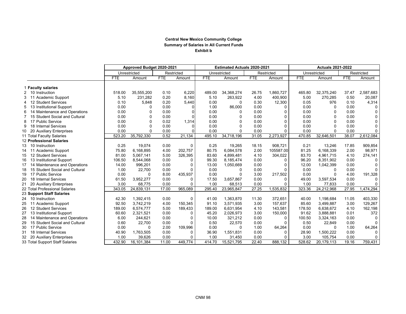#### **Central New Mexico Community College Summary of Salaries in All Current Funds Exhibit b**

|                                      |            | Approved Budget 2020-2021 |       |            |            | <b>Estimated Actuals 2020-2021</b> |            |            | <b>Actuals 2021-2022</b> |              |            |             |
|--------------------------------------|------------|---------------------------|-------|------------|------------|------------------------------------|------------|------------|--------------------------|--------------|------------|-------------|
|                                      |            | Unrestricted              |       | Restricted |            | Unrestricted                       |            | Restricted |                          | Unrestricted |            | Restricted  |
|                                      | <b>FTE</b> | Amount                    | FTE   | Amount     | <b>FTE</b> | Amount                             | <b>FTE</b> | Amount     | <b>FTE</b>               | Amount       | <b>FTE</b> | Amount      |
| 1 Faculty salaries                   |            |                           |       |            |            |                                    |            |            |                          |              |            |             |
| 10 Instruction                       | 518.00     | 35,555,200                | 0.10  | 6,220      | 489.00     | 34,368,274                         | 26.75      | 1,860,727  | 465.80                   | 32,375,240   | 37.47      | 2,587,683   |
| 11 Academic Support                  | 5.10       | 231,282                   | 0.20  | 8,160      | 5.10       | 263,922                            | 4.00       | 400,900    | 5.00                     | 270,285      | 0.50       | 20,087      |
| 12 Student Services                  | 0.10       | 5,848                     | 0.20  | 5,440      | 0.00       | $\Omega$                           | 0.30       | 12,300     | 0.05                     | 976          | 0.10       | 4,314       |
| 13 Institutional Support             | 0.00       | $\Omega$                  | 0.00  |            | 1.00       | 86,000                             | 0.00       | $\Omega$   | 0.00                     | 0            | 0.00       | 0           |
| 14 Maintenance and Operations        | 0.00       | $\mathbf 0$               | 0.00  |            | 0.00       | $\Omega$                           | 0.00       | $\Omega$   | 0.00                     | 0            | 0.00       | $\mathbf 0$ |
| 15 Student Social and Cultural       | 0.00       | $\Omega$                  | 0.00  |            | 0.00       | $\Omega$                           | 0.00       | $\Omega$   | 0.00                     | 0            | 0.00       | 0           |
| 17 Public Service                    | 0.00       | $\mathbf 0$               | 0.02  | 1,314      | 0.00       | $\Omega$                           | 0.00       | $\Omega$   | 0.00                     | 0            | 0.00       | 0           |
| 18 Internal Services<br>9            | 0.00       | $\Omega$                  | 0.00  |            | 0.00       | $\Omega$                           | 0.00       | $\Omega$   | 0.00                     | 0            | 0.00       | $\mathsf 0$ |
| 20 Auxiliary Enterprises<br>10       | 0.00       | $\Omega$                  | 0.00  |            | 0.00       | $\Omega$                           | 0.00       | $\Omega$   | 0.00                     | O            | 0.00       | 0           |
| 11 Total Faculty Salaries            | 523.20     | 35,792,330                | 0.52  | 21,134     | 495.10     | 34,718,196                         | 31.05      | 2,273,927  | 470.85                   | 32,646,501   | 38.07      | 2,612,084   |
| 12 Professional Salaries             |            |                           |       |            |            |                                    |            |            |                          |              |            |             |
| 10 Instruction<br>13                 | 0.25       | 19,074                    | 0.00  | 0          | 0.25       | 19,265                             | 18.15      | 908,721    | 0.21                     | 13,246       | 17.85      | 909,854     |
| 11 Academic Support<br>14            | 75.80      | 6,168,895                 | 4.00  | 202,757    | 80.75      | 6,084,578                          | 2.00       | 105587.00  | 81.25                    | 6,168,339    | 2.00       | 98,971      |
| 12 Student Services<br>15            | 81.00      | 5,067,141                 | 5.00  | 326,395    | 83.60      | 4,899,481                          | 4.10       | 304,022    | 83.70                    | 4,961,715    | 4.10       | 274,141     |
| 13 Institutional Support<br>16       | 106.50     | 8,544,068                 | 0.00  | 0          | 99.30      | 8.185.474                          | 0.00       | $\Omega$   | 96.20                    | 8,351,902    | 0.00       | 0           |
| 14 Maintenance and Operations<br>17  | 14.00      | 996,201                   | 0.00  | 0          | 13.00      | 1,050,669                          | 0.00       | 0          | 12.00                    | 1,042,399    | 0.00       | $\pmb{0}$   |
| 15 Student Social and Cultural<br>18 | 1.00       | 22,700                    | 0.00  | $\Omega$   | 0.00       | $\Omega$                           | 0.00       | $\Omega$   | 0.00                     | 0            | 0.00       | 0           |
| 17 Public Service<br>19              | 0.00       | $\Omega$                  | 8.00  | 435,937    | 0.00       | $\Omega$                           | 3.00       | 217,502    | 0.00                     | 0            | 4.00       | 191,328     |
| 20<br>18 Internal Services           | 61.50      | 3,952,277                 | 0.00  | 0          | 17.50      | 3.657.867                          | 0.00       | 0          | 49.00                    | 3,597,534    | 0.00       | $\mathbf 0$ |
| 21<br>20 Auxiliary Enterprises       | 3.00       | 68,775                    | 0.00  | 0          | 1.00       | 68,513                             | 0.00       | $\Omega$   | 1.00                     | 77,833       | 0.00       | 0           |
| 22 Total Professional Salaries       | 343.05     | 24,839,131                | 17.00 | 965.089    | 295.40     | 23,965,847                         | 27.25      | 1,535,832  | 323.36                   | 24,212,968   | 27.95      | 1,474,294   |
| 23 Support Staff Salaries            |            |                           |       |            |            |                                    |            |            |                          |              |            |             |
| 10 Instruction<br>24                 | 42.30      | 1,392,415                 | 0.00  | 0          | 41.00      | 1.363.870                          | 11.30      | 372,651    | 40.00                    | 1.198.684    | 11.05      | 403,330     |
| 25<br>11 Academic Support            | 92.50      | 3,742,219                 | 4.00  | 150,345    | 91.10      | 3,571,935                          | 3.00       | 157,637    | 85.60                    | 3,499,887    | 3.00       | 129,267     |
| 26<br>12 Student Services            | 189.00     | 6,574,777                 | 5.00  | 189,433    | 189.00     | 6,631,954                          | 4.10       | 143,581    | 178.50                   | 6,638,672    | 4.10       | 162,198     |
| 27<br>13 Institutional Support       | 60.60      | 2,321,521                 | 0.00  | 0          | 45.20      | 2,026,973                          | 3.00       | 150,000    | 91.62                    | 3.888.881    | 0.01       | 372         |
| 28<br>14 Maintenance and Operations  | 6.00       | 244,621                   | 0.00  | $\Omega$   | 10.00      | 321,212                            | 0.00       | 0          | 100.50                   | 3,324,163    | 0.00       | $\Omega$    |
| 29<br>15 Student Social and Cultural | 0.60       | 22,700                    | 0.00  | $\Omega$   | 0.50       | 22,570                             | 0.00       | $\Omega$   | 0.50                     | 22,849       | 0.00       | $\Omega$    |
| 17 Public Service<br>30              | 0.00       | $\Omega$                  | 2.00  | 109,996    | 0.00       | $\Omega$                           | 1.00       | 64,264     | 0.00                     | $\Omega$     | 1.00       | 64,264      |
| 31<br>18 Internal Services           | 40.90      | 1,763,505                 | 0.00  | 0          | 36.90      | 1,551,831                          | 0.00       | O          | 28.90                    | 1,500,222    | 0.00       | 0           |
| 32<br>20 Auxiliary Enterprises       | 1.00       | 39,626                    | 0.00  | $\Omega$   | 1.00       | 31,450                             | 0.00       | $\Omega$   | 3.00                     | 105,754      | 0.00       | 0           |
| 33 Total Support Staff Salaries      | 432.90     | 16,101,384                | 11.00 | 449.774    | 414.70     | 15,521,795                         | 22.40      | 888.132    | 528.62                   | 20,179,113   | 19.16      | 759,431     |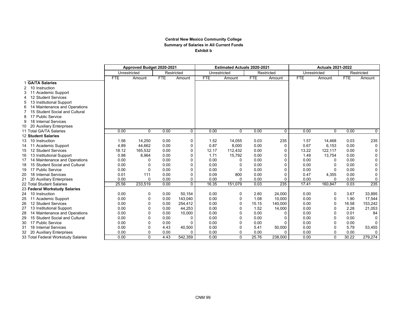#### **Central New Mexico Community College Summary of Salaries in All Current Funds Exhibit b**

|              |                                     | Approved Budget 2020-2021 |          |            |              | <b>Estimated Actuals 2020-2021</b> |              |            | <b>Actuals 2021-2022</b> |              |              |            |             |
|--------------|-------------------------------------|---------------------------|----------|------------|--------------|------------------------------------|--------------|------------|--------------------------|--------------|--------------|------------|-------------|
|              |                                     | Unrestricted              |          |            | Restricted   | Unrestricted                       |              |            | Restricted               | Unrestricted |              |            | Restricted  |
|              |                                     | <b>FTE</b>                | Amount   | <b>FTE</b> | Amount       | <b>FTE</b>                         | Amount       | <b>FTE</b> | Amount                   | <b>FTE</b>   | Amount       | <b>FTE</b> | Amount      |
|              | 1 GA/TA Salaries                    |                           |          |            |              |                                    |              |            |                          |              |              |            |             |
| $\mathbf{2}$ | 10 Instruction                      |                           |          |            |              |                                    |              |            |                          |              |              |            |             |
|              | 11 Academic Support                 |                           |          |            |              |                                    |              |            |                          |              |              |            |             |
| 4            | 12 Student Services                 |                           |          |            |              |                                    |              |            |                          |              |              |            |             |
| 5            | 13 Institutional Support            |                           |          |            |              |                                    |              |            |                          |              |              |            |             |
| 6            | 14 Maintenance and Operations       |                           |          |            |              |                                    |              |            |                          |              |              |            |             |
| 7            | 15 Student Social and Cultural      |                           |          |            |              |                                    |              |            |                          |              |              |            |             |
| 8            | 17 Public Service                   |                           |          |            |              |                                    |              |            |                          |              |              |            |             |
| 9            | 18 Internal Services                |                           |          |            |              |                                    |              |            |                          |              |              |            |             |
|              | 20 Auxiliary Enterprises            |                           |          |            |              |                                    |              |            |                          |              |              |            |             |
|              | 11 Total GA/TA Salaries             | 0.00                      | $\Omega$ | 0.00       | $\mathbf 0$  | 0.00                               | $\Omega$     | 0.00       | $\mathbf{0}$             | 0.00         | $\Omega$     | 0.00       | $\mathbf 0$ |
|              | 12 Student Salaries                 |                           |          |            |              |                                    |              |            |                          |              |              |            |             |
| 13           | 10 Instruction                      | 1.56                      | 14,250   | 0.00       | 0            | 1.52                               | 14,055       | 0.03       | 235                      | 1.57         | 14,468       | 0.03       | 235         |
|              | 11 Academic Support                 | 4.89                      | 44,662   | 0.00       | 0            | 0.87                               | 8,000        | 0.00       | $\Omega$                 | 0.67         | 6,153        | 0.00       | 0           |
| 15           | 12 Student Services                 | 18.12                     | 165,532  | 0.00       | 0            | 12.17                              | 112,432      | 0.00       | $\Omega$                 | 13.22        | 122,117      | 0.00       | 0           |
| 16           | 13 Institutional Support            | 0.98                      | 8,964    | 0.00       | $\Omega$     | 1.71                               | 15,792       | 0.00       | $\Omega$                 | 1.49         | 13,754       | 0.00       | 0           |
|              | 14 Maintenance and Operations       | 0.00                      | 0        | 0.00       | $\Omega$     | 0.00                               | <sup>0</sup> | 0.00       | $\Omega$                 | 0.00         | 0            | 0.00       | 0           |
| 18           | 15 Student Social and Cultural      | 0.00                      | $\Omega$ | 0.00       | $\Omega$     | 0.00                               | $\Omega$     | 0.00       | $\Omega$                 | 0.00         | 0            | 0.00       | 0           |
| 19           | 17 Public Service                   | 0.00                      | $\Omega$ | 0.00       | $\Omega$     | 0.00                               | $\Omega$     | 0.00       | $\Omega$                 | 0.00         | 0            | 0.00       | 0           |
|              | 18 Internal Services                | 0.01                      | 111      | 0.00       | $\Omega$     | 0.09                               | 800          | 0.00       | $\Omega$                 | 0.47         | 4,355        | 0.00       | 0           |
| 21           | 20 Auxiliary Enterprises            | 0.00                      | $\Omega$ | 0.00       | 0            | 0.00                               | $\Omega$     | 0.00       | $\Omega$                 | 0.00         | 0            | 0.00       | 0           |
|              | 22 Total Student Salaries           | 25.56                     | 233,519  | 0.00       | $\mathbf{0}$ | 16.35                              | 151,079      | 0.03       | 235                      | 17.41        | 160,847      | 0.03       | 235         |
|              | 23 Federal Workstudy Salaries       |                           |          |            |              |                                    |              |            |                          |              |              |            |             |
|              | 24 10 Instruction                   | 0.00                      | 0        | 0.00       | 50,154       | 0.00                               | 0            | 2.60       | 24,000                   | 0.00         | 0            | 3.67       | 33,895      |
| 25           | 11 Academic Support                 | 0.00                      | $\Omega$ | 0.00       | 143.040      | 0.00                               | $\Omega$     | 1.08       | 10,000                   | 0.00         | 0            | 1.90       | 17,544      |
| 26           | 12 Student Services                 | 0.00                      | $\Omega$ | 0.00       | 254,412      | 0.00                               | $\Omega$     | 15.15      | 140,000                  | 0.00         | 0            | 16.58      | 153,242     |
| 27           | 13 Institutional Support            | 0.00                      | $\Omega$ | 0.00       | 44,253       | 0.00                               | $\Omega$     | 1.52       | 14,000                   | 0.00         | 0            | 2.28       | 21,053      |
| 28           | 14 Maintenance and Operations       | 0.00                      | $\Omega$ | 0.00       | 10,000       | 0.00                               | $\Omega$     | 0.00       | ∩                        | 0.00         | <sup>0</sup> | 0.01       | 84          |
| 29           | 15 Student Social and Cultural      | 0.00                      | $\Omega$ | 0.00       | 0            | 0.00                               | $\Omega$     | 0.00       | C                        | 0.00         | 0            | 0.00       | $\Omega$    |
| 30           | 17 Public Service                   | 0.00                      | $\Omega$ | 0.00       |              | 0.00                               | $\Omega$     | 0.00       | C                        | 0.00         | <sup>0</sup> | 0.00       | 0           |
| 31           | 18 Internal Services                | 0.00                      | $\Omega$ | 4.43       | 40,500       | 0.00                               |              | 5.41       | 50,000                   | 0.00         | 0            | 5.79       | 53,455      |
| 32           | 20 Auxiliary Enterprises            | 0.00                      | $\Omega$ | 0.00       | $\Omega$     | 0.00                               | $\Omega$     | 0.00       | $\Omega$                 | 0.00         | <sup>0</sup> | 0.00       | 0           |
|              | 33 Total Federal Workstudy Salaries | 0.00                      | $\Omega$ | 4.43       | 542.359      | 0.00                               | $\Omega$     | 25.76      | 238.000                  | 0.00         | $\Omega$     | 30.22      | 279,274     |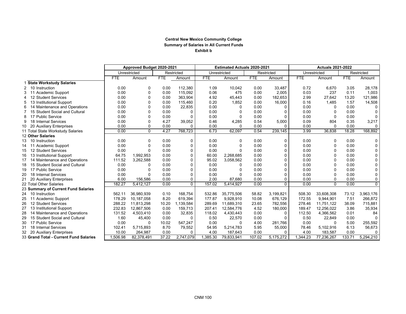### **Central New Mexico Community College Summary of Salaries in All Current Funds Exhibit b**

|    |                                        | Approved Budget 2020-2021 |              |            |            | <b>Estimated Actuals 2020-2021</b> |              |            | <b>Actuals 2021-2022</b> |              |            |            |            |
|----|----------------------------------------|---------------------------|--------------|------------|------------|------------------------------------|--------------|------------|--------------------------|--------------|------------|------------|------------|
|    |                                        |                           | Unrestricted |            | Restricted |                                    | Unrestricted |            | Restricted               | Unrestricted |            |            | Restricted |
|    |                                        | <b>FTE</b>                | Amount       | <b>FTE</b> | Amount     | <b>FTE</b>                         | Amount       | <b>FTE</b> | Amount                   | <b>FTE</b>   | Amount     | <b>FTE</b> | Amount     |
|    | 1 State Workstudy Salaries             |                           |              |            |            |                                    |              |            |                          |              |            |            |            |
|    | 2 10 Instruction                       | 0.00                      | 0            | 0.00       | 112,380    | 1.09                               | 10,042       | 0.00       | 33,487                   | 0.72         | 6,670      | 3.05       | 28,178     |
|    | Academic Support                       | 0.00                      | $\Omega$     | 0.00       | 115.092    | 0.06                               | 475          | 0.00       | 2,005                    | 0.03         | 237        | 0.11       | 1,003      |
| 4  | 12 Student Services                    | 0.00                      | 0            | 0.00       | 363.904    | 4.92                               | 45,443       | 0.00       | 182,653                  | 2.99         | 27,642     | 13.20      | 121,986    |
| 5  | 13 Institutional Support               | 0.00                      | 0            | 0.00       | 115.460    | 0.20                               | 1.852        | 0.00       | 16,000                   | 0.16         | 1,485      | 1.57       | 14,508     |
| 6  | 14 Maintenance and Operations          | 0.00                      | 0            | 0.00       | 22,835     | 0.00                               | $\Omega$     | 0.00       | $\Omega$                 | 0.00         | 0          | 0.00       | $\Omega$   |
|    | 15 Student Social and Cultural         | 0.00                      | $\Omega$     | 0.00       | 0          | 0.00                               | $\Omega$     | 0.00       | ŋ                        | 0.00         | 0          | 0.00       | $\Omega$   |
| 8  | 17 Public Service                      | 0.00                      | $\Omega$     | 0.00       | $\Omega$   | 0.00                               | $\Omega$     | 0.00       | $\Omega$                 | 0.00         | 0          | 0.00       | $\Omega$   |
| 9  | 18 Internal Services                   | 0.00                      | $\Omega$     | 4.27       | 39,052     | 0.46                               | 4,285        | 0.54       | 5,000                    | 0.09         | 804        | 0.35       | 3,217      |
| 10 | 20 Auxiliary Enterprises               | 0.00                      | 0            | 0.00       | $\Omega$   | 0.00                               | $\Omega$     | 0.00       | $\Omega$                 | 0.00         | 0          | 0.00       | 0          |
|    | 11 Total State Workstudy Salaries      | 0.00                      | $\Omega$     | 4.27       | 768,723    | 6.73                               | 62,097       | 0.54       | 239,145                  | 3.99         | 36,838     | 18.28      | 168,892    |
|    | 12 Other Salaries                      |                           |              |            |            |                                    |              |            |                          |              |            |            |            |
| 13 | 10 Instruction                         | 0.00                      | 0            | 0.00       | 0          | 0.00                               | 0            | 0.00       | 0                        | 0.00         | 0          | 0.00       | 0          |
| 14 | 11 Academic Support                    | 0.00                      | 0            | 0.00       | 0          | 0.00                               | $\Omega$     | 0.00       | $\Omega$                 | 0.00         | 0          | 0.00       | $\pmb{0}$  |
| 15 | 12 Student Services                    | 0.00                      | $\Omega$     | 0.00       | $\Omega$   | 0.00                               | $\Omega$     | 0.00       | $\Omega$                 | 0.00         | 0          | 0.00       | $\pmb{0}$  |
| 16 | 13 Institutional Support               | 64.75                     | 1.992.953    | 0.00       | $\Omega$   | 60.00                              | 2,268,685    | 0.00       | $\Omega$                 | 0.00         | 0          | 0.00       | 0          |
| 17 | 14 Maintenance and Operations          | 111.52                    | 3,262,588    | 0.00       | $\Omega$   | 95.02                              | 3,058,562    | 0.00       | $\Omega$                 | 0.00         | 0          | 0.00       | 0          |
| 18 | 15 Student Social and Cultural         | 0.00                      | 0            | 0.00       | $\Omega$   | 0.00                               | 0            | 0.00       | O                        | 0.00         | 0          | 0.00       | 0          |
| 19 | 17 Public Service                      | 0.00                      | $\Omega$     | 0.00       | $\Omega$   | 0.00                               | $\Omega$     | 0.00       | O                        | 0.00         | 0          | 0.00       | 0          |
| 20 | 18 Internal Services                   | 0.00                      | $\Omega$     | 0.00       | $\Omega$   | 0.00                               | $\Omega$     | 0.00       | $\Omega$                 | 0.00         | 0          | 0.00       | 0          |
| 21 | 20 Auxiliary Enterprises               | 6.00                      | 156,586      | 0.00       | $\Omega$   | 2.00                               | 87,680       | 0.00       | $\Omega$                 | 0.00         | 0          | 0.00       | 0          |
|    | 22 Total Other Salaries                | 182.27                    | 5,412,127    | 0.00       | $\Omega$   | 157.02                             | 5,414,927    | 0.00       | $\Omega$                 | 0.00         | $\Omega$   | 0.00       | $\Omega$   |
|    | 23 Summary of Current Fund Salaries    |                           |              |            |            |                                    |              |            |                          |              |            |            |            |
|    | 24 10 Instruction                      | 562.11                    | 36.980.939   | 0.10       | 168.754    | 532.86                             | 35,775,506   | 58.82      | 3.199.821                | 508.30       | 33.608.308 | 73.12      | 3,963,176  |
| 25 | 11 Academic Support                    | 178.29                    | 10,187,058   | 8.20       | 619,394    | 177.87                             | 9,928,910    | 10.08      | 676,129                  | 172.55       | 9,944,901  | 7.51       | 266,872    |
| 26 | 12 Student Services                    | 288.22                    | 11.813.298   | 10.20      | 1,139,584  | 289.69                             | 11,689,310   | 23.65      | 782,556                  | 278.46       | 11.751.122 | 38.09      | 715,881    |
| 27 | 13 Institutional Support               | 232.83                    | 12,867,506   | 0.00       | 159,713    | 207.41                             | 12,584,776   | 4.52       | 180,000                  | 189.47       | 12,256,022 | 3.86       | 35,934     |
| 28 | 14 Maintenance and Operations          | 131.52                    | 4,503,410    | 0.00       | 32,835     | 118.02                             | 4,430,443    | 0.00       | $\Omega$                 | 112.50       | 4,366,562  | 0.01       | 84         |
| 29 | 15 Student Social and Cultural         | 1.60                      | 45,400       | 0.00       | $\Omega$   | 0.50                               | 22,570       | 0.00       | $\Omega$                 | 0.50         | 22,849     | 0.00       | $\Omega$   |
| 30 | 17 Public Service                      | 0.00                      | $\Omega$     | 10.02      | 547,247    | 0.00                               | $\Omega$     | 4.00       | 281.766                  | 0.00         | $\Omega$   | 5.00       | 255,592    |
| 31 | 18 Internal Services                   | 102.41                    | 5,715,893    | 8.70       | 79,552     | 54.95                              | 5,214,783    | 5.95       | 55,000                   | 78.46        | 5,102,916  | 6.13       | 56,673     |
| 32 | 20 Auxiliary Enterprises               | 10.00                     | 264,987      | 0.00       | $\Omega$   | 4.00                               | 187,643      | 0.00       | $\mathbf{0}$             | 4.00         | 183,587    | 0.00       | 0          |
|    | 33 Grand Total - Current Fund Salaries | ,506.98                   | 82,378,491   | 37.22      | 2,747,079  | 1,385.30                           | 79,833,941   | 107.02     | 5,175,272                | 1,344.23     | 77,236,267 | 133.71     | 5,294,210  |